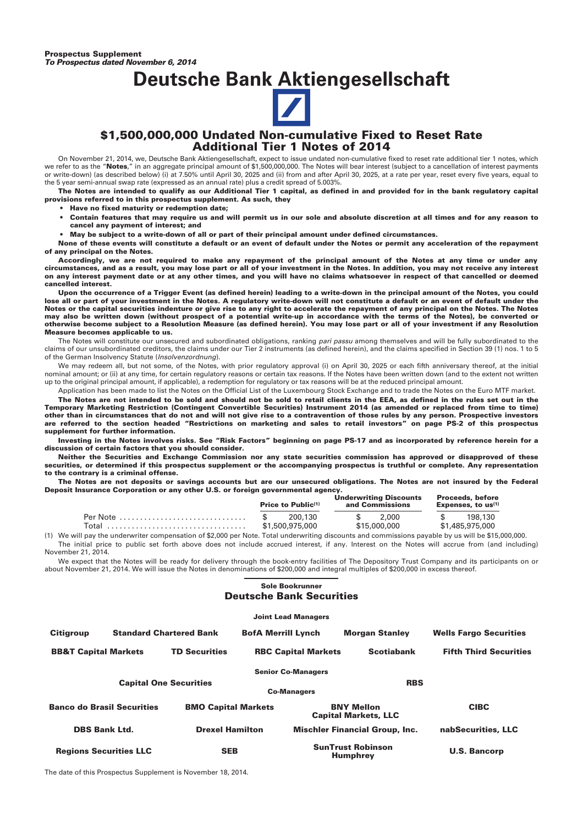## **Deutsche Bank Aktiengesellschaft**



#### **\$1,500,000,000 Undated Non-cumulative Fixed to Reset Rate Additional Tier 1 Notes of 2014**

On November 21, 2014, we, Deutsche Bank Aktiengesellschaft, expect to issue undated non-cumulative fixed to reset rate additional tier 1 notes, which we refer to as the "Notes," in an aggregate principal amount of \$1,500,000,000. The Notes will bear interest (subject to a cancellation of interest payments or write-down) (as described below) (i) at 7.50% until April 30, 2025 and (ii) from and after April 30, 2025, at a rate per year, reset every five years, equal to the 5 year semi-annual swap rate (expressed as an annual rate) plus a credit spread of 5.003%.

**The Notes are intended to qualify as our Additional Tier 1 capital, as defined in and provided for in the bank regulatory capital provisions referred to in this prospectus supplement. As such, they**

- **Have no fixed maturity or redemption date;**
- **Contain features that may require us and will permit us in our sole and absolute discretion at all times and for any reason to cancel any payment of interest; and**
- **May be subject to a write-down of all or part of their principal amount under defined circumstances.**

**None of these events will constitute a default or an event of default under the Notes or permit any acceleration of the repayment of any principal on the Notes.**

**Accordingly, we are not required to make any repayment of the principal amount of the Notes at any time or under any circumstances, and as a result, you may lose part or all of your investment in the Notes. In addition, you may not receive any interest on any interest payment date or at any other times, and you will have no claims whatsoever in respect of that cancelled or deemed cancelled interest.**

**Upon the occurrence of a Trigger Event (as defined herein) leading to a write-down in the principal amount of the Notes, you could lose all or part of your investment in the Notes. A regulatory write-down will not constitute a default or an event of default under the Notes or the capital securities indenture or give rise to any right to accelerate the repayment of any principal on the Notes. The Notes may also be written down (without prospect of a potential write-up in accordance with the terms of the Notes), be converted or otherwise become subject to a Resolution Measure (as defined herein). You may lose part or all of your investment if any Resolution Measure becomes applicable to us.**

The Notes will constitute our unsecured and subordinated obligations, ranking *pari passu* among themselves and will be fully subordinated to the claims of our unsubordinated creditors, the claims under our Tier 2 instruments (as defined herein), and the claims specified in Section 39 (1) nos. 1 to 5 of the German Insolvency Statute (*Insolvenzordnung*).

We may redeem all, but not some, of the Notes, with prior regulatory approval (i) on April 30, 2025 or each fifth anniversary thereof, at the initial nominal amount; or (ii) at any time, for certain regulatory reasons or certain tax reasons. If the Notes have been written down (and to the extent not written up to the original principal amount, if applicable), a redemption for regulatory or tax reasons will be at the reduced principal amount.

Application has been made to list the Notes on the Official List of the Luxembourg Stock Exchange and to trade the Notes on the Euro MTF market. **The Notes are not intended to be sold and should not be sold to retail clients in the EEA, as defined in the rules set out in the Temporary Marketing Restriction (Contingent Convertible Securities) Instrument 2014 (as amended or replaced from time to time) other than in circumstances that do not and will not give rise to a contravention of those rules by any person. Prospective investors are referred to the section headed "Restrictions on marketing and sales to retail investors" on page PS-2 of this prospectus supplement for further information.**

**Investing in the Notes involves risks. See "Risk Factors" beginning on page PS-17 and as incorporated by reference herein for a discussion of certain factors that you should consider.**

**Neither the Securities and Exchange Commission nor any state securities commission has approved or disapproved of these securities, or determined if this prospectus supplement or the accompanying prospectus is truthful or complete. Any representation to the contrary is a criminal offense.**

**The Notes are not deposits or savings accounts but are our unsecured obligations. The Notes are not insured by the Federal Deposit Insurance Corporation or any other U.S. or foreign governmental agency.**

|  |                 | Price to $Public^{(1)}$ | <b>Underwriting Discounts</b><br>and Commissions |       | <b>Proceeds, before</b><br>Expenses, to $us^{(1)}$ |         |
|--|-----------------|-------------------------|--------------------------------------------------|-------|----------------------------------------------------|---------|
|  |                 | 200.130                 | $\mathcal{S}$                                    | 2.000 |                                                    | 198.130 |
|  | \$1,500,975,000 |                         | \$15,000,000                                     |       | \$1,485,975,000                                    |         |

(1) We will pay the underwriter compensation of \$2,000 per Note. Total underwriting discounts and commissions payable by us will be \$15,000,000. The initial price to public set forth above does not include accrued interest, if any. Interest on the Notes will accrue from (and including) November 21, 2014.

We expect that the Notes will be ready for delivery through the book-entry facilities of The Depository Trust Company and its participants on or about November 21, 2014. We will issue the Notes in denominations of \$200,000 and integral multiples of \$200,000 in excess thereof.

#### **Sole Bookrunner Deutsche Bank Securities**

#### **Joint Lead Managers Citigroup Standard Chartered Bank BofA Merrill Lynch Morgan Stanley Wells Fargo Securities BB&T Capital Markets TD Securities RBC Capital Markets Scotiabank Fifth Third Securities Senior Co-Managers Capital One Securities RBS Co-Managers Banco do Brasil Securities BMO Capital Markets BNY Mellon Capital Markets, LLC CIBC DBS Bank Ltd. Drexel Hamilton Mischler Financial Group, Inc. nabSecurities, LLC Regions Securities LLC SEB SunTrust Robinson Humphrey U.S. Bancorp**

The date of this Prospectus Supplement is November 18, 2014.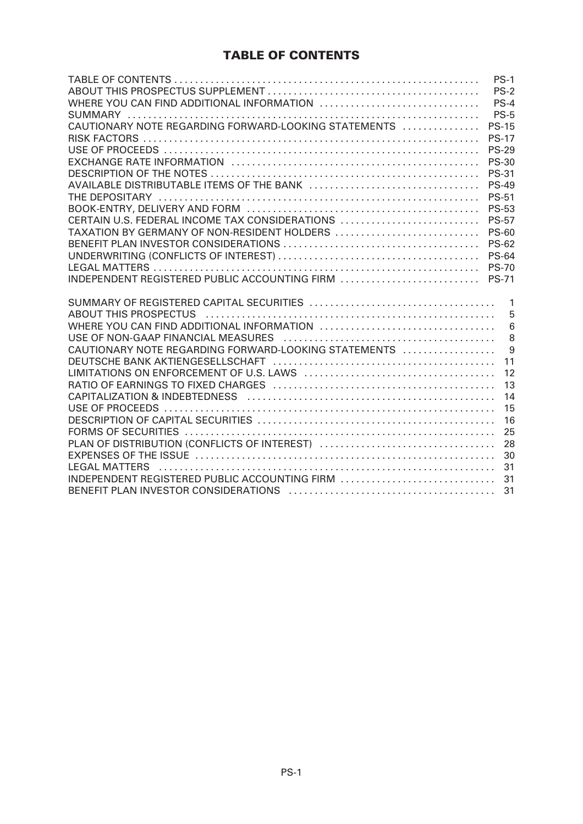### **TABLE OF CONTENTS**

|                                                      | $PS-1$         |
|------------------------------------------------------|----------------|
|                                                      | $PS-2$         |
| WHERE YOU CAN FIND ADDITIONAL INFORMATION            | $PS-4$         |
|                                                      | <b>PS-5</b>    |
| CAUTIONARY NOTE REGARDING FORWARD-LOOKING STATEMENTS | <b>PS-15</b>   |
|                                                      | <b>PS-17</b>   |
|                                                      | <b>PS-29</b>   |
|                                                      | <b>PS-30</b>   |
|                                                      | <b>PS-31</b>   |
|                                                      | <b>PS-49</b>   |
|                                                      | <b>PS-51</b>   |
|                                                      | <b>PS-53</b>   |
| CERTAIN U.S. FEDERAL INCOME TAX CONSIDERATIONS       | <b>PS-57</b>   |
| TAXATION BY GERMANY OF NON-RESIDENT HOLDERS          | <b>PS-60</b>   |
|                                                      | <b>PS-62</b>   |
|                                                      | <b>PS-64</b>   |
|                                                      | <b>PS-70</b>   |
| INDEPENDENT REGISTERED PUBLIC ACCOUNTING FIRM        | <b>PS-71</b>   |
|                                                      | $\overline{1}$ |
|                                                      | 5              |
|                                                      | 6              |
|                                                      | 8              |
| CAUTIONARY NOTE REGARDING FORWARD-LOOKING STATEMENTS | 9              |
|                                                      | 11             |
|                                                      | 12             |
|                                                      | 13             |
|                                                      | 14             |
|                                                      | 15             |
|                                                      | 16             |
|                                                      | 25             |
| PLAN OF DISTRIBUTION (CONFLICTS OF INTEREST)         | 28             |
|                                                      | 30             |
|                                                      | 31             |
|                                                      | 31             |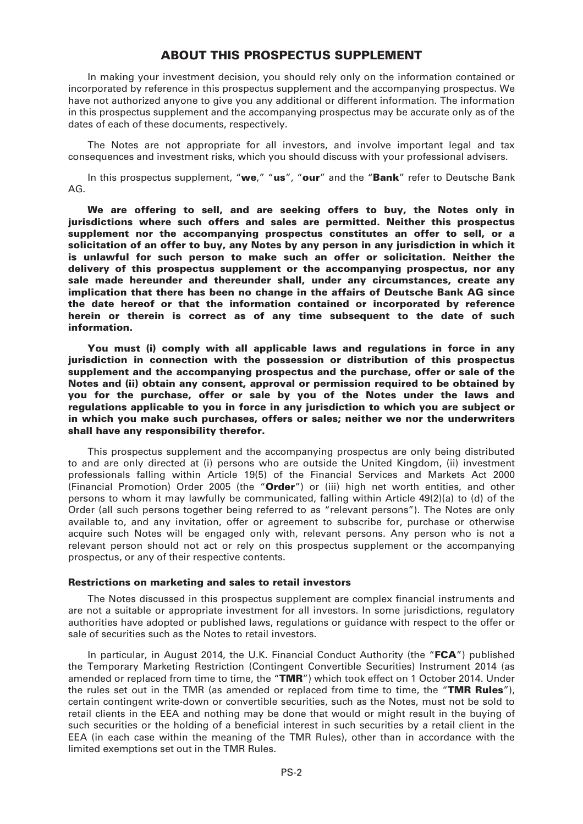#### **ABOUT THIS PROSPECTUS SUPPLEMENT**

In making your investment decision, you should rely only on the information contained or incorporated by reference in this prospectus supplement and the accompanying prospectus. We have not authorized anyone to give you any additional or different information. The information in this prospectus supplement and the accompanying prospectus may be accurate only as of the dates of each of these documents, respectively.

The Notes are not appropriate for all investors, and involve important legal and tax consequences and investment risks, which you should discuss with your professional advisers.

In this prospectus supplement, "**we**," "**us**", "**our**" and the "**Bank**" refer to Deutsche Bank AG.

**We are offering to sell, and are seeking offers to buy, the Notes only in jurisdictions where such offers and sales are permitted. Neither this prospectus supplement nor the accompanying prospectus constitutes an offer to sell, or a solicitation of an offer to buy, any Notes by any person in any jurisdiction in which it is unlawful for such person to make such an offer or solicitation. Neither the delivery of this prospectus supplement or the accompanying prospectus, nor any sale made hereunder and thereunder shall, under any circumstances, create any implication that there has been no change in the affairs of Deutsche Bank AG since the date hereof or that the information contained or incorporated by reference herein or therein is correct as of any time subsequent to the date of such information.**

**You must (i) comply with all applicable laws and regulations in force in any jurisdiction in connection with the possession or distribution of this prospectus supplement and the accompanying prospectus and the purchase, offer or sale of the Notes and (ii) obtain any consent, approval or permission required to be obtained by you for the purchase, offer or sale by you of the Notes under the laws and regulations applicable to you in force in any jurisdiction to which you are subject or in which you make such purchases, offers or sales; neither we nor the underwriters shall have any responsibility therefor.**

This prospectus supplement and the accompanying prospectus are only being distributed to and are only directed at (i) persons who are outside the United Kingdom, (ii) investment professionals falling within Article 19(5) of the Financial Services and Markets Act 2000 (Financial Promotion) Order 2005 (the "**Order**") or (iii) high net worth entities, and other persons to whom it may lawfully be communicated, falling within Article 49(2)(a) to (d) of the Order (all such persons together being referred to as "relevant persons"). The Notes are only available to, and any invitation, offer or agreement to subscribe for, purchase or otherwise acquire such Notes will be engaged only with, relevant persons. Any person who is not a relevant person should not act or rely on this prospectus supplement or the accompanying prospectus, or any of their respective contents.

#### **Restrictions on marketing and sales to retail investors**

The Notes discussed in this prospectus supplement are complex financial instruments and are not a suitable or appropriate investment for all investors. In some jurisdictions, regulatory authorities have adopted or published laws, regulations or guidance with respect to the offer or sale of securities such as the Notes to retail investors.

In particular, in August 2014, the U.K. Financial Conduct Authority (the "**FCA**") published the Temporary Marketing Restriction (Contingent Convertible Securities) Instrument 2014 (as amended or replaced from time to time, the "**TMR**") which took effect on 1 October 2014. Under the rules set out in the TMR (as amended or replaced from time to time, the "**TMR Rules**"), certain contingent write-down or convertible securities, such as the Notes, must not be sold to retail clients in the EEA and nothing may be done that would or might result in the buying of such securities or the holding of a beneficial interest in such securities by a retail client in the EEA (in each case within the meaning of the TMR Rules), other than in accordance with the limited exemptions set out in the TMR Rules.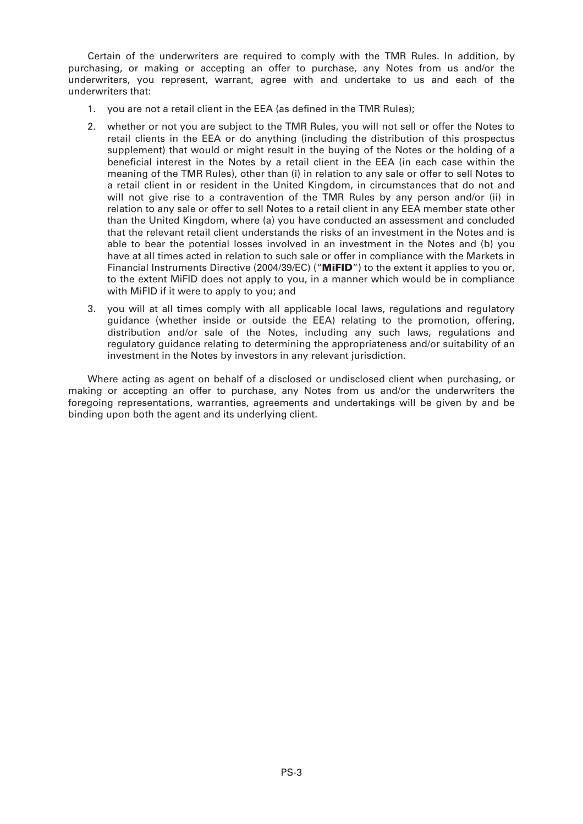Certain of the underwriters are required to comply with the TMR Rules. In addition, by purchasing, or making or accepting an offer to purchase, any Notes from us and/or the underwriters, you represent, warrant, agree with and undertake to us and each of the underwriters that:

- 1. you are not a retail client in the EEA (as defined in the TMR Rules);
- 2. whether or not you are subject to the TMR Rules, you will not sell or offer the Notes to retail clients in the EEA or do anything (including the distribution of this prospectus supplement) that would or might result in the buying of the Notes or the holding of a beneficial interest in the Notes by a retail client in the EEA (in each case within the meaning of the TMR Rules), other than (i) in relation to any sale or offer to sell Notes to a retail client in or resident in the United Kingdom, in circumstances that do not and will not give rise to a contravention of the TMR Rules by any person and/or (ii) in relation to any sale or offer to sell Notes to a retail client in any EEA member state other than the United Kingdom, where (a) you have conducted an assessment and concluded that the relevant retail client understands the risks of an investment in the Notes and is able to bear the potential losses involved in an investment in the Notes and (b) you have at all times acted in relation to such sale or offer in compliance with the Markets in Financial Instruments Directive (2004/39/EC) ("**MiFID**") to the extent it applies to you or, to the extent MiFID does not apply to you, in a manner which would be in compliance with MiFID if it were to apply to you; and
- 3. you will at all times comply with all applicable local laws, regulations and regulatory guidance (whether inside or outside the EEA) relating to the promotion, offering, distribution and/or sale of the Notes, including any such laws, regulations and regulatory guidance relating to determining the appropriateness and/or suitability of an investment in the Notes by investors in any relevant jurisdiction.

Where acting as agent on behalf of a disclosed or undisclosed client when purchasing, or making or accepting an offer to purchase, any Notes from us and/or the underwriters the foregoing representations, warranties, agreements and undertakings will be given by and be binding upon both the agent and its underlying client.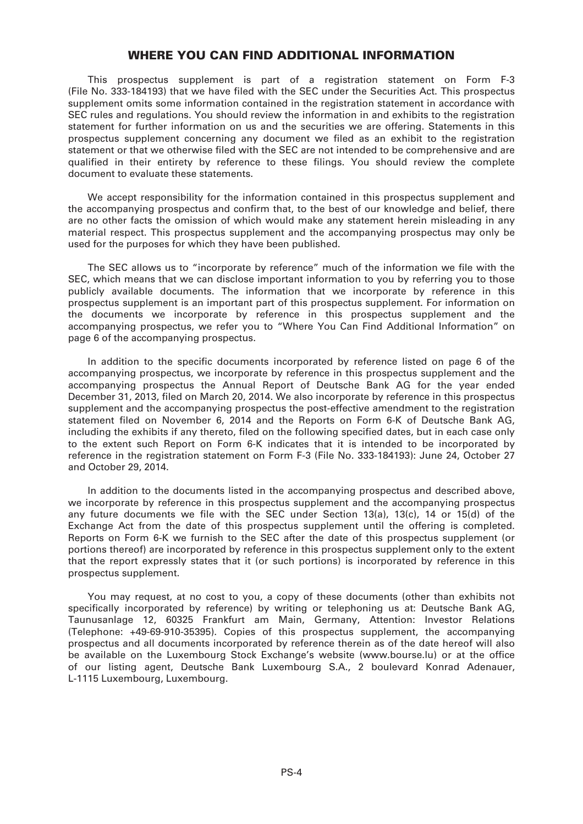#### **WHERE YOU CAN FIND ADDITIONAL INFORMATION**

This prospectus supplement is part of a registration statement on Form F-3 (File No. 333-184193) that we have filed with the SEC under the Securities Act. This prospectus supplement omits some information contained in the registration statement in accordance with SEC rules and regulations. You should review the information in and exhibits to the registration statement for further information on us and the securities we are offering. Statements in this prospectus supplement concerning any document we filed as an exhibit to the registration statement or that we otherwise filed with the SEC are not intended to be comprehensive and are qualified in their entirety by reference to these filings. You should review the complete document to evaluate these statements.

We accept responsibility for the information contained in this prospectus supplement and the accompanying prospectus and confirm that, to the best of our knowledge and belief, there are no other facts the omission of which would make any statement herein misleading in any material respect. This prospectus supplement and the accompanying prospectus may only be used for the purposes for which they have been published.

The SEC allows us to "incorporate by reference" much of the information we file with the SEC, which means that we can disclose important information to you by referring you to those publicly available documents. The information that we incorporate by reference in this prospectus supplement is an important part of this prospectus supplement. For information on the documents we incorporate by reference in this prospectus supplement and the accompanying prospectus, we refer you to "Where You Can Find Additional Information" on page 6 of the accompanying prospectus.

In addition to the specific documents incorporated by reference listed on page 6 of the accompanying prospectus, we incorporate by reference in this prospectus supplement and the accompanying prospectus the Annual Report of Deutsche Bank AG for the year ended December 31, 2013, filed on March 20, 2014. We also incorporate by reference in this prospectus supplement and the accompanying prospectus the post-effective amendment to the registration statement filed on November 6, 2014 and the Reports on Form 6-K of Deutsche Bank AG, including the exhibits if any thereto, filed on the following specified dates, but in each case only to the extent such Report on Form 6-K indicates that it is intended to be incorporated by reference in the registration statement on Form F-3 (File No. 333-184193): June 24, October 27 and October 29, 2014.

In addition to the documents listed in the accompanying prospectus and described above, we incorporate by reference in this prospectus supplement and the accompanying prospectus any future documents we file with the SEC under Section 13(a), 13(c), 14 or 15(d) of the Exchange Act from the date of this prospectus supplement until the offering is completed. Reports on Form 6-K we furnish to the SEC after the date of this prospectus supplement (or portions thereof) are incorporated by reference in this prospectus supplement only to the extent that the report expressly states that it (or such portions) is incorporated by reference in this prospectus supplement.

You may request, at no cost to you, a copy of these documents (other than exhibits not specifically incorporated by reference) by writing or telephoning us at: Deutsche Bank AG, Taunusanlage 12, 60325 Frankfurt am Main, Germany, Attention: Investor Relations (Telephone: +49-69-910-35395). Copies of this prospectus supplement, the accompanying prospectus and all documents incorporated by reference therein as of the date hereof will also be available on the Luxembourg Stock Exchange's website (www.bourse.lu) or at the office of our listing agent, Deutsche Bank Luxembourg S.A., 2 boulevard Konrad Adenauer, L-1115 Luxembourg, Luxembourg.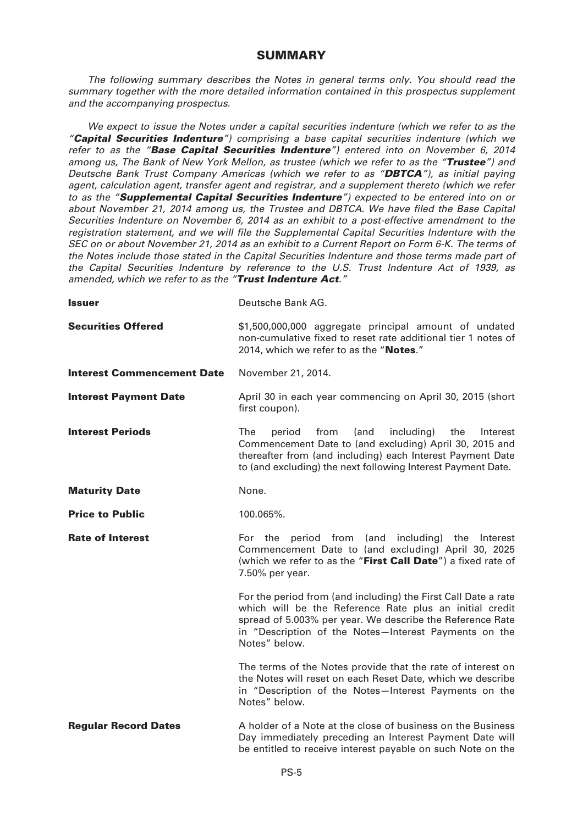### **SUMMARY**

*The following summary describes the Notes in general terms only. You should read the summary together with the more detailed information contained in this prospectus supplement and the accompanying prospectus.*

*We expect to issue the Notes under a capital securities indenture (which we refer to as the "Capital Securities Indenture") comprising a base capital securities indenture (which we refer to as the "Base Capital Securities Indenture") entered into on November 6, 2014 among us, The Bank of New York Mellon, as trustee (which we refer to as the "Trustee") and Deutsche Bank Trust Company Americas (which we refer to as "DBTCA"), as initial paying agent, calculation agent, transfer agent and registrar, and a supplement thereto (which we refer to as the "Supplemental Capital Securities Indenture") expected to be entered into on or about November 21, 2014 among us, the Trustee and DBTCA. We have filed the Base Capital Securities Indenture on November 6, 2014 as an exhibit to a post-effective amendment to the registration statement, and we will file the Supplemental Capital Securities Indenture with the SEC on or about November 21, 2014 as an exhibit to a Current Report on Form 6-K. The terms of the Notes include those stated in the Capital Securities Indenture and those terms made part of the Capital Securities Indenture by reference to the U.S. Trust Indenture Act of 1939, as amended, which we refer to as the "Trust Indenture Act."*

| <b>Issuer</b>                     | Deutsche Bank AG.                                                                                                                                                                                                                                                |
|-----------------------------------|------------------------------------------------------------------------------------------------------------------------------------------------------------------------------------------------------------------------------------------------------------------|
| <b>Securities Offered</b>         | \$1,500,000,000 aggregate principal amount of undated<br>non-cumulative fixed to reset rate additional tier 1 notes of<br>2014, which we refer to as the "Notes."                                                                                                |
| <b>Interest Commencement Date</b> | November 21, 2014.                                                                                                                                                                                                                                               |
| <b>Interest Payment Date</b>      | April 30 in each year commencing on April 30, 2015 (short<br>first coupon).                                                                                                                                                                                      |
| <b>Interest Periods</b>           | The<br>from<br>period<br>(and<br>including)<br>the<br>Interest<br>Commencement Date to (and excluding) April 30, 2015 and<br>thereafter from (and including) each Interest Payment Date<br>to (and excluding) the next following Interest Payment Date.          |
| <b>Maturity Date</b>              | None.                                                                                                                                                                                                                                                            |
| <b>Price to Public</b>            | 100.065%.                                                                                                                                                                                                                                                        |
| <b>Rate of Interest</b>           | For the period from (and including) the Interest<br>Commencement Date to (and excluding) April 30, 2025<br>(which we refer to as the "First Call Date") a fixed rate of<br>7.50% per year.                                                                       |
|                                   | For the period from (and including) the First Call Date a rate<br>which will be the Reference Rate plus an initial credit<br>spread of 5.003% per year. We describe the Reference Rate<br>in "Description of the Notes-Interest Payments on the<br>Notes" below. |
|                                   | The terms of the Notes provide that the rate of interest on<br>the Notes will reset on each Reset Date, which we describe<br>in "Description of the Notes-Interest Payments on the<br>Notes" below.                                                              |
| <b>Regular Record Dates</b>       | A holder of a Note at the close of business on the Business<br>Day immediately preceding an Interest Payment Date will<br>be entitled to receive interest payable on such Note on the                                                                            |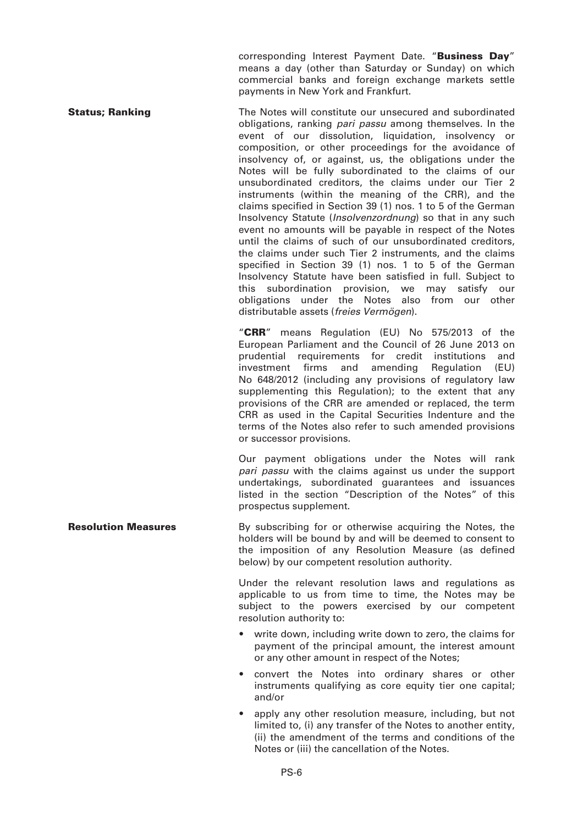corresponding Interest Payment Date. "**Business Day**" means a day (other than Saturday or Sunday) on which commercial banks and foreign exchange markets settle payments in New York and Frankfurt.

**Status; Ranking The Notes will constitute our unsecured and subordinated States** obligations, ranking *pari passu* among themselves. In the event of our dissolution, liquidation, insolvency or composition, or other proceedings for the avoidance of insolvency of, or against, us, the obligations under the Notes will be fully subordinated to the claims of our unsubordinated creditors, the claims under our Tier 2 instruments (within the meaning of the CRR), and the claims specified in Section 39 (1) nos. 1 to 5 of the German Insolvency Statute (*Insolvenzordnung*) so that in any such event no amounts will be payable in respect of the Notes until the claims of such of our unsubordinated creditors, the claims under such Tier 2 instruments, and the claims specified in Section 39 (1) nos. 1 to 5 of the German Insolvency Statute have been satisfied in full. Subject to this subordination provision, we may satisfy our obligations under the Notes also from our other distributable assets (*freies Vermögen*).

"**CRR**" means Regulation (EU) No 575/2013 of the European Parliament and the Council of 26 June 2013 on prudential requirements for credit institutions and investment firms and amending Regulation (EU) No 648/2012 (including any provisions of regulatory law supplementing this Regulation); to the extent that any provisions of the CRR are amended or replaced, the term CRR as used in the Capital Securities Indenture and the terms of the Notes also refer to such amended provisions or successor provisions.

Our payment obligations under the Notes will rank *pari passu* with the claims against us under the support undertakings, subordinated guarantees and issuances listed in the section "Description of the Notes" of this prospectus supplement.

**Resolution Measures** By subscribing for or otherwise acquiring the Notes, the holders will be bound by and will be deemed to consent to the imposition of any Resolution Measure (as defined below) by our competent resolution authority.

> Under the relevant resolution laws and regulations as applicable to us from time to time, the Notes may be subject to the powers exercised by our competent resolution authority to:

- write down, including write down to zero, the claims for payment of the principal amount, the interest amount or any other amount in respect of the Notes;
- convert the Notes into ordinary shares or other instruments qualifying as core equity tier one capital; and/or
- apply any other resolution measure, including, but not limited to, (i) any transfer of the Notes to another entity, (ii) the amendment of the terms and conditions of the Notes or (iii) the cancellation of the Notes.

PS-6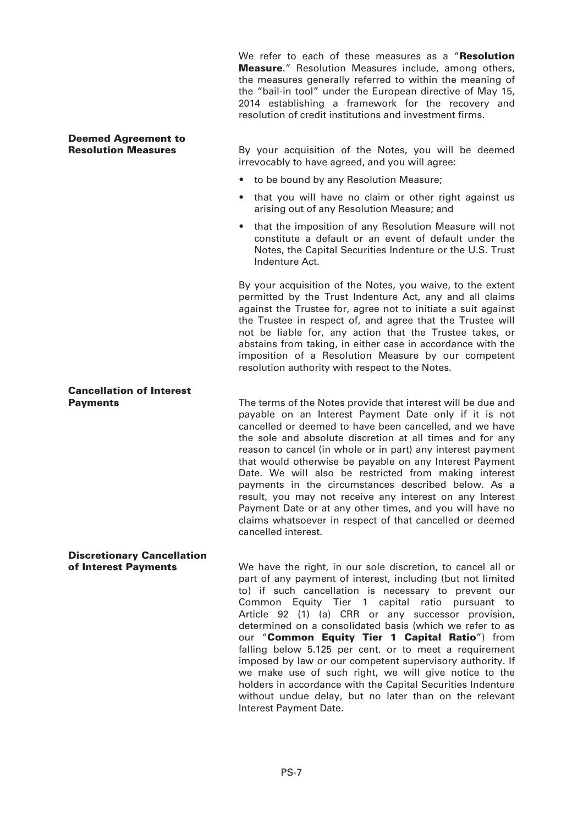We refer to each of these measures as a "**Resolution Measure**." Resolution Measures include, among others, the measures generally referred to within the meaning of the "bail-in tool" under the European directive of May 15, 2014 establishing a framework for the recovery and resolution of credit institutions and investment firms.

# **Deemed Agreement to**

By your acquisition of the Notes, you will be deemed irrevocably to have agreed, and you will agree:

- to be bound by any Resolution Measure;
- that you will have no claim or other right against us arising out of any Resolution Measure; and
- that the imposition of any Resolution Measure will not constitute a default or an event of default under the Notes, the Capital Securities Indenture or the U.S. Trust Indenture Act.

By your acquisition of the Notes, you waive, to the extent permitted by the Trust Indenture Act, any and all claims against the Trustee for, agree not to initiate a suit against the Trustee in respect of, and agree that the Trustee will not be liable for, any action that the Trustee takes, or abstains from taking, in either case in accordance with the imposition of a Resolution Measure by our competent resolution authority with respect to the Notes.

# **Cancellation of Interest**

The terms of the Notes provide that interest will be due and payable on an Interest Payment Date only if it is not cancelled or deemed to have been cancelled, and we have the sole and absolute discretion at all times and for any reason to cancel (in whole or in part) any interest payment that would otherwise be payable on any Interest Payment Date. We will also be restricted from making interest payments in the circumstances described below. As a result, you may not receive any interest on any Interest Payment Date or at any other times, and you will have no claims whatsoever in respect of that cancelled or deemed cancelled interest.

# **Discretionary Cancellation**

**of Interest Payments** We have the right, in our sole discretion, to cancel all or part of any payment of interest, including (but not limited to) if such cancellation is necessary to prevent our Common Equity Tier 1 capital ratio pursuant to Article 92 (1) (a) CRR or any successor provision, determined on a consolidated basis (which we refer to as our "**Common Equity Tier 1 Capital Ratio**") from falling below 5.125 per cent. or to meet a requirement imposed by law or our competent supervisory authority. If we make use of such right, we will give notice to the holders in accordance with the Capital Securities Indenture without undue delay, but no later than on the relevant Interest Payment Date.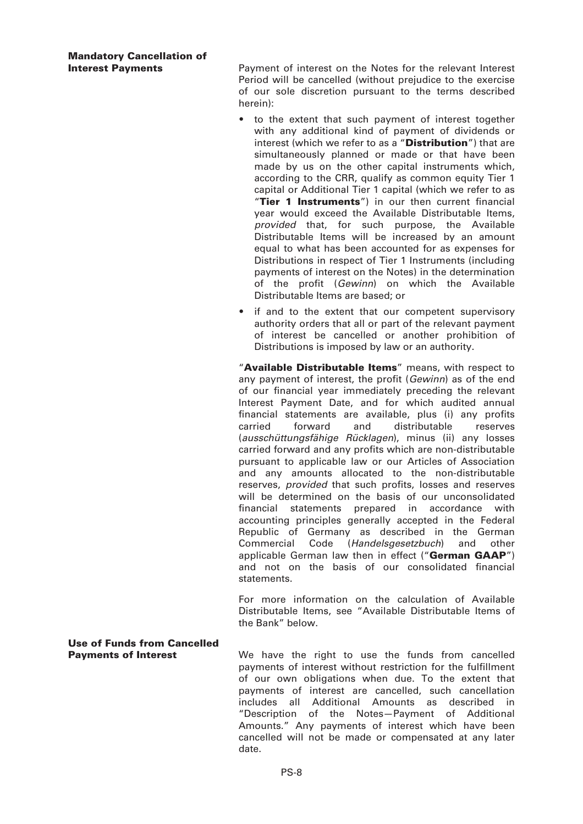## **Mandatory Cancellation of**

**Interest Payments** Payment of interest on the Notes for the relevant Interest Period will be cancelled (without prejudice to the exercise of our sole discretion pursuant to the terms described herein):

- to the extent that such payment of interest together with any additional kind of payment of dividends or interest (which we refer to as a "**Distribution**") that are simultaneously planned or made or that have been made by us on the other capital instruments which, according to the CRR, qualify as common equity Tier 1 capital or Additional Tier 1 capital (which we refer to as "**Tier 1 Instruments**") in our then current financial year would exceed the Available Distributable Items, *provided* that, for such purpose, the Available Distributable Items will be increased by an amount equal to what has been accounted for as expenses for Distributions in respect of Tier 1 Instruments (including payments of interest on the Notes) in the determination of the profit (*Gewinn*) on which the Available Distributable Items are based; or
- if and to the extent that our competent supervisory authority orders that all or part of the relevant payment of interest be cancelled or another prohibition of Distributions is imposed by law or an authority.

"**Available Distributable Items**" means, with respect to any payment of interest, the profit (*Gewinn*) as of the end of our financial year immediately preceding the relevant Interest Payment Date, and for which audited annual financial statements are available, plus (i) any profits carried forward and distributable reserves (*ausschüttungsfähige Rücklagen*), minus (ii) any losses carried forward and any profits which are non-distributable pursuant to applicable law or our Articles of Association and any amounts allocated to the non-distributable reserves, *provided* that such profits, losses and reserves will be determined on the basis of our unconsolidated financial statements prepared in accordance with accounting principles generally accepted in the Federal Republic of Germany as described in the German Commercial Code (*Handelsgesetzbuch*) and other applicable German law then in effect ("**German GAAP**") and not on the basis of our consolidated financial statements.

For more information on the calculation of Available Distributable Items, see "Available Distributable Items of the Bank" below.

**Use of Funds from Cancelled**

**Payments of Interest** We have the right to use the funds from cancelled payments of interest without restriction for the fulfillment of our own obligations when due. To the extent that payments of interest are cancelled, such cancellation includes all Additional Amounts as described in "Description of the Notes—Payment of Additional Amounts." Any payments of interest which have been cancelled will not be made or compensated at any later date.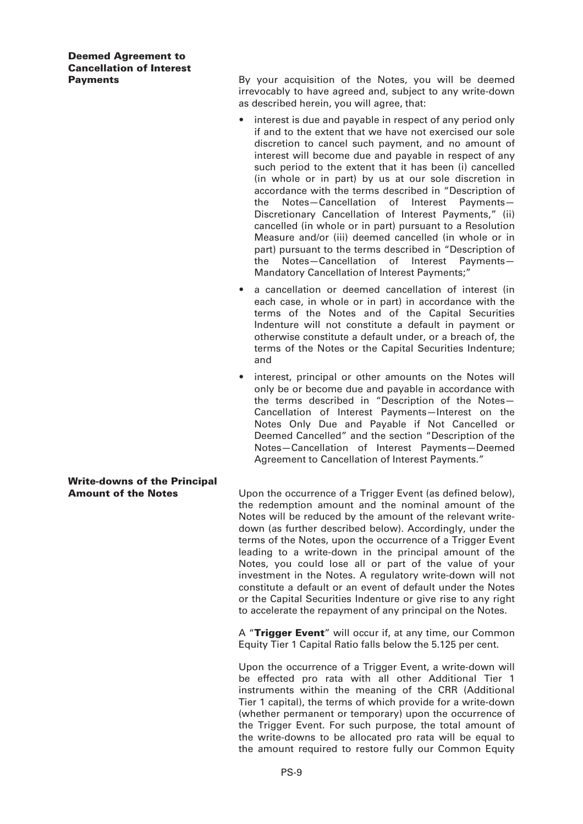### **Deemed Agreement to Cancellation of Interest**

**Payments By your acquisition of the Notes, you will be deemed** irrevocably to have agreed and, subject to any write-down as described herein, you will agree, that:

- interest is due and payable in respect of any period only if and to the extent that we have not exercised our sole discretion to cancel such payment, and no amount of interest will become due and payable in respect of any such period to the extent that it has been (i) cancelled (in whole or in part) by us at our sole discretion in accordance with the terms described in "Description of the Notes—Cancellation of Interest Payments— Discretionary Cancellation of Interest Payments," (ii) cancelled (in whole or in part) pursuant to a Resolution Measure and/or (iii) deemed cancelled (in whole or in part) pursuant to the terms described in "Description of the Notes—Cancellation of Interest Payments— Mandatory Cancellation of Interest Payments;"
- a cancellation or deemed cancellation of interest (in each case, in whole or in part) in accordance with the terms of the Notes and of the Capital Securities Indenture will not constitute a default in payment or otherwise constitute a default under, or a breach of, the terms of the Notes or the Capital Securities Indenture; and
- interest, principal or other amounts on the Notes will only be or become due and payable in accordance with the terms described in "Description of the Notes— Cancellation of Interest Payments—Interest on the Notes Only Due and Payable if Not Cancelled or Deemed Cancelled" and the section "Description of the Notes—Cancellation of Interest Payments—Deemed Agreement to Cancellation of Interest Payments."

#### **Amount of the Notes** Upon the occurrence of a Trigger Event (as defined below), the redemption amount and the nominal amount of the Notes will be reduced by the amount of the relevant writedown (as further described below). Accordingly, under the terms of the Notes, upon the occurrence of a Trigger Event leading to a write-down in the principal amount of the Notes, you could lose all or part of the value of your investment in the Notes. A regulatory write-down will not constitute a default or an event of default under the Notes or the Capital Securities Indenture or give rise to any right to accelerate the repayment of any principal on the Notes.

A "**Trigger Event**" will occur if, at any time, our Common Equity Tier 1 Capital Ratio falls below the 5.125 per cent.

Upon the occurrence of a Trigger Event, a write-down will be effected pro rata with all other Additional Tier 1 instruments within the meaning of the CRR (Additional Tier 1 capital), the terms of which provide for a write-down (whether permanent or temporary) upon the occurrence of the Trigger Event. For such purpose, the total amount of the write-downs to be allocated pro rata will be equal to the amount required to restore fully our Common Equity

# **Write-downs of the Principal**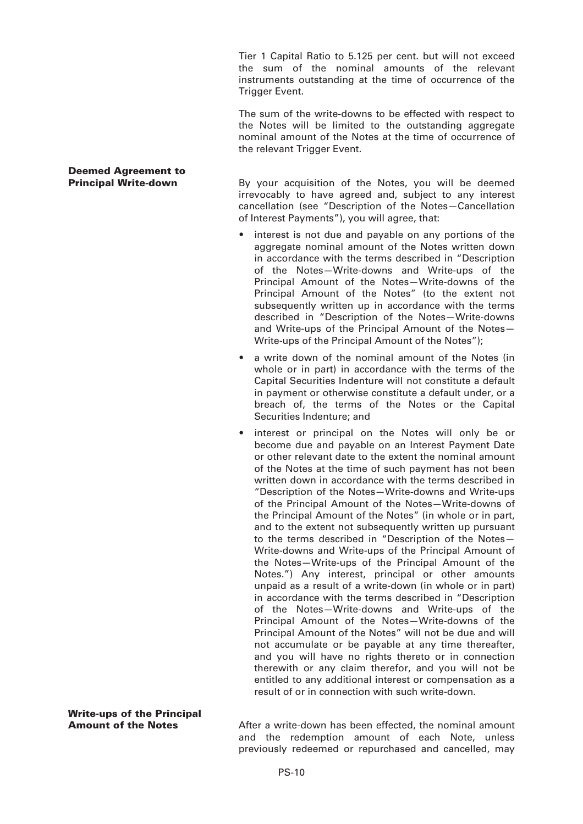Tier 1 Capital Ratio to 5.125 per cent. but will not exceed the sum of the nominal amounts of the relevant instruments outstanding at the time of occurrence of the Trigger Event.

The sum of the write-downs to be effected with respect to the Notes will be limited to the outstanding aggregate nominal amount of the Notes at the time of occurrence of the relevant Trigger Event.

# **Deemed Agreement to**

**Principal Write-down** By your acquisition of the Notes, you will be deemed irrevocably to have agreed and, subject to any interest cancellation (see "Description of the Notes—Cancellation of Interest Payments"), you will agree, that:

- interest is not due and payable on any portions of the aggregate nominal amount of the Notes written down in accordance with the terms described in "Description of the Notes—Write-downs and Write-ups of the Principal Amount of the Notes—Write-downs of the Principal Amount of the Notes" (to the extent not subsequently written up in accordance with the terms described in "Description of the Notes—Write-downs and Write-ups of the Principal Amount of the Notes— Write-ups of the Principal Amount of the Notes");
- a write down of the nominal amount of the Notes (in whole or in part) in accordance with the terms of the Capital Securities Indenture will not constitute a default in payment or otherwise constitute a default under, or a breach of, the terms of the Notes or the Capital Securities Indenture; and
- interest or principal on the Notes will only be or become due and payable on an Interest Payment Date or other relevant date to the extent the nominal amount of the Notes at the time of such payment has not been written down in accordance with the terms described in "Description of the Notes—Write-downs and Write-ups of the Principal Amount of the Notes—Write-downs of the Principal Amount of the Notes" (in whole or in part, and to the extent not subsequently written up pursuant to the terms described in "Description of the Notes— Write-downs and Write-ups of the Principal Amount of the Notes—Write-ups of the Principal Amount of the Notes.") Any interest, principal or other amounts unpaid as a result of a write-down (in whole or in part) in accordance with the terms described in "Description of the Notes—Write-downs and Write-ups of the Principal Amount of the Notes—Write-downs of the Principal Amount of the Notes" will not be due and will not accumulate or be payable at any time thereafter, and you will have no rights thereto or in connection therewith or any claim therefor, and you will not be entitled to any additional interest or compensation as a result of or in connection with such write-down.

**Write-ups of the Principal**

**Amount of the Notes** After a write-down has been effected, the nominal amount and the redemption amount of each Note, unless previously redeemed or repurchased and cancelled, may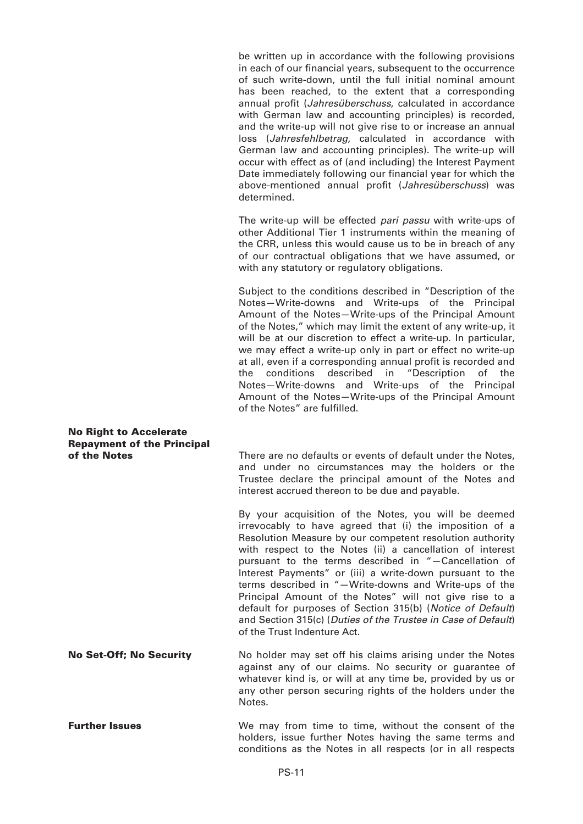be written up in accordance with the following provisions in each of our financial years, subsequent to the occurrence of such write-down, until the full initial nominal amount has been reached, to the extent that a corresponding annual profit (*Jahresüberschuss*, calculated in accordance with German law and accounting principles) is recorded, and the write-up will not give rise to or increase an annual loss (*Jahresfehlbetrag*, calculated in accordance with German law and accounting principles). The write-up will occur with effect as of (and including) the Interest Payment Date immediately following our financial year for which the above-mentioned annual profit (*Jahresüberschuss*) was determined.

The write-up will be effected *pari passu* with write-ups of other Additional Tier 1 instruments within the meaning of the CRR, unless this would cause us to be in breach of any of our contractual obligations that we have assumed, or with any statutory or regulatory obligations.

Subject to the conditions described in "Description of the Notes—Write-downs and Write-ups of the Principal Amount of the Notes—Write-ups of the Principal Amount of the Notes," which may limit the extent of any write-up, it will be at our discretion to effect a write-up. In particular, we may effect a write-up only in part or effect no write-up at all, even if a corresponding annual profit is recorded and the conditions described in "Description of the Notes—Write-downs and Write-ups of the Principal Amount of the Notes—Write-ups of the Principal Amount of the Notes" are fulfilled.

### **No Right to Accelerate Repayment of the Principal**

**of the Notes** There are no defaults or events of default under the Notes, and under no circumstances may the holders or the Trustee declare the principal amount of the Notes and interest accrued thereon to be due and payable.

> By your acquisition of the Notes, you will be deemed irrevocably to have agreed that (i) the imposition of a Resolution Measure by our competent resolution authority with respect to the Notes (ii) a cancellation of interest pursuant to the terms described in "—Cancellation of Interest Payments" or (iii) a write-down pursuant to the terms described in "—Write-downs and Write-ups of the Principal Amount of the Notes" will not give rise to a default for purposes of Section 315(b) (*Notice of Default*) and Section 315(c) (*Duties of the Trustee in Case of Default*) of the Trust Indenture Act.

**No Set-Off; No Security** No holder may set off his claims arising under the Notes against any of our claims. No security or guarantee of whatever kind is, or will at any time be, provided by us or any other person securing rights of the holders under the Notes.

**Further Issues** We may from time to time, without the consent of the holders, issue further Notes having the same terms and conditions as the Notes in all respects (or in all respects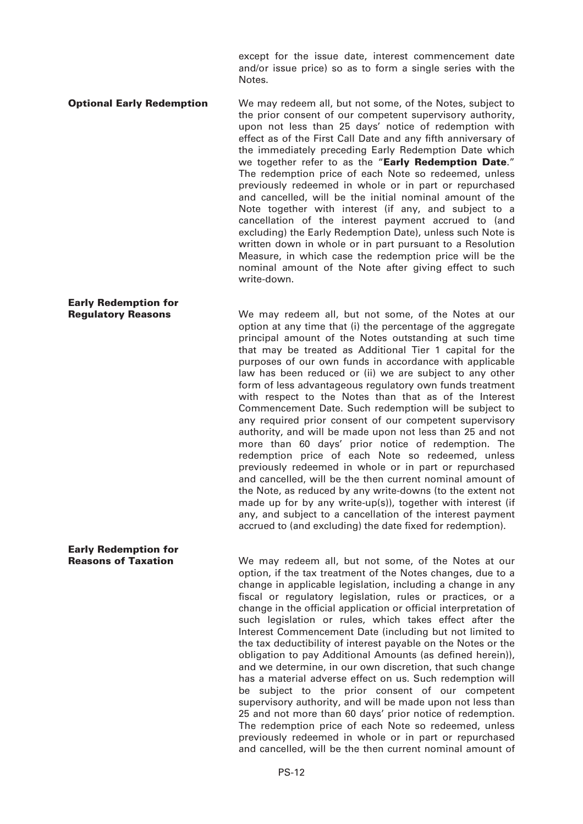except for the issue date, interest commencement date and/or issue price) so as to form a single series with the Notes.

**Optional Early Redemption** We may redeem all, but not some, of the Notes, subject to the prior consent of our competent supervisory authority, upon not less than 25 days' notice of redemption with effect as of the First Call Date and any fifth anniversary of the immediately preceding Early Redemption Date which we together refer to as the "**Early Redemption Date**." The redemption price of each Note so redeemed, unless previously redeemed in whole or in part or repurchased and cancelled, will be the initial nominal amount of the Note together with interest (if any, and subject to a cancellation of the interest payment accrued to (and excluding) the Early Redemption Date), unless such Note is written down in whole or in part pursuant to a Resolution Measure, in which case the redemption price will be the

write-down.

## **Early Redemption for**

**Early Redemption for**

**Regulatory Reasons** We may redeem all, but not some, of the Notes at our option at any time that (i) the percentage of the aggregate principal amount of the Notes outstanding at such time that may be treated as Additional Tier 1 capital for the purposes of our own funds in accordance with applicable law has been reduced or (ii) we are subject to any other form of less advantageous regulatory own funds treatment with respect to the Notes than that as of the Interest Commencement Date. Such redemption will be subject to any required prior consent of our competent supervisory authority, and will be made upon not less than 25 and not more than 60 days' prior notice of redemption. The redemption price of each Note so redeemed, unless previously redeemed in whole or in part or repurchased and cancelled, will be the then current nominal amount of the Note, as reduced by any write-downs (to the extent not made up for by any write-up(s)), together with interest (if any, and subject to a cancellation of the interest payment accrued to (and excluding) the date fixed for redemption).

nominal amount of the Note after giving effect to such

**Reasons of Taxation** We may redeem all, but not some, of the Notes at our option, if the tax treatment of the Notes changes, due to a change in applicable legislation, including a change in any fiscal or regulatory legislation, rules or practices, or a change in the official application or official interpretation of such legislation or rules, which takes effect after the Interest Commencement Date (including but not limited to the tax deductibility of interest payable on the Notes or the obligation to pay Additional Amounts (as defined herein)), and we determine, in our own discretion, that such change has a material adverse effect on us. Such redemption will be subject to the prior consent of our competent supervisory authority, and will be made upon not less than 25 and not more than 60 days' prior notice of redemption. The redemption price of each Note so redeemed, unless previously redeemed in whole or in part or repurchased and cancelled, will be the then current nominal amount of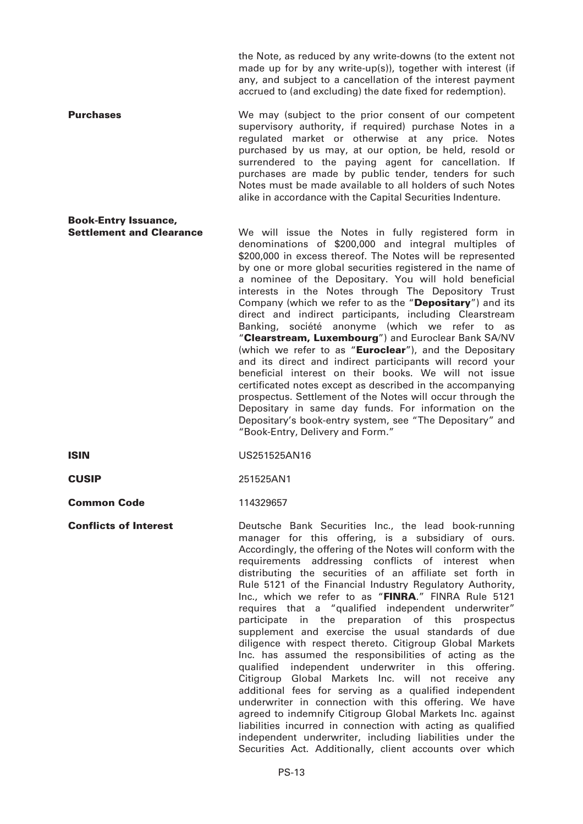the Note, as reduced by any write-downs (to the extent not made up for by any write-up(s)), together with interest (if any, and subject to a cancellation of the interest payment accrued to (and excluding) the date fixed for redemption).

**Purchases** We may (subject to the prior consent of our competent supervisory authority, if required) purchase Notes in a regulated market or otherwise at any price. Notes purchased by us may, at our option, be held, resold or surrendered to the paying agent for cancellation. If purchases are made by public tender, tenders for such Notes must be made available to all holders of such Notes alike in accordance with the Capital Securities Indenture.

- **Book-Entry Issuance,** We will issue the Notes in fully registered form in denominations of \$200,000 and integral multiples of \$200,000 in excess thereof. The Notes will be represented by one or more global securities registered in the name of a nominee of the Depositary. You will hold beneficial interests in the Notes through The Depository Trust Company (which we refer to as the "**Depositary**") and its direct and indirect participants, including Clearstream Banking, société anonyme (which we refer to as "**Clearstream, Luxembourg**") and Euroclear Bank SA/NV (which we refer to as "**Euroclear**"), and the Depositary and its direct and indirect participants will record your beneficial interest on their books. We will not issue certificated notes except as described in the accompanying prospectus. Settlement of the Notes will occur through the Depositary in same day funds. For information on the Depositary's book-entry system, see "The Depositary" and "Book-Entry, Delivery and Form."
- **ISIN** US251525AN16

**CUSIP** 251525AN1

**Common Code** 114329657

**Conflicts of Interest Deutsche Bank Securities Inc., the lead book-running** manager for this offering, is a subsidiary of ours. Accordingly, the offering of the Notes will conform with the requirements addressing conflicts of interest when distributing the securities of an affiliate set forth in Rule 5121 of the Financial Industry Regulatory Authority, Inc., which we refer to as "**FINRA**." FINRA Rule 5121 requires that a "qualified independent underwriter" participate in the preparation of this prospectus supplement and exercise the usual standards of due diligence with respect thereto. Citigroup Global Markets Inc. has assumed the responsibilities of acting as the qualified independent underwriter in this offering. Citigroup Global Markets Inc. will not receive any additional fees for serving as a qualified independent underwriter in connection with this offering. We have agreed to indemnify Citigroup Global Markets Inc. against liabilities incurred in connection with acting as qualified independent underwriter, including liabilities under the Securities Act. Additionally, client accounts over which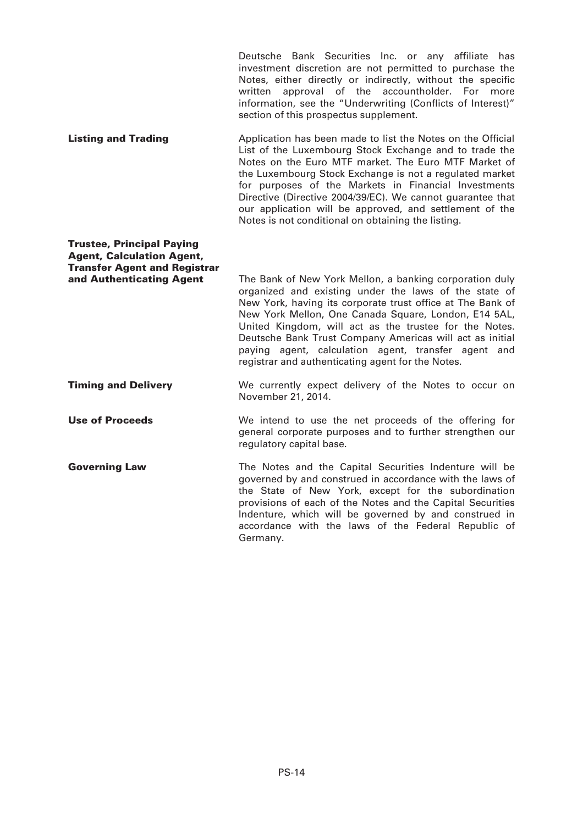Deutsche Bank Securities Inc. or any affiliate has investment discretion are not permitted to purchase the Notes, either directly or indirectly, without the specific written approval of the accountholder. For more information, see the "Underwriting (Conflicts of Interest)" section of this prospectus supplement.

**Listing and Trading Application has been made to list the Notes on the Official** List of the Luxembourg Stock Exchange and to trade the Notes on the Euro MTF market. The Euro MTF Market of the Luxembourg Stock Exchange is not a regulated market for purposes of the Markets in Financial Investments Directive (Directive 2004/39/EC). We cannot guarantee that our application will be approved, and settlement of the Notes is not conditional on obtaining the listing.

### **Trustee, Principal Paying Agent, Calculation Agent, Transfer Agent and Registrar**

**and Authenticating Agent** The Bank of New York Mellon, a banking corporation duly organized and existing under the laws of the state of New York, having its corporate trust office at The Bank of New York Mellon, One Canada Square, London, E14 5AL, United Kingdom, will act as the trustee for the Notes. Deutsche Bank Trust Company Americas will act as initial paying agent, calculation agent, transfer agent and registrar and authenticating agent for the Notes.

#### **Timing and Delivery** We currently expect delivery of the Notes to occur on November 21, 2014.

**Use of Proceeds** We intend to use the net proceeds of the offering for general corporate purposes and to further strengthen our regulatory capital base.

**Governing Law** The Notes and the Capital Securities Indenture will be governed by and construed in accordance with the laws of the State of New York, except for the subordination provisions of each of the Notes and the Capital Securities Indenture, which will be governed by and construed in accordance with the laws of the Federal Republic of Germany.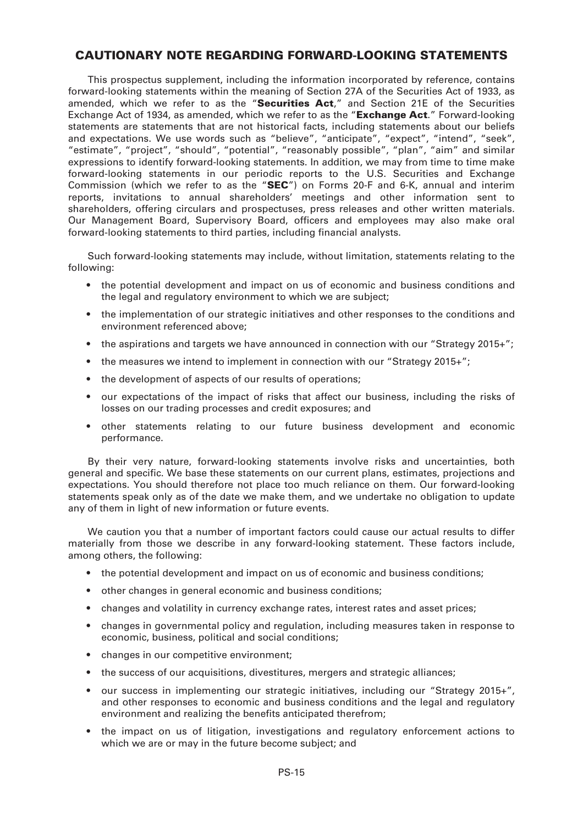### **CAUTIONARY NOTE REGARDING FORWARD-LOOKING STATEMENTS**

This prospectus supplement, including the information incorporated by reference, contains forward-looking statements within the meaning of Section 27A of the Securities Act of 1933, as amended, which we refer to as the "**Securities Act**," and Section 21E of the Securities Exchange Act of 1934, as amended, which we refer to as the "**Exchange Act**." Forward-looking statements are statements that are not historical facts, including statements about our beliefs and expectations. We use words such as "believe", "anticipate", "expect", "intend", "seek", "estimate", "project", "should", "potential", "reasonably possible", "plan", "aim" and similar expressions to identify forward-looking statements. In addition, we may from time to time make forward-looking statements in our periodic reports to the U.S. Securities and Exchange Commission (which we refer to as the "**SEC**") on Forms 20-F and 6-K, annual and interim reports, invitations to annual shareholders' meetings and other information sent to shareholders, offering circulars and prospectuses, press releases and other written materials. Our Management Board, Supervisory Board, officers and employees may also make oral forward-looking statements to third parties, including financial analysts.

Such forward-looking statements may include, without limitation, statements relating to the following:

- the potential development and impact on us of economic and business conditions and the legal and regulatory environment to which we are subject;
- the implementation of our strategic initiatives and other responses to the conditions and environment referenced above;
- the aspirations and targets we have announced in connection with our "Strategy 2015+":
- the measures we intend to implement in connection with our "Strategy 2015+":
- the development of aspects of our results of operations;
- our expectations of the impact of risks that affect our business, including the risks of losses on our trading processes and credit exposures; and
- other statements relating to our future business development and economic performance.

By their very nature, forward-looking statements involve risks and uncertainties, both general and specific. We base these statements on our current plans, estimates, projections and expectations. You should therefore not place too much reliance on them. Our forward-looking statements speak only as of the date we make them, and we undertake no obligation to update any of them in light of new information or future events.

We caution you that a number of important factors could cause our actual results to differ materially from those we describe in any forward-looking statement. These factors include, among others, the following:

- the potential development and impact on us of economic and business conditions;
- other changes in general economic and business conditions;
- changes and volatility in currency exchange rates, interest rates and asset prices;
- changes in governmental policy and regulation, including measures taken in response to economic, business, political and social conditions;
- changes in our competitive environment;
- the success of our acquisitions, divestitures, mergers and strategic alliances;
- our success in implementing our strategic initiatives, including our "Strategy 2015+", and other responses to economic and business conditions and the legal and regulatory environment and realizing the benefits anticipated therefrom;
- the impact on us of litigation, investigations and regulatory enforcement actions to which we are or may in the future become subject; and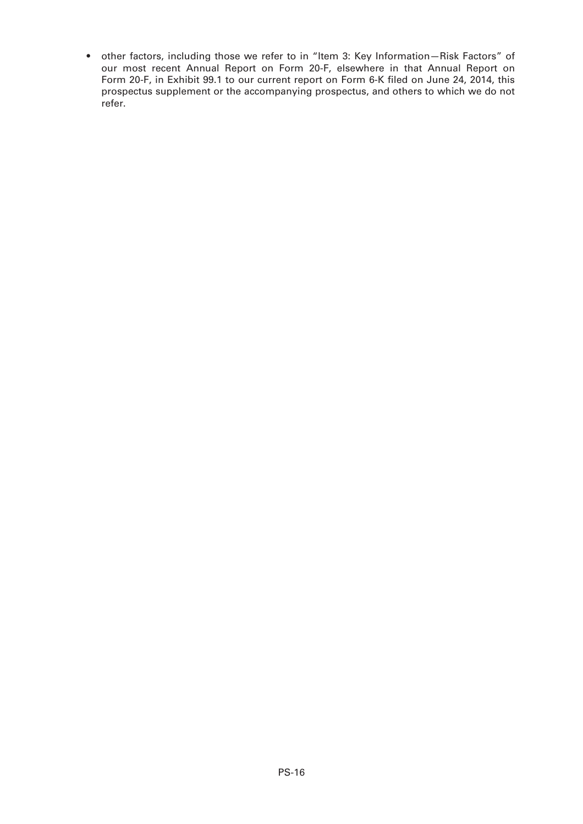• other factors, including those we refer to in "Item 3: Key Information—Risk Factors" of our most recent Annual Report on Form 20-F, elsewhere in that Annual Report on Form 20-F, in Exhibit 99.1 to our current report on Form 6-K filed on June 24, 2014, this prospectus supplement or the accompanying prospectus, and others to which we do not refer.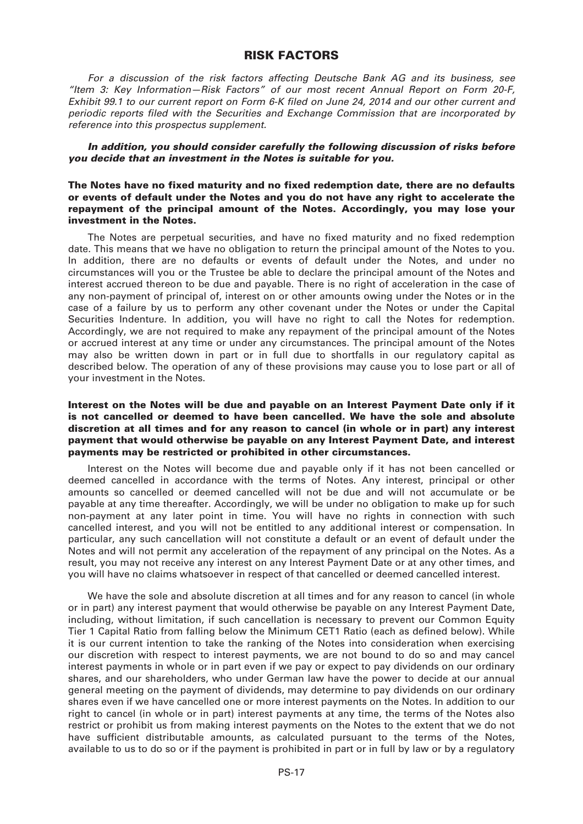#### **RISK FACTORS**

*For a discussion of the risk factors affecting Deutsche Bank AG and its business, see "Item 3: Key Information—Risk Factors" of our most recent Annual Report on Form 20-F, Exhibit 99.1 to our current report on Form 6-K filed on June 24, 2014 and our other current and periodic reports filed with the Securities and Exchange Commission that are incorporated by reference into this prospectus supplement.*

*In addition, you should consider carefully the following discussion of risks before you decide that an investment in the Notes is suitable for you.*

#### **The Notes have no fixed maturity and no fixed redemption date, there are no defaults or events of default under the Notes and you do not have any right to accelerate the repayment of the principal amount of the Notes. Accordingly, you may lose your investment in the Notes.**

The Notes are perpetual securities, and have no fixed maturity and no fixed redemption date. This means that we have no obligation to return the principal amount of the Notes to you. In addition, there are no defaults or events of default under the Notes, and under no circumstances will you or the Trustee be able to declare the principal amount of the Notes and interest accrued thereon to be due and payable. There is no right of acceleration in the case of any non-payment of principal of, interest on or other amounts owing under the Notes or in the case of a failure by us to perform any other covenant under the Notes or under the Capital Securities Indenture. In addition, you will have no right to call the Notes for redemption. Accordingly, we are not required to make any repayment of the principal amount of the Notes or accrued interest at any time or under any circumstances. The principal amount of the Notes may also be written down in part or in full due to shortfalls in our regulatory capital as described below. The operation of any of these provisions may cause you to lose part or all of your investment in the Notes.

#### **Interest on the Notes will be due and payable on an Interest Payment Date only if it is not cancelled or deemed to have been cancelled. We have the sole and absolute discretion at all times and for any reason to cancel (in whole or in part) any interest payment that would otherwise be payable on any Interest Payment Date, and interest payments may be restricted or prohibited in other circumstances.**

Interest on the Notes will become due and payable only if it has not been cancelled or deemed cancelled in accordance with the terms of Notes. Any interest, principal or other amounts so cancelled or deemed cancelled will not be due and will not accumulate or be payable at any time thereafter. Accordingly, we will be under no obligation to make up for such non-payment at any later point in time. You will have no rights in connection with such cancelled interest, and you will not be entitled to any additional interest or compensation. In particular, any such cancellation will not constitute a default or an event of default under the Notes and will not permit any acceleration of the repayment of any principal on the Notes. As a result, you may not receive any interest on any Interest Payment Date or at any other times, and you will have no claims whatsoever in respect of that cancelled or deemed cancelled interest.

We have the sole and absolute discretion at all times and for any reason to cancel (in whole or in part) any interest payment that would otherwise be payable on any Interest Payment Date, including, without limitation, if such cancellation is necessary to prevent our Common Equity Tier 1 Capital Ratio from falling below the Minimum CET1 Ratio (each as defined below). While it is our current intention to take the ranking of the Notes into consideration when exercising our discretion with respect to interest payments, we are not bound to do so and may cancel interest payments in whole or in part even if we pay or expect to pay dividends on our ordinary shares, and our shareholders, who under German law have the power to decide at our annual general meeting on the payment of dividends, may determine to pay dividends on our ordinary shares even if we have cancelled one or more interest payments on the Notes. In addition to our right to cancel (in whole or in part) interest payments at any time, the terms of the Notes also restrict or prohibit us from making interest payments on the Notes to the extent that we do not have sufficient distributable amounts, as calculated pursuant to the terms of the Notes, available to us to do so or if the payment is prohibited in part or in full by law or by a regulatory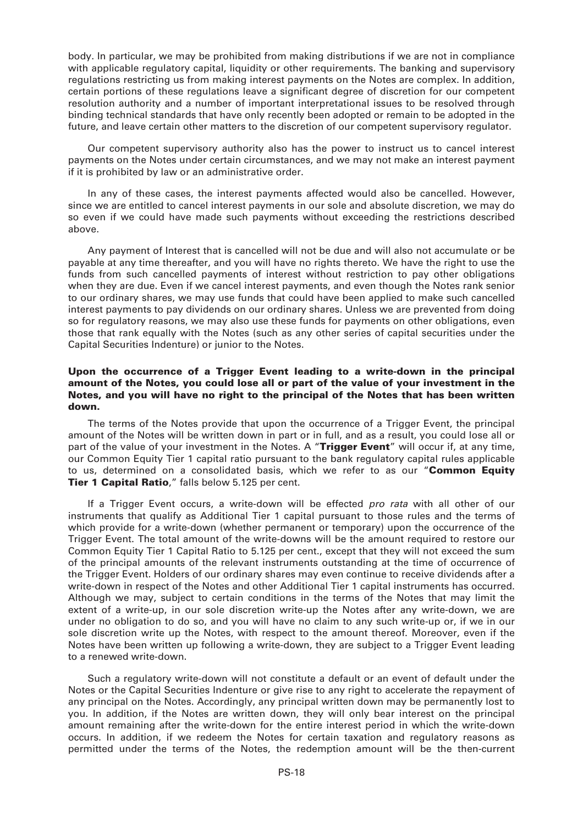body. In particular, we may be prohibited from making distributions if we are not in compliance with applicable regulatory capital, liquidity or other requirements. The banking and supervisory regulations restricting us from making interest payments on the Notes are complex. In addition, certain portions of these regulations leave a significant degree of discretion for our competent resolution authority and a number of important interpretational issues to be resolved through binding technical standards that have only recently been adopted or remain to be adopted in the future, and leave certain other matters to the discretion of our competent supervisory regulator.

Our competent supervisory authority also has the power to instruct us to cancel interest payments on the Notes under certain circumstances, and we may not make an interest payment if it is prohibited by law or an administrative order.

In any of these cases, the interest payments affected would also be cancelled. However, since we are entitled to cancel interest payments in our sole and absolute discretion, we may do so even if we could have made such payments without exceeding the restrictions described above.

Any payment of Interest that is cancelled will not be due and will also not accumulate or be payable at any time thereafter, and you will have no rights thereto. We have the right to use the funds from such cancelled payments of interest without restriction to pay other obligations when they are due. Even if we cancel interest payments, and even though the Notes rank senior to our ordinary shares, we may use funds that could have been applied to make such cancelled interest payments to pay dividends on our ordinary shares. Unless we are prevented from doing so for regulatory reasons, we may also use these funds for payments on other obligations, even those that rank equally with the Notes (such as any other series of capital securities under the Capital Securities Indenture) or junior to the Notes.

#### **Upon the occurrence of a Trigger Event leading to a write-down in the principal amount of the Notes, you could lose all or part of the value of your investment in the Notes, and you will have no right to the principal of the Notes that has been written down.**

The terms of the Notes provide that upon the occurrence of a Trigger Event, the principal amount of the Notes will be written down in part or in full, and as a result, you could lose all or part of the value of your investment in the Notes. A "**Trigger Event**" will occur if, at any time, our Common Equity Tier 1 capital ratio pursuant to the bank regulatory capital rules applicable to us, determined on a consolidated basis, which we refer to as our "**Common Equity Tier 1 Capital Ratio**," falls below 5.125 per cent.

If a Trigger Event occurs, a write-down will be effected *pro rata* with all other of our instruments that qualify as Additional Tier 1 capital pursuant to those rules and the terms of which provide for a write-down (whether permanent or temporary) upon the occurrence of the Trigger Event. The total amount of the write-downs will be the amount required to restore our Common Equity Tier 1 Capital Ratio to 5.125 per cent., except that they will not exceed the sum of the principal amounts of the relevant instruments outstanding at the time of occurrence of the Trigger Event. Holders of our ordinary shares may even continue to receive dividends after a write-down in respect of the Notes and other Additional Tier 1 capital instruments has occurred. Although we may, subject to certain conditions in the terms of the Notes that may limit the extent of a write-up, in our sole discretion write-up the Notes after any write-down, we are under no obligation to do so, and you will have no claim to any such write-up or, if we in our sole discretion write up the Notes, with respect to the amount thereof. Moreover, even if the Notes have been written up following a write-down, they are subject to a Trigger Event leading to a renewed write-down.

Such a regulatory write-down will not constitute a default or an event of default under the Notes or the Capital Securities Indenture or give rise to any right to accelerate the repayment of any principal on the Notes. Accordingly, any principal written down may be permanently lost to you. In addition, if the Notes are written down, they will only bear interest on the principal amount remaining after the write-down for the entire interest period in which the write-down occurs. In addition, if we redeem the Notes for certain taxation and regulatory reasons as permitted under the terms of the Notes, the redemption amount will be the then-current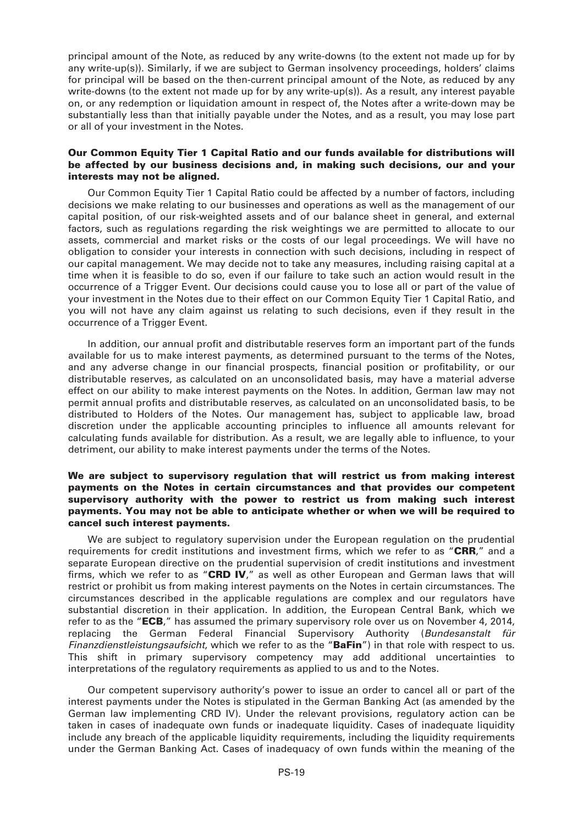principal amount of the Note, as reduced by any write-downs (to the extent not made up for by any write-up(s)). Similarly, if we are subject to German insolvency proceedings, holders' claims for principal will be based on the then-current principal amount of the Note, as reduced by any write-downs (to the extent not made up for by any write-up(s)). As a result, any interest payable on, or any redemption or liquidation amount in respect of, the Notes after a write-down may be substantially less than that initially payable under the Notes, and as a result, you may lose part or all of your investment in the Notes.

#### **Our Common Equity Tier 1 Capital Ratio and our funds available for distributions will be affected by our business decisions and, in making such decisions, our and your interests may not be aligned.**

Our Common Equity Tier 1 Capital Ratio could be affected by a number of factors, including decisions we make relating to our businesses and operations as well as the management of our capital position, of our risk-weighted assets and of our balance sheet in general, and external factors, such as regulations regarding the risk weightings we are permitted to allocate to our assets, commercial and market risks or the costs of our legal proceedings. We will have no obligation to consider your interests in connection with such decisions, including in respect of our capital management. We may decide not to take any measures, including raising capital at a time when it is feasible to do so, even if our failure to take such an action would result in the occurrence of a Trigger Event. Our decisions could cause you to lose all or part of the value of your investment in the Notes due to their effect on our Common Equity Tier 1 Capital Ratio, and you will not have any claim against us relating to such decisions, even if they result in the occurrence of a Trigger Event.

In addition, our annual profit and distributable reserves form an important part of the funds available for us to make interest payments, as determined pursuant to the terms of the Notes, and any adverse change in our financial prospects, financial position or profitability, or our distributable reserves, as calculated on an unconsolidated basis, may have a material adverse effect on our ability to make interest payments on the Notes. In addition, German law may not permit annual profits and distributable reserves, as calculated on an unconsolidated basis, to be distributed to Holders of the Notes. Our management has, subject to applicable law, broad discretion under the applicable accounting principles to influence all amounts relevant for calculating funds available for distribution. As a result, we are legally able to influence, to your detriment, our ability to make interest payments under the terms of the Notes.

#### **We are subject to supervisory regulation that will restrict us from making interest payments on the Notes in certain circumstances and that provides our competent supervisory authority with the power to restrict us from making such interest payments. You may not be able to anticipate whether or when we will be required to cancel such interest payments.**

We are subject to regulatory supervision under the European regulation on the prudential requirements for credit institutions and investment firms, which we refer to as "**CRR**," and a separate European directive on the prudential supervision of credit institutions and investment firms, which we refer to as "**CRD IV**," as well as other European and German laws that will restrict or prohibit us from making interest payments on the Notes in certain circumstances. The circumstances described in the applicable regulations are complex and our regulators have substantial discretion in their application. In addition, the European Central Bank, which we refer to as the "**ECB**," has assumed the primary supervisory role over us on November 4, 2014, replacing the German Federal Financial Supervisory Authority (*Bundesanstalt für Finanzdienstleistungsaufsicht*, which we refer to as the "**BaFin**") in that role with respect to us. This shift in primary supervisory competency may add additional uncertainties to interpretations of the regulatory requirements as applied to us and to the Notes.

Our competent supervisory authority's power to issue an order to cancel all or part of the interest payments under the Notes is stipulated in the German Banking Act (as amended by the German law implementing CRD IV). Under the relevant provisions, regulatory action can be taken in cases of inadequate own funds or inadequate liquidity. Cases of inadequate liquidity include any breach of the applicable liquidity requirements, including the liquidity requirements under the German Banking Act. Cases of inadequacy of own funds within the meaning of the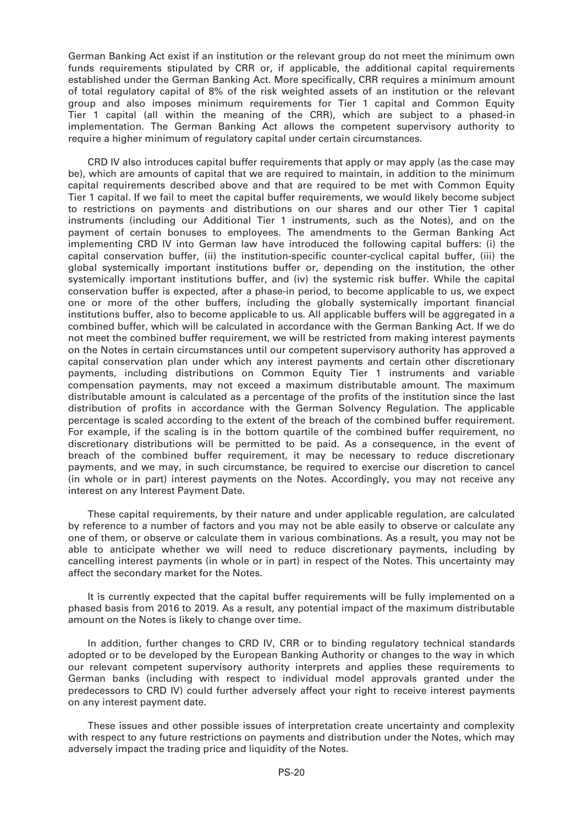German Banking Act exist if an institution or the relevant group do not meet the minimum own funds requirements stipulated by CRR or, if applicable, the additional capital requirements established under the German Banking Act. More specifically, CRR requires a minimum amount of total regulatory capital of 8% of the risk weighted assets of an institution or the relevant group and also imposes minimum requirements for Tier 1 capital and Common Equity Tier 1 capital (all within the meaning of the CRR), which are subject to a phased-in implementation. The German Banking Act allows the competent supervisory authority to require a higher minimum of regulatory capital under certain circumstances.

CRD IV also introduces capital buffer requirements that apply or may apply (as the case may be), which are amounts of capital that we are required to maintain, in addition to the minimum capital requirements described above and that are required to be met with Common Equity Tier 1 capital. If we fail to meet the capital buffer requirements, we would likely become subject to restrictions on payments and distributions on our shares and our other Tier 1 capital instruments (including our Additional Tier 1 instruments, such as the Notes), and on the payment of certain bonuses to employees. The amendments to the German Banking Act implementing CRD IV into German law have introduced the following capital buffers: (i) the capital conservation buffer, (ii) the institution-specific counter-cyclical capital buffer, (iii) the global systemically important institutions buffer or, depending on the institution, the other systemically important institutions buffer, and (iv) the systemic risk buffer. While the capital conservation buffer is expected, after a phase-in period, to become applicable to us, we expect one or more of the other buffers, including the globally systemically important financial institutions buffer, also to become applicable to us. All applicable buffers will be aggregated in a combined buffer, which will be calculated in accordance with the German Banking Act. If we do not meet the combined buffer requirement, we will be restricted from making interest payments on the Notes in certain circumstances until our competent supervisory authority has approved a capital conservation plan under which any interest payments and certain other discretionary payments, including distributions on Common Equity Tier 1 instruments and variable compensation payments, may not exceed a maximum distributable amount. The maximum distributable amount is calculated as a percentage of the profits of the institution since the last distribution of profits in accordance with the German Solvency Regulation. The applicable percentage is scaled according to the extent of the breach of the combined buffer requirement. For example, if the scaling is in the bottom quartile of the combined buffer requirement, no discretionary distributions will be permitted to be paid. As a consequence, in the event of breach of the combined buffer requirement, it may be necessary to reduce discretionary payments, and we may, in such circumstance, be required to exercise our discretion to cancel (in whole or in part) interest payments on the Notes. Accordingly, you may not receive any interest on any Interest Payment Date.

These capital requirements, by their nature and under applicable regulation, are calculated by reference to a number of factors and you may not be able easily to observe or calculate any one of them, or observe or calculate them in various combinations. As a result, you may not be able to anticipate whether we will need to reduce discretionary payments, including by cancelling interest payments (in whole or in part) in respect of the Notes. This uncertainty may affect the secondary market for the Notes.

It is currently expected that the capital buffer requirements will be fully implemented on a phased basis from 2016 to 2019. As a result, any potential impact of the maximum distributable amount on the Notes is likely to change over time.

In addition, further changes to CRD IV, CRR or to binding regulatory technical standards adopted or to be developed by the European Banking Authority or changes to the way in which our relevant competent supervisory authority interprets and applies these requirements to German banks (including with respect to individual model approvals granted under the predecessors to CRD IV) could further adversely affect your right to receive interest payments on any interest payment date.

These issues and other possible issues of interpretation create uncertainty and complexity with respect to any future restrictions on payments and distribution under the Notes, which may adversely impact the trading price and liquidity of the Notes.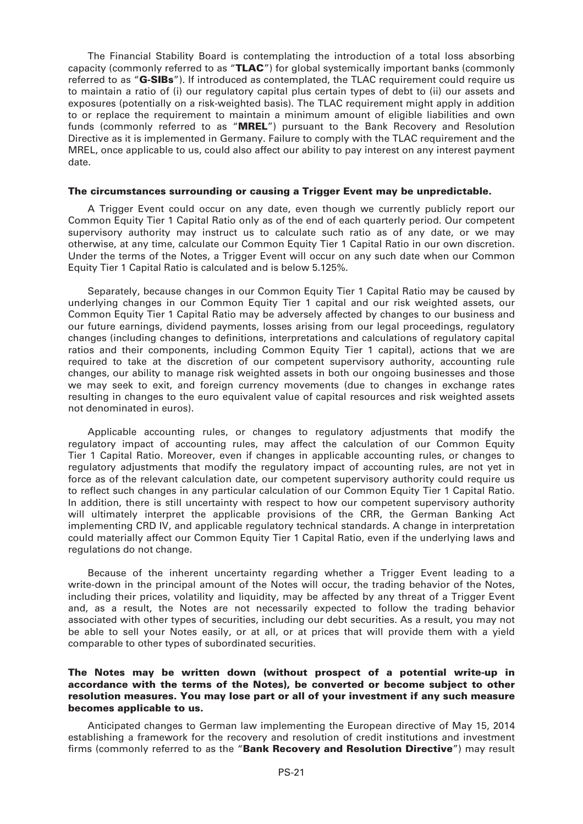The Financial Stability Board is contemplating the introduction of a total loss absorbing capacity (commonly referred to as "**TLAC**") for global systemically important banks (commonly referred to as "**G-SIBs**"). If introduced as contemplated, the TLAC requirement could require us to maintain a ratio of (i) our regulatory capital plus certain types of debt to (ii) our assets and exposures (potentially on a risk-weighted basis). The TLAC requirement might apply in addition to or replace the requirement to maintain a minimum amount of eligible liabilities and own funds (commonly referred to as "**MREL**") pursuant to the Bank Recovery and Resolution Directive as it is implemented in Germany. Failure to comply with the TLAC requirement and the MREL, once applicable to us, could also affect our ability to pay interest on any interest payment date.

#### **The circumstances surrounding or causing a Trigger Event may be unpredictable.**

A Trigger Event could occur on any date, even though we currently publicly report our Common Equity Tier 1 Capital Ratio only as of the end of each quarterly period. Our competent supervisory authority may instruct us to calculate such ratio as of any date, or we may otherwise, at any time, calculate our Common Equity Tier 1 Capital Ratio in our own discretion. Under the terms of the Notes, a Trigger Event will occur on any such date when our Common Equity Tier 1 Capital Ratio is calculated and is below 5.125%.

Separately, because changes in our Common Equity Tier 1 Capital Ratio may be caused by underlying changes in our Common Equity Tier 1 capital and our risk weighted assets, our Common Equity Tier 1 Capital Ratio may be adversely affected by changes to our business and our future earnings, dividend payments, losses arising from our legal proceedings, regulatory changes (including changes to definitions, interpretations and calculations of regulatory capital ratios and their components, including Common Equity Tier 1 capital), actions that we are required to take at the discretion of our competent supervisory authority, accounting rule changes, our ability to manage risk weighted assets in both our ongoing businesses and those we may seek to exit, and foreign currency movements (due to changes in exchange rates resulting in changes to the euro equivalent value of capital resources and risk weighted assets not denominated in euros).

Applicable accounting rules, or changes to regulatory adjustments that modify the regulatory impact of accounting rules, may affect the calculation of our Common Equity Tier 1 Capital Ratio. Moreover, even if changes in applicable accounting rules, or changes to regulatory adjustments that modify the regulatory impact of accounting rules, are not yet in force as of the relevant calculation date, our competent supervisory authority could require us to reflect such changes in any particular calculation of our Common Equity Tier 1 Capital Ratio. In addition, there is still uncertainty with respect to how our competent supervisory authority will ultimately interpret the applicable provisions of the CRR, the German Banking Act implementing CRD IV, and applicable regulatory technical standards. A change in interpretation could materially affect our Common Equity Tier 1 Capital Ratio, even if the underlying laws and regulations do not change.

Because of the inherent uncertainty regarding whether a Trigger Event leading to a write-down in the principal amount of the Notes will occur, the trading behavior of the Notes, including their prices, volatility and liquidity, may be affected by any threat of a Trigger Event and, as a result, the Notes are not necessarily expected to follow the trading behavior associated with other types of securities, including our debt securities. As a result, you may not be able to sell your Notes easily, or at all, or at prices that will provide them with a yield comparable to other types of subordinated securities.

#### **The Notes may be written down (without prospect of a potential write-up in accordance with the terms of the Notes), be converted or become subject to other resolution measures. You may lose part or all of your investment if any such measure becomes applicable to us.**

Anticipated changes to German law implementing the European directive of May 15, 2014 establishing a framework for the recovery and resolution of credit institutions and investment firms (commonly referred to as the "**Bank Recovery and Resolution Directive**") may result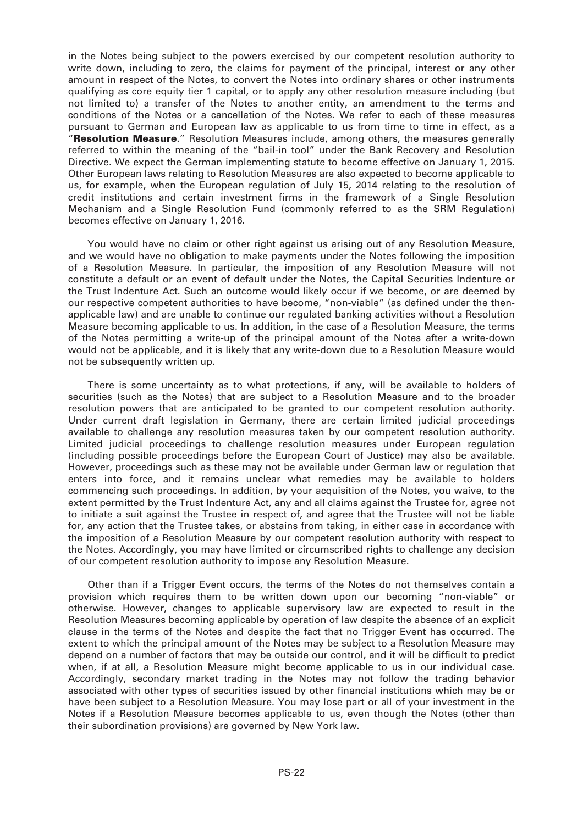in the Notes being subject to the powers exercised by our competent resolution authority to write down, including to zero, the claims for payment of the principal, interest or any other amount in respect of the Notes, to convert the Notes into ordinary shares or other instruments qualifying as core equity tier 1 capital, or to apply any other resolution measure including (but not limited to) a transfer of the Notes to another entity, an amendment to the terms and conditions of the Notes or a cancellation of the Notes. We refer to each of these measures pursuant to German and European law as applicable to us from time to time in effect, as a "**Resolution Measure**." Resolution Measures include, among others, the measures generally referred to within the meaning of the "bail-in tool" under the Bank Recovery and Resolution Directive. We expect the German implementing statute to become effective on January 1, 2015. Other European laws relating to Resolution Measures are also expected to become applicable to us, for example, when the European regulation of July 15, 2014 relating to the resolution of credit institutions and certain investment firms in the framework of a Single Resolution Mechanism and a Single Resolution Fund (commonly referred to as the SRM Regulation) becomes effective on January 1, 2016.

You would have no claim or other right against us arising out of any Resolution Measure, and we would have no obligation to make payments under the Notes following the imposition of a Resolution Measure. In particular, the imposition of any Resolution Measure will not constitute a default or an event of default under the Notes, the Capital Securities Indenture or the Trust Indenture Act. Such an outcome would likely occur if we become, or are deemed by our respective competent authorities to have become, "non-viable" (as defined under the thenapplicable law) and are unable to continue our regulated banking activities without a Resolution Measure becoming applicable to us. In addition, in the case of a Resolution Measure, the terms of the Notes permitting a write-up of the principal amount of the Notes after a write-down would not be applicable, and it is likely that any write-down due to a Resolution Measure would not be subsequently written up.

There is some uncertainty as to what protections, if any, will be available to holders of securities (such as the Notes) that are subject to a Resolution Measure and to the broader resolution powers that are anticipated to be granted to our competent resolution authority. Under current draft legislation in Germany, there are certain limited judicial proceedings available to challenge any resolution measures taken by our competent resolution authority. Limited judicial proceedings to challenge resolution measures under European regulation (including possible proceedings before the European Court of Justice) may also be available. However, proceedings such as these may not be available under German law or regulation that enters into force, and it remains unclear what remedies may be available to holders commencing such proceedings. In addition, by your acquisition of the Notes, you waive, to the extent permitted by the Trust Indenture Act, any and all claims against the Trustee for, agree not to initiate a suit against the Trustee in respect of, and agree that the Trustee will not be liable for, any action that the Trustee takes, or abstains from taking, in either case in accordance with the imposition of a Resolution Measure by our competent resolution authority with respect to the Notes. Accordingly, you may have limited or circumscribed rights to challenge any decision of our competent resolution authority to impose any Resolution Measure.

Other than if a Trigger Event occurs, the terms of the Notes do not themselves contain a provision which requires them to be written down upon our becoming "non-viable" or otherwise. However, changes to applicable supervisory law are expected to result in the Resolution Measures becoming applicable by operation of law despite the absence of an explicit clause in the terms of the Notes and despite the fact that no Trigger Event has occurred. The extent to which the principal amount of the Notes may be subject to a Resolution Measure may depend on a number of factors that may be outside our control, and it will be difficult to predict when, if at all, a Resolution Measure might become applicable to us in our individual case. Accordingly, secondary market trading in the Notes may not follow the trading behavior associated with other types of securities issued by other financial institutions which may be or have been subject to a Resolution Measure. You may lose part or all of your investment in the Notes if a Resolution Measure becomes applicable to us, even though the Notes (other than their subordination provisions) are governed by New York law.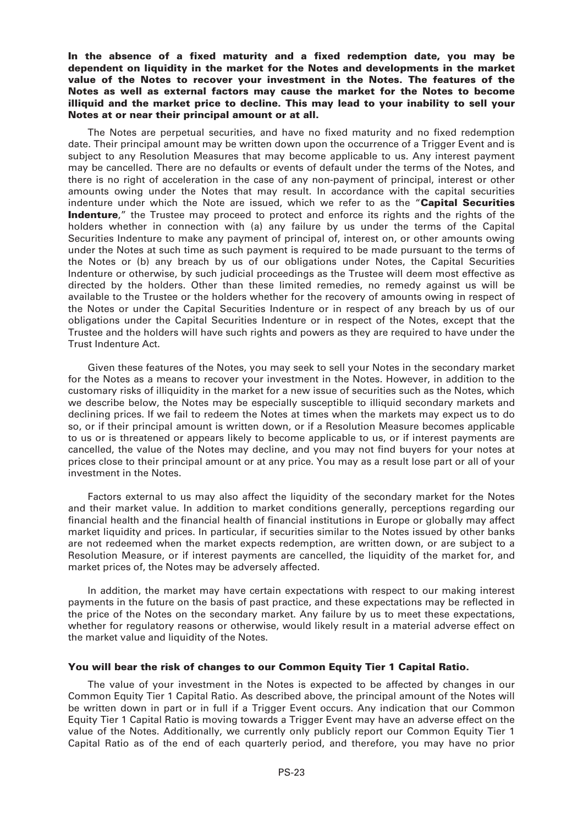#### **In the absence of a fixed maturity and a fixed redemption date, you may be dependent on liquidity in the market for the Notes and developments in the market value of the Notes to recover your investment in the Notes. The features of the Notes as well as external factors may cause the market for the Notes to become illiquid and the market price to decline. This may lead to your inability to sell your Notes at or near their principal amount or at all.**

The Notes are perpetual securities, and have no fixed maturity and no fixed redemption date. Their principal amount may be written down upon the occurrence of a Trigger Event and is subject to any Resolution Measures that may become applicable to us. Any interest payment may be cancelled. There are no defaults or events of default under the terms of the Notes, and there is no right of acceleration in the case of any non-payment of principal, interest or other amounts owing under the Notes that may result. In accordance with the capital securities indenture under which the Note are issued, which we refer to as the "**Capital Securities Indenture**," the Trustee may proceed to protect and enforce its rights and the rights of the holders whether in connection with (a) any failure by us under the terms of the Capital Securities Indenture to make any payment of principal of, interest on, or other amounts owing under the Notes at such time as such payment is required to be made pursuant to the terms of the Notes or (b) any breach by us of our obligations under Notes, the Capital Securities Indenture or otherwise, by such judicial proceedings as the Trustee will deem most effective as directed by the holders. Other than these limited remedies, no remedy against us will be available to the Trustee or the holders whether for the recovery of amounts owing in respect of the Notes or under the Capital Securities Indenture or in respect of any breach by us of our obligations under the Capital Securities Indenture or in respect of the Notes, except that the Trustee and the holders will have such rights and powers as they are required to have under the Trust Indenture Act.

Given these features of the Notes, you may seek to sell your Notes in the secondary market for the Notes as a means to recover your investment in the Notes. However, in addition to the customary risks of illiquidity in the market for a new issue of securities such as the Notes, which we describe below, the Notes may be especially susceptible to illiquid secondary markets and declining prices. If we fail to redeem the Notes at times when the markets may expect us to do so, or if their principal amount is written down, or if a Resolution Measure becomes applicable to us or is threatened or appears likely to become applicable to us, or if interest payments are cancelled, the value of the Notes may decline, and you may not find buyers for your notes at prices close to their principal amount or at any price. You may as a result lose part or all of your investment in the Notes.

Factors external to us may also affect the liquidity of the secondary market for the Notes and their market value. In addition to market conditions generally, perceptions regarding our financial health and the financial health of financial institutions in Europe or globally may affect market liquidity and prices. In particular, if securities similar to the Notes issued by other banks are not redeemed when the market expects redemption, are written down, or are subject to a Resolution Measure, or if interest payments are cancelled, the liquidity of the market for, and market prices of, the Notes may be adversely affected.

In addition, the market may have certain expectations with respect to our making interest payments in the future on the basis of past practice, and these expectations may be reflected in the price of the Notes on the secondary market. Any failure by us to meet these expectations, whether for regulatory reasons or otherwise, would likely result in a material adverse effect on the market value and liquidity of the Notes.

#### **You will bear the risk of changes to our Common Equity Tier 1 Capital Ratio.**

The value of your investment in the Notes is expected to be affected by changes in our Common Equity Tier 1 Capital Ratio. As described above, the principal amount of the Notes will be written down in part or in full if a Trigger Event occurs. Any indication that our Common Equity Tier 1 Capital Ratio is moving towards a Trigger Event may have an adverse effect on the value of the Notes. Additionally, we currently only publicly report our Common Equity Tier 1 Capital Ratio as of the end of each quarterly period, and therefore, you may have no prior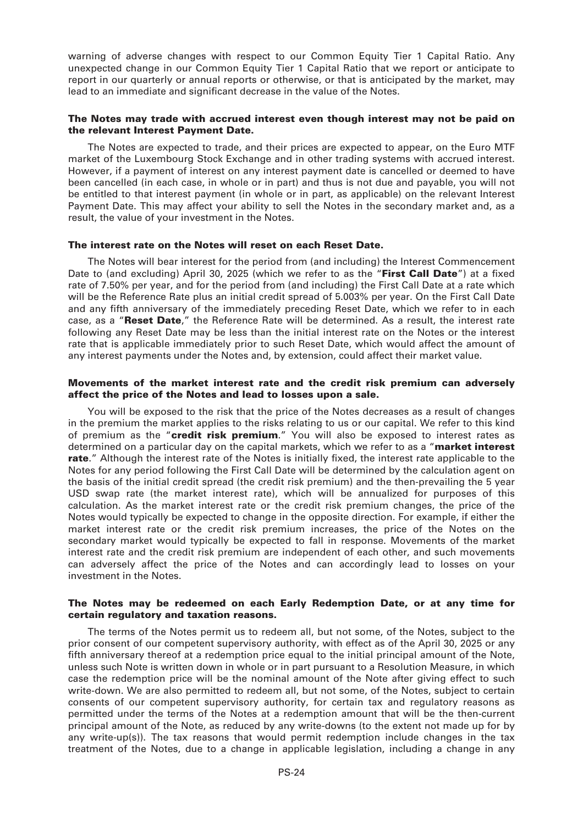warning of adverse changes with respect to our Common Equity Tier 1 Capital Ratio. Any unexpected change in our Common Equity Tier 1 Capital Ratio that we report or anticipate to report in our quarterly or annual reports or otherwise, or that is anticipated by the market, may lead to an immediate and significant decrease in the value of the Notes.

#### **The Notes may trade with accrued interest even though interest may not be paid on the relevant Interest Payment Date.**

The Notes are expected to trade, and their prices are expected to appear, on the Euro MTF market of the Luxembourg Stock Exchange and in other trading systems with accrued interest. However, if a payment of interest on any interest payment date is cancelled or deemed to have been cancelled (in each case, in whole or in part) and thus is not due and payable, you will not be entitled to that interest payment (in whole or in part, as applicable) on the relevant Interest Payment Date. This may affect your ability to sell the Notes in the secondary market and, as a result, the value of your investment in the Notes.

#### **The interest rate on the Notes will reset on each Reset Date.**

The Notes will bear interest for the period from (and including) the Interest Commencement Date to (and excluding) April 30, 2025 (which we refer to as the "**First Call Date**") at a fixed rate of 7.50% per year, and for the period from (and including) the First Call Date at a rate which will be the Reference Rate plus an initial credit spread of 5.003% per year. On the First Call Date and any fifth anniversary of the immediately preceding Reset Date, which we refer to in each case, as a "**Reset Date**," the Reference Rate will be determined. As a result, the interest rate following any Reset Date may be less than the initial interest rate on the Notes or the interest rate that is applicable immediately prior to such Reset Date, which would affect the amount of any interest payments under the Notes and, by extension, could affect their market value.

#### **Movements of the market interest rate and the credit risk premium can adversely affect the price of the Notes and lead to losses upon a sale.**

You will be exposed to the risk that the price of the Notes decreases as a result of changes in the premium the market applies to the risks relating to us or our capital. We refer to this kind of premium as the "**credit risk premium**." You will also be exposed to interest rates as determined on a particular day on the capital markets, which we refer to as a "**market interest rate**." Although the interest rate of the Notes is initially fixed, the interest rate applicable to the Notes for any period following the First Call Date will be determined by the calculation agent on the basis of the initial credit spread (the credit risk premium) and the then-prevailing the 5 year USD swap rate (the market interest rate), which will be annualized for purposes of this calculation. As the market interest rate or the credit risk premium changes, the price of the Notes would typically be expected to change in the opposite direction. For example, if either the market interest rate or the credit risk premium increases, the price of the Notes on the secondary market would typically be expected to fall in response. Movements of the market interest rate and the credit risk premium are independent of each other, and such movements can adversely affect the price of the Notes and can accordingly lead to losses on your investment in the Notes.

#### **The Notes may be redeemed on each Early Redemption Date, or at any time for certain regulatory and taxation reasons.**

The terms of the Notes permit us to redeem all, but not some, of the Notes, subject to the prior consent of our competent supervisory authority, with effect as of the April 30, 2025 or any fifth anniversary thereof at a redemption price equal to the initial principal amount of the Note, unless such Note is written down in whole or in part pursuant to a Resolution Measure, in which case the redemption price will be the nominal amount of the Note after giving effect to such write-down. We are also permitted to redeem all, but not some, of the Notes, subject to certain consents of our competent supervisory authority, for certain tax and regulatory reasons as permitted under the terms of the Notes at a redemption amount that will be the then-current principal amount of the Note, as reduced by any write-downs (to the extent not made up for by any write-up(s)). The tax reasons that would permit redemption include changes in the tax treatment of the Notes, due to a change in applicable legislation, including a change in any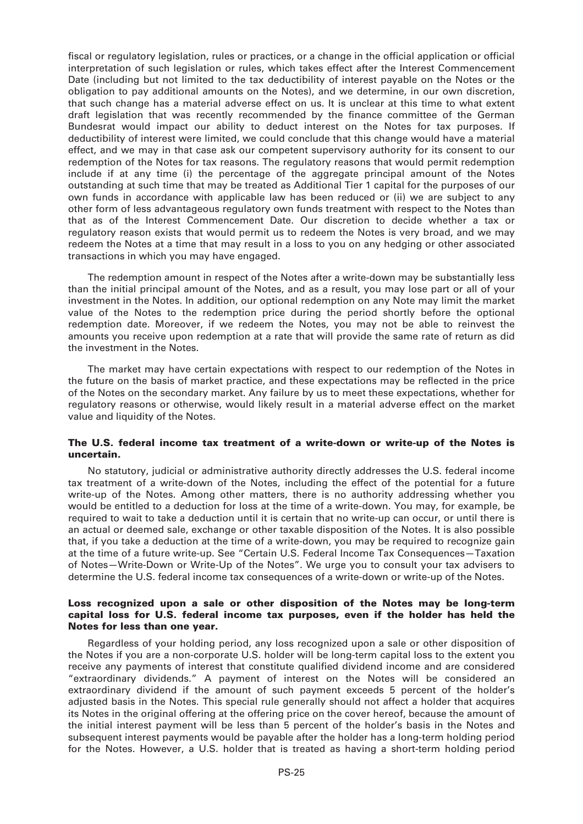fiscal or regulatory legislation, rules or practices, or a change in the official application or official interpretation of such legislation or rules, which takes effect after the Interest Commencement Date (including but not limited to the tax deductibility of interest payable on the Notes or the obligation to pay additional amounts on the Notes), and we determine, in our own discretion, that such change has a material adverse effect on us. It is unclear at this time to what extent draft legislation that was recently recommended by the finance committee of the German Bundesrat would impact our ability to deduct interest on the Notes for tax purposes. If deductibility of interest were limited, we could conclude that this change would have a material effect, and we may in that case ask our competent supervisory authority for its consent to our redemption of the Notes for tax reasons. The regulatory reasons that would permit redemption include if at any time (i) the percentage of the aggregate principal amount of the Notes outstanding at such time that may be treated as Additional Tier 1 capital for the purposes of our own funds in accordance with applicable law has been reduced or (ii) we are subject to any other form of less advantageous regulatory own funds treatment with respect to the Notes than that as of the Interest Commencement Date. Our discretion to decide whether a tax or regulatory reason exists that would permit us to redeem the Notes is very broad, and we may redeem the Notes at a time that may result in a loss to you on any hedging or other associated transactions in which you may have engaged.

The redemption amount in respect of the Notes after a write-down may be substantially less than the initial principal amount of the Notes, and as a result, you may lose part or all of your investment in the Notes. In addition, our optional redemption on any Note may limit the market value of the Notes to the redemption price during the period shortly before the optional redemption date. Moreover, if we redeem the Notes, you may not be able to reinvest the amounts you receive upon redemption at a rate that will provide the same rate of return as did the investment in the Notes.

The market may have certain expectations with respect to our redemption of the Notes in the future on the basis of market practice, and these expectations may be reflected in the price of the Notes on the secondary market. Any failure by us to meet these expectations, whether for regulatory reasons or otherwise, would likely result in a material adverse effect on the market value and liquidity of the Notes.

#### **The U.S. federal income tax treatment of a write-down or write-up of the Notes is uncertain.**

No statutory, judicial or administrative authority directly addresses the U.S. federal income tax treatment of a write-down of the Notes, including the effect of the potential for a future write-up of the Notes. Among other matters, there is no authority addressing whether you would be entitled to a deduction for loss at the time of a write-down. You may, for example, be required to wait to take a deduction until it is certain that no write-up can occur, or until there is an actual or deemed sale, exchange or other taxable disposition of the Notes. It is also possible that, if you take a deduction at the time of a write-down, you may be required to recognize gain at the time of a future write-up. See "Certain U.S. Federal Income Tax Consequences—Taxation of Notes—Write-Down or Write-Up of the Notes". We urge you to consult your tax advisers to determine the U.S. federal income tax consequences of a write-down or write-up of the Notes.

#### **Loss recognized upon a sale or other disposition of the Notes may be long-term capital loss for U.S. federal income tax purposes, even if the holder has held the Notes for less than one year.**

Regardless of your holding period, any loss recognized upon a sale or other disposition of the Notes if you are a non-corporate U.S. holder will be long-term capital loss to the extent you receive any payments of interest that constitute qualified dividend income and are considered "extraordinary dividends." A payment of interest on the Notes will be considered an extraordinary dividend if the amount of such payment exceeds 5 percent of the holder's adjusted basis in the Notes. This special rule generally should not affect a holder that acquires its Notes in the original offering at the offering price on the cover hereof, because the amount of the initial interest payment will be less than 5 percent of the holder's basis in the Notes and subsequent interest payments would be payable after the holder has a long-term holding period for the Notes. However, a U.S. holder that is treated as having a short-term holding period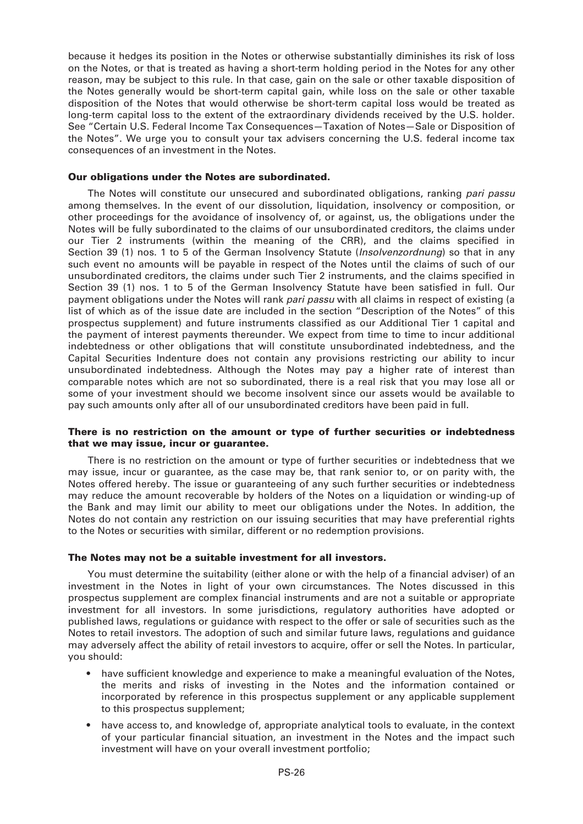because it hedges its position in the Notes or otherwise substantially diminishes its risk of loss on the Notes, or that is treated as having a short-term holding period in the Notes for any other reason, may be subject to this rule. In that case, gain on the sale or other taxable disposition of the Notes generally would be short-term capital gain, while loss on the sale or other taxable disposition of the Notes that would otherwise be short-term capital loss would be treated as long-term capital loss to the extent of the extraordinary dividends received by the U.S. holder. See "Certain U.S. Federal Income Tax Consequences—Taxation of Notes—Sale or Disposition of the Notes". We urge you to consult your tax advisers concerning the U.S. federal income tax consequences of an investment in the Notes.

#### **Our obligations under the Notes are subordinated.**

The Notes will constitute our unsecured and subordinated obligations, ranking *pari passu* among themselves. In the event of our dissolution, liquidation, insolvency or composition, or other proceedings for the avoidance of insolvency of, or against, us, the obligations under the Notes will be fully subordinated to the claims of our unsubordinated creditors, the claims under our Tier 2 instruments (within the meaning of the CRR), and the claims specified in Section 39 (1) nos. 1 to 5 of the German Insolvency Statute (*Insolvenzordnung*) so that in any such event no amounts will be payable in respect of the Notes until the claims of such of our unsubordinated creditors, the claims under such Tier 2 instruments, and the claims specified in Section 39 (1) nos. 1 to 5 of the German Insolvency Statute have been satisfied in full. Our payment obligations under the Notes will rank *pari passu* with all claims in respect of existing (a list of which as of the issue date are included in the section "Description of the Notes" of this prospectus supplement) and future instruments classified as our Additional Tier 1 capital and the payment of interest payments thereunder. We expect from time to time to incur additional indebtedness or other obligations that will constitute unsubordinated indebtedness, and the Capital Securities Indenture does not contain any provisions restricting our ability to incur unsubordinated indebtedness. Although the Notes may pay a higher rate of interest than comparable notes which are not so subordinated, there is a real risk that you may lose all or some of your investment should we become insolvent since our assets would be available to pay such amounts only after all of our unsubordinated creditors have been paid in full.

#### **There is no restriction on the amount or type of further securities or indebtedness that we may issue, incur or guarantee.**

There is no restriction on the amount or type of further securities or indebtedness that we may issue, incur or guarantee, as the case may be, that rank senior to, or on parity with, the Notes offered hereby. The issue or guaranteeing of any such further securities or indebtedness may reduce the amount recoverable by holders of the Notes on a liquidation or winding-up of the Bank and may limit our ability to meet our obligations under the Notes. In addition, the Notes do not contain any restriction on our issuing securities that may have preferential rights to the Notes or securities with similar, different or no redemption provisions.

#### **The Notes may not be a suitable investment for all investors.**

You must determine the suitability (either alone or with the help of a financial adviser) of an investment in the Notes in light of your own circumstances. The Notes discussed in this prospectus supplement are complex financial instruments and are not a suitable or appropriate investment for all investors. In some jurisdictions, regulatory authorities have adopted or published laws, regulations or guidance with respect to the offer or sale of securities such as the Notes to retail investors. The adoption of such and similar future laws, regulations and guidance may adversely affect the ability of retail investors to acquire, offer or sell the Notes. In particular, you should:

- have sufficient knowledge and experience to make a meaningful evaluation of the Notes, the merits and risks of investing in the Notes and the information contained or incorporated by reference in this prospectus supplement or any applicable supplement to this prospectus supplement;
- have access to, and knowledge of, appropriate analytical tools to evaluate, in the context of your particular financial situation, an investment in the Notes and the impact such investment will have on your overall investment portfolio;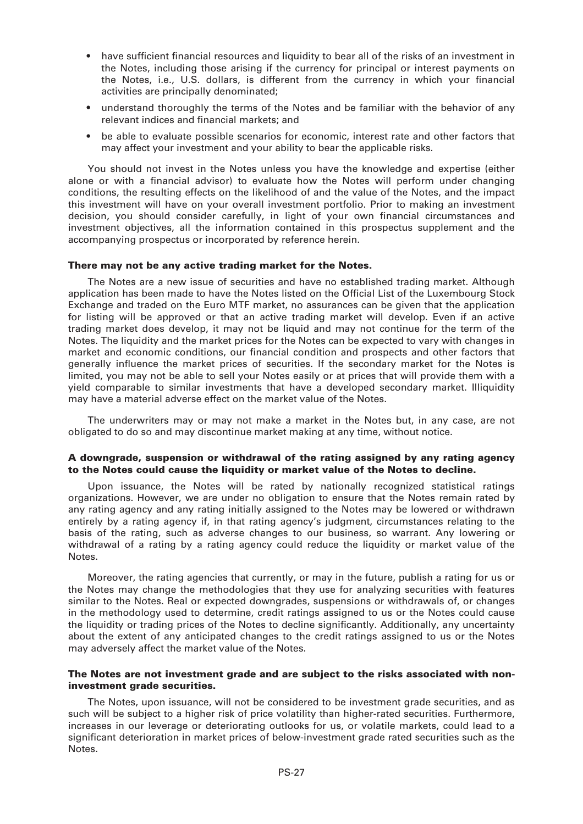- have sufficient financial resources and liquidity to bear all of the risks of an investment in the Notes, including those arising if the currency for principal or interest payments on the Notes, i.e., U.S. dollars, is different from the currency in which your financial activities are principally denominated;
- understand thoroughly the terms of the Notes and be familiar with the behavior of any relevant indices and financial markets; and
- be able to evaluate possible scenarios for economic, interest rate and other factors that may affect your investment and your ability to bear the applicable risks.

You should not invest in the Notes unless you have the knowledge and expertise (either alone or with a financial advisor) to evaluate how the Notes will perform under changing conditions, the resulting effects on the likelihood of and the value of the Notes, and the impact this investment will have on your overall investment portfolio. Prior to making an investment decision, you should consider carefully, in light of your own financial circumstances and investment objectives, all the information contained in this prospectus supplement and the accompanying prospectus or incorporated by reference herein.

#### **There may not be any active trading market for the Notes.**

The Notes are a new issue of securities and have no established trading market. Although application has been made to have the Notes listed on the Official List of the Luxembourg Stock Exchange and traded on the Euro MTF market, no assurances can be given that the application for listing will be approved or that an active trading market will develop. Even if an active trading market does develop, it may not be liquid and may not continue for the term of the Notes. The liquidity and the market prices for the Notes can be expected to vary with changes in market and economic conditions, our financial condition and prospects and other factors that generally influence the market prices of securities. If the secondary market for the Notes is limited, you may not be able to sell your Notes easily or at prices that will provide them with a yield comparable to similar investments that have a developed secondary market. Illiquidity may have a material adverse effect on the market value of the Notes.

The underwriters may or may not make a market in the Notes but, in any case, are not obligated to do so and may discontinue market making at any time, without notice.

#### **A downgrade, suspension or withdrawal of the rating assigned by any rating agency to the Notes could cause the liquidity or market value of the Notes to decline.**

Upon issuance, the Notes will be rated by nationally recognized statistical ratings organizations. However, we are under no obligation to ensure that the Notes remain rated by any rating agency and any rating initially assigned to the Notes may be lowered or withdrawn entirely by a rating agency if, in that rating agency's judgment, circumstances relating to the basis of the rating, such as adverse changes to our business, so warrant. Any lowering or withdrawal of a rating by a rating agency could reduce the liquidity or market value of the Notes.

Moreover, the rating agencies that currently, or may in the future, publish a rating for us or the Notes may change the methodologies that they use for analyzing securities with features similar to the Notes. Real or expected downgrades, suspensions or withdrawals of, or changes in the methodology used to determine, credit ratings assigned to us or the Notes could cause the liquidity or trading prices of the Notes to decline significantly. Additionally, any uncertainty about the extent of any anticipated changes to the credit ratings assigned to us or the Notes may adversely affect the market value of the Notes.

#### **The Notes are not investment grade and are subject to the risks associated with noninvestment grade securities.**

The Notes, upon issuance, will not be considered to be investment grade securities, and as such will be subject to a higher risk of price volatility than higher-rated securities. Furthermore, increases in our leverage or deteriorating outlooks for us, or volatile markets, could lead to a significant deterioration in market prices of below-investment grade rated securities such as the Notes.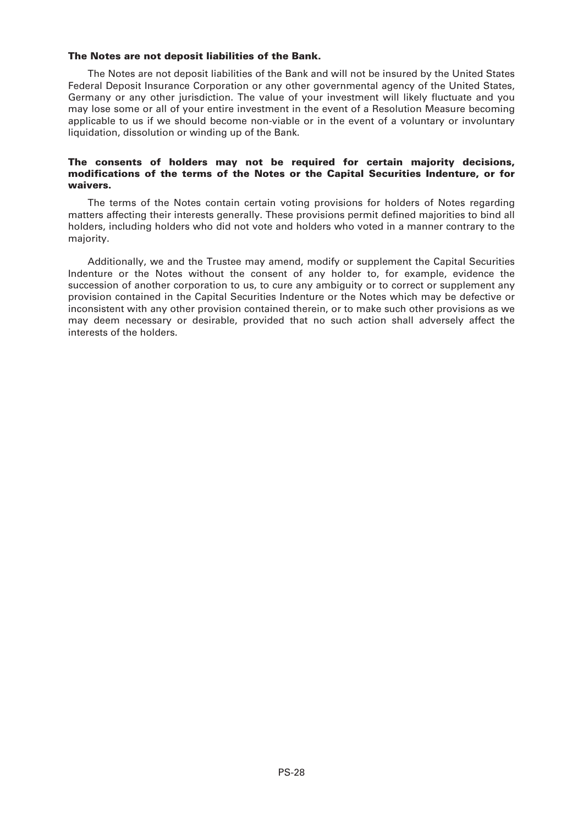#### **The Notes are not deposit liabilities of the Bank.**

The Notes are not deposit liabilities of the Bank and will not be insured by the United States Federal Deposit Insurance Corporation or any other governmental agency of the United States, Germany or any other jurisdiction. The value of your investment will likely fluctuate and you may lose some or all of your entire investment in the event of a Resolution Measure becoming applicable to us if we should become non-viable or in the event of a voluntary or involuntary liquidation, dissolution or winding up of the Bank.

#### **The consents of holders may not be required for certain majority decisions, modifications of the terms of the Notes or the Capital Securities Indenture, or for waivers.**

The terms of the Notes contain certain voting provisions for holders of Notes regarding matters affecting their interests generally. These provisions permit defined majorities to bind all holders, including holders who did not vote and holders who voted in a manner contrary to the majority.

Additionally, we and the Trustee may amend, modify or supplement the Capital Securities Indenture or the Notes without the consent of any holder to, for example, evidence the succession of another corporation to us, to cure any ambiguity or to correct or supplement any provision contained in the Capital Securities Indenture or the Notes which may be defective or inconsistent with any other provision contained therein, or to make such other provisions as we may deem necessary or desirable, provided that no such action shall adversely affect the interests of the holders.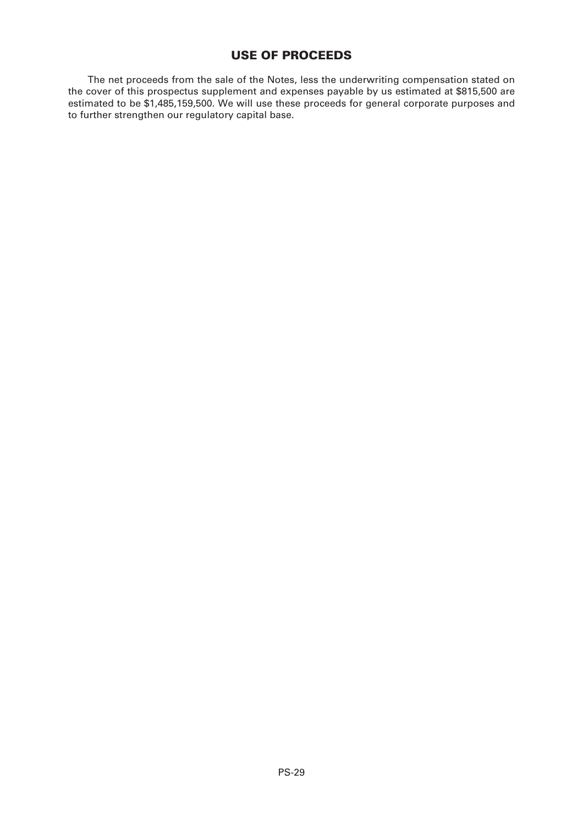### **USE OF PROCEEDS**

The net proceeds from the sale of the Notes, less the underwriting compensation stated on the cover of this prospectus supplement and expenses payable by us estimated at \$815,500 are estimated to be \$1,485,159,500. We will use these proceeds for general corporate purposes and to further strengthen our regulatory capital base.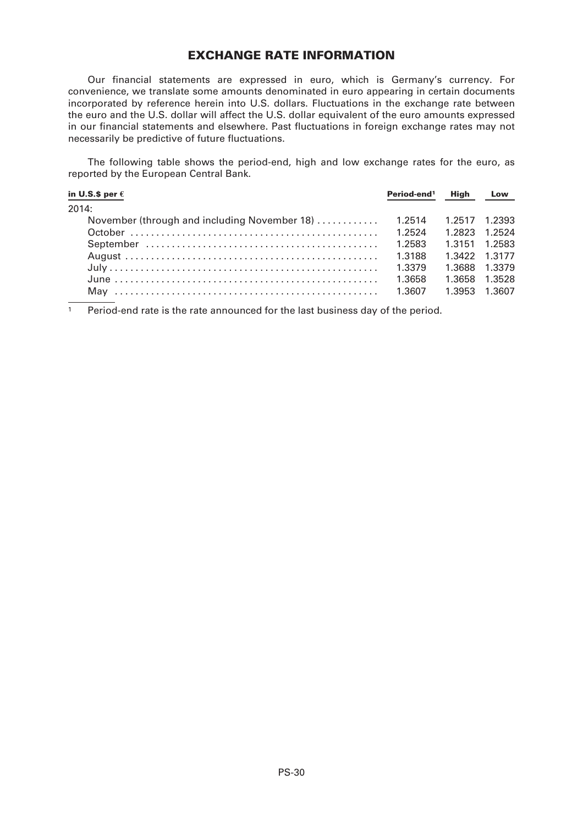### **EXCHANGE RATE INFORMATION**

Our financial statements are expressed in euro, which is Germany's currency. For convenience, we translate some amounts denominated in euro appearing in certain documents incorporated by reference herein into U.S. dollars. Fluctuations in the exchange rate between the euro and the U.S. dollar will affect the U.S. dollar equivalent of the euro amounts expressed in our financial statements and elsewhere. Past fluctuations in foreign exchange rates may not necessarily be predictive of future fluctuations.

The following table shows the period-end, high and low exchange rates for the euro, as reported by the European Central Bank.

| in U.S.\$ per $\epsilon$                     | Period-end <sup>1</sup> | <b>High</b>   | Low           |
|----------------------------------------------|-------------------------|---------------|---------------|
| 2014:                                        |                         |               |               |
| November (through and including November 18) | 1.2514                  | 1.2517 1.2393 |               |
|                                              | 1.2524                  | 1.2823 1.2524 |               |
|                                              | 1.2583                  | 1.3151 1.2583 |               |
|                                              | 1.3188                  |               | 1.3422 1.3177 |
|                                              | 1.3379                  |               | 1.3688 1.3379 |
|                                              | 1.3658                  |               | 1.3658 1.3528 |
| Mav                                          | 1.3607                  | 1.3953 1.3607 |               |

<sup>1</sup> Period-end rate is the rate announced for the last business day of the period.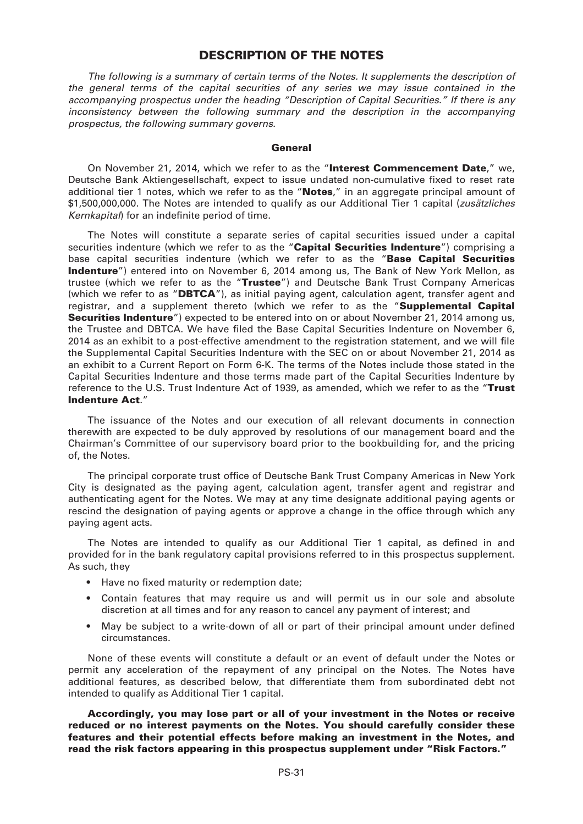#### **DESCRIPTION OF THE NOTES**

*The following is a summary of certain terms of the Notes. It supplements the description of the general terms of the capital securities of any series we may issue contained in the accompanying prospectus under the heading "Description of Capital Securities." If there is any inconsistency between the following summary and the description in the accompanying prospectus, the following summary governs.*

#### **General**

On November 21, 2014, which we refer to as the "**Interest Commencement Date**," we, Deutsche Bank Aktiengesellschaft, expect to issue undated non-cumulative fixed to reset rate additional tier 1 notes, which we refer to as the "**Notes**," in an aggregate principal amount of \$1,500,000,000. The Notes are intended to qualify as our Additional Tier 1 capital (*zusätzliches Kernkapital*) for an indefinite period of time.

The Notes will constitute a separate series of capital securities issued under a capital securities indenture (which we refer to as the "**Capital Securities Indenture**") comprising a base capital securities indenture (which we refer to as the "**Base Capital Securities Indenture**") entered into on November 6, 2014 among us, The Bank of New York Mellon, as trustee (which we refer to as the "**Trustee**") and Deutsche Bank Trust Company Americas (which we refer to as "**DBTCA**"), as initial paying agent, calculation agent, transfer agent and registrar, and a supplement thereto (which we refer to as the "**Supplemental Capital Securities Indenture**") expected to be entered into on or about November 21, 2014 among us, the Trustee and DBTCA. We have filed the Base Capital Securities Indenture on November 6, 2014 as an exhibit to a post-effective amendment to the registration statement, and we will file the Supplemental Capital Securities Indenture with the SEC on or about November 21, 2014 as an exhibit to a Current Report on Form 6-K. The terms of the Notes include those stated in the Capital Securities Indenture and those terms made part of the Capital Securities Indenture by reference to the U.S. Trust Indenture Act of 1939, as amended, which we refer to as the "**Trust Indenture Act**."

The issuance of the Notes and our execution of all relevant documents in connection therewith are expected to be duly approved by resolutions of our management board and the Chairman's Committee of our supervisory board prior to the bookbuilding for, and the pricing of, the Notes.

The principal corporate trust office of Deutsche Bank Trust Company Americas in New York City is designated as the paying agent, calculation agent, transfer agent and registrar and authenticating agent for the Notes. We may at any time designate additional paying agents or rescind the designation of paying agents or approve a change in the office through which any paying agent acts.

The Notes are intended to qualify as our Additional Tier 1 capital, as defined in and provided for in the bank regulatory capital provisions referred to in this prospectus supplement. As such, they

- Have no fixed maturity or redemption date;
- Contain features that may require us and will permit us in our sole and absolute discretion at all times and for any reason to cancel any payment of interest; and
- May be subject to a write-down of all or part of their principal amount under defined circumstances.

None of these events will constitute a default or an event of default under the Notes or permit any acceleration of the repayment of any principal on the Notes. The Notes have additional features, as described below, that differentiate them from subordinated debt not intended to qualify as Additional Tier 1 capital.

**Accordingly, you may lose part or all of your investment in the Notes or receive reduced or no interest payments on the Notes. You should carefully consider these features and their potential effects before making an investment in the Notes, and read the risk factors appearing in this prospectus supplement under "Risk Factors."**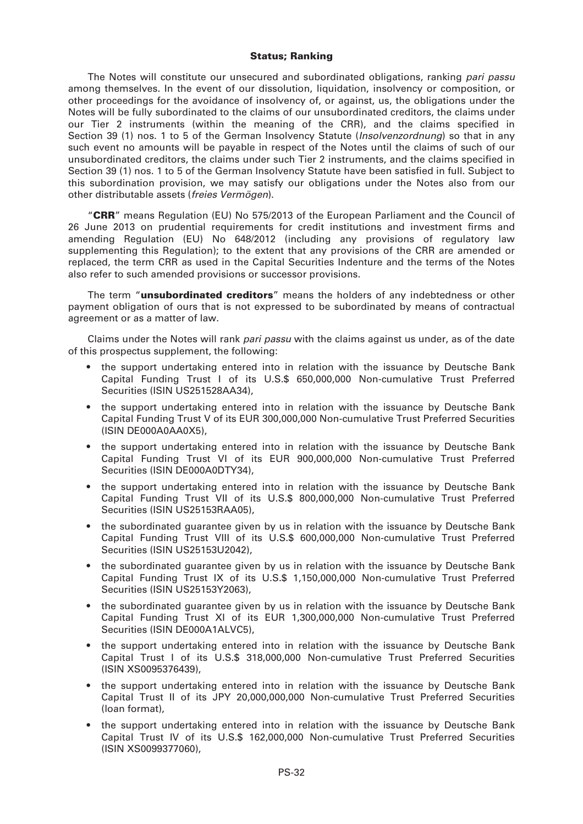#### **Status; Ranking**

The Notes will constitute our unsecured and subordinated obligations, ranking *pari passu* among themselves. In the event of our dissolution, liquidation, insolvency or composition, or other proceedings for the avoidance of insolvency of, or against, us, the obligations under the Notes will be fully subordinated to the claims of our unsubordinated creditors, the claims under our Tier 2 instruments (within the meaning of the CRR), and the claims specified in Section 39 (1) nos. 1 to 5 of the German Insolvency Statute (*Insolvenzordnung*) so that in any such event no amounts will be payable in respect of the Notes until the claims of such of our unsubordinated creditors, the claims under such Tier 2 instruments, and the claims specified in Section 39 (1) nos. 1 to 5 of the German Insolvency Statute have been satisfied in full. Subject to this subordination provision, we may satisfy our obligations under the Notes also from our other distributable assets (*freies Vermögen*).

"**CRR**" means Regulation (EU) No 575/2013 of the European Parliament and the Council of 26 June 2013 on prudential requirements for credit institutions and investment firms and amending Regulation (EU) No 648/2012 (including any provisions of regulatory law supplementing this Regulation); to the extent that any provisions of the CRR are amended or replaced, the term CRR as used in the Capital Securities Indenture and the terms of the Notes also refer to such amended provisions or successor provisions.

The term "**unsubordinated creditors**" means the holders of any indebtedness or other payment obligation of ours that is not expressed to be subordinated by means of contractual agreement or as a matter of law.

Claims under the Notes will rank *pari passu* with the claims against us under, as of the date of this prospectus supplement, the following:

- the support undertaking entered into in relation with the issuance by Deutsche Bank Capital Funding Trust I of its U.S.\$ 650,000,000 Non-cumulative Trust Preferred Securities (ISIN US251528AA34),
- the support undertaking entered into in relation with the issuance by Deutsche Bank Capital Funding Trust V of its EUR 300,000,000 Non-cumulative Trust Preferred Securities (ISIN DE000A0AA0X5),
- the support undertaking entered into in relation with the issuance by Deutsche Bank Capital Funding Trust VI of its EUR 900,000,000 Non-cumulative Trust Preferred Securities (ISIN DE000A0DTY34),
- the support undertaking entered into in relation with the issuance by Deutsche Bank Capital Funding Trust VII of its U.S.\$ 800,000,000 Non-cumulative Trust Preferred Securities (ISIN US25153RAA05).
- the subordinated guarantee given by us in relation with the issuance by Deutsche Bank Capital Funding Trust VIII of its U.S.\$ 600,000,000 Non-cumulative Trust Preferred Securities (ISIN US25153U2042),
- the subordinated guarantee given by us in relation with the issuance by Deutsche Bank Capital Funding Trust IX of its U.S.\$ 1,150,000,000 Non-cumulative Trust Preferred Securities (ISIN US25153Y2063),
- the subordinated guarantee given by us in relation with the issuance by Deutsche Bank Capital Funding Trust XI of its EUR 1,300,000,000 Non-cumulative Trust Preferred Securities (ISIN DE000A1ALVC5),
- the support undertaking entered into in relation with the issuance by Deutsche Bank Capital Trust I of its U.S.\$ 318,000,000 Non-cumulative Trust Preferred Securities (ISIN XS0095376439),
- the support undertaking entered into in relation with the issuance by Deutsche Bank Capital Trust II of its JPY 20,000,000,000 Non-cumulative Trust Preferred Securities (loan format),
- the support undertaking entered into in relation with the issuance by Deutsche Bank Capital Trust IV of its U.S.\$ 162,000,000 Non-cumulative Trust Preferred Securities (ISIN XS0099377060),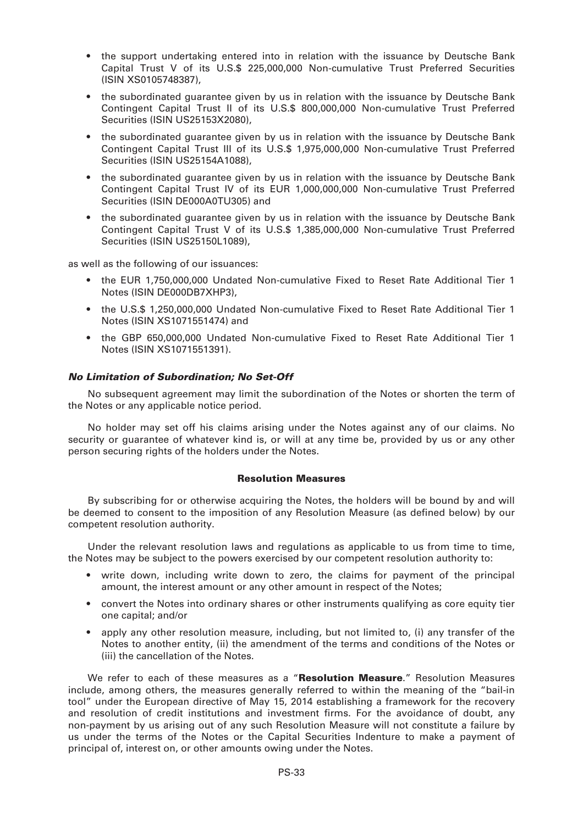- the support undertaking entered into in relation with the issuance by Deutsche Bank Capital Trust V of its U.S.\$ 225,000,000 Non-cumulative Trust Preferred Securities (ISIN XS0105748387),
- the subordinated guarantee given by us in relation with the issuance by Deutsche Bank Contingent Capital Trust II of its U.S.\$ 800,000,000 Non-cumulative Trust Preferred Securities (ISIN US25153X2080),
- the subordinated guarantee given by us in relation with the issuance by Deutsche Bank Contingent Capital Trust III of its U.S.\$ 1,975,000,000 Non-cumulative Trust Preferred Securities (ISIN US25154A1088),
- the subordinated guarantee given by us in relation with the issuance by Deutsche Bank Contingent Capital Trust IV of its EUR 1,000,000,000 Non-cumulative Trust Preferred Securities (ISIN DE000A0TU305) and
- the subordinated guarantee given by us in relation with the issuance by Deutsche Bank Contingent Capital Trust V of its U.S.\$ 1,385,000,000 Non-cumulative Trust Preferred Securities (ISIN US25150L1089),

as well as the following of our issuances:

- the EUR 1,750,000,000 Undated Non-cumulative Fixed to Reset Rate Additional Tier 1 Notes (ISIN DE000DB7XHP3),
- the U.S.\$ 1,250,000,000 Undated Non-cumulative Fixed to Reset Rate Additional Tier 1 Notes (ISIN XS1071551474) and
- the GBP 650,000,000 Undated Non-cumulative Fixed to Reset Rate Additional Tier 1 Notes (ISIN XS1071551391).

#### *No Limitation of Subordination; No Set-Off*

No subsequent agreement may limit the subordination of the Notes or shorten the term of the Notes or any applicable notice period.

No holder may set off his claims arising under the Notes against any of our claims. No security or guarantee of whatever kind is, or will at any time be, provided by us or any other person securing rights of the holders under the Notes.

#### **Resolution Measures**

By subscribing for or otherwise acquiring the Notes, the holders will be bound by and will be deemed to consent to the imposition of any Resolution Measure (as defined below) by our competent resolution authority.

Under the relevant resolution laws and regulations as applicable to us from time to time, the Notes may be subject to the powers exercised by our competent resolution authority to:

- write down, including write down to zero, the claims for payment of the principal amount, the interest amount or any other amount in respect of the Notes;
- convert the Notes into ordinary shares or other instruments qualifying as core equity tier one capital; and/or
- apply any other resolution measure, including, but not limited to, (i) any transfer of the Notes to another entity, (ii) the amendment of the terms and conditions of the Notes or (iii) the cancellation of the Notes.

We refer to each of these measures as a "**Resolution Measure**." Resolution Measures include, among others, the measures generally referred to within the meaning of the "bail-in tool" under the European directive of May 15, 2014 establishing a framework for the recovery and resolution of credit institutions and investment firms. For the avoidance of doubt, any non-payment by us arising out of any such Resolution Measure will not constitute a failure by us under the terms of the Notes or the Capital Securities Indenture to make a payment of principal of, interest on, or other amounts owing under the Notes.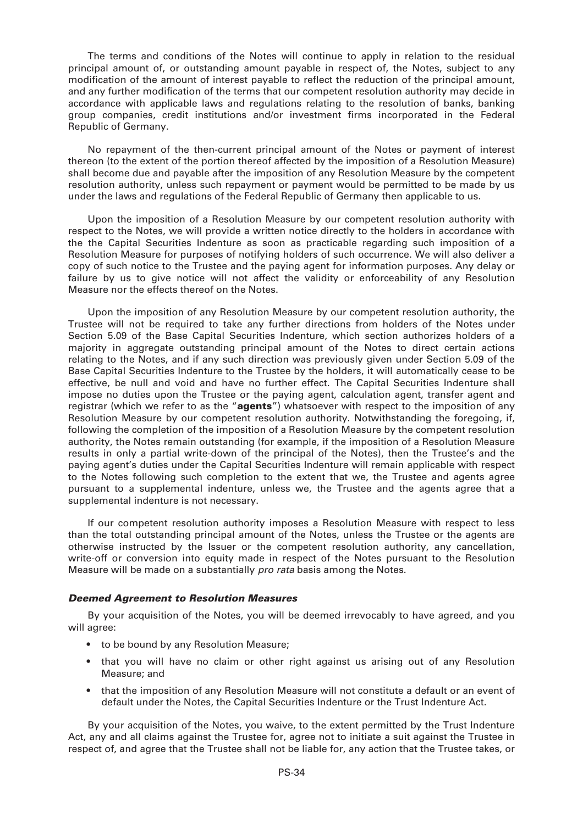The terms and conditions of the Notes will continue to apply in relation to the residual principal amount of, or outstanding amount payable in respect of, the Notes, subject to any modification of the amount of interest payable to reflect the reduction of the principal amount, and any further modification of the terms that our competent resolution authority may decide in accordance with applicable laws and regulations relating to the resolution of banks, banking group companies, credit institutions and/or investment firms incorporated in the Federal Republic of Germany.

No repayment of the then-current principal amount of the Notes or payment of interest thereon (to the extent of the portion thereof affected by the imposition of a Resolution Measure) shall become due and payable after the imposition of any Resolution Measure by the competent resolution authority, unless such repayment or payment would be permitted to be made by us under the laws and regulations of the Federal Republic of Germany then applicable to us.

Upon the imposition of a Resolution Measure by our competent resolution authority with respect to the Notes, we will provide a written notice directly to the holders in accordance with the the Capital Securities Indenture as soon as practicable regarding such imposition of a Resolution Measure for purposes of notifying holders of such occurrence. We will also deliver a copy of such notice to the Trustee and the paying agent for information purposes. Any delay or failure by us to give notice will not affect the validity or enforceability of any Resolution Measure nor the effects thereof on the Notes.

Upon the imposition of any Resolution Measure by our competent resolution authority, the Trustee will not be required to take any further directions from holders of the Notes under Section 5.09 of the Base Capital Securities Indenture, which section authorizes holders of a majority in aggregate outstanding principal amount of the Notes to direct certain actions relating to the Notes, and if any such direction was previously given under Section 5.09 of the Base Capital Securities Indenture to the Trustee by the holders, it will automatically cease to be effective, be null and void and have no further effect. The Capital Securities Indenture shall impose no duties upon the Trustee or the paying agent, calculation agent, transfer agent and registrar (which we refer to as the "**agents**") whatsoever with respect to the imposition of any Resolution Measure by our competent resolution authority. Notwithstanding the foregoing, if, following the completion of the imposition of a Resolution Measure by the competent resolution authority, the Notes remain outstanding (for example, if the imposition of a Resolution Measure results in only a partial write-down of the principal of the Notes), then the Trustee's and the paying agent's duties under the Capital Securities Indenture will remain applicable with respect to the Notes following such completion to the extent that we, the Trustee and agents agree pursuant to a supplemental indenture, unless we, the Trustee and the agents agree that a supplemental indenture is not necessary.

If our competent resolution authority imposes a Resolution Measure with respect to less than the total outstanding principal amount of the Notes, unless the Trustee or the agents are otherwise instructed by the Issuer or the competent resolution authority, any cancellation, write-off or conversion into equity made in respect of the Notes pursuant to the Resolution Measure will be made on a substantially *pro rata* basis among the Notes.

#### *Deemed Agreement to Resolution Measures*

By your acquisition of the Notes, you will be deemed irrevocably to have agreed, and you will agree:

- to be bound by any Resolution Measure;
- that you will have no claim or other right against us arising out of any Resolution Measure; and
- that the imposition of any Resolution Measure will not constitute a default or an event of default under the Notes, the Capital Securities Indenture or the Trust Indenture Act.

By your acquisition of the Notes, you waive, to the extent permitted by the Trust Indenture Act, any and all claims against the Trustee for, agree not to initiate a suit against the Trustee in respect of, and agree that the Trustee shall not be liable for, any action that the Trustee takes, or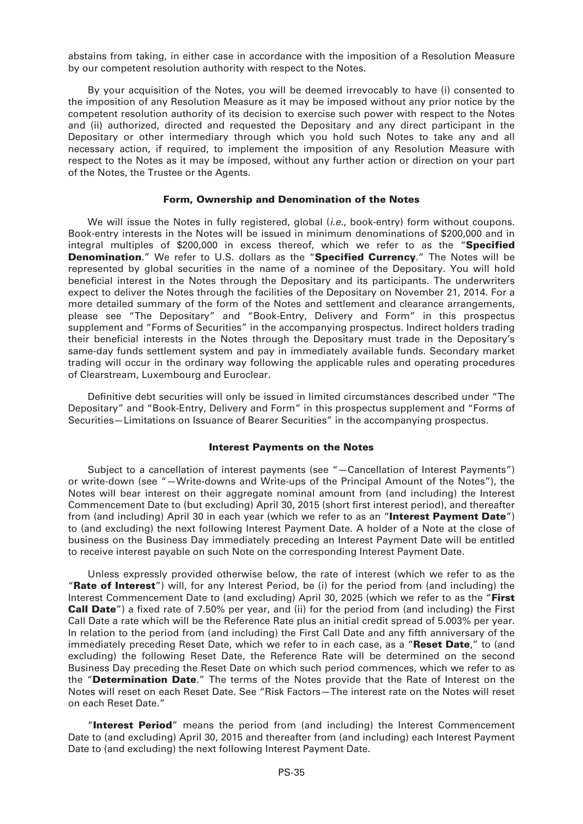abstains from taking, in either case in accordance with the imposition of a Resolution Measure by our competent resolution authority with respect to the Notes.

By your acquisition of the Notes, you will be deemed irrevocably to have (i) consented to the imposition of any Resolution Measure as it may be imposed without any prior notice by the competent resolution authority of its decision to exercise such power with respect to the Notes and (ii) authorized, directed and requested the Depositary and any direct participant in the Depositary or other intermediary through which you hold such Notes to take any and all necessary action, if required, to implement the imposition of any Resolution Measure with respect to the Notes as it may be imposed, without any further action or direction on your part of the Notes, the Trustee or the Agents.

#### **Form, Ownership and Denomination of the Notes**

We will issue the Notes in fully registered, global (*i.e.*, book-entry) form without coupons. Book-entry interests in the Notes will be issued in minimum denominations of \$200,000 and in integral multiples of \$200,000 in excess thereof, which we refer to as the "**Specified Denomination**." We refer to U.S. dollars as the "**Specified Currency**." The Notes will be represented by global securities in the name of a nominee of the Depositary. You will hold beneficial interest in the Notes through the Depositary and its participants. The underwriters expect to deliver the Notes through the facilities of the Depositary on November 21, 2014. For a more detailed summary of the form of the Notes and settlement and clearance arrangements, please see "The Depositary" and "Book-Entry, Delivery and Form" in this prospectus supplement and "Forms of Securities" in the accompanying prospectus. Indirect holders trading their beneficial interests in the Notes through the Depositary must trade in the Depositary's same-day funds settlement system and pay in immediately available funds. Secondary market trading will occur in the ordinary way following the applicable rules and operating procedures of Clearstream, Luxembourg and Euroclear.

Definitive debt securities will only be issued in limited circumstances described under "The Depositary" and "Book-Entry, Delivery and Form" in this prospectus supplement and "Forms of Securities—Limitations on Issuance of Bearer Securities" in the accompanying prospectus.

#### **Interest Payments on the Notes**

Subject to a cancellation of interest payments (see "—Cancellation of Interest Payments") or write-down (see "—Write-downs and Write-ups of the Principal Amount of the Notes"), the Notes will bear interest on their aggregate nominal amount from (and including) the Interest Commencement Date to (but excluding) April 30, 2015 (short first interest period), and thereafter from (and including) April 30 in each year (which we refer to as an "**Interest Payment Date**") to (and excluding) the next following Interest Payment Date. A holder of a Note at the close of business on the Business Day immediately preceding an Interest Payment Date will be entitled to receive interest payable on such Note on the corresponding Interest Payment Date.

Unless expressly provided otherwise below, the rate of interest (which we refer to as the "**Rate of Interest**") will, for any Interest Period, be (i) for the period from (and including) the Interest Commencement Date to (and excluding) April 30, 2025 (which we refer to as the "**First Call Date**") a fixed rate of 7.50% per year, and (ii) for the period from (and including) the First Call Date a rate which will be the Reference Rate plus an initial credit spread of 5.003% per year. In relation to the period from (and including) the First Call Date and any fifth anniversary of the immediately preceding Reset Date, which we refer to in each case, as a "**Reset Date**," to (and excluding) the following Reset Date, the Reference Rate will be determined on the second Business Day preceding the Reset Date on which such period commences, which we refer to as the "**Determination Date**." The terms of the Notes provide that the Rate of Interest on the Notes will reset on each Reset Date. See "Risk Factors—The interest rate on the Notes will reset on each Reset Date."

"**Interest Period**" means the period from (and including) the Interest Commencement Date to (and excluding) April 30, 2015 and thereafter from (and including) each Interest Payment Date to (and excluding) the next following Interest Payment Date.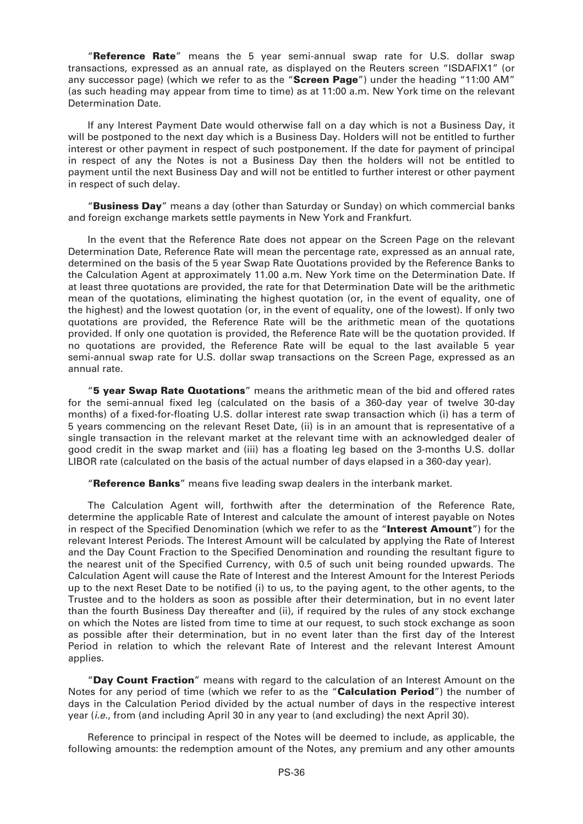"**Reference Rate**" means the 5 year semi-annual swap rate for U.S. dollar swap transactions, expressed as an annual rate, as displayed on the Reuters screen "ISDAFIX1" (or any successor page) (which we refer to as the "**Screen Page**") under the heading "11:00 AM" (as such heading may appear from time to time) as at 11:00 a.m. New York time on the relevant Determination Date.

If any Interest Payment Date would otherwise fall on a day which is not a Business Day, it will be postponed to the next day which is a Business Day. Holders will not be entitled to further interest or other payment in respect of such postponement. If the date for payment of principal in respect of any the Notes is not a Business Day then the holders will not be entitled to payment until the next Business Day and will not be entitled to further interest or other payment in respect of such delay.

"**Business Day**" means a day (other than Saturday or Sunday) on which commercial banks and foreign exchange markets settle payments in New York and Frankfurt.

In the event that the Reference Rate does not appear on the Screen Page on the relevant Determination Date, Reference Rate will mean the percentage rate, expressed as an annual rate, determined on the basis of the 5 year Swap Rate Quotations provided by the Reference Banks to the Calculation Agent at approximately 11.00 a.m. New York time on the Determination Date. If at least three quotations are provided, the rate for that Determination Date will be the arithmetic mean of the quotations, eliminating the highest quotation (or, in the event of equality, one of the highest) and the lowest quotation (or, in the event of equality, one of the lowest). If only two quotations are provided, the Reference Rate will be the arithmetic mean of the quotations provided. If only one quotation is provided, the Reference Rate will be the quotation provided. If no quotations are provided, the Reference Rate will be equal to the last available 5 year semi-annual swap rate for U.S. dollar swap transactions on the Screen Page, expressed as an annual rate.

"**5 year Swap Rate Quotations**" means the arithmetic mean of the bid and offered rates for the semi-annual fixed leg (calculated on the basis of a 360-day year of twelve 30-day months) of a fixed-for-floating U.S. dollar interest rate swap transaction which (i) has a term of 5 years commencing on the relevant Reset Date, (ii) is in an amount that is representative of a single transaction in the relevant market at the relevant time with an acknowledged dealer of good credit in the swap market and (iii) has a floating leg based on the 3-months U.S. dollar LIBOR rate (calculated on the basis of the actual number of days elapsed in a 360-day year).

"**Reference Banks**" means five leading swap dealers in the interbank market.

The Calculation Agent will, forthwith after the determination of the Reference Rate, determine the applicable Rate of Interest and calculate the amount of interest payable on Notes in respect of the Specified Denomination (which we refer to as the "**Interest Amount**") for the relevant Interest Periods. The Interest Amount will be calculated by applying the Rate of Interest and the Day Count Fraction to the Specified Denomination and rounding the resultant figure to the nearest unit of the Specified Currency, with 0.5 of such unit being rounded upwards. The Calculation Agent will cause the Rate of Interest and the Interest Amount for the Interest Periods up to the next Reset Date to be notified (i) to us, to the paying agent, to the other agents, to the Trustee and to the holders as soon as possible after their determination, but in no event later than the fourth Business Day thereafter and (ii), if required by the rules of any stock exchange on which the Notes are listed from time to time at our request, to such stock exchange as soon as possible after their determination, but in no event later than the first day of the Interest Period in relation to which the relevant Rate of Interest and the relevant Interest Amount applies.

"**Day Count Fraction**" means with regard to the calculation of an Interest Amount on the Notes for any period of time (which we refer to as the "**Calculation Period**") the number of days in the Calculation Period divided by the actual number of days in the respective interest year (*i.e.*, from (and including April 30 in any year to (and excluding) the next April 30).

Reference to principal in respect of the Notes will be deemed to include, as applicable, the following amounts: the redemption amount of the Notes, any premium and any other amounts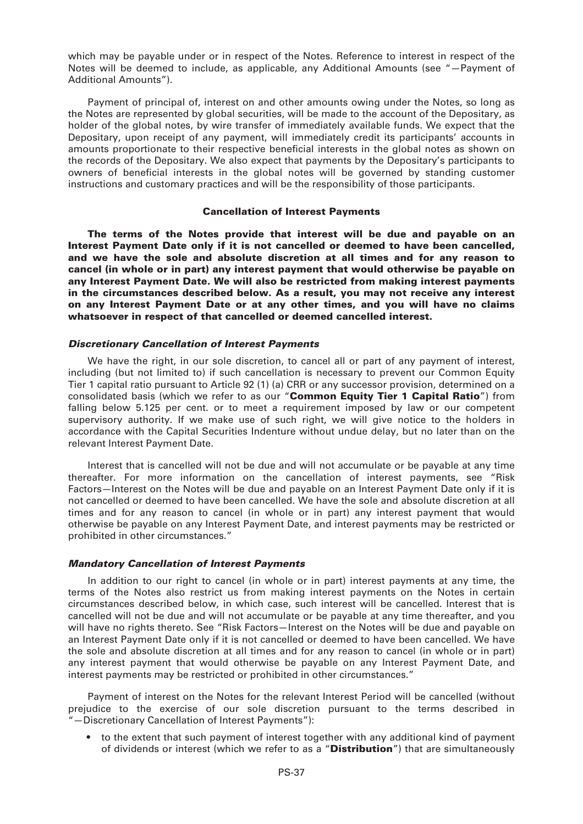which may be payable under or in respect of the Notes. Reference to interest in respect of the Notes will be deemed to include, as applicable, any Additional Amounts (see "—Payment of Additional Amounts").

Payment of principal of, interest on and other amounts owing under the Notes, so long as the Notes are represented by global securities, will be made to the account of the Depositary, as holder of the global notes, by wire transfer of immediately available funds. We expect that the Depositary, upon receipt of any payment, will immediately credit its participants' accounts in amounts proportionate to their respective beneficial interests in the global notes as shown on the records of the Depositary. We also expect that payments by the Depositary's participants to owners of beneficial interests in the global notes will be governed by standing customer instructions and customary practices and will be the responsibility of those participants.

# **Cancellation of Interest Payments**

**The terms of the Notes provide that interest will be due and payable on an Interest Payment Date only if it is not cancelled or deemed to have been cancelled, and we have the sole and absolute discretion at all times and for any reason to cancel (in whole or in part) any interest payment that would otherwise be payable on any Interest Payment Date. We will also be restricted from making interest payments in the circumstances described below. As a result, you may not receive any interest on any Interest Payment Date or at any other times, and you will have no claims whatsoever in respect of that cancelled or deemed cancelled interest.**

#### *Discretionary Cancellation of Interest Payments*

We have the right, in our sole discretion, to cancel all or part of any payment of interest, including (but not limited to) if such cancellation is necessary to prevent our Common Equity Tier 1 capital ratio pursuant to Article 92 (1) (a) CRR or any successor provision, determined on a consolidated basis (which we refer to as our "**Common Equity Tier 1 Capital Ratio**") from falling below 5.125 per cent. or to meet a requirement imposed by law or our competent supervisory authority. If we make use of such right, we will give notice to the holders in accordance with the Capital Securities Indenture without undue delay, but no later than on the relevant Interest Payment Date.

Interest that is cancelled will not be due and will not accumulate or be payable at any time thereafter. For more information on the cancellation of interest payments, see "Risk Factors—Interest on the Notes will be due and payable on an Interest Payment Date only if it is not cancelled or deemed to have been cancelled. We have the sole and absolute discretion at all times and for any reason to cancel (in whole or in part) any interest payment that would otherwise be payable on any Interest Payment Date, and interest payments may be restricted or prohibited in other circumstances."

# *Mandatory Cancellation of Interest Payments*

In addition to our right to cancel (in whole or in part) interest payments at any time, the terms of the Notes also restrict us from making interest payments on the Notes in certain circumstances described below, in which case, such interest will be cancelled. Interest that is cancelled will not be due and will not accumulate or be payable at any time thereafter, and you will have no rights thereto. See "Risk Factors—Interest on the Notes will be due and payable on an Interest Payment Date only if it is not cancelled or deemed to have been cancelled. We have the sole and absolute discretion at all times and for any reason to cancel (in whole or in part) any interest payment that would otherwise be payable on any Interest Payment Date, and interest payments may be restricted or prohibited in other circumstances."

Payment of interest on the Notes for the relevant Interest Period will be cancelled (without prejudice to the exercise of our sole discretion pursuant to the terms described in "—Discretionary Cancellation of Interest Payments"):

• to the extent that such payment of interest together with any additional kind of payment of dividends or interest (which we refer to as a "**Distribution**") that are simultaneously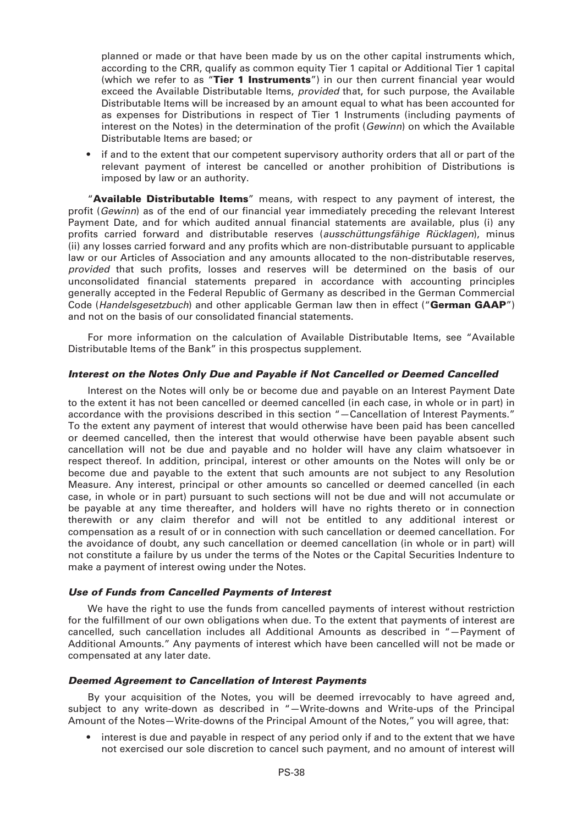planned or made or that have been made by us on the other capital instruments which, according to the CRR, qualify as common equity Tier 1 capital or Additional Tier 1 capital (which we refer to as "**Tier 1 Instruments**") in our then current financial year would exceed the Available Distributable Items, *provided* that, for such purpose, the Available Distributable Items will be increased by an amount equal to what has been accounted for as expenses for Distributions in respect of Tier 1 Instruments (including payments of interest on the Notes) in the determination of the profit (*Gewinn*) on which the Available Distributable Items are based; or

• if and to the extent that our competent supervisory authority orders that all or part of the relevant payment of interest be cancelled or another prohibition of Distributions is imposed by law or an authority.

"**Available Distributable Items**" means, with respect to any payment of interest, the profit (*Gewinn*) as of the end of our financial year immediately preceding the relevant Interest Payment Date, and for which audited annual financial statements are available, plus (i) any profits carried forward and distributable reserves (*ausschüttungsfähige Rücklagen*), minus (ii) any losses carried forward and any profits which are non-distributable pursuant to applicable law or our Articles of Association and any amounts allocated to the non-distributable reserves, *provided* that such profits, losses and reserves will be determined on the basis of our unconsolidated financial statements prepared in accordance with accounting principles generally accepted in the Federal Republic of Germany as described in the German Commercial Code (*Handelsgesetzbuch*) and other applicable German law then in effect ("**German GAAP**") and not on the basis of our consolidated financial statements.

For more information on the calculation of Available Distributable Items, see "Available Distributable Items of the Bank" in this prospectus supplement.

# *Interest on the Notes Only Due and Payable if Not Cancelled or Deemed Cancelled*

Interest on the Notes will only be or become due and payable on an Interest Payment Date to the extent it has not been cancelled or deemed cancelled (in each case, in whole or in part) in accordance with the provisions described in this section "—Cancellation of Interest Payments." To the extent any payment of interest that would otherwise have been paid has been cancelled or deemed cancelled, then the interest that would otherwise have been payable absent such cancellation will not be due and payable and no holder will have any claim whatsoever in respect thereof. In addition, principal, interest or other amounts on the Notes will only be or become due and payable to the extent that such amounts are not subject to any Resolution Measure. Any interest, principal or other amounts so cancelled or deemed cancelled (in each case, in whole or in part) pursuant to such sections will not be due and will not accumulate or be payable at any time thereafter, and holders will have no rights thereto or in connection therewith or any claim therefor and will not be entitled to any additional interest or compensation as a result of or in connection with such cancellation or deemed cancellation. For the avoidance of doubt, any such cancellation or deemed cancellation (in whole or in part) will not constitute a failure by us under the terms of the Notes or the Capital Securities Indenture to make a payment of interest owing under the Notes.

# *Use of Funds from Cancelled Payments of Interest*

We have the right to use the funds from cancelled payments of interest without restriction for the fulfillment of our own obligations when due. To the extent that payments of interest are cancelled, such cancellation includes all Additional Amounts as described in "—Payment of Additional Amounts." Any payments of interest which have been cancelled will not be made or compensated at any later date.

# *Deemed Agreement to Cancellation of Interest Payments*

By your acquisition of the Notes, you will be deemed irrevocably to have agreed and, subject to any write-down as described in "—Write-downs and Write-ups of the Principal Amount of the Notes—Write-downs of the Principal Amount of the Notes," you will agree, that:

• interest is due and payable in respect of any period only if and to the extent that we have not exercised our sole discretion to cancel such payment, and no amount of interest will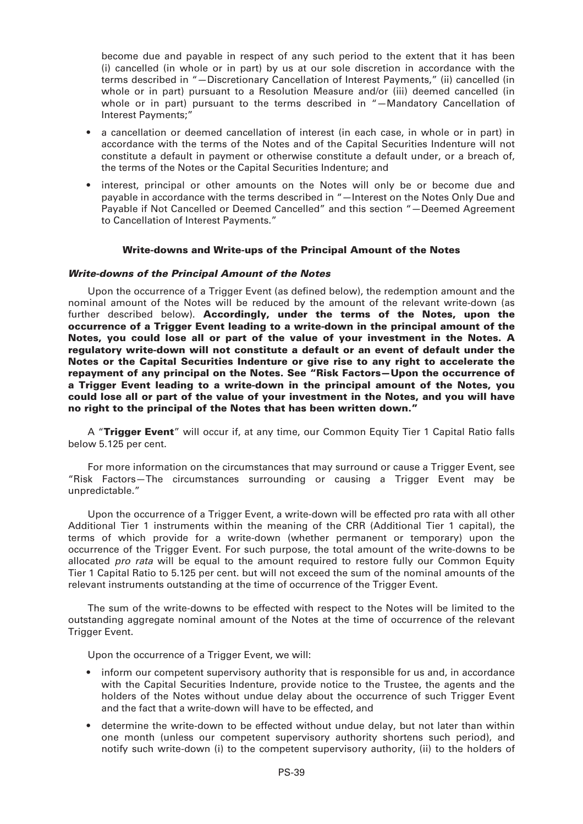become due and payable in respect of any such period to the extent that it has been (i) cancelled (in whole or in part) by us at our sole discretion in accordance with the terms described in "—Discretionary Cancellation of Interest Payments," (ii) cancelled (in whole or in part) pursuant to a Resolution Measure and/or (iii) deemed cancelled (in whole or in part) pursuant to the terms described in "—Mandatory Cancellation of Interest Payments;"

- a cancellation or deemed cancellation of interest (in each case, in whole or in part) in accordance with the terms of the Notes and of the Capital Securities Indenture will not constitute a default in payment or otherwise constitute a default under, or a breach of, the terms of the Notes or the Capital Securities Indenture; and
- interest, principal or other amounts on the Notes will only be or become due and payable in accordance with the terms described in "—Interest on the Notes Only Due and Payable if Not Cancelled or Deemed Cancelled" and this section "—Deemed Agreement to Cancellation of Interest Payments."

# **Write-downs and Write-ups of the Principal Amount of the Notes**

# *Write-downs of the Principal Amount of the Notes*

Upon the occurrence of a Trigger Event (as defined below), the redemption amount and the nominal amount of the Notes will be reduced by the amount of the relevant write-down (as further described below). **Accordingly, under the terms of the Notes, upon the occurrence of a Trigger Event leading to a write-down in the principal amount of the Notes, you could lose all or part of the value of your investment in the Notes. A regulatory write-down will not constitute a default or an event of default under the Notes or the Capital Securities Indenture or give rise to any right to accelerate the repayment of any principal on the Notes. See "Risk Factors—Upon the occurrence of a Trigger Event leading to a write-down in the principal amount of the Notes, you could lose all or part of the value of your investment in the Notes, and you will have no right to the principal of the Notes that has been written down."**

A "**Trigger Event**" will occur if, at any time, our Common Equity Tier 1 Capital Ratio falls below 5.125 per cent.

For more information on the circumstances that may surround or cause a Trigger Event, see "Risk Factors—The circumstances surrounding or causing a Trigger Event may be unpredictable."

Upon the occurrence of a Trigger Event, a write-down will be effected pro rata with all other Additional Tier 1 instruments within the meaning of the CRR (Additional Tier 1 capital), the terms of which provide for a write-down (whether permanent or temporary) upon the occurrence of the Trigger Event. For such purpose, the total amount of the write-downs to be allocated *pro rata* will be equal to the amount required to restore fully our Common Equity Tier 1 Capital Ratio to 5.125 per cent. but will not exceed the sum of the nominal amounts of the relevant instruments outstanding at the time of occurrence of the Trigger Event.

The sum of the write-downs to be effected with respect to the Notes will be limited to the outstanding aggregate nominal amount of the Notes at the time of occurrence of the relevant Trigger Event.

Upon the occurrence of a Trigger Event, we will:

- inform our competent supervisory authority that is responsible for us and, in accordance with the Capital Securities Indenture, provide notice to the Trustee, the agents and the holders of the Notes without undue delay about the occurrence of such Trigger Event and the fact that a write-down will have to be effected, and
- determine the write-down to be effected without undue delay, but not later than within one month (unless our competent supervisory authority shortens such period), and notify such write-down (i) to the competent supervisory authority, (ii) to the holders of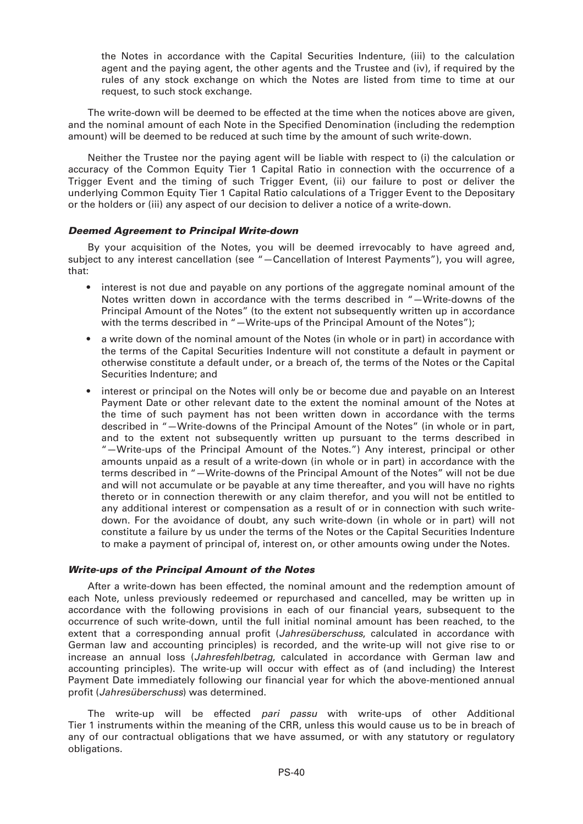the Notes in accordance with the Capital Securities Indenture, (iii) to the calculation agent and the paying agent, the other agents and the Trustee and (iv), if required by the rules of any stock exchange on which the Notes are listed from time to time at our request, to such stock exchange.

The write-down will be deemed to be effected at the time when the notices above are given, and the nominal amount of each Note in the Specified Denomination (including the redemption amount) will be deemed to be reduced at such time by the amount of such write-down.

Neither the Trustee nor the paying agent will be liable with respect to (i) the calculation or accuracy of the Common Equity Tier 1 Capital Ratio in connection with the occurrence of a Trigger Event and the timing of such Trigger Event, (ii) our failure to post or deliver the underlying Common Equity Tier 1 Capital Ratio calculations of a Trigger Event to the Depositary or the holders or (iii) any aspect of our decision to deliver a notice of a write-down.

# *Deemed Agreement to Principal Write-down*

By your acquisition of the Notes, you will be deemed irrevocably to have agreed and, subject to any interest cancellation (see "—Cancellation of Interest Payments"), you will agree, that:

- interest is not due and payable on any portions of the aggregate nominal amount of the Notes written down in accordance with the terms described in "—Write-downs of the Principal Amount of the Notes" (to the extent not subsequently written up in accordance with the terms described in "-Write-ups of the Principal Amount of the Notes");
- a write down of the nominal amount of the Notes (in whole or in part) in accordance with the terms of the Capital Securities Indenture will not constitute a default in payment or otherwise constitute a default under, or a breach of, the terms of the Notes or the Capital Securities Indenture; and
- interest or principal on the Notes will only be or become due and payable on an Interest Payment Date or other relevant date to the extent the nominal amount of the Notes at the time of such payment has not been written down in accordance with the terms described in "—Write-downs of the Principal Amount of the Notes" (in whole or in part, and to the extent not subsequently written up pursuant to the terms described in "—Write-ups of the Principal Amount of the Notes.") Any interest, principal or other amounts unpaid as a result of a write-down (in whole or in part) in accordance with the terms described in "—Write-downs of the Principal Amount of the Notes" will not be due and will not accumulate or be payable at any time thereafter, and you will have no rights thereto or in connection therewith or any claim therefor, and you will not be entitled to any additional interest or compensation as a result of or in connection with such writedown. For the avoidance of doubt, any such write-down (in whole or in part) will not constitute a failure by us under the terms of the Notes or the Capital Securities Indenture to make a payment of principal of, interest on, or other amounts owing under the Notes.

# *Write-ups of the Principal Amount of the Notes*

After a write-down has been effected, the nominal amount and the redemption amount of each Note, unless previously redeemed or repurchased and cancelled, may be written up in accordance with the following provisions in each of our financial years, subsequent to the occurrence of such write-down, until the full initial nominal amount has been reached, to the extent that a corresponding annual profit (*Jahresüberschuss*, calculated in accordance with German law and accounting principles) is recorded, and the write-up will not give rise to or increase an annual loss (*Jahresfehlbetrag*, calculated in accordance with German law and accounting principles). The write-up will occur with effect as of (and including) the Interest Payment Date immediately following our financial year for which the above-mentioned annual profit (*Jahresüberschuss*) was determined.

The write-up will be effected *pari passu* with write-ups of other Additional Tier 1 instruments within the meaning of the CRR, unless this would cause us to be in breach of any of our contractual obligations that we have assumed, or with any statutory or regulatory obligations.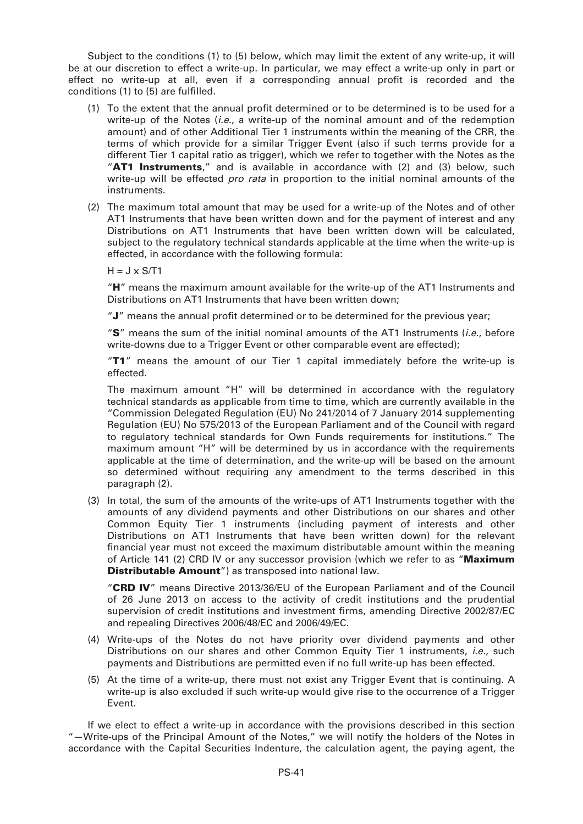Subject to the conditions (1) to (5) below, which may limit the extent of any write-up, it will be at our discretion to effect a write-up. In particular, we may effect a write-up only in part or effect no write-up at all, even if a corresponding annual profit is recorded and the conditions (1) to (5) are fulfilled.

- (1) To the extent that the annual profit determined or to be determined is to be used for a write-up of the Notes (*i.e.*, a write-up of the nominal amount and of the redemption amount) and of other Additional Tier 1 instruments within the meaning of the CRR, the terms of which provide for a similar Trigger Event (also if such terms provide for a different Tier 1 capital ratio as trigger), which we refer to together with the Notes as the "**AT1 Instruments**," and is available in accordance with (2) and (3) below, such write-up will be effected *pro rata* in proportion to the initial nominal amounts of the instruments.
- (2) The maximum total amount that may be used for a write-up of the Notes and of other AT1 Instruments that have been written down and for the payment of interest and any Distributions on AT1 Instruments that have been written down will be calculated, subject to the regulatory technical standards applicable at the time when the write-up is effected, in accordance with the following formula:

 $H = J \times S/T1$ 

"**H**" means the maximum amount available for the write-up of the AT1 Instruments and Distributions on AT1 Instruments that have been written down;

"**J**" means the annual profit determined or to be determined for the previous year;

"**S**" means the sum of the initial nominal amounts of the AT1 Instruments (*i.e.*, before write-downs due to a Trigger Event or other comparable event are effected);

"**T1**" means the amount of our Tier 1 capital immediately before the write-up is effected.

The maximum amount "H" will be determined in accordance with the regulatory technical standards as applicable from time to time, which are currently available in the "Commission Delegated Regulation (EU) No 241/2014 of 7 January 2014 supplementing Regulation (EU) No 575/2013 of the European Parliament and of the Council with regard to regulatory technical standards for Own Funds requirements for institutions." The maximum amount "H" will be determined by us in accordance with the requirements applicable at the time of determination, and the write-up will be based on the amount so determined without requiring any amendment to the terms described in this paragraph (2).

(3) In total, the sum of the amounts of the write-ups of AT1 Instruments together with the amounts of any dividend payments and other Distributions on our shares and other Common Equity Tier 1 instruments (including payment of interests and other Distributions on AT1 Instruments that have been written down) for the relevant financial year must not exceed the maximum distributable amount within the meaning of Article 141 (2) CRD IV or any successor provision (which we refer to as "**Maximum Distributable Amount**") as transposed into national law.

"**CRD IV**" means Directive 2013/36/EU of the European Parliament and of the Council of 26 June 2013 on access to the activity of credit institutions and the prudential supervision of credit institutions and investment firms, amending Directive 2002/87/EC and repealing Directives 2006/48/EC and 2006/49/EC.

- (4) Write-ups of the Notes do not have priority over dividend payments and other Distributions on our shares and other Common Equity Tier 1 instruments, *i.e.*, such payments and Distributions are permitted even if no full write-up has been effected.
- (5) At the time of a write-up, there must not exist any Trigger Event that is continuing. A write-up is also excluded if such write-up would give rise to the occurrence of a Trigger Event.

If we elect to effect a write-up in accordance with the provisions described in this section "—Write-ups of the Principal Amount of the Notes," we will notify the holders of the Notes in accordance with the Capital Securities Indenture, the calculation agent, the paying agent, the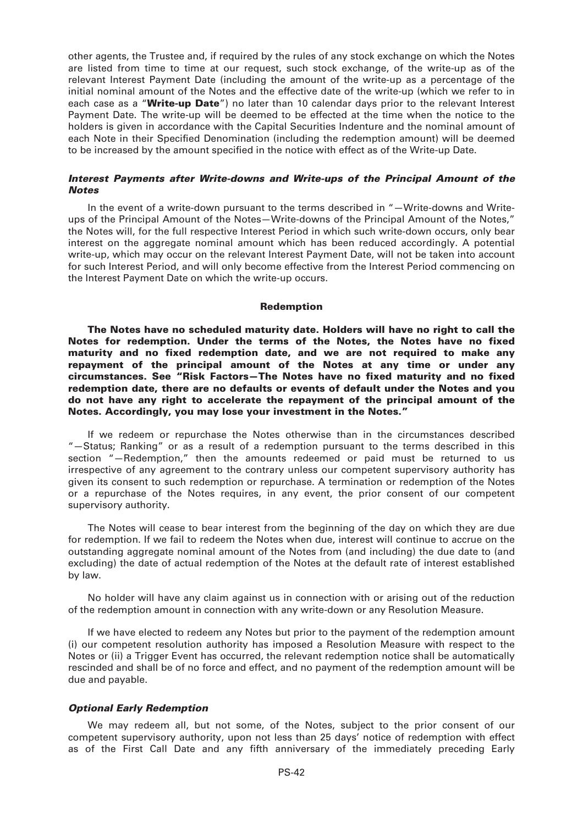other agents, the Trustee and, if required by the rules of any stock exchange on which the Notes are listed from time to time at our request, such stock exchange, of the write-up as of the relevant Interest Payment Date (including the amount of the write-up as a percentage of the initial nominal amount of the Notes and the effective date of the write-up (which we refer to in each case as a "**Write-up Date**") no later than 10 calendar days prior to the relevant Interest Payment Date. The write-up will be deemed to be effected at the time when the notice to the holders is given in accordance with the Capital Securities Indenture and the nominal amount of each Note in their Specified Denomination (including the redemption amount) will be deemed to be increased by the amount specified in the notice with effect as of the Write-up Date.

# *Interest Payments after Write-downs and Write-ups of the Principal Amount of the Notes*

In the event of a write-down pursuant to the terms described in "—Write-downs and Writeups of the Principal Amount of the Notes—Write-downs of the Principal Amount of the Notes," the Notes will, for the full respective Interest Period in which such write-down occurs, only bear interest on the aggregate nominal amount which has been reduced accordingly. A potential write-up, which may occur on the relevant Interest Payment Date, will not be taken into account for such Interest Period, and will only become effective from the Interest Period commencing on the Interest Payment Date on which the write-up occurs.

#### **Redemption**

**The Notes have no scheduled maturity date. Holders will have no right to call the Notes for redemption. Under the terms of the Notes, the Notes have no fixed maturity and no fixed redemption date, and we are not required to make any repayment of the principal amount of the Notes at any time or under any circumstances. See "Risk Factors—The Notes have no fixed maturity and no fixed redemption date, there are no defaults or events of default under the Notes and you do not have any right to accelerate the repayment of the principal amount of the Notes. Accordingly, you may lose your investment in the Notes."**

If we redeem or repurchase the Notes otherwise than in the circumstances described "—Status; Ranking" or as a result of a redemption pursuant to the terms described in this section "—Redemption," then the amounts redeemed or paid must be returned to us irrespective of any agreement to the contrary unless our competent supervisory authority has given its consent to such redemption or repurchase. A termination or redemption of the Notes or a repurchase of the Notes requires, in any event, the prior consent of our competent supervisory authority.

The Notes will cease to bear interest from the beginning of the day on which they are due for redemption. If we fail to redeem the Notes when due, interest will continue to accrue on the outstanding aggregate nominal amount of the Notes from (and including) the due date to (and excluding) the date of actual redemption of the Notes at the default rate of interest established by law.

No holder will have any claim against us in connection with or arising out of the reduction of the redemption amount in connection with any write-down or any Resolution Measure.

If we have elected to redeem any Notes but prior to the payment of the redemption amount (i) our competent resolution authority has imposed a Resolution Measure with respect to the Notes or (ii) a Trigger Event has occurred, the relevant redemption notice shall be automatically rescinded and shall be of no force and effect, and no payment of the redemption amount will be due and payable.

# *Optional Early Redemption*

We may redeem all, but not some, of the Notes, subject to the prior consent of our competent supervisory authority, upon not less than 25 days' notice of redemption with effect as of the First Call Date and any fifth anniversary of the immediately preceding Early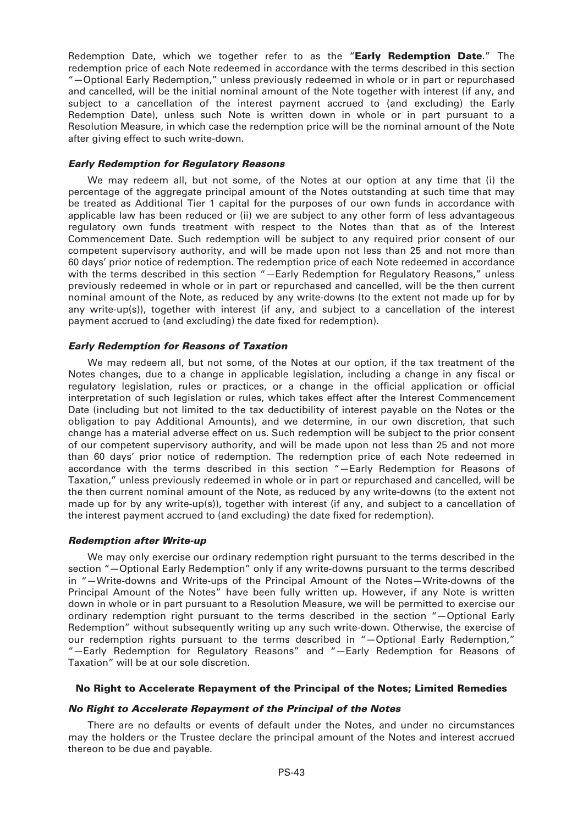Redemption Date, which we together refer to as the "**Early Redemption Date**." The redemption price of each Note redeemed in accordance with the terms described in this section "—Optional Early Redemption," unless previously redeemed in whole or in part or repurchased and cancelled, will be the initial nominal amount of the Note together with interest (if any, and subject to a cancellation of the interest payment accrued to (and excluding) the Early Redemption Date), unless such Note is written down in whole or in part pursuant to a Resolution Measure, in which case the redemption price will be the nominal amount of the Note after giving effect to such write-down.

# *Early Redemption for Regulatory Reasons*

We may redeem all, but not some, of the Notes at our option at any time that (i) the percentage of the aggregate principal amount of the Notes outstanding at such time that may be treated as Additional Tier 1 capital for the purposes of our own funds in accordance with applicable law has been reduced or (ii) we are subject to any other form of less advantageous regulatory own funds treatment with respect to the Notes than that as of the Interest Commencement Date. Such redemption will be subject to any required prior consent of our competent supervisory authority, and will be made upon not less than 25 and not more than 60 days' prior notice of redemption. The redemption price of each Note redeemed in accordance with the terms described in this section "-Early Redemption for Regulatory Reasons," unless previously redeemed in whole or in part or repurchased and cancelled, will be the then current nominal amount of the Note, as reduced by any write-downs (to the extent not made up for by any write-up(s)), together with interest (if any, and subject to a cancellation of the interest payment accrued to (and excluding) the date fixed for redemption).

# *Early Redemption for Reasons of Taxation*

We may redeem all, but not some, of the Notes at our option, if the tax treatment of the Notes changes, due to a change in applicable legislation, including a change in any fiscal or regulatory legislation, rules or practices, or a change in the official application or official interpretation of such legislation or rules, which takes effect after the Interest Commencement Date (including but not limited to the tax deductibility of interest payable on the Notes or the obligation to pay Additional Amounts), and we determine, in our own discretion, that such change has a material adverse effect on us. Such redemption will be subject to the prior consent of our competent supervisory authority, and will be made upon not less than 25 and not more than 60 days' prior notice of redemption. The redemption price of each Note redeemed in accordance with the terms described in this section "—Early Redemption for Reasons of Taxation," unless previously redeemed in whole or in part or repurchased and cancelled, will be the then current nominal amount of the Note, as reduced by any write-downs (to the extent not made up for by any write-up(s)), together with interest (if any, and subject to a cancellation of the interest payment accrued to (and excluding) the date fixed for redemption).

# *Redemption after Write-up*

We may only exercise our ordinary redemption right pursuant to the terms described in the section "—Optional Early Redemption" only if any write-downs pursuant to the terms described in "—Write-downs and Write-ups of the Principal Amount of the Notes—Write-downs of the Principal Amount of the Notes" have been fully written up. However, if any Note is written down in whole or in part pursuant to a Resolution Measure, we will be permitted to exercise our ordinary redemption right pursuant to the terms described in the section "—Optional Early Redemption" without subsequently writing up any such write-down. Otherwise, the exercise of our redemption rights pursuant to the terms described in "—Optional Early Redemption," "—Early Redemption for Regulatory Reasons" and "—Early Redemption for Reasons of Taxation" will be at our sole discretion.

# **No Right to Accelerate Repayment of the Principal of the Notes; Limited Remedies**

# *No Right to Accelerate Repayment of the Principal of the Notes*

There are no defaults or events of default under the Notes, and under no circumstances may the holders or the Trustee declare the principal amount of the Notes and interest accrued thereon to be due and payable.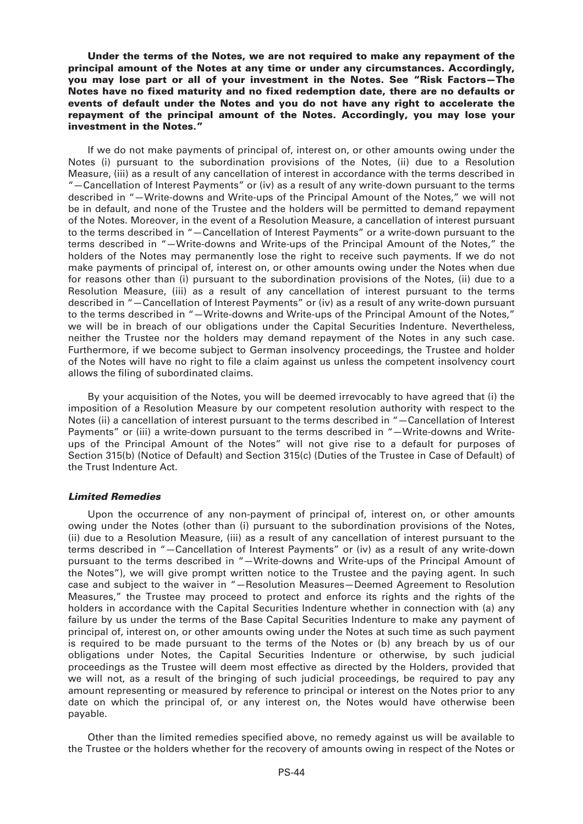**Under the terms of the Notes, we are not required to make any repayment of the principal amount of the Notes at any time or under any circumstances. Accordingly, you may lose part or all of your investment in the Notes. See "Risk Factors—The Notes have no fixed maturity and no fixed redemption date, there are no defaults or events of default under the Notes and you do not have any right to accelerate the repayment of the principal amount of the Notes. Accordingly, you may lose your investment in the Notes."**

If we do not make payments of principal of, interest on, or other amounts owing under the Notes (i) pursuant to the subordination provisions of the Notes, (ii) due to a Resolution Measure, (iii) as a result of any cancellation of interest in accordance with the terms described in "—Cancellation of Interest Payments" or (iv) as a result of any write-down pursuant to the terms described in "—Write-downs and Write-ups of the Principal Amount of the Notes," we will not be in default, and none of the Trustee and the holders will be permitted to demand repayment of the Notes. Moreover, in the event of a Resolution Measure, a cancellation of interest pursuant to the terms described in "—Cancellation of Interest Payments" or a write-down pursuant to the terms described in "—Write-downs and Write-ups of the Principal Amount of the Notes," the holders of the Notes may permanently lose the right to receive such payments. If we do not make payments of principal of, interest on, or other amounts owing under the Notes when due for reasons other than (i) pursuant to the subordination provisions of the Notes, (ii) due to a Resolution Measure, (iii) as a result of any cancellation of interest pursuant to the terms described in "—Cancellation of Interest Payments" or (iv) as a result of any write-down pursuant to the terms described in "-Write-downs and Write-ups of the Principal Amount of the Notes," we will be in breach of our obligations under the Capital Securities Indenture. Nevertheless, neither the Trustee nor the holders may demand repayment of the Notes in any such case. Furthermore, if we become subject to German insolvency proceedings, the Trustee and holder of the Notes will have no right to file a claim against us unless the competent insolvency court allows the filing of subordinated claims.

By your acquisition of the Notes, you will be deemed irrevocably to have agreed that (i) the imposition of a Resolution Measure by our competent resolution authority with respect to the Notes (ii) a cancellation of interest pursuant to the terms described in "—Cancellation of Interest Payments" or (iii) a write-down pursuant to the terms described in "—Write-downs and Writeups of the Principal Amount of the Notes" will not give rise to a default for purposes of Section 315(b) (Notice of Default) and Section 315(c) (Duties of the Trustee in Case of Default) of the Trust Indenture Act.

# *Limited Remedies*

Upon the occurrence of any non-payment of principal of, interest on, or other amounts owing under the Notes (other than (i) pursuant to the subordination provisions of the Notes, (ii) due to a Resolution Measure, (iii) as a result of any cancellation of interest pursuant to the terms described in "—Cancellation of Interest Payments" or (iv) as a result of any write-down pursuant to the terms described in "—Write-downs and Write-ups of the Principal Amount of the Notes"), we will give prompt written notice to the Trustee and the paying agent. In such case and subject to the waiver in "—Resolution Measures—Deemed Agreement to Resolution Measures," the Trustee may proceed to protect and enforce its rights and the rights of the holders in accordance with the Capital Securities Indenture whether in connection with (a) any failure by us under the terms of the Base Capital Securities Indenture to make any payment of principal of, interest on, or other amounts owing under the Notes at such time as such payment is required to be made pursuant to the terms of the Notes or (b) any breach by us of our obligations under Notes, the Capital Securities Indenture or otherwise, by such judicial proceedings as the Trustee will deem most effective as directed by the Holders, provided that we will not, as a result of the bringing of such judicial proceedings, be required to pay any amount representing or measured by reference to principal or interest on the Notes prior to any date on which the principal of, or any interest on, the Notes would have otherwise been payable.

Other than the limited remedies specified above, no remedy against us will be available to the Trustee or the holders whether for the recovery of amounts owing in respect of the Notes or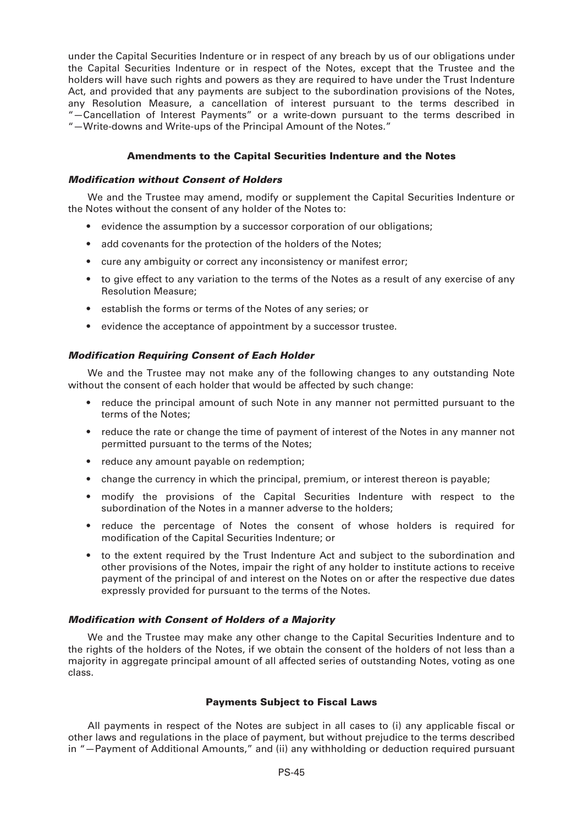under the Capital Securities Indenture or in respect of any breach by us of our obligations under the Capital Securities Indenture or in respect of the Notes, except that the Trustee and the holders will have such rights and powers as they are required to have under the Trust Indenture Act, and provided that any payments are subject to the subordination provisions of the Notes. any Resolution Measure, a cancellation of interest pursuant to the terms described in "—Cancellation of Interest Payments" or a write-down pursuant to the terms described in "—Write-downs and Write-ups of the Principal Amount of the Notes."

# **Amendments to the Capital Securities Indenture and the Notes**

# *Modification without Consent of Holders*

We and the Trustee may amend, modify or supplement the Capital Securities Indenture or the Notes without the consent of any holder of the Notes to:

- evidence the assumption by a successor corporation of our obligations;
- add covenants for the protection of the holders of the Notes:
- cure any ambiguity or correct any inconsistency or manifest error;
- to give effect to any variation to the terms of the Notes as a result of any exercise of any Resolution Measure;
- establish the forms or terms of the Notes of any series; or
- evidence the acceptance of appointment by a successor trustee.

# *Modification Requiring Consent of Each Holder*

We and the Trustee may not make any of the following changes to any outstanding Note without the consent of each holder that would be affected by such change:

- reduce the principal amount of such Note in any manner not permitted pursuant to the terms of the Notes;
- reduce the rate or change the time of payment of interest of the Notes in any manner not permitted pursuant to the terms of the Notes;
- reduce any amount payable on redemption;
- change the currency in which the principal, premium, or interest thereon is payable;
- modify the provisions of the Capital Securities Indenture with respect to the subordination of the Notes in a manner adverse to the holders;
- reduce the percentage of Notes the consent of whose holders is required for modification of the Capital Securities Indenture; or
- to the extent required by the Trust Indenture Act and subject to the subordination and other provisions of the Notes, impair the right of any holder to institute actions to receive payment of the principal of and interest on the Notes on or after the respective due dates expressly provided for pursuant to the terms of the Notes.

# *Modification with Consent of Holders of a Majority*

We and the Trustee may make any other change to the Capital Securities Indenture and to the rights of the holders of the Notes, if we obtain the consent of the holders of not less than a majority in aggregate principal amount of all affected series of outstanding Notes, voting as one class.

# **Payments Subject to Fiscal Laws**

All payments in respect of the Notes are subject in all cases to (i) any applicable fiscal or other laws and regulations in the place of payment, but without prejudice to the terms described in "—Payment of Additional Amounts," and (ii) any withholding or deduction required pursuant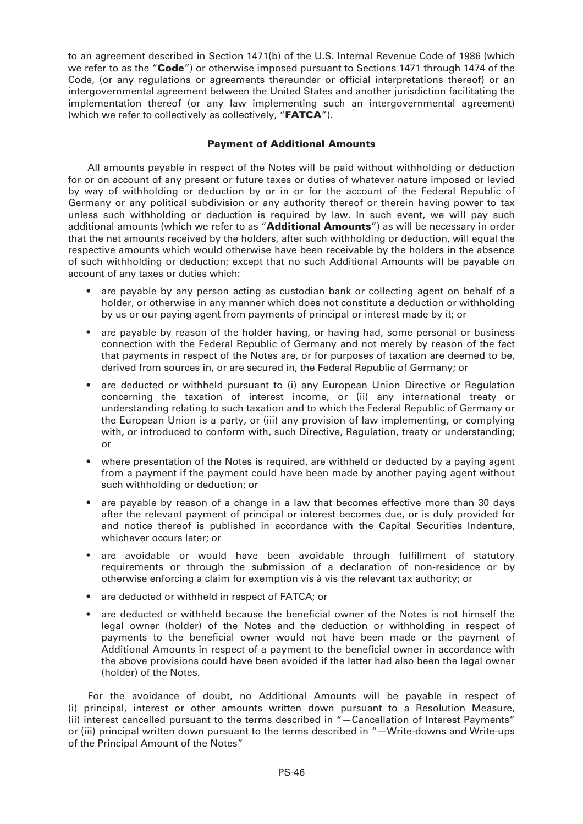to an agreement described in Section 1471(b) of the U.S. Internal Revenue Code of 1986 (which we refer to as the "**Code**") or otherwise imposed pursuant to Sections 1471 through 1474 of the Code, (or any regulations or agreements thereunder or official interpretations thereof) or an intergovernmental agreement between the United States and another jurisdiction facilitating the implementation thereof (or any law implementing such an intergovernmental agreement) (which we refer to collectively as collectively, "**FATCA**").

# **Payment of Additional Amounts**

All amounts payable in respect of the Notes will be paid without withholding or deduction for or on account of any present or future taxes or duties of whatever nature imposed or levied by way of withholding or deduction by or in or for the account of the Federal Republic of Germany or any political subdivision or any authority thereof or therein having power to tax unless such withholding or deduction is required by law. In such event, we will pay such additional amounts (which we refer to as "**Additional Amounts**") as will be necessary in order that the net amounts received by the holders, after such withholding or deduction, will equal the respective amounts which would otherwise have been receivable by the holders in the absence of such withholding or deduction; except that no such Additional Amounts will be payable on account of any taxes or duties which:

- are payable by any person acting as custodian bank or collecting agent on behalf of a holder, or otherwise in any manner which does not constitute a deduction or withholding by us or our paying agent from payments of principal or interest made by it; or
- are payable by reason of the holder having, or having had, some personal or business connection with the Federal Republic of Germany and not merely by reason of the fact that payments in respect of the Notes are, or for purposes of taxation are deemed to be, derived from sources in, or are secured in, the Federal Republic of Germany; or
- are deducted or withheld pursuant to (i) any European Union Directive or Regulation concerning the taxation of interest income, or (ii) any international treaty or understanding relating to such taxation and to which the Federal Republic of Germany or the European Union is a party, or (iii) any provision of law implementing, or complying with, or introduced to conform with, such Directive, Regulation, treaty or understanding; or
- where presentation of the Notes is required, are withheld or deducted by a paying agent from a payment if the payment could have been made by another paying agent without such withholding or deduction; or
- are payable by reason of a change in a law that becomes effective more than 30 days after the relevant payment of principal or interest becomes due, or is duly provided for and notice thereof is published in accordance with the Capital Securities Indenture, whichever occurs later; or
- are avoidable or would have been avoidable through fulfillment of statutory requirements or through the submission of a declaration of non-residence or by otherwise enforcing a claim for exemption vis à vis the relevant tax authority; or
- are deducted or withheld in respect of FATCA; or
- are deducted or withheld because the beneficial owner of the Notes is not himself the legal owner (holder) of the Notes and the deduction or withholding in respect of payments to the beneficial owner would not have been made or the payment of Additional Amounts in respect of a payment to the beneficial owner in accordance with the above provisions could have been avoided if the latter had also been the legal owner (holder) of the Notes.

For the avoidance of doubt, no Additional Amounts will be payable in respect of (i) principal, interest or other amounts written down pursuant to a Resolution Measure, (ii) interest cancelled pursuant to the terms described in "—Cancellation of Interest Payments" or (iii) principal written down pursuant to the terms described in "—Write-downs and Write-ups of the Principal Amount of the Notes"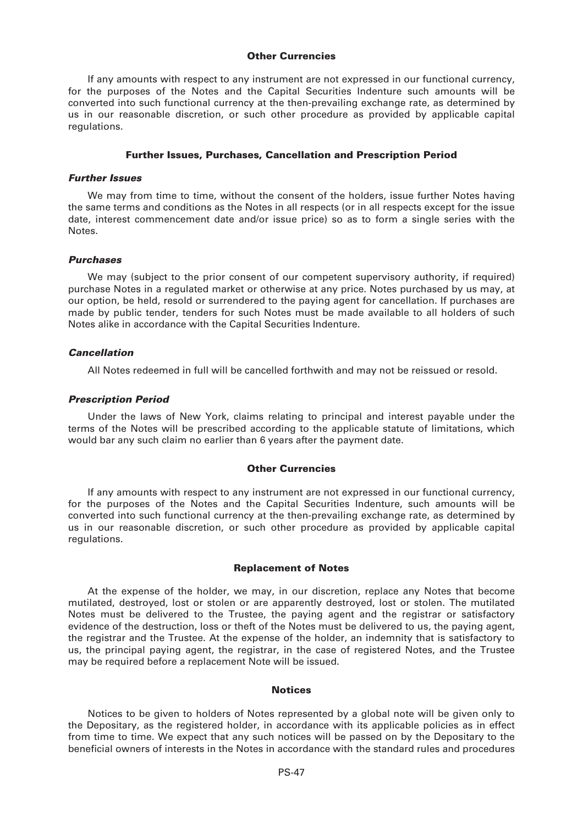#### **Other Currencies**

If any amounts with respect to any instrument are not expressed in our functional currency, for the purposes of the Notes and the Capital Securities Indenture such amounts will be converted into such functional currency at the then-prevailing exchange rate, as determined by us in our reasonable discretion, or such other procedure as provided by applicable capital regulations.

#### **Further Issues, Purchases, Cancellation and Prescription Period**

#### *Further Issues*

We may from time to time, without the consent of the holders, issue further Notes having the same terms and conditions as the Notes in all respects (or in all respects except for the issue date, interest commencement date and/or issue price) so as to form a single series with the Notes.

#### *Purchases*

We may (subject to the prior consent of our competent supervisory authority, if required) purchase Notes in a regulated market or otherwise at any price. Notes purchased by us may, at our option, be held, resold or surrendered to the paying agent for cancellation. If purchases are made by public tender, tenders for such Notes must be made available to all holders of such Notes alike in accordance with the Capital Securities Indenture.

#### *Cancellation*

All Notes redeemed in full will be cancelled forthwith and may not be reissued or resold.

#### *Prescription Period*

Under the laws of New York, claims relating to principal and interest payable under the terms of the Notes will be prescribed according to the applicable statute of limitations, which would bar any such claim no earlier than 6 years after the payment date.

#### **Other Currencies**

If any amounts with respect to any instrument are not expressed in our functional currency, for the purposes of the Notes and the Capital Securities Indenture, such amounts will be converted into such functional currency at the then-prevailing exchange rate, as determined by us in our reasonable discretion, or such other procedure as provided by applicable capital regulations.

#### **Replacement of Notes**

At the expense of the holder, we may, in our discretion, replace any Notes that become mutilated, destroyed, lost or stolen or are apparently destroyed, lost or stolen. The mutilated Notes must be delivered to the Trustee, the paying agent and the registrar or satisfactory evidence of the destruction, loss or theft of the Notes must be delivered to us, the paying agent, the registrar and the Trustee. At the expense of the holder, an indemnity that is satisfactory to us, the principal paying agent, the registrar, in the case of registered Notes, and the Trustee may be required before a replacement Note will be issued.

# **Notices**

Notices to be given to holders of Notes represented by a global note will be given only to the Depositary, as the registered holder, in accordance with its applicable policies as in effect from time to time. We expect that any such notices will be passed on by the Depositary to the beneficial owners of interests in the Notes in accordance with the standard rules and procedures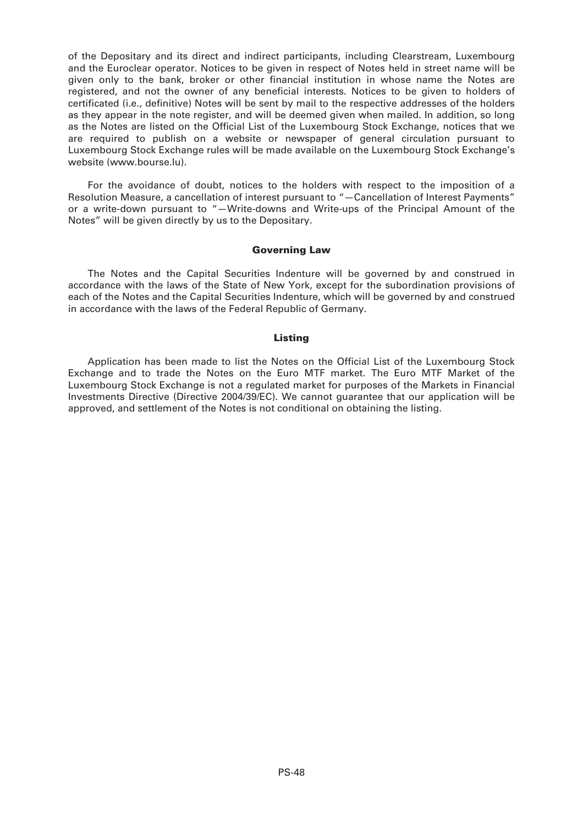of the Depositary and its direct and indirect participants, including Clearstream, Luxembourg and the Euroclear operator. Notices to be given in respect of Notes held in street name will be given only to the bank, broker or other financial institution in whose name the Notes are registered, and not the owner of any beneficial interests. Notices to be given to holders of certificated (i.e., definitive) Notes will be sent by mail to the respective addresses of the holders as they appear in the note register, and will be deemed given when mailed. In addition, so long as the Notes are listed on the Official List of the Luxembourg Stock Exchange, notices that we are required to publish on a website or newspaper of general circulation pursuant to Luxembourg Stock Exchange rules will be made available on the Luxembourg Stock Exchange's website (www.bourse.lu).

For the avoidance of doubt, notices to the holders with respect to the imposition of a Resolution Measure, a cancellation of interest pursuant to "—Cancellation of Interest Payments" or a write-down pursuant to "—Write-downs and Write-ups of the Principal Amount of the Notes" will be given directly by us to the Depositary.

# **Governing Law**

The Notes and the Capital Securities Indenture will be governed by and construed in accordance with the laws of the State of New York, except for the subordination provisions of each of the Notes and the Capital Securities Indenture, which will be governed by and construed in accordance with the laws of the Federal Republic of Germany.

### **Listing**

Application has been made to list the Notes on the Official List of the Luxembourg Stock Exchange and to trade the Notes on the Euro MTF market. The Euro MTF Market of the Luxembourg Stock Exchange is not a regulated market for purposes of the Markets in Financial Investments Directive (Directive 2004/39/EC). We cannot guarantee that our application will be approved, and settlement of the Notes is not conditional on obtaining the listing.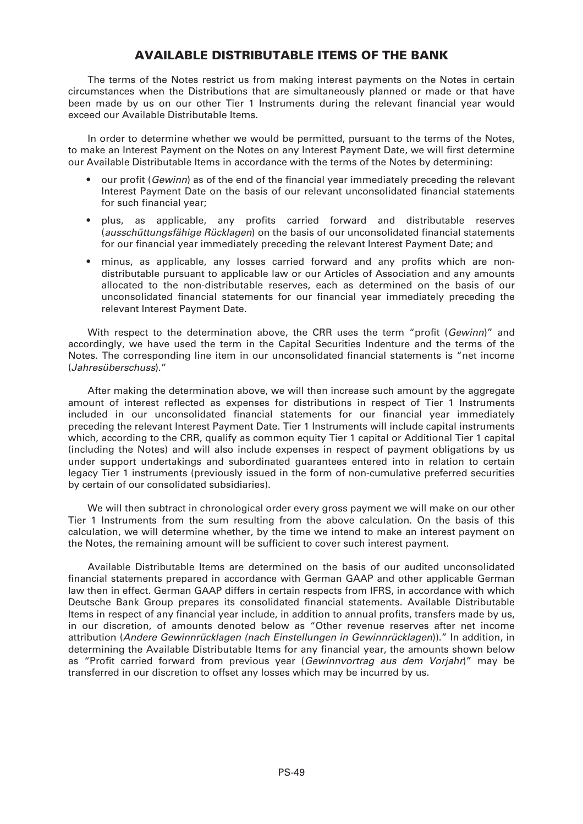# **AVAILABLE DISTRIBUTABLE ITEMS OF THE BANK**

The terms of the Notes restrict us from making interest payments on the Notes in certain circumstances when the Distributions that are simultaneously planned or made or that have been made by us on our other Tier 1 Instruments during the relevant financial year would exceed our Available Distributable Items.

In order to determine whether we would be permitted, pursuant to the terms of the Notes, to make an Interest Payment on the Notes on any Interest Payment Date, we will first determine our Available Distributable Items in accordance with the terms of the Notes by determining:

- our profit (*Gewinn*) as of the end of the financial year immediately preceding the relevant Interest Payment Date on the basis of our relevant unconsolidated financial statements for such financial year;
- plus, as applicable, any profits carried forward and distributable reserves (*ausschüttungsfähige Rücklagen*) on the basis of our unconsolidated financial statements for our financial year immediately preceding the relevant Interest Payment Date; and
- minus, as applicable, any losses carried forward and any profits which are nondistributable pursuant to applicable law or our Articles of Association and any amounts allocated to the non-distributable reserves, each as determined on the basis of our unconsolidated financial statements for our financial year immediately preceding the relevant Interest Payment Date.

With respect to the determination above, the CRR uses the term "profit (*Gewinn*)" and accordingly, we have used the term in the Capital Securities Indenture and the terms of the Notes. The corresponding line item in our unconsolidated financial statements is "net income (*Jahresüberschuss*)."

After making the determination above, we will then increase such amount by the aggregate amount of interest reflected as expenses for distributions in respect of Tier 1 Instruments included in our unconsolidated financial statements for our financial year immediately preceding the relevant Interest Payment Date. Tier 1 Instruments will include capital instruments which, according to the CRR, qualify as common equity Tier 1 capital or Additional Tier 1 capital (including the Notes) and will also include expenses in respect of payment obligations by us under support undertakings and subordinated guarantees entered into in relation to certain legacy Tier 1 instruments (previously issued in the form of non-cumulative preferred securities by certain of our consolidated subsidiaries).

We will then subtract in chronological order every gross payment we will make on our other Tier 1 Instruments from the sum resulting from the above calculation. On the basis of this calculation, we will determine whether, by the time we intend to make an interest payment on the Notes, the remaining amount will be sufficient to cover such interest payment.

Available Distributable Items are determined on the basis of our audited unconsolidated financial statements prepared in accordance with German GAAP and other applicable German law then in effect. German GAAP differs in certain respects from IFRS, in accordance with which Deutsche Bank Group prepares its consolidated financial statements. Available Distributable Items in respect of any financial year include, in addition to annual profits, transfers made by us, in our discretion, of amounts denoted below as "Other revenue reserves after net income attribution (*Andere Gewinnrücklagen (nach Einstellungen in Gewinnrücklagen*))." In addition, in determining the Available Distributable Items for any financial year, the amounts shown below as "Profit carried forward from previous year (*Gewinnvortrag aus dem Vorjahr*)" may be transferred in our discretion to offset any losses which may be incurred by us.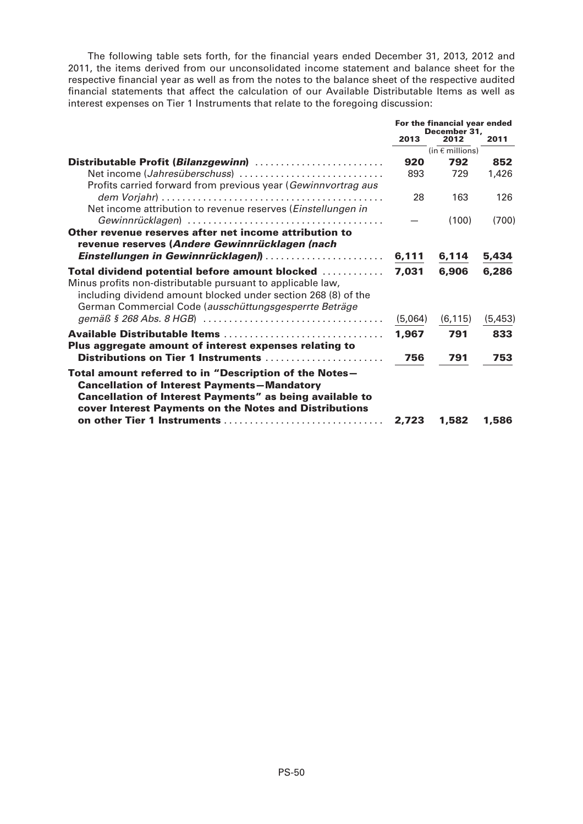The following table sets forth, for the financial years ended December 31, 2013, 2012 and 2011, the items derived from our unconsolidated income statement and balance sheet for the respective financial year as well as from the notes to the balance sheet of the respective audited financial statements that affect the calculation of our Available Distributable Items as well as interest expenses on Tier 1 Instruments that relate to the foregoing discussion:

|                                                                                                                                                                                                                                                                          | For the financial year ended<br>December 31. |          |         |
|--------------------------------------------------------------------------------------------------------------------------------------------------------------------------------------------------------------------------------------------------------------------------|----------------------------------------------|----------|---------|
|                                                                                                                                                                                                                                                                          | 2013                                         | 2012     | 2011    |
|                                                                                                                                                                                                                                                                          | (in $\epsilon$ millions)                     |          |         |
| Distributable Profit (Bilanzgewinn)                                                                                                                                                                                                                                      | 920                                          | 792      | 852     |
| Net income (Jahresüberschuss)<br>Profits carried forward from previous year (Gewinnvortrag aus                                                                                                                                                                           | 893                                          | 729      | 1,426   |
| Net income attribution to revenue reserves (Einstellungen in                                                                                                                                                                                                             | 28                                           | 163      | 126     |
|                                                                                                                                                                                                                                                                          |                                              | (100)    | (700)   |
| Other revenue reserves after net income attribution to<br>revenue reserves (Andere Gewinnrücklagen (nach                                                                                                                                                                 |                                              |          |         |
| Einstellungen in Gewinnrücklagen)                                                                                                                                                                                                                                        | 6,111                                        | 6,114    | 5,434   |
| <b>Total dividend potential before amount blocked </b><br>Minus profits non-distributable pursuant to applicable law,<br>including dividend amount blocked under section 268 (8) of the<br>German Commercial Code (ausschüttungsgesperrte Beträge                        | 7.031                                        | 6,906    | 6,286   |
|                                                                                                                                                                                                                                                                          | (5,064)                                      | (6, 115) | (5,453) |
| Available Distributable Items<br>Plus aggregate amount of interest expenses relating to                                                                                                                                                                                  | 1.967                                        | 791      | 833     |
| Distributions on Tier 1 Instruments                                                                                                                                                                                                                                      | 756                                          | 791      | 753     |
| Total amount referred to in "Description of the Notes-<br><b>Cancellation of Interest Payments-Mandatory</b><br><b>Cancellation of Interest Payments" as being available to</b><br>cover Interest Payments on the Notes and Distributions<br>on other Tier 1 Instruments | 2,723                                        | 1,582    | 1,586   |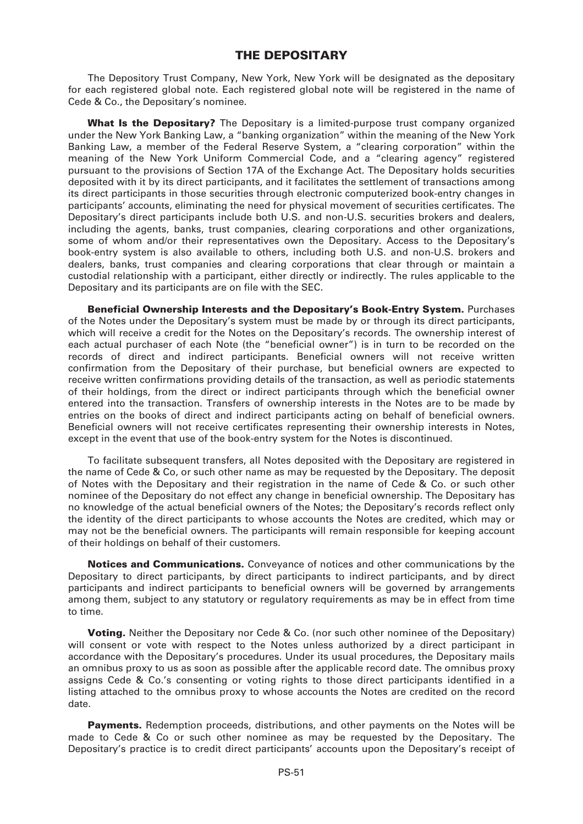# **THE DEPOSITARY**

The Depository Trust Company, New York, New York will be designated as the depositary for each registered global note. Each registered global note will be registered in the name of Cede & Co., the Depositary's nominee.

**What Is the Depositary?** The Depositary is a limited-purpose trust company organized under the New York Banking Law, a "banking organization" within the meaning of the New York Banking Law, a member of the Federal Reserve System, a "clearing corporation" within the meaning of the New York Uniform Commercial Code, and a "clearing agency" registered pursuant to the provisions of Section 17A of the Exchange Act. The Depositary holds securities deposited with it by its direct participants, and it facilitates the settlement of transactions among its direct participants in those securities through electronic computerized book-entry changes in participants' accounts, eliminating the need for physical movement of securities certificates. The Depositary's direct participants include both U.S. and non-U.S. securities brokers and dealers, including the agents, banks, trust companies, clearing corporations and other organizations, some of whom and/or their representatives own the Depositary. Access to the Depositary's book-entry system is also available to others, including both U.S. and non-U.S. brokers and dealers, banks, trust companies and clearing corporations that clear through or maintain a custodial relationship with a participant, either directly or indirectly. The rules applicable to the Depositary and its participants are on file with the SEC.

**Beneficial Ownership Interests and the Depositary's Book-Entry System.** Purchases of the Notes under the Depositary's system must be made by or through its direct participants, which will receive a credit for the Notes on the Depositary's records. The ownership interest of each actual purchaser of each Note (the "beneficial owner") is in turn to be recorded on the records of direct and indirect participants. Beneficial owners will not receive written confirmation from the Depositary of their purchase, but beneficial owners are expected to receive written confirmations providing details of the transaction, as well as periodic statements of their holdings, from the direct or indirect participants through which the beneficial owner entered into the transaction. Transfers of ownership interests in the Notes are to be made by entries on the books of direct and indirect participants acting on behalf of beneficial owners. Beneficial owners will not receive certificates representing their ownership interests in Notes, except in the event that use of the book-entry system for the Notes is discontinued.

To facilitate subsequent transfers, all Notes deposited with the Depositary are registered in the name of Cede & Co, or such other name as may be requested by the Depositary. The deposit of Notes with the Depositary and their registration in the name of Cede & Co. or such other nominee of the Depositary do not effect any change in beneficial ownership. The Depositary has no knowledge of the actual beneficial owners of the Notes; the Depositary's records reflect only the identity of the direct participants to whose accounts the Notes are credited, which may or may not be the beneficial owners. The participants will remain responsible for keeping account of their holdings on behalf of their customers.

**Notices and Communications.** Conveyance of notices and other communications by the Depositary to direct participants, by direct participants to indirect participants, and by direct participants and indirect participants to beneficial owners will be governed by arrangements among them, subject to any statutory or regulatory requirements as may be in effect from time to time.

**Voting.** Neither the Depositary nor Cede & Co. (nor such other nominee of the Depositary) will consent or vote with respect to the Notes unless authorized by a direct participant in accordance with the Depositary's procedures. Under its usual procedures, the Depositary mails an omnibus proxy to us as soon as possible after the applicable record date. The omnibus proxy assigns Cede & Co.'s consenting or voting rights to those direct participants identified in a listing attached to the omnibus proxy to whose accounts the Notes are credited on the record date.

**Payments.** Redemption proceeds, distributions, and other payments on the Notes will be made to Cede & Co or such other nominee as may be requested by the Depositary. The Depositary's practice is to credit direct participants' accounts upon the Depositary's receipt of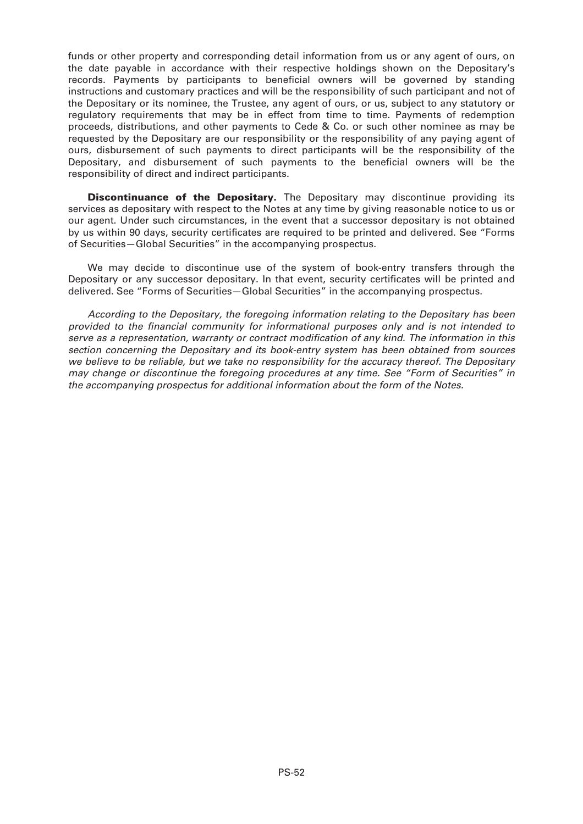funds or other property and corresponding detail information from us or any agent of ours, on the date payable in accordance with their respective holdings shown on the Depositary's records. Payments by participants to beneficial owners will be governed by standing instructions and customary practices and will be the responsibility of such participant and not of the Depositary or its nominee, the Trustee, any agent of ours, or us, subject to any statutory or regulatory requirements that may be in effect from time to time. Payments of redemption proceeds, distributions, and other payments to Cede & Co. or such other nominee as may be requested by the Depositary are our responsibility or the responsibility of any paying agent of ours, disbursement of such payments to direct participants will be the responsibility of the Depositary, and disbursement of such payments to the beneficial owners will be the responsibility of direct and indirect participants.

**Discontinuance of the Depositary.** The Depositary may discontinue providing its services as depositary with respect to the Notes at any time by giving reasonable notice to us or our agent. Under such circumstances, in the event that a successor depositary is not obtained by us within 90 days, security certificates are required to be printed and delivered. See "Forms of Securities—Global Securities" in the accompanying prospectus.

We may decide to discontinue use of the system of book-entry transfers through the Depositary or any successor depositary. In that event, security certificates will be printed and delivered. See "Forms of Securities—Global Securities" in the accompanying prospectus.

*According to the Depositary, the foregoing information relating to the Depositary has been provided to the financial community for informational purposes only and is not intended to serve as a representation, warranty or contract modification of any kind. The information in this section concerning the Depositary and its book-entry system has been obtained from sources we believe to be reliable, but we take no responsibility for the accuracy thereof. The Depositary may change or discontinue the foregoing procedures at any time. See "Form of Securities" in the accompanying prospectus for additional information about the form of the Notes.*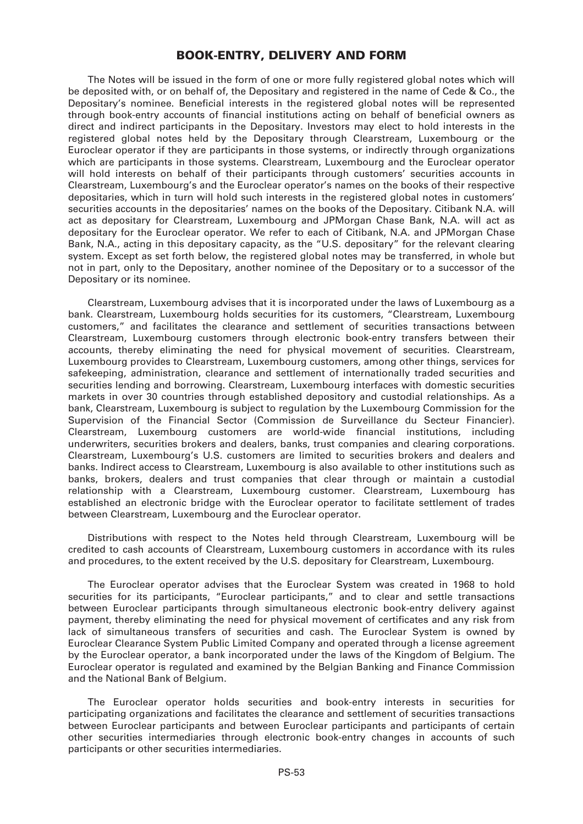# **BOOK-ENTRY, DELIVERY AND FORM**

The Notes will be issued in the form of one or more fully registered global notes which will be deposited with, or on behalf of, the Depositary and registered in the name of Cede & Co., the Depositary's nominee. Beneficial interests in the registered global notes will be represented through book-entry accounts of financial institutions acting on behalf of beneficial owners as direct and indirect participants in the Depositary. Investors may elect to hold interests in the registered global notes held by the Depositary through Clearstream, Luxembourg or the Euroclear operator if they are participants in those systems, or indirectly through organizations which are participants in those systems. Clearstream, Luxembourg and the Euroclear operator will hold interests on behalf of their participants through customers' securities accounts in Clearstream, Luxembourg's and the Euroclear operator's names on the books of their respective depositaries, which in turn will hold such interests in the registered global notes in customers' securities accounts in the depositaries' names on the books of the Depositary. Citibank N.A. will act as depositary for Clearstream, Luxembourg and JPMorgan Chase Bank, N.A. will act as depositary for the Euroclear operator. We refer to each of Citibank, N.A. and JPMorgan Chase Bank, N.A., acting in this depositary capacity, as the "U.S. depositary" for the relevant clearing system. Except as set forth below, the registered global notes may be transferred, in whole but not in part, only to the Depositary, another nominee of the Depositary or to a successor of the Depositary or its nominee.

Clearstream, Luxembourg advises that it is incorporated under the laws of Luxembourg as a bank. Clearstream, Luxembourg holds securities for its customers, "Clearstream, Luxembourg customers," and facilitates the clearance and settlement of securities transactions between Clearstream, Luxembourg customers through electronic book-entry transfers between their accounts, thereby eliminating the need for physical movement of securities. Clearstream, Luxembourg provides to Clearstream, Luxembourg customers, among other things, services for safekeeping, administration, clearance and settlement of internationally traded securities and securities lending and borrowing. Clearstream, Luxembourg interfaces with domestic securities markets in over 30 countries through established depository and custodial relationships. As a bank, Clearstream, Luxembourg is subject to regulation by the Luxembourg Commission for the Supervision of the Financial Sector (Commission de Surveillance du Secteur Financier). Clearstream, Luxembourg customers are world-wide financial institutions, including underwriters, securities brokers and dealers, banks, trust companies and clearing corporations. Clearstream, Luxembourg's U.S. customers are limited to securities brokers and dealers and banks. Indirect access to Clearstream, Luxembourg is also available to other institutions such as banks, brokers, dealers and trust companies that clear through or maintain a custodial relationship with a Clearstream, Luxembourg customer. Clearstream, Luxembourg has established an electronic bridge with the Euroclear operator to facilitate settlement of trades between Clearstream, Luxembourg and the Euroclear operator.

Distributions with respect to the Notes held through Clearstream, Luxembourg will be credited to cash accounts of Clearstream, Luxembourg customers in accordance with its rules and procedures, to the extent received by the U.S. depositary for Clearstream, Luxembourg.

The Euroclear operator advises that the Euroclear System was created in 1968 to hold securities for its participants, "Euroclear participants," and to clear and settle transactions between Euroclear participants through simultaneous electronic book-entry delivery against payment, thereby eliminating the need for physical movement of certificates and any risk from lack of simultaneous transfers of securities and cash. The Euroclear System is owned by Euroclear Clearance System Public Limited Company and operated through a license agreement by the Euroclear operator, a bank incorporated under the laws of the Kingdom of Belgium. The Euroclear operator is regulated and examined by the Belgian Banking and Finance Commission and the National Bank of Belgium.

The Euroclear operator holds securities and book-entry interests in securities for participating organizations and facilitates the clearance and settlement of securities transactions between Euroclear participants and between Euroclear participants and participants of certain other securities intermediaries through electronic book-entry changes in accounts of such participants or other securities intermediaries.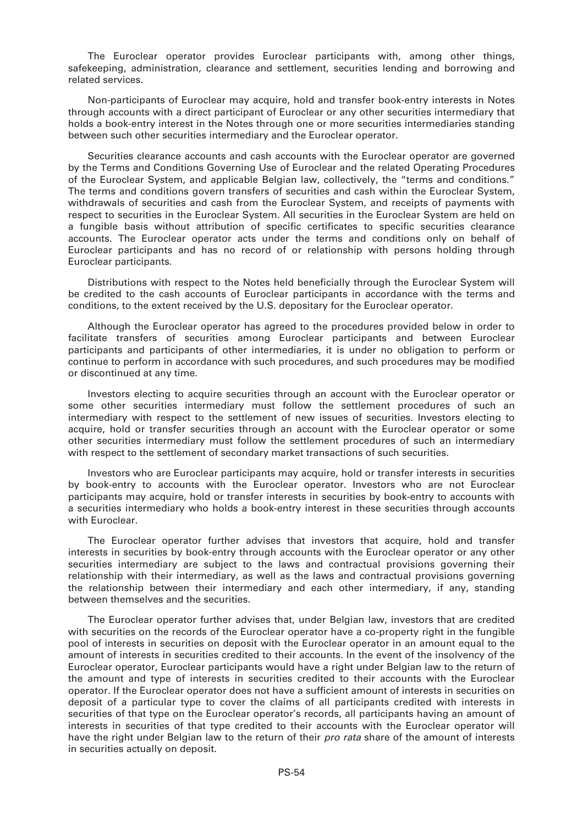The Euroclear operator provides Euroclear participants with, among other things, safekeeping, administration, clearance and settlement, securities lending and borrowing and related services.

Non-participants of Euroclear may acquire, hold and transfer book-entry interests in Notes through accounts with a direct participant of Euroclear or any other securities intermediary that holds a book-entry interest in the Notes through one or more securities intermediaries standing between such other securities intermediary and the Euroclear operator.

Securities clearance accounts and cash accounts with the Euroclear operator are governed by the Terms and Conditions Governing Use of Euroclear and the related Operating Procedures of the Euroclear System, and applicable Belgian law, collectively, the "terms and conditions." The terms and conditions govern transfers of securities and cash within the Euroclear System, withdrawals of securities and cash from the Euroclear System, and receipts of payments with respect to securities in the Euroclear System. All securities in the Euroclear System are held on a fungible basis without attribution of specific certificates to specific securities clearance accounts. The Euroclear operator acts under the terms and conditions only on behalf of Euroclear participants and has no record of or relationship with persons holding through Euroclear participants.

Distributions with respect to the Notes held beneficially through the Euroclear System will be credited to the cash accounts of Euroclear participants in accordance with the terms and conditions, to the extent received by the U.S. depositary for the Euroclear operator.

Although the Euroclear operator has agreed to the procedures provided below in order to facilitate transfers of securities among Euroclear participants and between Euroclear participants and participants of other intermediaries, it is under no obligation to perform or continue to perform in accordance with such procedures, and such procedures may be modified or discontinued at any time.

Investors electing to acquire securities through an account with the Euroclear operator or some other securities intermediary must follow the settlement procedures of such an intermediary with respect to the settlement of new issues of securities. Investors electing to acquire, hold or transfer securities through an account with the Euroclear operator or some other securities intermediary must follow the settlement procedures of such an intermediary with respect to the settlement of secondary market transactions of such securities.

Investors who are Euroclear participants may acquire, hold or transfer interests in securities by book-entry to accounts with the Euroclear operator. Investors who are not Euroclear participants may acquire, hold or transfer interests in securities by book-entry to accounts with a securities intermediary who holds a book-entry interest in these securities through accounts with Euroclear.

The Euroclear operator further advises that investors that acquire, hold and transfer interests in securities by book-entry through accounts with the Euroclear operator or any other securities intermediary are subject to the laws and contractual provisions governing their relationship with their intermediary, as well as the laws and contractual provisions governing the relationship between their intermediary and each other intermediary, if any, standing between themselves and the securities.

The Euroclear operator further advises that, under Belgian law, investors that are credited with securities on the records of the Euroclear operator have a co-property right in the fungible pool of interests in securities on deposit with the Euroclear operator in an amount equal to the amount of interests in securities credited to their accounts. In the event of the insolvency of the Euroclear operator, Euroclear participants would have a right under Belgian law to the return of the amount and type of interests in securities credited to their accounts with the Euroclear operator. If the Euroclear operator does not have a sufficient amount of interests in securities on deposit of a particular type to cover the claims of all participants credited with interests in securities of that type on the Euroclear operator's records, all participants having an amount of interests in securities of that type credited to their accounts with the Euroclear operator will have the right under Belgian law to the return of their *pro rata* share of the amount of interests in securities actually on deposit.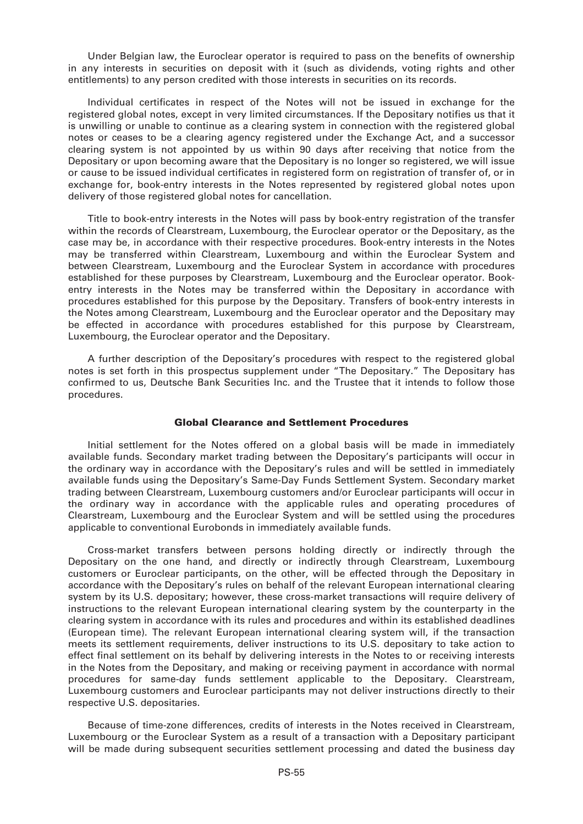Under Belgian law, the Euroclear operator is required to pass on the benefits of ownership in any interests in securities on deposit with it (such as dividends, voting rights and other entitlements) to any person credited with those interests in securities on its records.

Individual certificates in respect of the Notes will not be issued in exchange for the registered global notes, except in very limited circumstances. If the Depositary notifies us that it is unwilling or unable to continue as a clearing system in connection with the registered global notes or ceases to be a clearing agency registered under the Exchange Act, and a successor clearing system is not appointed by us within 90 days after receiving that notice from the Depositary or upon becoming aware that the Depositary is no longer so registered, we will issue or cause to be issued individual certificates in registered form on registration of transfer of, or in exchange for, book-entry interests in the Notes represented by registered global notes upon delivery of those registered global notes for cancellation.

Title to book-entry interests in the Notes will pass by book-entry registration of the transfer within the records of Clearstream, Luxembourg, the Euroclear operator or the Depositary, as the case may be, in accordance with their respective procedures. Book-entry interests in the Notes may be transferred within Clearstream, Luxembourg and within the Euroclear System and between Clearstream, Luxembourg and the Euroclear System in accordance with procedures established for these purposes by Clearstream, Luxembourg and the Euroclear operator. Bookentry interests in the Notes may be transferred within the Depositary in accordance with procedures established for this purpose by the Depositary. Transfers of book-entry interests in the Notes among Clearstream, Luxembourg and the Euroclear operator and the Depositary may be effected in accordance with procedures established for this purpose by Clearstream, Luxembourg, the Euroclear operator and the Depositary.

A further description of the Depositary's procedures with respect to the registered global notes is set forth in this prospectus supplement under "The Depositary." The Depositary has confirmed to us, Deutsche Bank Securities Inc. and the Trustee that it intends to follow those procedures.

# **Global Clearance and Settlement Procedures**

Initial settlement for the Notes offered on a global basis will be made in immediately available funds. Secondary market trading between the Depositary's participants will occur in the ordinary way in accordance with the Depositary's rules and will be settled in immediately available funds using the Depositary's Same-Day Funds Settlement System. Secondary market trading between Clearstream, Luxembourg customers and/or Euroclear participants will occur in the ordinary way in accordance with the applicable rules and operating procedures of Clearstream, Luxembourg and the Euroclear System and will be settled using the procedures applicable to conventional Eurobonds in immediately available funds.

Cross-market transfers between persons holding directly or indirectly through the Depositary on the one hand, and directly or indirectly through Clearstream, Luxembourg customers or Euroclear participants, on the other, will be effected through the Depositary in accordance with the Depositary's rules on behalf of the relevant European international clearing system by its U.S. depositary; however, these cross-market transactions will require delivery of instructions to the relevant European international clearing system by the counterparty in the clearing system in accordance with its rules and procedures and within its established deadlines (European time). The relevant European international clearing system will, if the transaction meets its settlement requirements, deliver instructions to its U.S. depositary to take action to effect final settlement on its behalf by delivering interests in the Notes to or receiving interests in the Notes from the Depositary, and making or receiving payment in accordance with normal procedures for same-day funds settlement applicable to the Depositary. Clearstream, Luxembourg customers and Euroclear participants may not deliver instructions directly to their respective U.S. depositaries.

Because of time-zone differences, credits of interests in the Notes received in Clearstream, Luxembourg or the Euroclear System as a result of a transaction with a Depositary participant will be made during subsequent securities settlement processing and dated the business day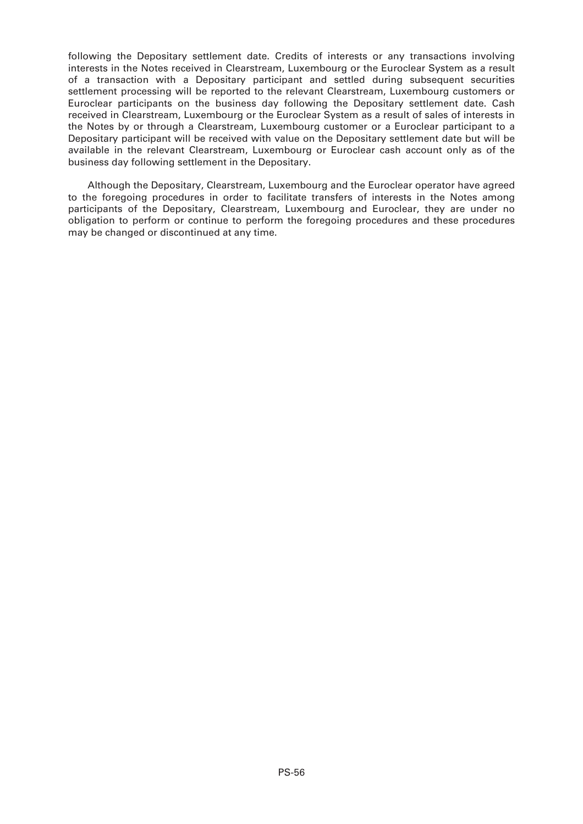following the Depositary settlement date. Credits of interests or any transactions involving interests in the Notes received in Clearstream, Luxembourg or the Euroclear System as a result of a transaction with a Depositary participant and settled during subsequent securities settlement processing will be reported to the relevant Clearstream, Luxembourg customers or Euroclear participants on the business day following the Depositary settlement date. Cash received in Clearstream, Luxembourg or the Euroclear System as a result of sales of interests in the Notes by or through a Clearstream, Luxembourg customer or a Euroclear participant to a Depositary participant will be received with value on the Depositary settlement date but will be available in the relevant Clearstream, Luxembourg or Euroclear cash account only as of the business day following settlement in the Depositary.

Although the Depositary, Clearstream, Luxembourg and the Euroclear operator have agreed to the foregoing procedures in order to facilitate transfers of interests in the Notes among participants of the Depositary, Clearstream, Luxembourg and Euroclear, they are under no obligation to perform or continue to perform the foregoing procedures and these procedures may be changed or discontinued at any time.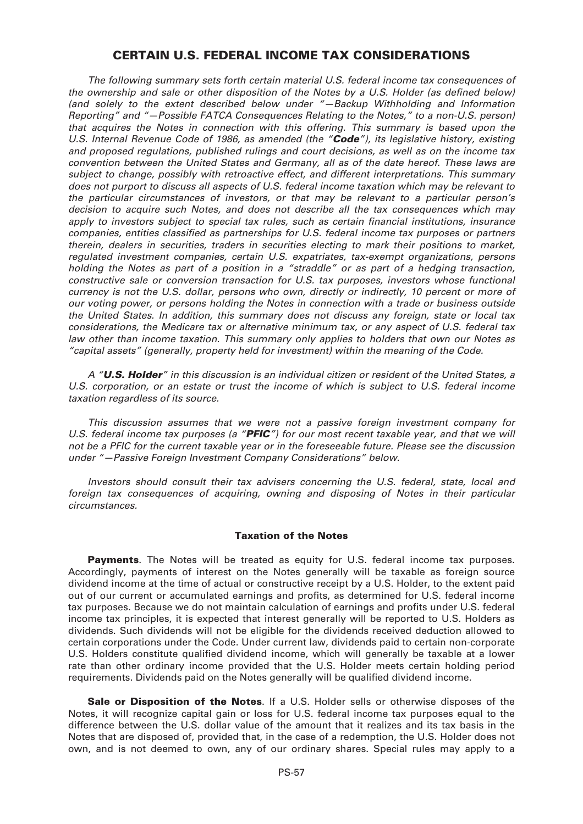# **CERTAIN U.S. FEDERAL INCOME TAX CONSIDERATIONS**

*The following summary sets forth certain material U.S. federal income tax consequences of the ownership and sale or other disposition of the Notes by a U.S. Holder (as defined below) (and solely to the extent described below under "—Backup Withholding and Information Reporting" and "—Possible FATCA Consequences Relating to the Notes," to a non-U.S. person) that acquires the Notes in connection with this offering. This summary is based upon the U.S. Internal Revenue Code of 1986, as amended (the "Code"), its legislative history, existing and proposed regulations, published rulings and court decisions, as well as on the income tax convention between the United States and Germany, all as of the date hereof. These laws are subject to change, possibly with retroactive effect, and different interpretations. This summary does not purport to discuss all aspects of U.S. federal income taxation which may be relevant to the particular circumstances of investors, or that may be relevant to a particular person's decision to acquire such Notes, and does not describe all the tax consequences which may apply to investors subject to special tax rules, such as certain financial institutions, insurance companies, entities classified as partnerships for U.S. federal income tax purposes or partners therein, dealers in securities, traders in securities electing to mark their positions to market, regulated investment companies, certain U.S. expatriates, tax-exempt organizations, persons holding the Notes as part of a position in a "straddle" or as part of a hedging transaction, constructive sale or conversion transaction for U.S. tax purposes, investors whose functional currency is not the U.S. dollar, persons who own, directly or indirectly, 10 percent or more of our voting power, or persons holding the Notes in connection with a trade or business outside the United States. In addition, this summary does not discuss any foreign, state or local tax considerations, the Medicare tax or alternative minimum tax, or any aspect of U.S. federal tax law other than income taxation. This summary only applies to holders that own our Notes as "capital assets" (generally, property held for investment) within the meaning of the Code.*

*A "U.S. Holder" in this discussion is an individual citizen or resident of the United States, a U.S. corporation, or an estate or trust the income of which is subject to U.S. federal income taxation regardless of its source.*

*This discussion assumes that we were not a passive foreign investment company for U.S. federal income tax purposes (a "PFIC") for our most recent taxable year, and that we will not be a PFIC for the current taxable year or in the foreseeable future. Please see the discussion under "—Passive Foreign Investment Company Considerations" below.*

*Investors should consult their tax advisers concerning the U.S. federal, state, local and foreign tax consequences of acquiring, owning and disposing of Notes in their particular circumstances.*

# **Taxation of the Notes**

**Payments**. The Notes will be treated as equity for U.S. federal income tax purposes. Accordingly, payments of interest on the Notes generally will be taxable as foreign source dividend income at the time of actual or constructive receipt by a U.S. Holder, to the extent paid out of our current or accumulated earnings and profits, as determined for U.S. federal income tax purposes. Because we do not maintain calculation of earnings and profits under U.S. federal income tax principles, it is expected that interest generally will be reported to U.S. Holders as dividends. Such dividends will not be eligible for the dividends received deduction allowed to certain corporations under the Code. Under current law, dividends paid to certain non-corporate U.S. Holders constitute qualified dividend income, which will generally be taxable at a lower rate than other ordinary income provided that the U.S. Holder meets certain holding period requirements. Dividends paid on the Notes generally will be qualified dividend income.

**Sale or Disposition of the Notes**. If a U.S. Holder sells or otherwise disposes of the Notes, it will recognize capital gain or loss for U.S. federal income tax purposes equal to the difference between the U.S. dollar value of the amount that it realizes and its tax basis in the Notes that are disposed of, provided that, in the case of a redemption, the U.S. Holder does not own, and is not deemed to own, any of our ordinary shares. Special rules may apply to a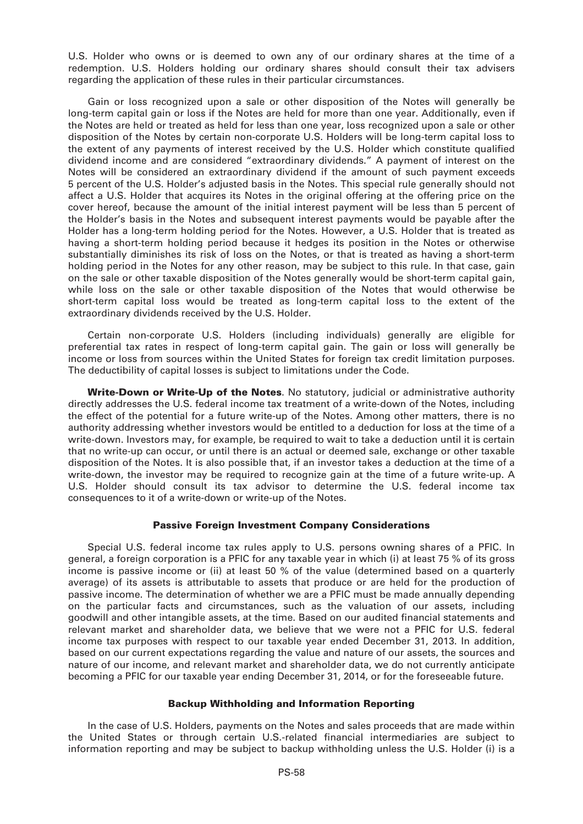U.S. Holder who owns or is deemed to own any of our ordinary shares at the time of a redemption. U.S. Holders holding our ordinary shares should consult their tax advisers regarding the application of these rules in their particular circumstances.

Gain or loss recognized upon a sale or other disposition of the Notes will generally be long-term capital gain or loss if the Notes are held for more than one year. Additionally, even if the Notes are held or treated as held for less than one year, loss recognized upon a sale or other disposition of the Notes by certain non-corporate U.S. Holders will be long-term capital loss to the extent of any payments of interest received by the U.S. Holder which constitute qualified dividend income and are considered "extraordinary dividends." A payment of interest on the Notes will be considered an extraordinary dividend if the amount of such payment exceeds 5 percent of the U.S. Holder's adjusted basis in the Notes. This special rule generally should not affect a U.S. Holder that acquires its Notes in the original offering at the offering price on the cover hereof, because the amount of the initial interest payment will be less than 5 percent of the Holder's basis in the Notes and subsequent interest payments would be payable after the Holder has a long-term holding period for the Notes. However, a U.S. Holder that is treated as having a short-term holding period because it hedges its position in the Notes or otherwise substantially diminishes its risk of loss on the Notes, or that is treated as having a short-term holding period in the Notes for any other reason, may be subject to this rule. In that case, gain on the sale or other taxable disposition of the Notes generally would be short-term capital gain, while loss on the sale or other taxable disposition of the Notes that would otherwise be short-term capital loss would be treated as long-term capital loss to the extent of the extraordinary dividends received by the U.S. Holder.

Certain non-corporate U.S. Holders (including individuals) generally are eligible for preferential tax rates in respect of long-term capital gain. The gain or loss will generally be income or loss from sources within the United States for foreign tax credit limitation purposes. The deductibility of capital losses is subject to limitations under the Code.

**Write-Down or Write-Up of the Notes**. No statutory, judicial or administrative authority directly addresses the U.S. federal income tax treatment of a write-down of the Notes, including the effect of the potential for a future write-up of the Notes. Among other matters, there is no authority addressing whether investors would be entitled to a deduction for loss at the time of a write-down. Investors may, for example, be required to wait to take a deduction until it is certain that no write-up can occur, or until there is an actual or deemed sale, exchange or other taxable disposition of the Notes. It is also possible that, if an investor takes a deduction at the time of a write-down, the investor may be required to recognize gain at the time of a future write-up. A U.S. Holder should consult its tax advisor to determine the U.S. federal income tax consequences to it of a write-down or write-up of the Notes.

# **Passive Foreign Investment Company Considerations**

Special U.S. federal income tax rules apply to U.S. persons owning shares of a PFIC. In general, a foreign corporation is a PFIC for any taxable year in which (i) at least 75 % of its gross income is passive income or (ii) at least 50 % of the value (determined based on a quarterly average) of its assets is attributable to assets that produce or are held for the production of passive income. The determination of whether we are a PFIC must be made annually depending on the particular facts and circumstances, such as the valuation of our assets, including goodwill and other intangible assets, at the time. Based on our audited financial statements and relevant market and shareholder data, we believe that we were not a PFIC for U.S. federal income tax purposes with respect to our taxable year ended December 31, 2013. In addition, based on our current expectations regarding the value and nature of our assets, the sources and nature of our income, and relevant market and shareholder data, we do not currently anticipate becoming a PFIC for our taxable year ending December 31, 2014, or for the foreseeable future.

# **Backup Withholding and Information Reporting**

In the case of U.S. Holders, payments on the Notes and sales proceeds that are made within the United States or through certain U.S.-related financial intermediaries are subject to information reporting and may be subject to backup withholding unless the U.S. Holder (i) is a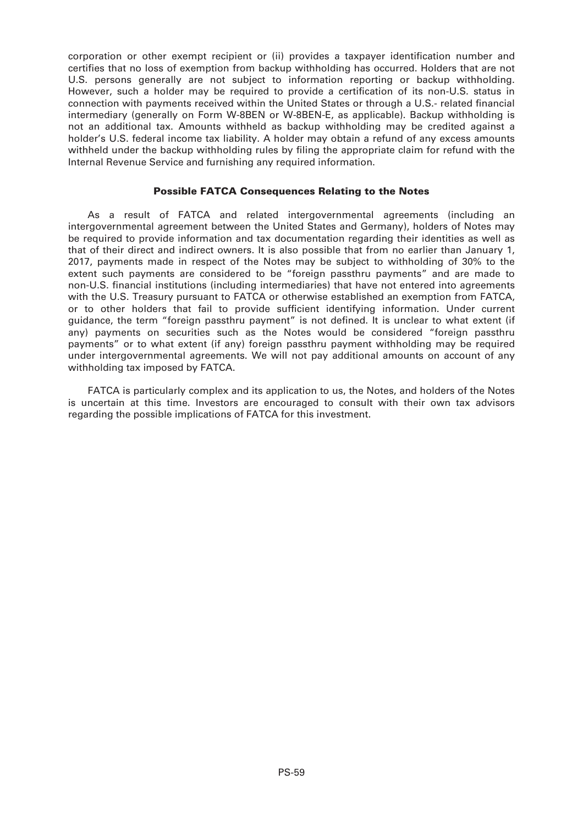corporation or other exempt recipient or (ii) provides a taxpayer identification number and certifies that no loss of exemption from backup withholding has occurred. Holders that are not U.S. persons generally are not subject to information reporting or backup withholding. However, such a holder may be required to provide a certification of its non-U.S. status in connection with payments received within the United States or through a U.S.- related financial intermediary (generally on Form W-8BEN or W-8BEN-E, as applicable). Backup withholding is not an additional tax. Amounts withheld as backup withholding may be credited against a holder's U.S. federal income tax liability. A holder may obtain a refund of any excess amounts withheld under the backup withholding rules by filing the appropriate claim for refund with the Internal Revenue Service and furnishing any required information.

# **Possible FATCA Consequences Relating to the Notes**

As a result of FATCA and related intergovernmental agreements (including an intergovernmental agreement between the United States and Germany), holders of Notes may be required to provide information and tax documentation regarding their identities as well as that of their direct and indirect owners. It is also possible that from no earlier than January 1, 2017, payments made in respect of the Notes may be subject to withholding of 30% to the extent such payments are considered to be "foreign passthru payments" and are made to non-U.S. financial institutions (including intermediaries) that have not entered into agreements with the U.S. Treasury pursuant to FATCA or otherwise established an exemption from FATCA, or to other holders that fail to provide sufficient identifying information. Under current guidance, the term "foreign passthru payment" is not defined. It is unclear to what extent (if any) payments on securities such as the Notes would be considered "foreign passthru payments" or to what extent (if any) foreign passthru payment withholding may be required under intergovernmental agreements. We will not pay additional amounts on account of any withholding tax imposed by FATCA.

FATCA is particularly complex and its application to us, the Notes, and holders of the Notes is uncertain at this time. Investors are encouraged to consult with their own tax advisors regarding the possible implications of FATCA for this investment.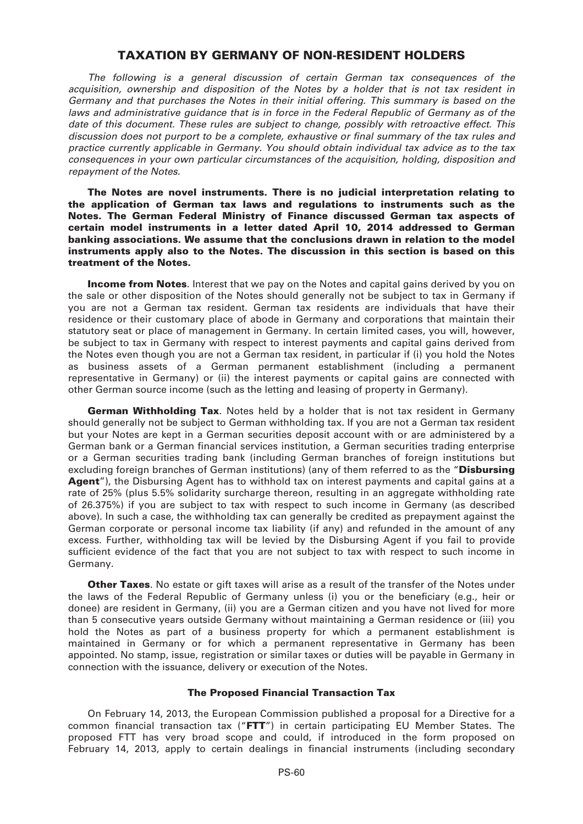# **TAXATION BY GERMANY OF NON-RESIDENT HOLDERS**

*The following is a general discussion of certain German tax consequences of the acquisition, ownership and disposition of the Notes by a holder that is not tax resident in Germany and that purchases the Notes in their initial offering. This summary is based on the laws and administrative guidance that is in force in the Federal Republic of Germany as of the date of this document. These rules are subject to change, possibly with retroactive effect. This discussion does not purport to be a complete, exhaustive or final summary of the tax rules and practice currently applicable in Germany. You should obtain individual tax advice as to the tax consequences in your own particular circumstances of the acquisition, holding, disposition and repayment of the Notes.*

**The Notes are novel instruments. There is no judicial interpretation relating to the application of German tax laws and regulations to instruments such as the Notes. The German Federal Ministry of Finance discussed German tax aspects of certain model instruments in a letter dated April 10, 2014 addressed to German banking associations. We assume that the conclusions drawn in relation to the model instruments apply also to the Notes. The discussion in this section is based on this treatment of the Notes.**

**Income from Notes**. Interest that we pay on the Notes and capital gains derived by you on the sale or other disposition of the Notes should generally not be subject to tax in Germany if you are not a German tax resident. German tax residents are individuals that have their residence or their customary place of abode in Germany and corporations that maintain their statutory seat or place of management in Germany. In certain limited cases, you will, however, be subject to tax in Germany with respect to interest payments and capital gains derived from the Notes even though you are not a German tax resident, in particular if (i) you hold the Notes as business assets of a German permanent establishment (including a permanent representative in Germany) or (ii) the interest payments or capital gains are connected with other German source income (such as the letting and leasing of property in Germany).

**German Withholding Tax**. Notes held by a holder that is not tax resident in Germany should generally not be subject to German withholding tax. If you are not a German tax resident but your Notes are kept in a German securities deposit account with or are administered by a German bank or a German financial services institution, a German securities trading enterprise or a German securities trading bank (including German branches of foreign institutions but excluding foreign branches of German institutions) (any of them referred to as the "**Disbursing Agent**"), the Disbursing Agent has to withhold tax on interest payments and capital gains at a rate of 25% (plus 5.5% solidarity surcharge thereon, resulting in an aggregate withholding rate of 26.375%) if you are subject to tax with respect to such income in Germany (as described above). In such a case, the withholding tax can generally be credited as prepayment against the German corporate or personal income tax liability (if any) and refunded in the amount of any excess. Further, withholding tax will be levied by the Disbursing Agent if you fail to provide sufficient evidence of the fact that you are not subject to tax with respect to such income in Germany.

**Other Taxes**. No estate or gift taxes will arise as a result of the transfer of the Notes under the laws of the Federal Republic of Germany unless (i) you or the beneficiary (e.g., heir or donee) are resident in Germany, (ii) you are a German citizen and you have not lived for more than 5 consecutive years outside Germany without maintaining a German residence or (iii) you hold the Notes as part of a business property for which a permanent establishment is maintained in Germany or for which a permanent representative in Germany has been appointed. No stamp, issue, registration or similar taxes or duties will be payable in Germany in connection with the issuance, delivery or execution of the Notes.

# **The Proposed Financial Transaction Tax**

On February 14, 2013, the European Commission published a proposal for a Directive for a common financial transaction tax ("**FTT**") in certain participating EU Member States. The proposed FTT has very broad scope and could, if introduced in the form proposed on February 14, 2013, apply to certain dealings in financial instruments (including secondary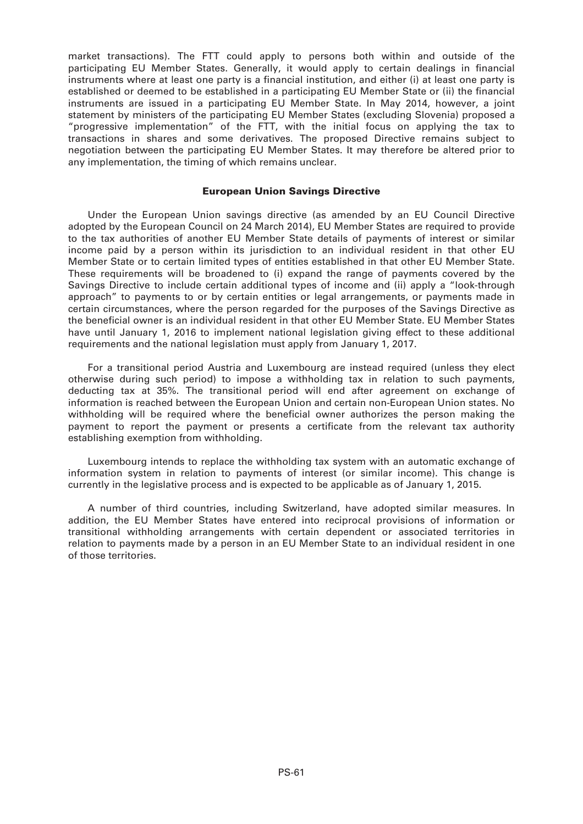market transactions). The FTT could apply to persons both within and outside of the participating EU Member States. Generally, it would apply to certain dealings in financial instruments where at least one party is a financial institution, and either (i) at least one party is established or deemed to be established in a participating EU Member State or (ii) the financial instruments are issued in a participating EU Member State. In May 2014, however, a joint statement by ministers of the participating EU Member States (excluding Slovenia) proposed a "progressive implementation" of the FTT, with the initial focus on applying the tax to transactions in shares and some derivatives. The proposed Directive remains subject to negotiation between the participating EU Member States. It may therefore be altered prior to any implementation, the timing of which remains unclear.

### **European Union Savings Directive**

Under the European Union savings directive (as amended by an EU Council Directive adopted by the European Council on 24 March 2014), EU Member States are required to provide to the tax authorities of another EU Member State details of payments of interest or similar income paid by a person within its jurisdiction to an individual resident in that other EU Member State or to certain limited types of entities established in that other EU Member State. These requirements will be broadened to (i) expand the range of payments covered by the Savings Directive to include certain additional types of income and (ii) apply a "look-through approach" to payments to or by certain entities or legal arrangements, or payments made in certain circumstances, where the person regarded for the purposes of the Savings Directive as the beneficial owner is an individual resident in that other EU Member State. EU Member States have until January 1, 2016 to implement national legislation giving effect to these additional requirements and the national legislation must apply from January 1, 2017.

For a transitional period Austria and Luxembourg are instead required (unless they elect otherwise during such period) to impose a withholding tax in relation to such payments, deducting tax at 35%. The transitional period will end after agreement on exchange of information is reached between the European Union and certain non-European Union states. No withholding will be required where the beneficial owner authorizes the person making the payment to report the payment or presents a certificate from the relevant tax authority establishing exemption from withholding.

Luxembourg intends to replace the withholding tax system with an automatic exchange of information system in relation to payments of interest (or similar income). This change is currently in the legislative process and is expected to be applicable as of January 1, 2015.

A number of third countries, including Switzerland, have adopted similar measures. In addition, the EU Member States have entered into reciprocal provisions of information or transitional withholding arrangements with certain dependent or associated territories in relation to payments made by a person in an EU Member State to an individual resident in one of those territories.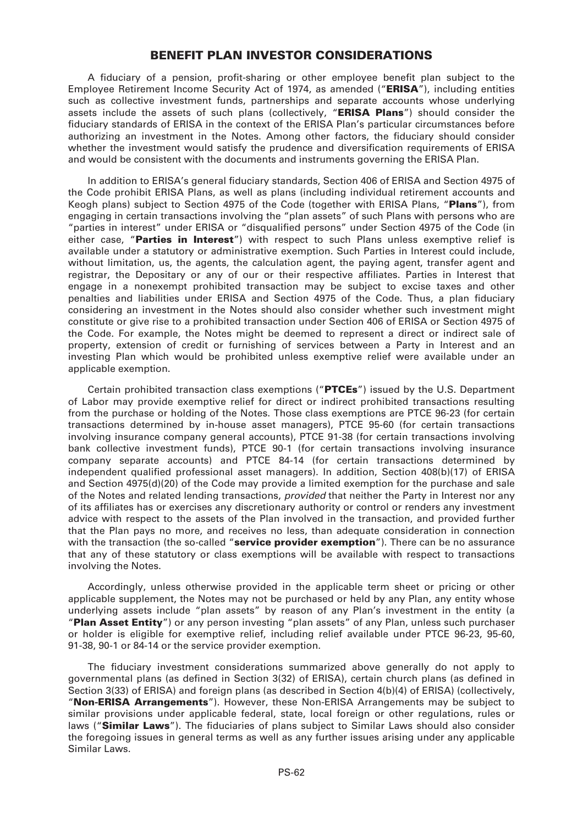# **BENEFIT PLAN INVESTOR CONSIDERATIONS**

A fiduciary of a pension, profit-sharing or other employee benefit plan subject to the Employee Retirement Income Security Act of 1974, as amended ("**ERISA**"), including entities such as collective investment funds, partnerships and separate accounts whose underlying assets include the assets of such plans (collectively, "**ERISA Plans**") should consider the fiduciary standards of ERISA in the context of the ERISA Plan's particular circumstances before authorizing an investment in the Notes. Among other factors, the fiduciary should consider whether the investment would satisfy the prudence and diversification requirements of ERISA and would be consistent with the documents and instruments governing the ERISA Plan.

In addition to ERISA's general fiduciary standards, Section 406 of ERISA and Section 4975 of the Code prohibit ERISA Plans, as well as plans (including individual retirement accounts and Keogh plans) subject to Section 4975 of the Code (together with ERISA Plans, "**Plans**"), from engaging in certain transactions involving the "plan assets" of such Plans with persons who are "parties in interest" under ERISA or "disqualified persons" under Section 4975 of the Code (in either case, "**Parties in Interest**") with respect to such Plans unless exemptive relief is available under a statutory or administrative exemption. Such Parties in Interest could include, without limitation, us, the agents, the calculation agent, the paying agent, transfer agent and registrar, the Depositary or any of our or their respective affiliates. Parties in Interest that engage in a nonexempt prohibited transaction may be subject to excise taxes and other penalties and liabilities under ERISA and Section 4975 of the Code. Thus, a plan fiduciary considering an investment in the Notes should also consider whether such investment might constitute or give rise to a prohibited transaction under Section 406 of ERISA or Section 4975 of the Code. For example, the Notes might be deemed to represent a direct or indirect sale of property, extension of credit or furnishing of services between a Party in Interest and an investing Plan which would be prohibited unless exemptive relief were available under an applicable exemption.

Certain prohibited transaction class exemptions ("**PTCEs**") issued by the U.S. Department of Labor may provide exemptive relief for direct or indirect prohibited transactions resulting from the purchase or holding of the Notes. Those class exemptions are PTCE 96-23 (for certain transactions determined by in-house asset managers), PTCE 95-60 (for certain transactions involving insurance company general accounts), PTCE 91-38 (for certain transactions involving bank collective investment funds), PTCE 90-1 (for certain transactions involving insurance company separate accounts) and PTCE 84-14 (for certain transactions determined by independent qualified professional asset managers). In addition, Section 408(b)(17) of ERISA and Section 4975(d)(20) of the Code may provide a limited exemption for the purchase and sale of the Notes and related lending transactions, *provided* that neither the Party in Interest nor any of its affiliates has or exercises any discretionary authority or control or renders any investment advice with respect to the assets of the Plan involved in the transaction, and provided further that the Plan pays no more, and receives no less, than adequate consideration in connection with the transaction (the so-called "**service provider exemption**"). There can be no assurance that any of these statutory or class exemptions will be available with respect to transactions involving the Notes.

Accordingly, unless otherwise provided in the applicable term sheet or pricing or other applicable supplement, the Notes may not be purchased or held by any Plan, any entity whose underlying assets include "plan assets" by reason of any Plan's investment in the entity (a "**Plan Asset Entity**") or any person investing "plan assets" of any Plan, unless such purchaser or holder is eligible for exemptive relief, including relief available under PTCE 96-23, 95-60, 91-38, 90-1 or 84-14 or the service provider exemption.

The fiduciary investment considerations summarized above generally do not apply to governmental plans (as defined in Section 3(32) of ERISA), certain church plans (as defined in Section 3(33) of ERISA) and foreign plans (as described in Section 4(b)(4) of ERISA) (collectively, "**Non-ERISA Arrangements**"). However, these Non-ERISA Arrangements may be subject to similar provisions under applicable federal, state, local foreign or other regulations, rules or laws ("**Similar Laws**"). The fiduciaries of plans subject to Similar Laws should also consider the foregoing issues in general terms as well as any further issues arising under any applicable Similar Laws.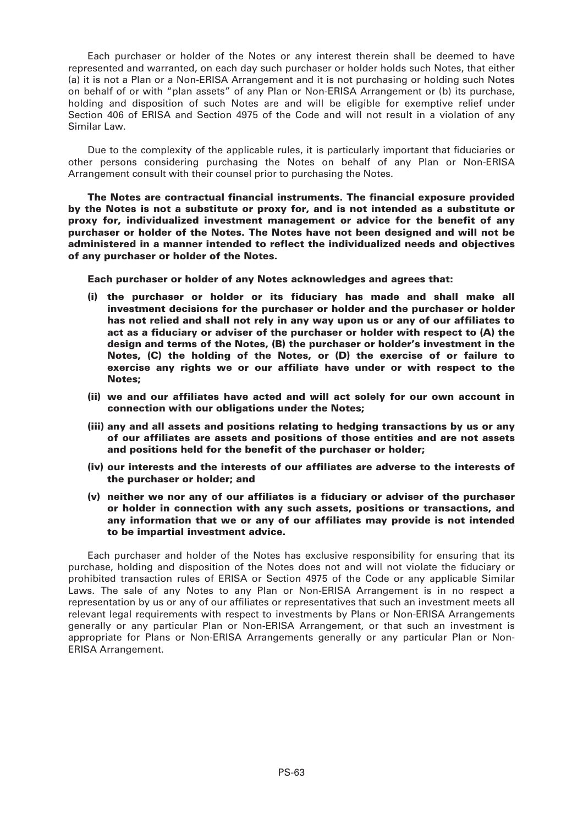Each purchaser or holder of the Notes or any interest therein shall be deemed to have represented and warranted, on each day such purchaser or holder holds such Notes, that either (a) it is not a Plan or a Non-ERISA Arrangement and it is not purchasing or holding such Notes on behalf of or with "plan assets" of any Plan or Non-ERISA Arrangement or (b) its purchase, holding and disposition of such Notes are and will be eligible for exemptive relief under Section 406 of ERISA and Section 4975 of the Code and will not result in a violation of any Similar Law.

Due to the complexity of the applicable rules, it is particularly important that fiduciaries or other persons considering purchasing the Notes on behalf of any Plan or Non-ERISA Arrangement consult with their counsel prior to purchasing the Notes.

**The Notes are contractual financial instruments. The financial exposure provided by the Notes is not a substitute or proxy for, and is not intended as a substitute or proxy for, individualized investment management or advice for the benefit of any purchaser or holder of the Notes. The Notes have not been designed and will not be administered in a manner intended to reflect the individualized needs and objectives of any purchaser or holder of the Notes.**

**Each purchaser or holder of any Notes acknowledges and agrees that:**

- **(i) the purchaser or holder or its fiduciary has made and shall make all investment decisions for the purchaser or holder and the purchaser or holder has not relied and shall not rely in any way upon us or any of our affiliates to act as a fiduciary or adviser of the purchaser or holder with respect to (A) the design and terms of the Notes, (B) the purchaser or holder's investment in the Notes, (C) the holding of the Notes, or (D) the exercise of or failure to exercise any rights we or our affiliate have under or with respect to the Notes;**
- **(ii) we and our affiliates have acted and will act solely for our own account in connection with our obligations under the Notes;**
- **(iii) any and all assets and positions relating to hedging transactions by us or any of our affiliates are assets and positions of those entities and are not assets and positions held for the benefit of the purchaser or holder;**
- **(iv) our interests and the interests of our affiliates are adverse to the interests of the purchaser or holder; and**
- **(v) neither we nor any of our affiliates is a fiduciary or adviser of the purchaser or holder in connection with any such assets, positions or transactions, and any information that we or any of our affiliates may provide is not intended to be impartial investment advice.**

Each purchaser and holder of the Notes has exclusive responsibility for ensuring that its purchase, holding and disposition of the Notes does not and will not violate the fiduciary or prohibited transaction rules of ERISA or Section 4975 of the Code or any applicable Similar Laws. The sale of any Notes to any Plan or Non-ERISA Arrangement is in no respect a representation by us or any of our affiliates or representatives that such an investment meets all relevant legal requirements with respect to investments by Plans or Non-ERISA Arrangements generally or any particular Plan or Non-ERISA Arrangement, or that such an investment is appropriate for Plans or Non-ERISA Arrangements generally or any particular Plan or Non-ERISA Arrangement.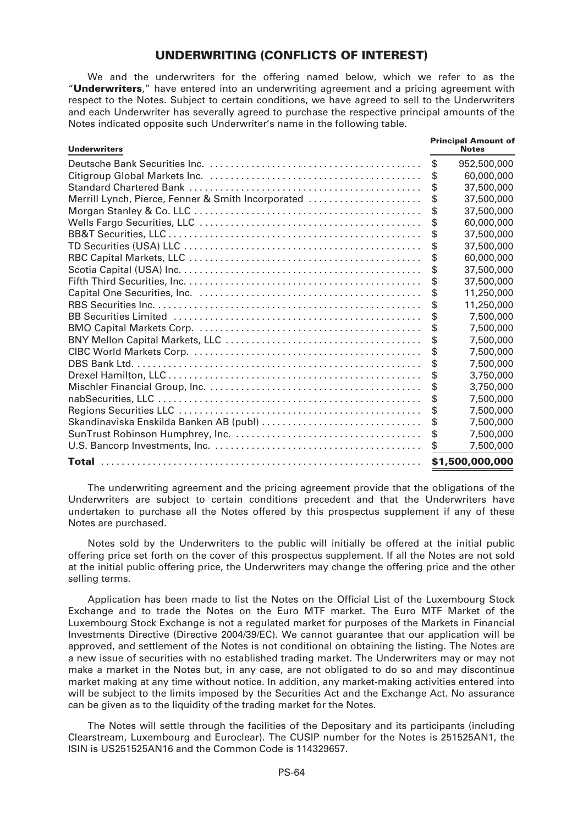# **UNDERWRITING (CONFLICTS OF INTEREST)**

We and the underwriters for the offering named below, which we refer to as the "**Underwriters**," have entered into an underwriting agreement and a pricing agreement with respect to the Notes. Subject to certain conditions, we have agreed to sell to the Underwriters and each Underwriter has severally agreed to purchase the respective principal amounts of the Notes indicated opposite such Underwriter's name in the following table.

| <b>Underwriters</b>                                | <b>Principal Amount of</b><br><b>Notes</b> |
|----------------------------------------------------|--------------------------------------------|
|                                                    | \$<br>952,500,000                          |
|                                                    | \$<br>60,000,000                           |
|                                                    | \$<br>37,500,000                           |
| Merrill Lynch, Pierce, Fenner & Smith Incorporated | \$<br>37,500,000                           |
|                                                    | \$<br>37,500,000                           |
|                                                    | \$<br>60,000,000                           |
|                                                    | \$<br>37,500,000                           |
|                                                    | \$<br>37,500,000                           |
|                                                    | 60,000,000                                 |
|                                                    | \$<br>37,500,000                           |
|                                                    | \$<br>37,500,000                           |
|                                                    | \$<br>11,250,000                           |
|                                                    | 11,250,000                                 |
|                                                    | \$<br>7,500,000                            |
|                                                    | \$<br>7,500,000                            |
|                                                    | \$<br>7,500,000                            |
|                                                    | 7,500,000                                  |
|                                                    | \$<br>7,500,000                            |
|                                                    | 3,750,000                                  |
|                                                    | \$<br>3,750,000                            |
|                                                    | \$<br>7,500,000                            |
|                                                    | \$<br>7,500,000                            |
| Skandinaviska Enskilda Banken AB (publ)            | \$<br>7,500,000                            |
|                                                    | \$<br>7,500,000                            |
|                                                    | 7,500,000                                  |
|                                                    | \$1,500,000,000                            |

The underwriting agreement and the pricing agreement provide that the obligations of the Underwriters are subject to certain conditions precedent and that the Underwriters have undertaken to purchase all the Notes offered by this prospectus supplement if any of these Notes are purchased.

Notes sold by the Underwriters to the public will initially be offered at the initial public offering price set forth on the cover of this prospectus supplement. If all the Notes are not sold at the initial public offering price, the Underwriters may change the offering price and the other selling terms.

Application has been made to list the Notes on the Official List of the Luxembourg Stock Exchange and to trade the Notes on the Euro MTF market. The Euro MTF Market of the Luxembourg Stock Exchange is not a regulated market for purposes of the Markets in Financial Investments Directive (Directive 2004/39/EC). We cannot guarantee that our application will be approved, and settlement of the Notes is not conditional on obtaining the listing. The Notes are a new issue of securities with no established trading market. The Underwriters may or may not make a market in the Notes but, in any case, are not obligated to do so and may discontinue market making at any time without notice. In addition, any market-making activities entered into will be subject to the limits imposed by the Securities Act and the Exchange Act. No assurance can be given as to the liquidity of the trading market for the Notes.

The Notes will settle through the facilities of the Depositary and its participants (including Clearstream, Luxembourg and Euroclear). The CUSIP number for the Notes is 251525AN1, the ISIN is US251525AN16 and the Common Code is 114329657.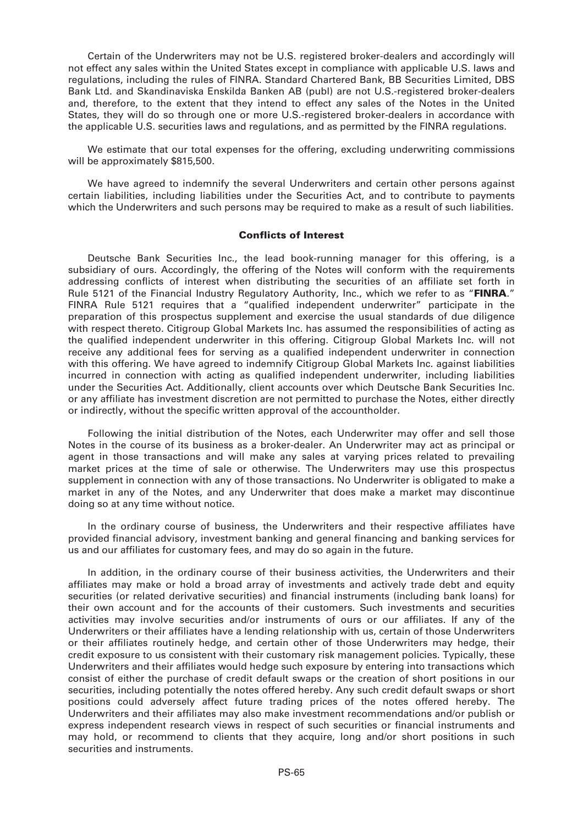Certain of the Underwriters may not be U.S. registered broker-dealers and accordingly will not effect any sales within the United States except in compliance with applicable U.S. laws and regulations, including the rules of FINRA. Standard Chartered Bank, BB Securities Limited, DBS Bank Ltd. and Skandinaviska Enskilda Banken AB (publ) are not U.S.-registered broker-dealers and, therefore, to the extent that they intend to effect any sales of the Notes in the United States, they will do so through one or more U.S.-registered broker-dealers in accordance with the applicable U.S. securities laws and regulations, and as permitted by the FINRA regulations.

We estimate that our total expenses for the offering, excluding underwriting commissions will be approximately \$815,500.

We have agreed to indemnify the several Underwriters and certain other persons against certain liabilities, including liabilities under the Securities Act, and to contribute to payments which the Underwriters and such persons may be required to make as a result of such liabilities.

#### **Conflicts of Interest**

Deutsche Bank Securities Inc., the lead book-running manager for this offering, is a subsidiary of ours. Accordingly, the offering of the Notes will conform with the requirements addressing conflicts of interest when distributing the securities of an affiliate set forth in Rule 5121 of the Financial Industry Regulatory Authority, Inc., which we refer to as "**FINRA**." FINRA Rule 5121 requires that a "qualified independent underwriter" participate in the preparation of this prospectus supplement and exercise the usual standards of due diligence with respect thereto. Citigroup Global Markets Inc. has assumed the responsibilities of acting as the qualified independent underwriter in this offering. Citigroup Global Markets Inc. will not receive any additional fees for serving as a qualified independent underwriter in connection with this offering. We have agreed to indemnify Citigroup Global Markets Inc. against liabilities incurred in connection with acting as qualified independent underwriter, including liabilities under the Securities Act. Additionally, client accounts over which Deutsche Bank Securities Inc. or any affiliate has investment discretion are not permitted to purchase the Notes, either directly or indirectly, without the specific written approval of the accountholder.

Following the initial distribution of the Notes, each Underwriter may offer and sell those Notes in the course of its business as a broker-dealer. An Underwriter may act as principal or agent in those transactions and will make any sales at varying prices related to prevailing market prices at the time of sale or otherwise. The Underwriters may use this prospectus supplement in connection with any of those transactions. No Underwriter is obligated to make a market in any of the Notes, and any Underwriter that does make a market may discontinue doing so at any time without notice.

In the ordinary course of business, the Underwriters and their respective affiliates have provided financial advisory, investment banking and general financing and banking services for us and our affiliates for customary fees, and may do so again in the future.

In addition, in the ordinary course of their business activities, the Underwriters and their affiliates may make or hold a broad array of investments and actively trade debt and equity securities (or related derivative securities) and financial instruments (including bank loans) for their own account and for the accounts of their customers. Such investments and securities activities may involve securities and/or instruments of ours or our affiliates. If any of the Underwriters or their affiliates have a lending relationship with us, certain of those Underwriters or their affiliates routinely hedge, and certain other of those Underwriters may hedge, their credit exposure to us consistent with their customary risk management policies. Typically, these Underwriters and their affiliates would hedge such exposure by entering into transactions which consist of either the purchase of credit default swaps or the creation of short positions in our securities, including potentially the notes offered hereby. Any such credit default swaps or short positions could adversely affect future trading prices of the notes offered hereby. The Underwriters and their affiliates may also make investment recommendations and/or publish or express independent research views in respect of such securities or financial instruments and may hold, or recommend to clients that they acquire, long and/or short positions in such securities and instruments.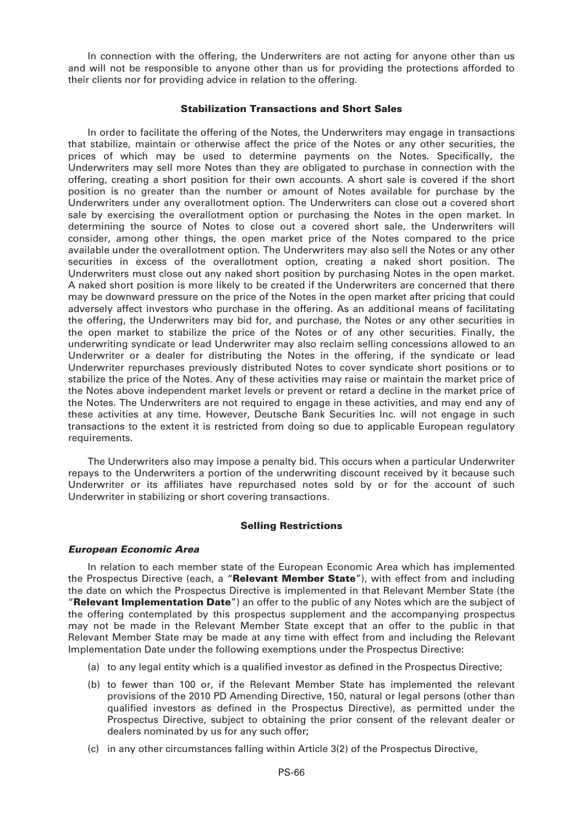In connection with the offering, the Underwriters are not acting for anyone other than us and will not be responsible to anyone other than us for providing the protections afforded to their clients nor for providing advice in relation to the offering.

# **Stabilization Transactions and Short Sales**

In order to facilitate the offering of the Notes, the Underwriters may engage in transactions that stabilize, maintain or otherwise affect the price of the Notes or any other securities, the prices of which may be used to determine payments on the Notes. Specifically, the Underwriters may sell more Notes than they are obligated to purchase in connection with the offering, creating a short position for their own accounts. A short sale is covered if the short position is no greater than the number or amount of Notes available for purchase by the Underwriters under any overallotment option. The Underwriters can close out a covered short sale by exercising the overallotment option or purchasing the Notes in the open market. In determining the source of Notes to close out a covered short sale, the Underwriters will consider, among other things, the open market price of the Notes compared to the price available under the overallotment option. The Underwriters may also sell the Notes or any other securities in excess of the overallotment option, creating a naked short position. The Underwriters must close out any naked short position by purchasing Notes in the open market. A naked short position is more likely to be created if the Underwriters are concerned that there may be downward pressure on the price of the Notes in the open market after pricing that could adversely affect investors who purchase in the offering. As an additional means of facilitating the offering, the Underwriters may bid for, and purchase, the Notes or any other securities in the open market to stabilize the price of the Notes or of any other securities. Finally, the underwriting syndicate or lead Underwriter may also reclaim selling concessions allowed to an Underwriter or a dealer for distributing the Notes in the offering, if the syndicate or lead Underwriter repurchases previously distributed Notes to cover syndicate short positions or to stabilize the price of the Notes. Any of these activities may raise or maintain the market price of the Notes above independent market levels or prevent or retard a decline in the market price of the Notes. The Underwriters are not required to engage in these activities, and may end any of these activities at any time. However, Deutsche Bank Securities Inc. will not engage in such transactions to the extent it is restricted from doing so due to applicable European regulatory requirements.

The Underwriters also may impose a penalty bid. This occurs when a particular Underwriter repays to the Underwriters a portion of the underwriting discount received by it because such Underwriter or its affiliates have repurchased notes sold by or for the account of such Underwriter in stabilizing or short covering transactions.

# **Selling Restrictions**

# *European Economic Area*

In relation to each member state of the European Economic Area which has implemented the Prospectus Directive (each, a "**Relevant Member State**"), with effect from and including the date on which the Prospectus Directive is implemented in that Relevant Member State (the "**Relevant Implementation Date**") an offer to the public of any Notes which are the subject of the offering contemplated by this prospectus supplement and the accompanying prospectus may not be made in the Relevant Member State except that an offer to the public in that Relevant Member State may be made at any time with effect from and including the Relevant Implementation Date under the following exemptions under the Prospectus Directive:

- (a) to any legal entity which is a qualified investor as defined in the Prospectus Directive;
- (b) to fewer than 100 or, if the Relevant Member State has implemented the relevant provisions of the 2010 PD Amending Directive, 150, natural or legal persons (other than qualified investors as defined in the Prospectus Directive), as permitted under the Prospectus Directive, subject to obtaining the prior consent of the relevant dealer or dealers nominated by us for any such offer;
- (c) in any other circumstances falling within Article 3(2) of the Prospectus Directive,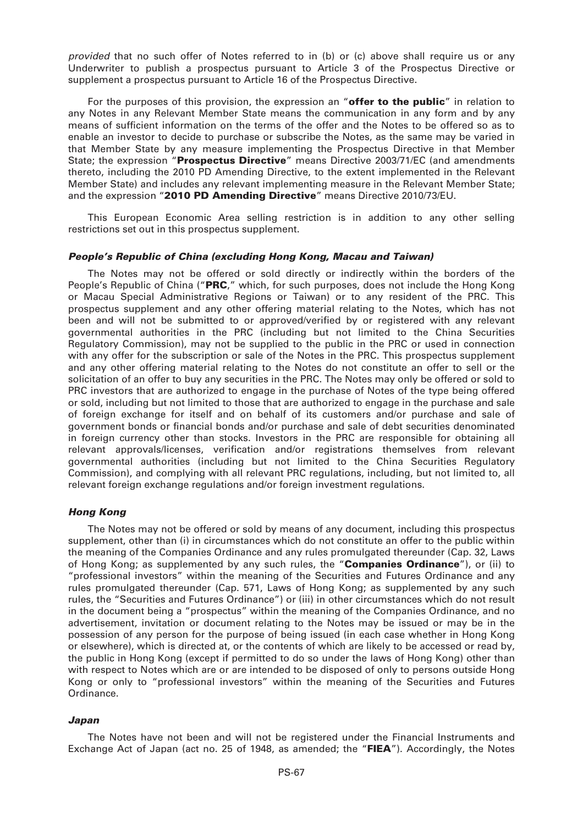*provided* that no such offer of Notes referred to in (b) or (c) above shall require us or any Underwriter to publish a prospectus pursuant to Article 3 of the Prospectus Directive or supplement a prospectus pursuant to Article 16 of the Prospectus Directive.

For the purposes of this provision, the expression an "**offer to the public**" in relation to any Notes in any Relevant Member State means the communication in any form and by any means of sufficient information on the terms of the offer and the Notes to be offered so as to enable an investor to decide to purchase or subscribe the Notes, as the same may be varied in that Member State by any measure implementing the Prospectus Directive in that Member State; the expression "**Prospectus Directive**" means Directive 2003/71/EC (and amendments thereto, including the 2010 PD Amending Directive, to the extent implemented in the Relevant Member State) and includes any relevant implementing measure in the Relevant Member State; and the expression "**2010 PD Amending Directive**" means Directive 2010/73/EU.

This European Economic Area selling restriction is in addition to any other selling restrictions set out in this prospectus supplement.

# *People's Republic of China (excluding Hong Kong, Macau and Taiwan)*

The Notes may not be offered or sold directly or indirectly within the borders of the People's Republic of China ("**PRC**," which, for such purposes, does not include the Hong Kong or Macau Special Administrative Regions or Taiwan) or to any resident of the PRC. This prospectus supplement and any other offering material relating to the Notes, which has not been and will not be submitted to or approved/verified by or registered with any relevant governmental authorities in the PRC (including but not limited to the China Securities Regulatory Commission), may not be supplied to the public in the PRC or used in connection with any offer for the subscription or sale of the Notes in the PRC. This prospectus supplement and any other offering material relating to the Notes do not constitute an offer to sell or the solicitation of an offer to buy any securities in the PRC. The Notes may only be offered or sold to PRC investors that are authorized to engage in the purchase of Notes of the type being offered or sold, including but not limited to those that are authorized to engage in the purchase and sale of foreign exchange for itself and on behalf of its customers and/or purchase and sale of government bonds or financial bonds and/or purchase and sale of debt securities denominated in foreign currency other than stocks. Investors in the PRC are responsible for obtaining all relevant approvals/licenses, verification and/or registrations themselves from relevant governmental authorities (including but not limited to the China Securities Regulatory Commission), and complying with all relevant PRC regulations, including, but not limited to, all relevant foreign exchange regulations and/or foreign investment regulations.

# *Hong Kong*

The Notes may not be offered or sold by means of any document, including this prospectus supplement, other than (i) in circumstances which do not constitute an offer to the public within the meaning of the Companies Ordinance and any rules promulgated thereunder (Cap. 32, Laws of Hong Kong; as supplemented by any such rules, the "**Companies Ordinance**"), or (ii) to "professional investors" within the meaning of the Securities and Futures Ordinance and any rules promulgated thereunder (Cap. 571, Laws of Hong Kong; as supplemented by any such rules, the "Securities and Futures Ordinance") or (iii) in other circumstances which do not result in the document being a "prospectus" within the meaning of the Companies Ordinance, and no advertisement, invitation or document relating to the Notes may be issued or may be in the possession of any person for the purpose of being issued (in each case whether in Hong Kong or elsewhere), which is directed at, or the contents of which are likely to be accessed or read by, the public in Hong Kong (except if permitted to do so under the laws of Hong Kong) other than with respect to Notes which are or are intended to be disposed of only to persons outside Hong Kong or only to "professional investors" within the meaning of the Securities and Futures Ordinance.

# *Japan*

The Notes have not been and will not be registered under the Financial Instruments and Exchange Act of Japan (act no. 25 of 1948, as amended; the "**FIEA**"). Accordingly, the Notes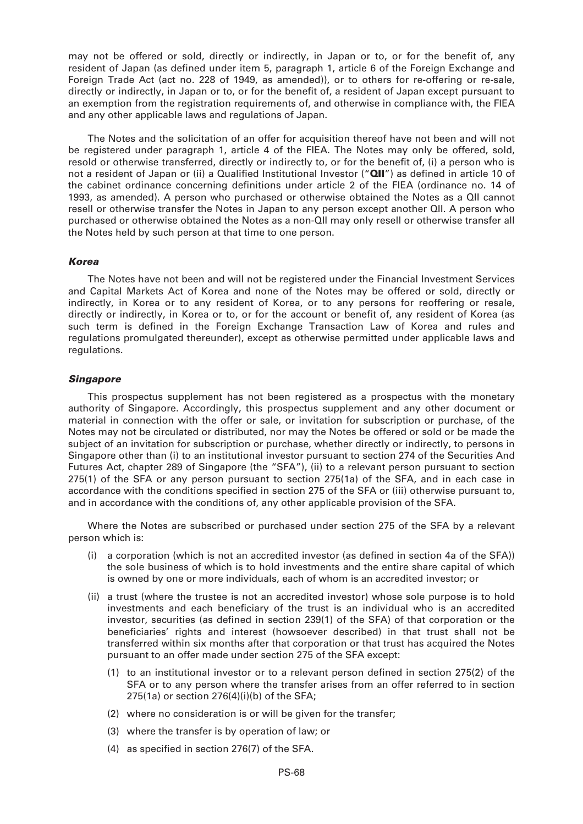may not be offered or sold, directly or indirectly, in Japan or to, or for the benefit of, any resident of Japan (as defined under item 5, paragraph 1, article 6 of the Foreign Exchange and Foreign Trade Act (act no. 228 of 1949, as amended)), or to others for re-offering or re-sale, directly or indirectly, in Japan or to, or for the benefit of, a resident of Japan except pursuant to an exemption from the registration requirements of, and otherwise in compliance with, the FIEA and any other applicable laws and regulations of Japan.

The Notes and the solicitation of an offer for acquisition thereof have not been and will not be registered under paragraph 1, article 4 of the FIEA. The Notes may only be offered, sold, resold or otherwise transferred, directly or indirectly to, or for the benefit of, (i) a person who is not a resident of Japan or (ii) a Qualified Institutional Investor ("**QII**") as defined in article 10 of the cabinet ordinance concerning definitions under article 2 of the FIEA (ordinance no. 14 of 1993, as amended). A person who purchased or otherwise obtained the Notes as a QII cannot resell or otherwise transfer the Notes in Japan to any person except another QII. A person who purchased or otherwise obtained the Notes as a non-QII may only resell or otherwise transfer all the Notes held by such person at that time to one person.

# *Korea*

The Notes have not been and will not be registered under the Financial Investment Services and Capital Markets Act of Korea and none of the Notes may be offered or sold, directly or indirectly, in Korea or to any resident of Korea, or to any persons for reoffering or resale, directly or indirectly, in Korea or to, or for the account or benefit of, any resident of Korea (as such term is defined in the Foreign Exchange Transaction Law of Korea and rules and regulations promulgated thereunder), except as otherwise permitted under applicable laws and regulations.

# *Singapore*

This prospectus supplement has not been registered as a prospectus with the monetary authority of Singapore. Accordingly, this prospectus supplement and any other document or material in connection with the offer or sale, or invitation for subscription or purchase, of the Notes may not be circulated or distributed, nor may the Notes be offered or sold or be made the subject of an invitation for subscription or purchase, whether directly or indirectly, to persons in Singapore other than (i) to an institutional investor pursuant to section 274 of the Securities And Futures Act, chapter 289 of Singapore (the "SFA"), (ii) to a relevant person pursuant to section 275(1) of the SFA or any person pursuant to section 275(1a) of the SFA, and in each case in accordance with the conditions specified in section 275 of the SFA or (iii) otherwise pursuant to, and in accordance with the conditions of, any other applicable provision of the SFA.

Where the Notes are subscribed or purchased under section 275 of the SFA by a relevant person which is:

- (i) a corporation (which is not an accredited investor (as defined in section 4a of the SFA)) the sole business of which is to hold investments and the entire share capital of which is owned by one or more individuals, each of whom is an accredited investor; or
- (ii) a trust (where the trustee is not an accredited investor) whose sole purpose is to hold investments and each beneficiary of the trust is an individual who is an accredited investor, securities (as defined in section 239(1) of the SFA) of that corporation or the beneficiaries' rights and interest (howsoever described) in that trust shall not be transferred within six months after that corporation or that trust has acquired the Notes pursuant to an offer made under section 275 of the SFA except:
	- (1) to an institutional investor or to a relevant person defined in section 275(2) of the SFA or to any person where the transfer arises from an offer referred to in section 275(1a) or section 276(4)(i)(b) of the SFA;
	- (2) where no consideration is or will be given for the transfer;
	- (3) where the transfer is by operation of law; or
	- (4) as specified in section 276(7) of the SFA.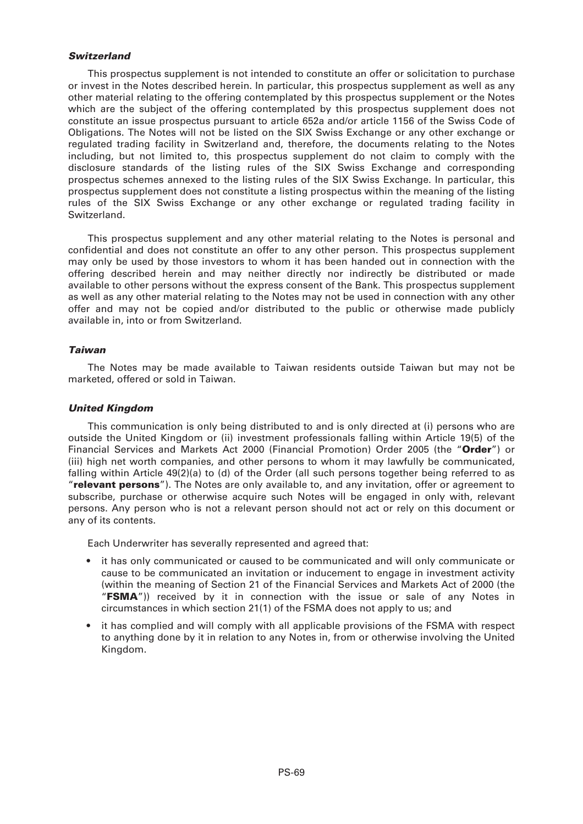### *Switzerland*

This prospectus supplement is not intended to constitute an offer or solicitation to purchase or invest in the Notes described herein. In particular, this prospectus supplement as well as any other material relating to the offering contemplated by this prospectus supplement or the Notes which are the subject of the offering contemplated by this prospectus supplement does not constitute an issue prospectus pursuant to article 652a and/or article 1156 of the Swiss Code of Obligations. The Notes will not be listed on the SIX Swiss Exchange or any other exchange or regulated trading facility in Switzerland and, therefore, the documents relating to the Notes including, but not limited to, this prospectus supplement do not claim to comply with the disclosure standards of the listing rules of the SIX Swiss Exchange and corresponding prospectus schemes annexed to the listing rules of the SIX Swiss Exchange. In particular, this prospectus supplement does not constitute a listing prospectus within the meaning of the listing rules of the SIX Swiss Exchange or any other exchange or regulated trading facility in Switzerland.

This prospectus supplement and any other material relating to the Notes is personal and confidential and does not constitute an offer to any other person. This prospectus supplement may only be used by those investors to whom it has been handed out in connection with the offering described herein and may neither directly nor indirectly be distributed or made available to other persons without the express consent of the Bank. This prospectus supplement as well as any other material relating to the Notes may not be used in connection with any other offer and may not be copied and/or distributed to the public or otherwise made publicly available in, into or from Switzerland.

# *Taiwan*

The Notes may be made available to Taiwan residents outside Taiwan but may not be marketed, offered or sold in Taiwan.

# *United Kingdom*

This communication is only being distributed to and is only directed at (i) persons who are outside the United Kingdom or (ii) investment professionals falling within Article 19(5) of the Financial Services and Markets Act 2000 (Financial Promotion) Order 2005 (the "**Order**") or (iii) high net worth companies, and other persons to whom it may lawfully be communicated, falling within Article 49(2)(a) to (d) of the Order (all such persons together being referred to as "**relevant persons**"). The Notes are only available to, and any invitation, offer or agreement to subscribe, purchase or otherwise acquire such Notes will be engaged in only with, relevant persons. Any person who is not a relevant person should not act or rely on this document or any of its contents.

Each Underwriter has severally represented and agreed that:

- it has only communicated or caused to be communicated and will only communicate or cause to be communicated an invitation or inducement to engage in investment activity (within the meaning of Section 21 of the Financial Services and Markets Act of 2000 (the "**FSMA**")) received by it in connection with the issue or sale of any Notes in circumstances in which section 21(1) of the FSMA does not apply to us; and
- it has complied and will comply with all applicable provisions of the FSMA with respect to anything done by it in relation to any Notes in, from or otherwise involving the United Kingdom.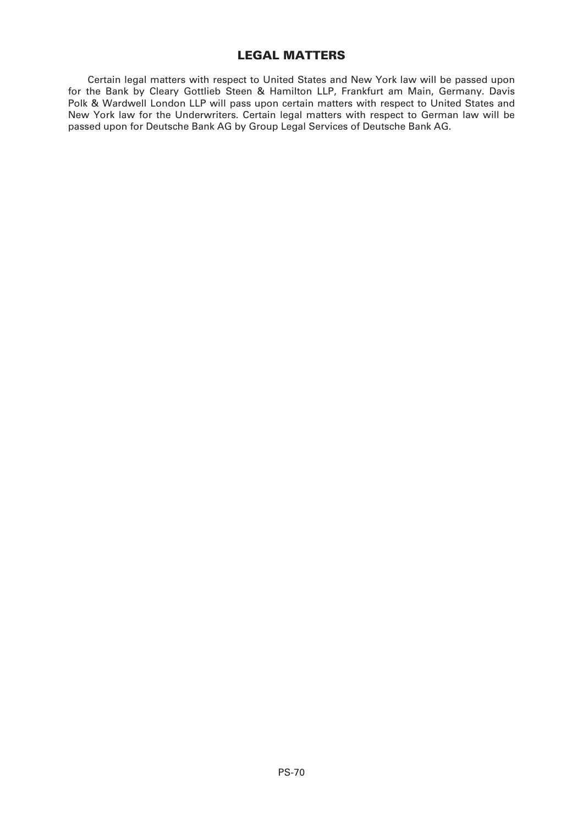# **LEGAL MATTERS**

Certain legal matters with respect to United States and New York law will be passed upon for the Bank by Cleary Gottlieb Steen & Hamilton LLP, Frankfurt am Main, Germany. Davis Polk & Wardwell London LLP will pass upon certain matters with respect to United States and New York law for the Underwriters. Certain legal matters with respect to German law will be passed upon for Deutsche Bank AG by Group Legal Services of Deutsche Bank AG.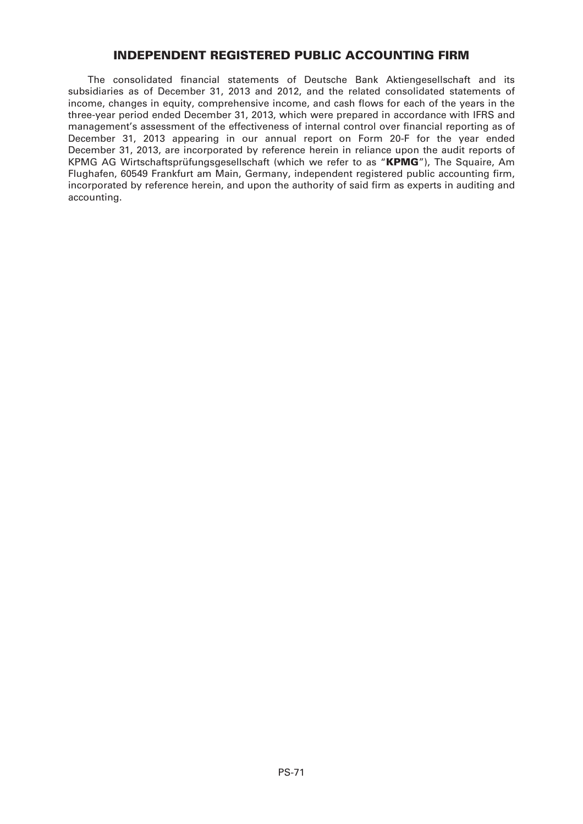# **INDEPENDENT REGISTERED PUBLIC ACCOUNTING FIRM**

The consolidated financial statements of Deutsche Bank Aktiengesellschaft and its subsidiaries as of December 31, 2013 and 2012, and the related consolidated statements of income, changes in equity, comprehensive income, and cash flows for each of the years in the three-year period ended December 31, 2013, which were prepared in accordance with IFRS and management's assessment of the effectiveness of internal control over financial reporting as of December 31, 2013 appearing in our annual report on Form 20-F for the year ended December 31, 2013, are incorporated by reference herein in reliance upon the audit reports of KPMG AG Wirtschaftsprüfungsgesellschaft (which we refer to as "**KPMG**"), The Squaire, Am Flughafen, 60549 Frankfurt am Main, Germany, independent registered public accounting firm, incorporated by reference herein, and upon the authority of said firm as experts in auditing and accounting.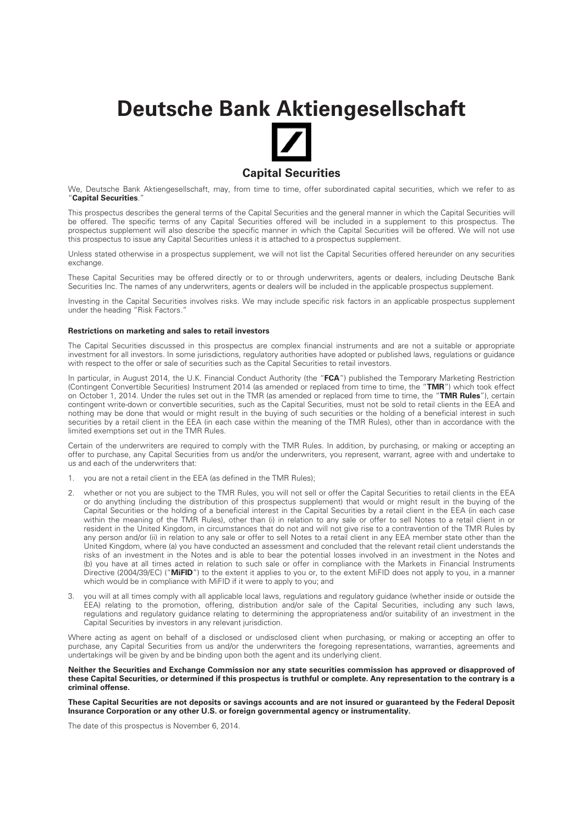# **Deutsche Bank Aktiengesellschaft**



We, Deutsche Bank Aktiengesellschaft, may, from time to time, offer subordinated capital securities, which we refer to as "**Capital Securities**."

This prospectus describes the general terms of the Capital Securities and the general manner in which the Capital Securities will be offered. The specific terms of any Capital Securities offered will be included in a supplement to this prospectus. The prospectus supplement will also describe the specific manner in which the Capital Securities will be offered. We will not use this prospectus to issue any Capital Securities unless it is attached to a prospectus supplement.

Unless stated otherwise in a prospectus supplement, we will not list the Capital Securities offered hereunder on any securities exchange.

These Capital Securities may be offered directly or to or through underwriters, agents or dealers, including Deutsche Bank Securities Inc. The names of any underwriters, agents or dealers will be included in the applicable prospectus supplement.

Investing in the Capital Securities involves risks. We may include specific risk factors in an applicable prospectus supplement under the heading "Risk Factors."

#### **Restrictions on marketing and sales to retail investors**

The Capital Securities discussed in this prospectus are complex financial instruments and are not a suitable or appropriate investment for all investors. In some jurisdictions, regulatory authorities have adopted or published laws, regulations or guidance with respect to the offer or sale of securities such as the Capital Securities to retail investors.

In particular, in August 2014, the U.K. Financial Conduct Authority (the "**FCA**") published the Temporary Marketing Restriction (Contingent Convertible Securities) Instrument 2014 (as amended or replaced from time to time, the "**TMR**") which took effect on October 1, 2014. Under the rules set out in the TMR (as amended or replaced from time to time, the "**TMR Rules**"), certain contingent write-down or convertible securities, such as the Capital Securities, must not be sold to retail clients in the EEA and nothing may be done that would or might result in the buying of such securities or the holding of a beneficial interest in such securities by a retail client in the EEA (in each case within the meaning of the TMR Rules), other than in accordance with the limited exemptions set out in the TMR Rules.

Certain of the underwriters are required to comply with the TMR Rules. In addition, by purchasing, or making or accepting an offer to purchase, any Capital Securities from us and/or the underwriters, you represent, warrant, agree with and undertake to us and each of the underwriters that:

- 1. you are not a retail client in the EEA (as defined in the TMR Rules);
- 2. whether or not you are subject to the TMR Rules, you will not sell or offer the Capital Securities to retail clients in the EEA or do anything (including the distribution of this prospectus supplement) that would or might result in the buying of the Capital Securities or the holding of a beneficial interest in the Capital Securities by a retail client in the EEA (in each case within the meaning of the TMR Rules), other than (i) in relation to any sale or offer to sell Notes to a retail client in or resident in the United Kingdom, in circumstances that do not and will not give rise to a contravention of the TMR Rules by any person and/or (ii) in relation to any sale or offer to sell Notes to a retail client in any EEA member state other than the United Kingdom, where (a) you have conducted an assessment and concluded that the relevant retail client understands the risks of an investment in the Notes and is able to bear the potential losses involved in an investment in the Notes and (b) you have at all times acted in relation to such sale or offer in compliance with the Markets in Financial Instruments Directive (2004/39/EC) ("**MiFID**") to the extent it applies to you or, to the extent MiFID does not apply to you, in a manner which would be in compliance with MiFID if it were to apply to you; and
- you will at all times comply with all applicable local laws, regulations and regulatory guidance (whether inside or outside the EEA) relating to the promotion, offering, distribution and/or sale of the Capital Securities, including any such laws, regulations and regulatory guidance relating to determining the appropriateness and/or suitability of an investment in the Capital Securities by investors in any relevant jurisdiction.

Where acting as agent on behalf of a disclosed or undisclosed client when purchasing, or making or accepting an offer to purchase, any Capital Securities from us and/or the underwriters the foregoing representations, warranties, agreements and undertakings will be given by and be binding upon both the agent and its underlying client.

#### **Neither the Securities and Exchange Commission nor any state securities commission has approved or disapproved of these Capital Securities, or determined if this prospectus is truthful or complete. Any representation to the contrary is a criminal offense.**

**These Capital Securities are not deposits or savings accounts and are not insured or guaranteed by the Federal Deposit Insurance Corporation or any other U.S. or foreign governmental agency or instrumentality.**

The date of this prospectus is November 6, 2014.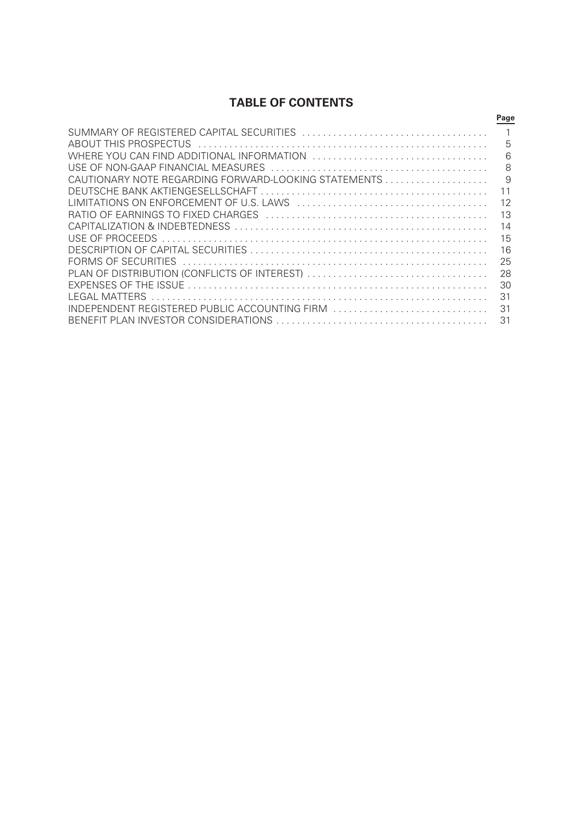# **TABLE OF CONTENTS**

|                                               | Page |
|-----------------------------------------------|------|
|                                               |      |
| ABOUT THIS PROSPECTUS                         | 5    |
|                                               | 6    |
| USE OF NON-GAAP FINANCIAL MEASURES            | 8    |
|                                               | 9    |
|                                               |      |
|                                               | 12   |
|                                               | 13   |
|                                               | 14   |
|                                               | 15   |
|                                               | 16   |
|                                               | 25   |
|                                               | 28   |
|                                               | 30   |
| LEGAL MATTERS                                 | 31   |
| INDEPENDENT REGISTERED PUBLIC ACCOUNTING FIRM | 31   |
| BENEFIT PLAN INVESTOR CONSIDERATIONS          | 31   |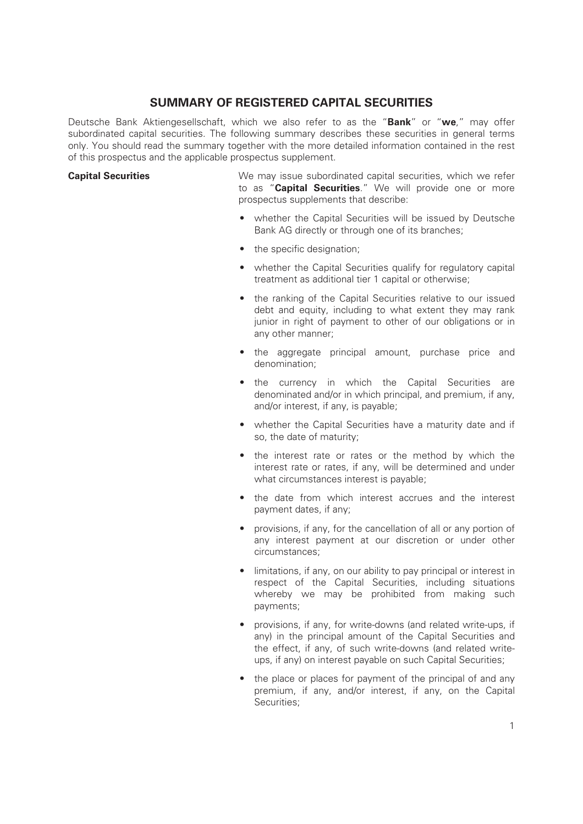# **SUMMARY OF REGISTERED CAPITAL SECURITIES**

Deutsche Bank Aktiengesellschaft, which we also refer to as the "**Bank**" or "**we**," may offer subordinated capital securities. The following summary describes these securities in general terms only. You should read the summary together with the more detailed information contained in the rest of this prospectus and the applicable prospectus supplement.

**Capital Securities** We may issue subordinated capital securities, which we refer to as "**Capital Securities**." We will provide one or more prospectus supplements that describe:

- whether the Capital Securities will be issued by Deutsche Bank AG directly or through one of its branches;
- the specific designation;
- whether the Capital Securities qualify for regulatory capital treatment as additional tier 1 capital or otherwise;
- the ranking of the Capital Securities relative to our issued debt and equity, including to what extent they may rank junior in right of payment to other of our obligations or in any other manner;
- the aggregate principal amount, purchase price and denomination;
- the currency in which the Capital Securities are denominated and/or in which principal, and premium, if any, and/or interest, if any, is payable;
- whether the Capital Securities have a maturity date and if so, the date of maturity;
- the interest rate or rates or the method by which the interest rate or rates, if any, will be determined and under what circumstances interest is payable;
- the date from which interest accrues and the interest payment dates, if any;
- provisions, if any, for the cancellation of all or any portion of any interest payment at our discretion or under other circumstances;
- limitations, if any, on our ability to pay principal or interest in respect of the Capital Securities, including situations whereby we may be prohibited from making such payments;
- provisions, if any, for write-downs (and related write-ups, if any) in the principal amount of the Capital Securities and the effect, if any, of such write-downs (and related writeups, if any) on interest payable on such Capital Securities;
- the place or places for payment of the principal of and any premium, if any, and/or interest, if any, on the Capital Securities;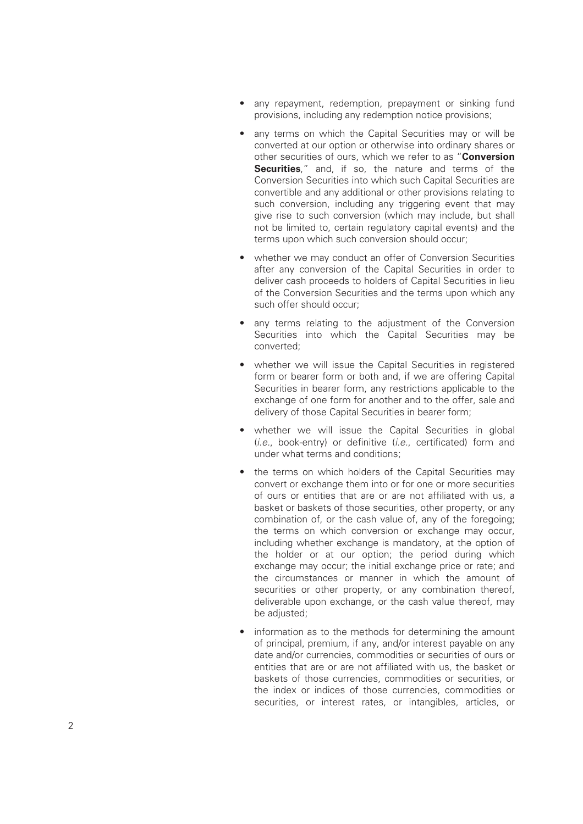- any repayment, redemption, prepayment or sinking fund provisions, including any redemption notice provisions;
- any terms on which the Capital Securities may or will be converted at our option or otherwise into ordinary shares or other securities of ours, which we refer to as "**Conversion Securities**," and, if so, the nature and terms of the Conversion Securities into which such Capital Securities are convertible and any additional or other provisions relating to such conversion, including any triggering event that may give rise to such conversion (which may include, but shall not be limited to, certain regulatory capital events) and the terms upon which such conversion should occur;
- whether we may conduct an offer of Conversion Securities after any conversion of the Capital Securities in order to deliver cash proceeds to holders of Capital Securities in lieu of the Conversion Securities and the terms upon which any such offer should occur;
- any terms relating to the adjustment of the Conversion Securities into which the Capital Securities may be converted;
- whether we will issue the Capital Securities in registered form or bearer form or both and, if we are offering Capital Securities in bearer form, any restrictions applicable to the exchange of one form for another and to the offer, sale and delivery of those Capital Securities in bearer form;
- whether we will issue the Capital Securities in global (*i.e.*, book-entry) or definitive (*i.e.*, certificated) form and under what terms and conditions;
- the terms on which holders of the Capital Securities may convert or exchange them into or for one or more securities of ours or entities that are or are not affiliated with us, a basket or baskets of those securities, other property, or any combination of, or the cash value of, any of the foregoing; the terms on which conversion or exchange may occur, including whether exchange is mandatory, at the option of the holder or at our option; the period during which exchange may occur; the initial exchange price or rate; and the circumstances or manner in which the amount of securities or other property, or any combination thereof, deliverable upon exchange, or the cash value thereof, may be adjusted;
- information as to the methods for determining the amount of principal, premium, if any, and/or interest payable on any date and/or currencies, commodities or securities of ours or entities that are or are not affiliated with us, the basket or baskets of those currencies, commodities or securities, or the index or indices of those currencies, commodities or securities, or interest rates, or intangibles, articles, or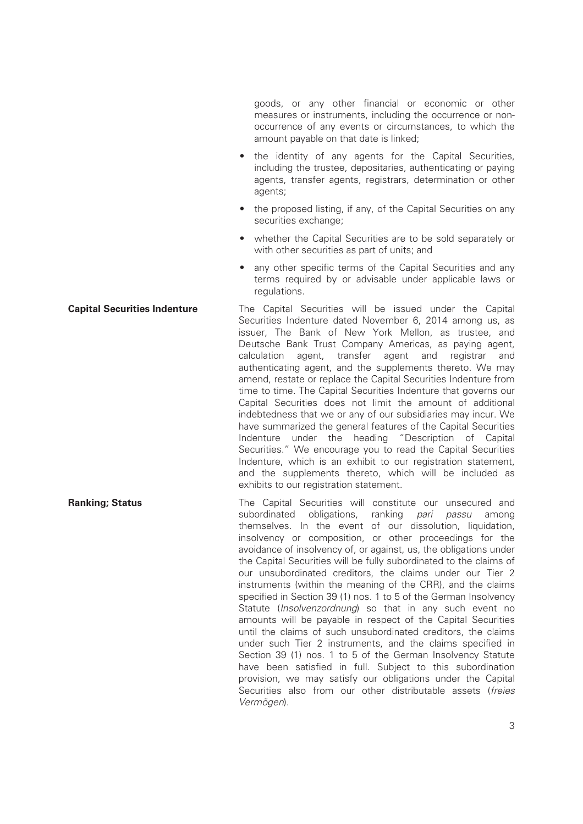goods, or any other financial or economic or other measures or instruments, including the occurrence or nonoccurrence of any events or circumstances, to which the amount payable on that date is linked;

- the identity of any agents for the Capital Securities, including the trustee, depositaries, authenticating or paying agents, transfer agents, registrars, determination or other agents;
- the proposed listing, if any, of the Capital Securities on any securities exchange:
- whether the Capital Securities are to be sold separately or with other securities as part of units; and
- any other specific terms of the Capital Securities and any terms required by or advisable under applicable laws or regulations.

**Capital Securities Indenture** The Capital Securities will be issued under the Capital Securities Indenture dated November 6, 2014 among us, as issuer, The Bank of New York Mellon, as trustee, and Deutsche Bank Trust Company Americas, as paying agent, calculation agent, transfer agent and registrar and authenticating agent, and the supplements thereto. We may amend, restate or replace the Capital Securities Indenture from time to time. The Capital Securities Indenture that governs our Capital Securities does not limit the amount of additional indebtedness that we or any of our subsidiaries may incur. We have summarized the general features of the Capital Securities Indenture under the heading "Description of Capital Securities." We encourage you to read the Capital Securities Indenture, which is an exhibit to our registration statement, and the supplements thereto, which will be included as exhibits to our registration statement.

**Ranking; Status** The Capital Securities will constitute our unsecured and subordinated obligations, ranking *pari passu* among themselves. In the event of our dissolution, liquidation, insolvency or composition, or other proceedings for the avoidance of insolvency of, or against, us, the obligations under the Capital Securities will be fully subordinated to the claims of our unsubordinated creditors, the claims under our Tier 2 instruments (within the meaning of the CRR), and the claims specified in Section 39 (1) nos. 1 to 5 of the German Insolvency Statute (*Insolvenzordnung*) so that in any such event no amounts will be payable in respect of the Capital Securities until the claims of such unsubordinated creditors, the claims under such Tier 2 instruments, and the claims specified in Section 39 (1) nos. 1 to 5 of the German Insolvency Statute have been satisfied in full. Subject to this subordination provision, we may satisfy our obligations under the Capital Securities also from our other distributable assets (*freies Vermögen*).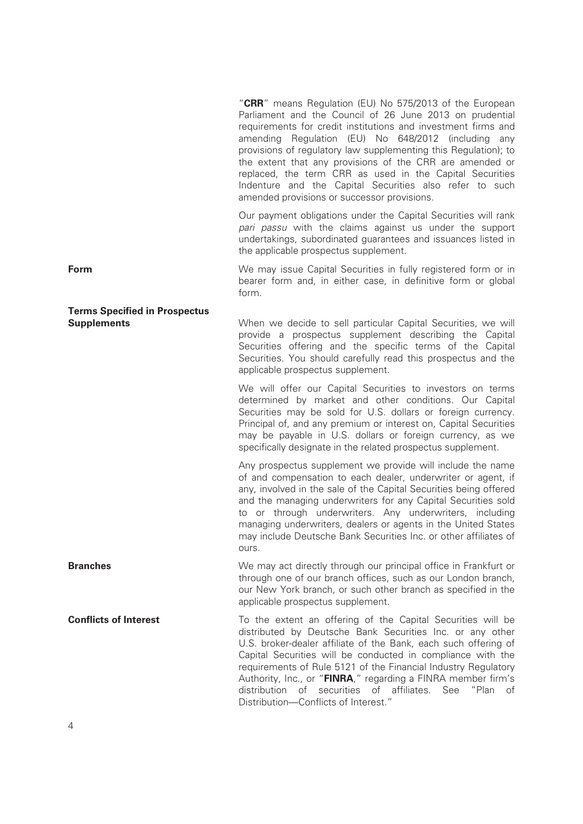|                                                            | "CRR" means Regulation (EU) No 575/2013 of the European<br>Parliament and the Council of 26 June 2013 on prudential<br>requirements for credit institutions and investment firms and<br>amending Regulation (EU) No 648/2012 (including any<br>provisions of regulatory law supplementing this Regulation); to<br>the extent that any provisions of the CRR are amended or<br>replaced, the term CRR as used in the Capital Securities<br>Indenture and the Capital Securities also refer to such<br>amended provisions or successor provisions. |
|------------------------------------------------------------|--------------------------------------------------------------------------------------------------------------------------------------------------------------------------------------------------------------------------------------------------------------------------------------------------------------------------------------------------------------------------------------------------------------------------------------------------------------------------------------------------------------------------------------------------|
|                                                            | Our payment obligations under the Capital Securities will rank<br>pari passu with the claims against us under the support<br>undertakings, subordinated guarantees and issuances listed in<br>the applicable prospectus supplement.                                                                                                                                                                                                                                                                                                              |
| Form                                                       | We may issue Capital Securities in fully registered form or in<br>bearer form and, in either case, in definitive form or global<br>form.                                                                                                                                                                                                                                                                                                                                                                                                         |
| <b>Terms Specified in Prospectus</b><br><b>Supplements</b> | When we decide to sell particular Capital Securities, we will<br>provide a prospectus supplement describing the Capital<br>Securities offering and the specific terms of the Capital<br>Securities. You should carefully read this prospectus and the<br>applicable prospectus supplement.                                                                                                                                                                                                                                                       |
|                                                            | We will offer our Capital Securities to investors on terms<br>determined by market and other conditions. Our Capital<br>Securities may be sold for U.S. dollars or foreign currency.<br>Principal of, and any premium or interest on, Capital Securities<br>may be payable in U.S. dollars or foreign currency, as we<br>specifically designate in the related prospectus supplement.                                                                                                                                                            |
|                                                            | Any prospectus supplement we provide will include the name<br>of and compensation to each dealer, underwriter or agent, if<br>any, involved in the sale of the Capital Securities being offered<br>and the managing underwriters for any Capital Securities sold<br>to or through underwriters. Any underwriters, including<br>managing underwriters, dealers or agents in the United States<br>may include Deutsche Bank Securities Inc. or other affiliates of<br>ours.                                                                        |
| <b>Branches</b>                                            | We may act directly through our principal office in Frankfurt or<br>through one of our branch offices, such as our London branch,<br>our New York branch, or such other branch as specified in the<br>applicable prospectus supplement.                                                                                                                                                                                                                                                                                                          |
| <b>Conflicts of Interest</b>                               | To the extent an offering of the Capital Securities will be<br>distributed by Deutsche Bank Securities Inc. or any other<br>U.S. broker-dealer affiliate of the Bank, each such offering of<br>Capital Securities will be conducted in compliance with the<br>requirements of Rule 5121 of the Financial Industry Regulatory<br>Authority, Inc., or "FINRA," regarding a FINRA member firm's<br>of securities of affiliates. See "Plan of<br>distribution<br>Distribution-Conflicts of Interest."                                                |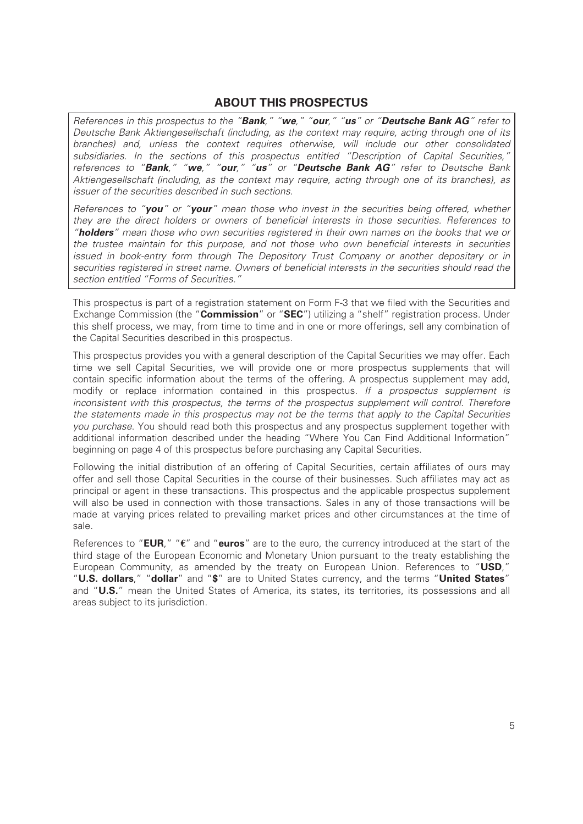# **ABOUT THIS PROSPECTUS**

*References in this prospectus to the "Bank," "we," "our," "us" or "Deutsche Bank AG" refer to Deutsche Bank Aktiengesellschaft (including, as the context may require, acting through one of its branches) and, unless the context requires otherwise, will include our other consolidated subsidiaries. In the sections of this prospectus entitled "Description of Capital Securities," references to "Bank," "we," "our," "us" or "Deutsche Bank AG" refer to Deutsche Bank Aktiengesellschaft (including, as the context may require, acting through one of its branches), as issuer of the securities described in such sections.*

*References to "you" or "your" mean those who invest in the securities being offered, whether they are the direct holders or owners of beneficial interests in those securities. References to "holders" mean those who own securities registered in their own names on the books that we or the trustee maintain for this purpose, and not those who own beneficial interests in securities issued in book-entry form through The Depository Trust Company or another depositary or in securities registered in street name. Owners of beneficial interests in the securities should read the section entitled "Forms of Securities."*

This prospectus is part of a registration statement on Form F-3 that we filed with the Securities and Exchange Commission (the "**Commission**" or "**SEC**") utilizing a "shelf" registration process. Under this shelf process, we may, from time to time and in one or more offerings, sell any combination of the Capital Securities described in this prospectus.

This prospectus provides you with a general description of the Capital Securities we may offer. Each time we sell Capital Securities, we will provide one or more prospectus supplements that will contain specific information about the terms of the offering. A prospectus supplement may add, modify or replace information contained in this prospectus. *If a prospectus supplement is inconsistent with this prospectus, the terms of the prospectus supplement will control. Therefore the statements made in this prospectus may not be the terms that apply to the Capital Securities you purchase*. You should read both this prospectus and any prospectus supplement together with additional information described under the heading "Where You Can Find Additional Information" beginning on page 4 of this prospectus before purchasing any Capital Securities.

Following the initial distribution of an offering of Capital Securities, certain affiliates of ours may offer and sell those Capital Securities in the course of their businesses. Such affiliates may act as principal or agent in these transactions. This prospectus and the applicable prospectus supplement will also be used in connection with those transactions. Sales in any of those transactions will be made at varying prices related to prevailing market prices and other circumstances at the time of sale.

References to "**EUR**," "**€**" and "**euros**" are to the euro, the currency introduced at the start of the third stage of the European Economic and Monetary Union pursuant to the treaty establishing the European Community, as amended by the treaty on European Union. References to "**USD**," "**U.S. dollars**," "**dollar**" and "**\$**" are to United States currency, and the terms "**United States**" and "**U.S.**" mean the United States of America, its states, its territories, its possessions and all areas subject to its jurisdiction.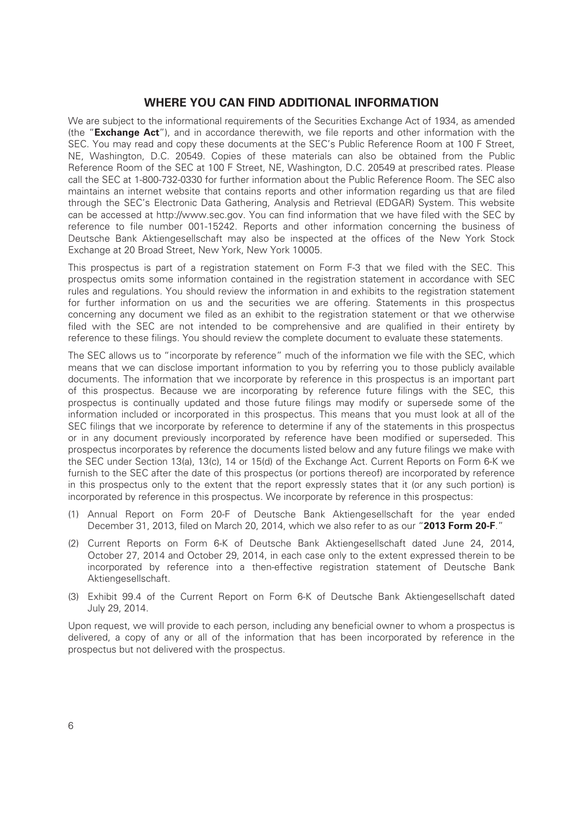### **WHERE YOU CAN FIND ADDITIONAL INFORMATION**

We are subject to the informational requirements of the Securities Exchange Act of 1934, as amended (the "**Exchange Act**"), and in accordance therewith, we file reports and other information with the SEC. You may read and copy these documents at the SEC's Public Reference Room at 100 F Street, NE, Washington, D.C. 20549. Copies of these materials can also be obtained from the Public Reference Room of the SEC at 100 F Street, NE, Washington, D.C. 20549 at prescribed rates. Please call the SEC at 1-800-732-0330 for further information about the Public Reference Room. The SEC also maintains an internet website that contains reports and other information regarding us that are filed through the SEC's Electronic Data Gathering, Analysis and Retrieval (EDGAR) System. This website can be accessed at http://www.sec.gov. You can find information that we have filed with the SEC by reference to file number 001-15242. Reports and other information concerning the business of Deutsche Bank Aktiengesellschaft may also be inspected at the offices of the New York Stock Exchange at 20 Broad Street, New York, New York 10005.

This prospectus is part of a registration statement on Form F-3 that we filed with the SEC. This prospectus omits some information contained in the registration statement in accordance with SEC rules and regulations. You should review the information in and exhibits to the registration statement for further information on us and the securities we are offering. Statements in this prospectus concerning any document we filed as an exhibit to the registration statement or that we otherwise filed with the SEC are not intended to be comprehensive and are qualified in their entirety by reference to these filings. You should review the complete document to evaluate these statements.

The SEC allows us to "incorporate by reference" much of the information we file with the SEC, which means that we can disclose important information to you by referring you to those publicly available documents. The information that we incorporate by reference in this prospectus is an important part of this prospectus. Because we are incorporating by reference future filings with the SEC, this prospectus is continually updated and those future filings may modify or supersede some of the information included or incorporated in this prospectus. This means that you must look at all of the SEC filings that we incorporate by reference to determine if any of the statements in this prospectus or in any document previously incorporated by reference have been modified or superseded. This prospectus incorporates by reference the documents listed below and any future filings we make with the SEC under Section 13(a), 13(c), 14 or 15(d) of the Exchange Act. Current Reports on Form 6-K we furnish to the SEC after the date of this prospectus (or portions thereof) are incorporated by reference in this prospectus only to the extent that the report expressly states that it (or any such portion) is incorporated by reference in this prospectus. We incorporate by reference in this prospectus:

- (1) Annual Report on Form 20-F of Deutsche Bank Aktiengesellschaft for the year ended December 31, 2013, filed on March 20, 2014, which we also refer to as our "**2013 Form 20-F**."
- (2) Current Reports on Form 6-K of Deutsche Bank Aktiengesellschaft dated June 24, 2014, October 27, 2014 and October 29, 2014, in each case only to the extent expressed therein to be incorporated by reference into a then-effective registration statement of Deutsche Bank Aktiengesellschaft.
- (3) Exhibit 99.4 of the Current Report on Form 6-K of Deutsche Bank Aktiengesellschaft dated July 29, 2014.

Upon request, we will provide to each person, including any beneficial owner to whom a prospectus is delivered, a copy of any or all of the information that has been incorporated by reference in the prospectus but not delivered with the prospectus.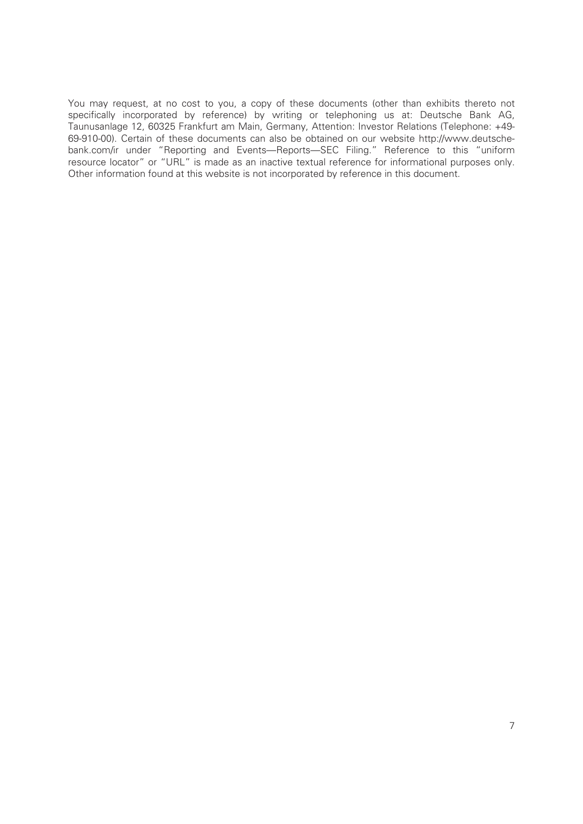You may request, at no cost to you, a copy of these documents (other than exhibits thereto not specifically incorporated by reference) by writing or telephoning us at: Deutsche Bank AG, Taunusanlage 12, 60325 Frankfurt am Main, Germany, Attention: Investor Relations (Telephone: +49- 69-910-00). Certain of these documents can also be obtained on our website http://www.deutschebank.com/ir under "Reporting and Events—Reports—SEC Filing." Reference to this "uniform resource locator" or "URL" is made as an inactive textual reference for informational purposes only. Other information found at this website is not incorporated by reference in this document.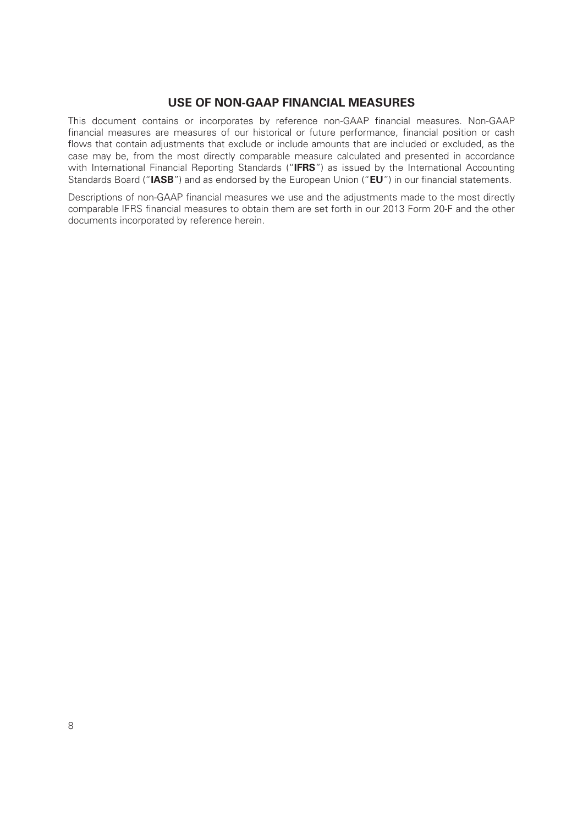# **USE OF NON-GAAP FINANCIAL MEASURES**

This document contains or incorporates by reference non-GAAP financial measures. Non-GAAP financial measures are measures of our historical or future performance, financial position or cash flows that contain adjustments that exclude or include amounts that are included or excluded, as the case may be, from the most directly comparable measure calculated and presented in accordance with International Financial Reporting Standards ("**IFRS**") as issued by the International Accounting Standards Board ("**IASB**") and as endorsed by the European Union ("**EU**") in our financial statements.

Descriptions of non-GAAP financial measures we use and the adjustments made to the most directly comparable IFRS financial measures to obtain them are set forth in our 2013 Form 20-F and the other documents incorporated by reference herein.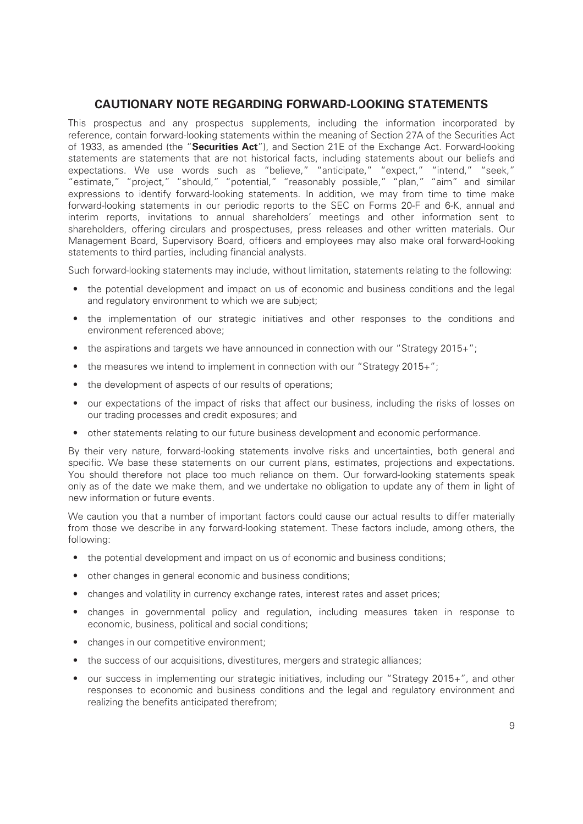# **CAUTIONARY NOTE REGARDING FORWARD-LOOKING STATEMENTS**

This prospectus and any prospectus supplements, including the information incorporated by reference, contain forward-looking statements within the meaning of Section 27A of the Securities Act of 1933, as amended (the "**Securities Act**"), and Section 21E of the Exchange Act. Forward-looking statements are statements that are not historical facts, including statements about our beliefs and expectations. We use words such as "believe," "anticipate," "expect," "intend," "seek," "estimate," "project," "should," "potential," "reasonably possible," "plan," "aim" and similar expressions to identify forward-looking statements. In addition, we may from time to time make forward-looking statements in our periodic reports to the SEC on Forms 20-F and 6-K, annual and interim reports, invitations to annual shareholders' meetings and other information sent to shareholders, offering circulars and prospectuses, press releases and other written materials. Our Management Board, Supervisory Board, officers and employees may also make oral forward-looking statements to third parties, including financial analysts.

Such forward-looking statements may include, without limitation, statements relating to the following:

- the potential development and impact on us of economic and business conditions and the legal and regulatory environment to which we are subject;
- the implementation of our strategic initiatives and other responses to the conditions and environment referenced above;
- the aspirations and targets we have announced in connection with our "Strategy 2015+";
- the measures we intend to implement in connection with our "Strategy 2015+";
- the development of aspects of our results of operations;
- our expectations of the impact of risks that affect our business, including the risks of losses on our trading processes and credit exposures; and
- other statements relating to our future business development and economic performance.

By their very nature, forward-looking statements involve risks and uncertainties, both general and specific. We base these statements on our current plans, estimates, projections and expectations. You should therefore not place too much reliance on them. Our forward-looking statements speak only as of the date we make them, and we undertake no obligation to update any of them in light of new information or future events.

We caution you that a number of important factors could cause our actual results to differ materially from those we describe in any forward-looking statement. These factors include, among others, the following:

- the potential development and impact on us of economic and business conditions;
- other changes in general economic and business conditions;
- changes and volatility in currency exchange rates, interest rates and asset prices;
- changes in governmental policy and regulation, including measures taken in response to economic, business, political and social conditions;
- changes in our competitive environment;
- the success of our acquisitions, divestitures, mergers and strategic alliances;
- our success in implementing our strategic initiatives, including our "Strategy 2015+", and other responses to economic and business conditions and the legal and regulatory environment and realizing the benefits anticipated therefrom;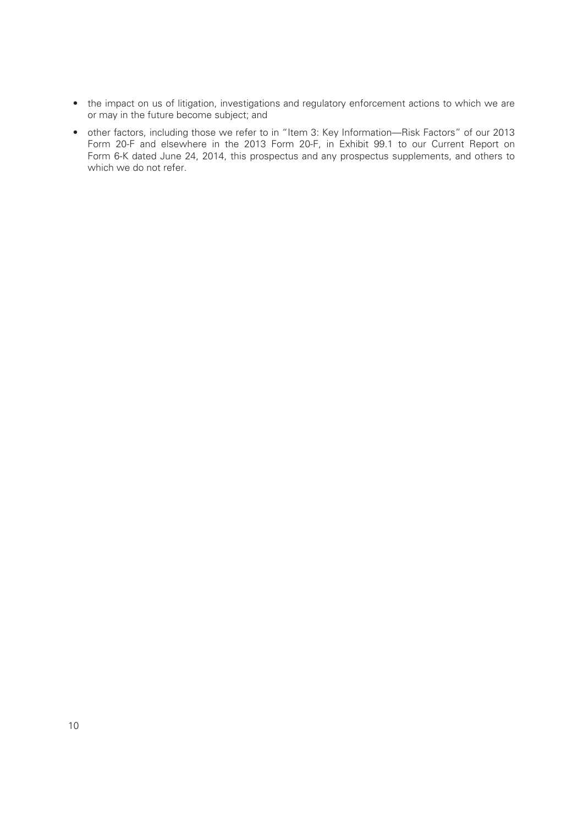- the impact on us of litigation, investigations and regulatory enforcement actions to which we are or may in the future become subject; and
- other factors, including those we refer to in "Item 3: Key Information—Risk Factors" of our 2013 Form 20-F and elsewhere in the 2013 Form 20-F, in Exhibit 99.1 to our Current Report on Form 6-K dated June 24, 2014, this prospectus and any prospectus supplements, and others to which we do not refer.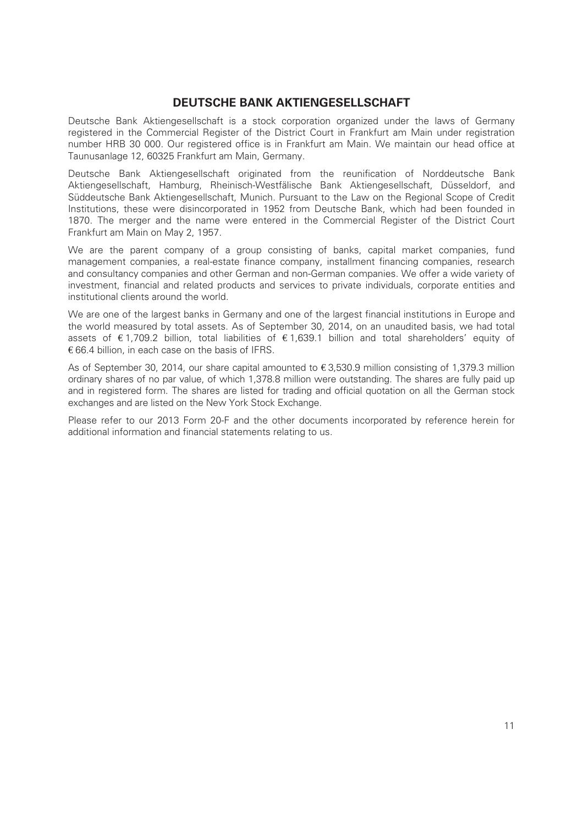## **DEUTSCHE BANK AKTIENGESELLSCHAFT**

Deutsche Bank Aktiengesellschaft is a stock corporation organized under the laws of Germany registered in the Commercial Register of the District Court in Frankfurt am Main under registration number HRB 30 000. Our registered office is in Frankfurt am Main. We maintain our head office at Taunusanlage 12, 60325 Frankfurt am Main, Germany.

Deutsche Bank Aktiengesellschaft originated from the reunification of Norddeutsche Bank Aktiengesellschaft, Hamburg, Rheinisch-Westfälische Bank Aktiengesellschaft, Düsseldorf, and Süddeutsche Bank Aktiengesellschaft, Munich. Pursuant to the Law on the Regional Scope of Credit Institutions, these were disincorporated in 1952 from Deutsche Bank, which had been founded in 1870. The merger and the name were entered in the Commercial Register of the District Court Frankfurt am Main on May 2, 1957.

We are the parent company of a group consisting of banks, capital market companies, fund management companies, a real-estate finance company, installment financing companies, research and consultancy companies and other German and non-German companies. We offer a wide variety of investment, financial and related products and services to private individuals, corporate entities and institutional clients around the world.

We are one of the largest banks in Germany and one of the largest financial institutions in Europe and the world measured by total assets. As of September 30, 2014, on an unaudited basis, we had total assets of € 1,709.2 billion, total liabilities of € 1,639.1 billion and total shareholders' equity of € 66.4 billion, in each case on the basis of IFRS.

As of September 30, 2014, our share capital amounted to € 3,530.9 million consisting of 1,379.3 million ordinary shares of no par value, of which 1,378.8 million were outstanding. The shares are fully paid up and in registered form. The shares are listed for trading and official quotation on all the German stock exchanges and are listed on the New York Stock Exchange.

Please refer to our 2013 Form 20-F and the other documents incorporated by reference herein for additional information and financial statements relating to us.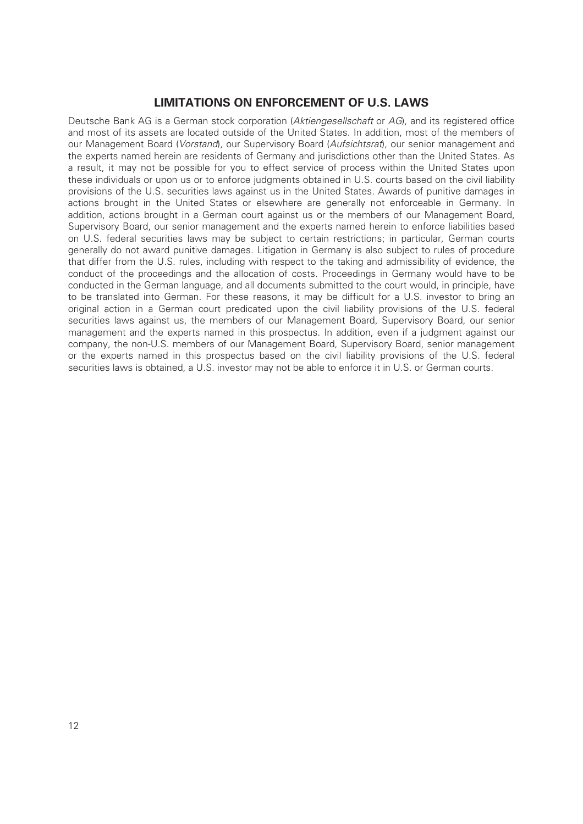# **LIMITATIONS ON ENFORCEMENT OF U.S. LAWS**

Deutsche Bank AG is a German stock corporation (*Aktiengesellschaft* or *AG*), and its registered office and most of its assets are located outside of the United States. In addition, most of the members of our Management Board (*Vorstand*), our Supervisory Board (*Aufsichtsrat*), our senior management and the experts named herein are residents of Germany and jurisdictions other than the United States. As a result, it may not be possible for you to effect service of process within the United States upon these individuals or upon us or to enforce judgments obtained in U.S. courts based on the civil liability provisions of the U.S. securities laws against us in the United States. Awards of punitive damages in actions brought in the United States or elsewhere are generally not enforceable in Germany. In addition, actions brought in a German court against us or the members of our Management Board, Supervisory Board, our senior management and the experts named herein to enforce liabilities based on U.S. federal securities laws may be subject to certain restrictions; in particular, German courts generally do not award punitive damages. Litigation in Germany is also subject to rules of procedure that differ from the U.S. rules, including with respect to the taking and admissibility of evidence, the conduct of the proceedings and the allocation of costs. Proceedings in Germany would have to be conducted in the German language, and all documents submitted to the court would, in principle, have to be translated into German. For these reasons, it may be difficult for a U.S. investor to bring an original action in a German court predicated upon the civil liability provisions of the U.S. federal securities laws against us, the members of our Management Board, Supervisory Board, our senior management and the experts named in this prospectus. In addition, even if a judgment against our company, the non-U.S. members of our Management Board, Supervisory Board, senior management or the experts named in this prospectus based on the civil liability provisions of the U.S. federal securities laws is obtained, a U.S. investor may not be able to enforce it in U.S. or German courts.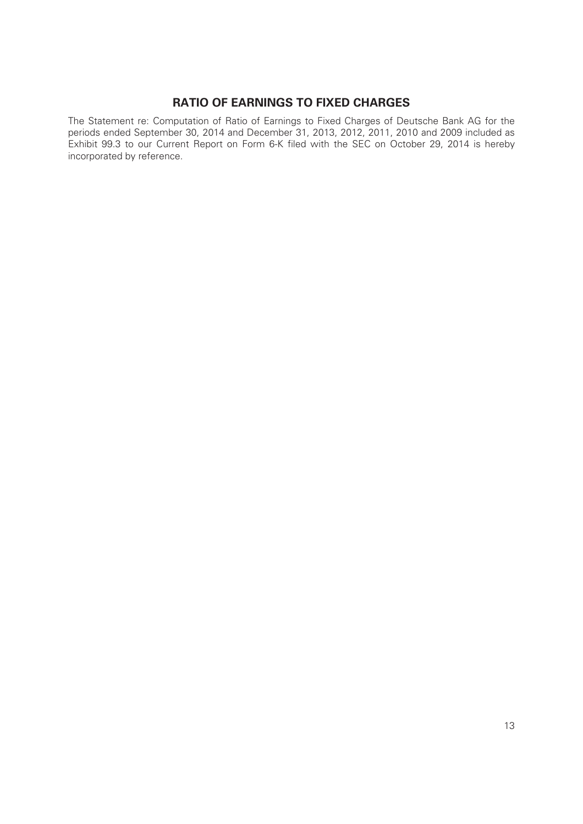# **RATIO OF EARNINGS TO FIXED CHARGES**

The Statement re: Computation of Ratio of Earnings to Fixed Charges of Deutsche Bank AG for the periods ended September 30, 2014 and December 31, 2013, 2012, 2011, 2010 and 2009 included as Exhibit 99.3 to our Current Report on Form 6-K filed with the SEC on October 29, 2014 is hereby incorporated by reference.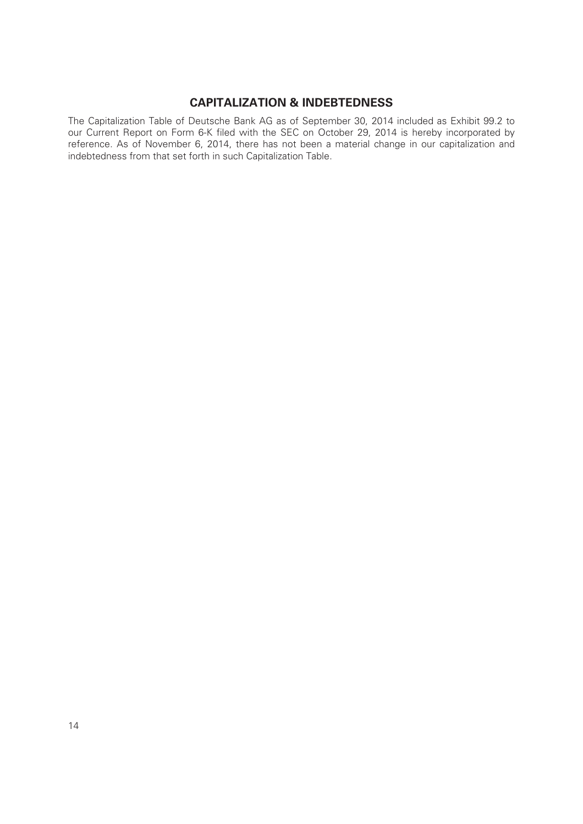# **CAPITALIZATION & INDEBTEDNESS**

The Capitalization Table of Deutsche Bank AG as of September 30, 2014 included as Exhibit 99.2 to our Current Report on Form 6-K filed with the SEC on October 29, 2014 is hereby incorporated by reference. As of November 6, 2014, there has not been a material change in our capitalization and indebtedness from that set forth in such Capitalization Table.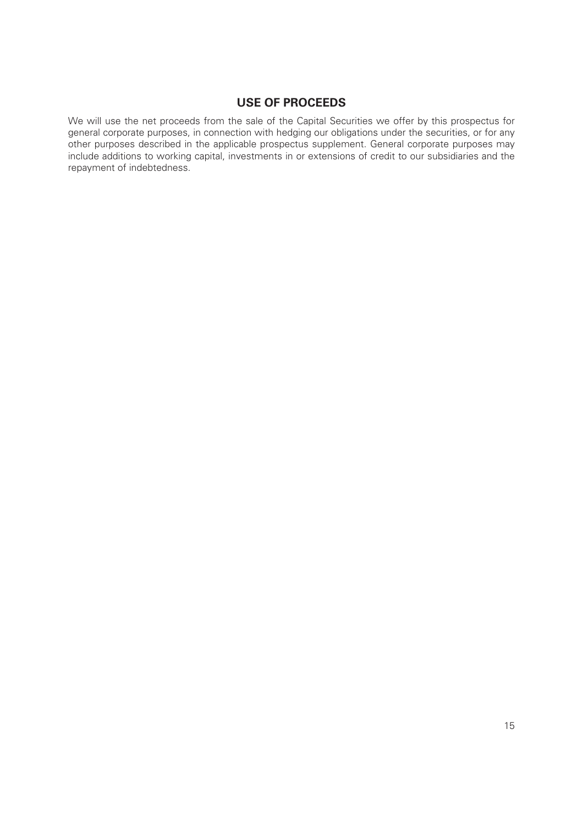# **USE OF PROCEEDS**

We will use the net proceeds from the sale of the Capital Securities we offer by this prospectus for general corporate purposes, in connection with hedging our obligations under the securities, or for any other purposes described in the applicable prospectus supplement. General corporate purposes may include additions to working capital, investments in or extensions of credit to our subsidiaries and the repayment of indebtedness.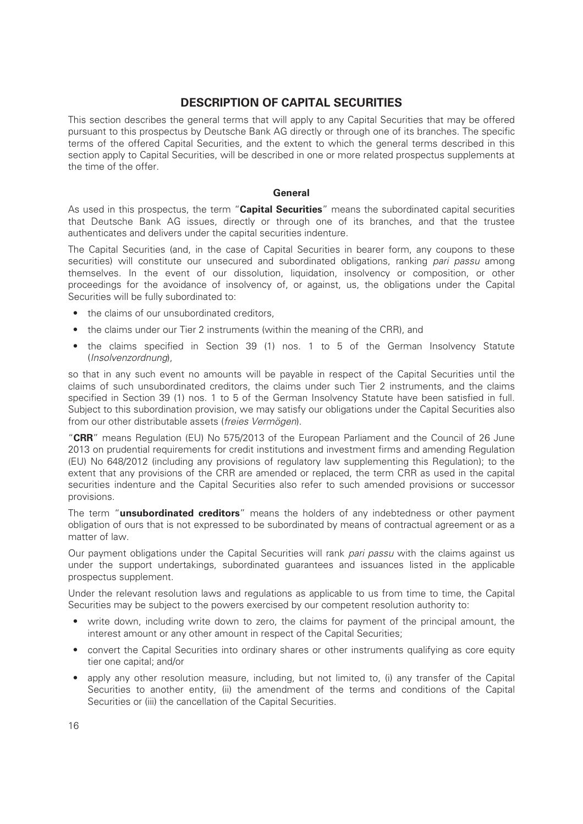# **DESCRIPTION OF CAPITAL SECURITIES**

This section describes the general terms that will apply to any Capital Securities that may be offered pursuant to this prospectus by Deutsche Bank AG directly or through one of its branches. The specific terms of the offered Capital Securities, and the extent to which the general terms described in this section apply to Capital Securities, will be described in one or more related prospectus supplements at the time of the offer.

#### **General**

As used in this prospectus, the term "**Capital Securities**" means the subordinated capital securities that Deutsche Bank AG issues, directly or through one of its branches, and that the trustee authenticates and delivers under the capital securities indenture.

The Capital Securities (and, in the case of Capital Securities in bearer form, any coupons to these securities) will constitute our unsecured and subordinated obligations, ranking *pari passu* among themselves. In the event of our dissolution, liquidation, insolvency or composition, or other proceedings for the avoidance of insolvency of, or against, us, the obligations under the Capital Securities will be fully subordinated to:

- the claims of our unsubordinated creditors.
- the claims under our Tier 2 instruments (within the meaning of the CRR), and
- the claims specified in Section 39 (1) nos. 1 to 5 of the German Insolvency Statute (*Insolvenzordnung*),

so that in any such event no amounts will be payable in respect of the Capital Securities until the claims of such unsubordinated creditors, the claims under such Tier 2 instruments, and the claims specified in Section 39 (1) nos. 1 to 5 of the German Insolvency Statute have been satisfied in full. Subject to this subordination provision, we may satisfy our obligations under the Capital Securities also from our other distributable assets (*freies Vermögen*).

"**CRR**" means Regulation (EU) No 575/2013 of the European Parliament and the Council of 26 June 2013 on prudential requirements for credit institutions and investment firms and amending Regulation (EU) No 648/2012 (including any provisions of regulatory law supplementing this Regulation); to the extent that any provisions of the CRR are amended or replaced, the term CRR as used in the capital securities indenture and the Capital Securities also refer to such amended provisions or successor provisions.

The term "**unsubordinated creditors**" means the holders of any indebtedness or other payment obligation of ours that is not expressed to be subordinated by means of contractual agreement or as a matter of law.

Our payment obligations under the Capital Securities will rank *pari passu* with the claims against us under the support undertakings, subordinated guarantees and issuances listed in the applicable prospectus supplement.

Under the relevant resolution laws and regulations as applicable to us from time to time, the Capital Securities may be subject to the powers exercised by our competent resolution authority to:

- write down, including write down to zero, the claims for payment of the principal amount, the interest amount or any other amount in respect of the Capital Securities;
- convert the Capital Securities into ordinary shares or other instruments qualifying as core equity tier one capital; and/or
- apply any other resolution measure, including, but not limited to, (i) any transfer of the Capital Securities to another entity, (ii) the amendment of the terms and conditions of the Capital Securities or (iii) the cancellation of the Capital Securities.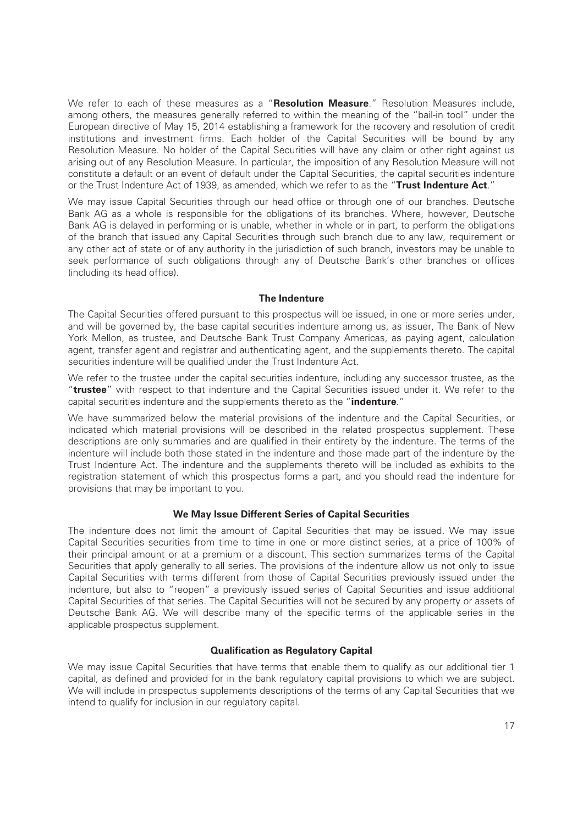We refer to each of these measures as a "**Resolution Measure**." Resolution Measures include, among others, the measures generally referred to within the meaning of the "bail-in tool" under the European directive of May 15, 2014 establishing a framework for the recovery and resolution of credit institutions and investment firms. Each holder of the Capital Securities will be bound by any Resolution Measure. No holder of the Capital Securities will have any claim or other right against us arising out of any Resolution Measure. In particular, the imposition of any Resolution Measure will not constitute a default or an event of default under the Capital Securities, the capital securities indenture or the Trust Indenture Act of 1939, as amended, which we refer to as the "**Trust Indenture Act**."

We may issue Capital Securities through our head office or through one of our branches. Deutsche Bank AG as a whole is responsible for the obligations of its branches. Where, however, Deutsche Bank AG is delayed in performing or is unable, whether in whole or in part, to perform the obligations of the branch that issued any Capital Securities through such branch due to any law, requirement or any other act of state or of any authority in the jurisdiction of such branch, investors may be unable to seek performance of such obligations through any of Deutsche Bank's other branches or offices (including its head office).

#### **The Indenture**

The Capital Securities offered pursuant to this prospectus will be issued, in one or more series under, and will be governed by, the base capital securities indenture among us, as issuer, The Bank of New York Mellon, as trustee, and Deutsche Bank Trust Company Americas, as paying agent, calculation agent, transfer agent and registrar and authenticating agent, and the supplements thereto. The capital securities indenture will be qualified under the Trust Indenture Act.

We refer to the trustee under the capital securities indenture, including any successor trustee, as the "**trustee**" with respect to that indenture and the Capital Securities issued under it. We refer to the capital securities indenture and the supplements thereto as the "**indenture**."

We have summarized below the material provisions of the indenture and the Capital Securities, or indicated which material provisions will be described in the related prospectus supplement. These descriptions are only summaries and are qualified in their entirety by the indenture. The terms of the indenture will include both those stated in the indenture and those made part of the indenture by the Trust Indenture Act. The indenture and the supplements thereto will be included as exhibits to the registration statement of which this prospectus forms a part, and you should read the indenture for provisions that may be important to you.

#### **We May Issue Different Series of Capital Securities**

The indenture does not limit the amount of Capital Securities that may be issued. We may issue Capital Securities securities from time to time in one or more distinct series, at a price of 100% of their principal amount or at a premium or a discount. This section summarizes terms of the Capital Securities that apply generally to all series. The provisions of the indenture allow us not only to issue Capital Securities with terms different from those of Capital Securities previously issued under the indenture, but also to "reopen" a previously issued series of Capital Securities and issue additional Capital Securities of that series. The Capital Securities will not be secured by any property or assets of Deutsche Bank AG. We will describe many of the specific terms of the applicable series in the applicable prospectus supplement.

#### **Qualification as Regulatory Capital**

We may issue Capital Securities that have terms that enable them to qualify as our additional tier 1 capital, as defined and provided for in the bank regulatory capital provisions to which we are subject. We will include in prospectus supplements descriptions of the terms of any Capital Securities that we intend to qualify for inclusion in our regulatory capital.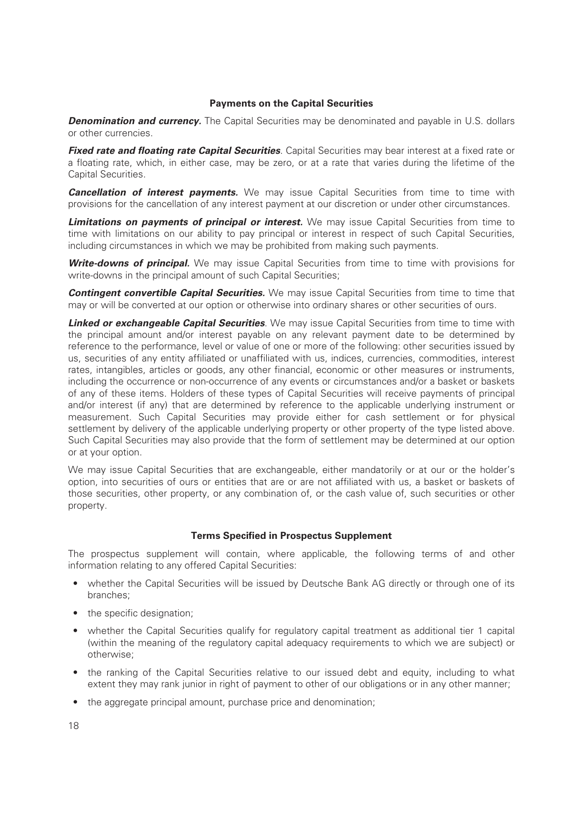#### **Payments on the Capital Securities**

**Denomination and currency.** The Capital Securities may be denominated and payable in U.S. dollars or other currencies.

*Fixed rate and floating rate Capital Securities*. Capital Securities may bear interest at a fixed rate or a floating rate, which, in either case, may be zero, or at a rate that varies during the lifetime of the Capital Securities.

**Cancellation of interest payments.** We may issue Capital Securities from time to time with provisions for the cancellation of any interest payment at our discretion or under other circumstances.

**Limitations on payments of principal or interest.** We may issue Capital Securities from time to time with limitations on our ability to pay principal or interest in respect of such Capital Securities, including circumstances in which we may be prohibited from making such payments.

**Write-downs of principal.** We may issue Capital Securities from time to time with provisions for write-downs in the principal amount of such Capital Securities;

**Contingent convertible Capital Securities.** We may issue Capital Securities from time to time that may or will be converted at our option or otherwise into ordinary shares or other securities of ours.

*Linked or exchangeable Capital Securities*. We may issue Capital Securities from time to time with the principal amount and/or interest payable on any relevant payment date to be determined by reference to the performance, level or value of one or more of the following: other securities issued by us, securities of any entity affiliated or unaffiliated with us, indices, currencies, commodities, interest rates, intangibles, articles or goods, any other financial, economic or other measures or instruments, including the occurrence or non-occurrence of any events or circumstances and/or a basket or baskets of any of these items. Holders of these types of Capital Securities will receive payments of principal and/or interest (if any) that are determined by reference to the applicable underlying instrument or measurement. Such Capital Securities may provide either for cash settlement or for physical settlement by delivery of the applicable underlying property or other property of the type listed above. Such Capital Securities may also provide that the form of settlement may be determined at our option or at your option.

We may issue Capital Securities that are exchangeable, either mandatorily or at our or the holder's option, into securities of ours or entities that are or are not affiliated with us, a basket or baskets of those securities, other property, or any combination of, or the cash value of, such securities or other property.

#### **Terms Specified in Prospectus Supplement**

The prospectus supplement will contain, where applicable, the following terms of and other information relating to any offered Capital Securities:

- whether the Capital Securities will be issued by Deutsche Bank AG directly or through one of its branches;
- the specific designation;
- whether the Capital Securities qualify for regulatory capital treatment as additional tier 1 capital (within the meaning of the regulatory capital adequacy requirements to which we are subject) or otherwise;
- the ranking of the Capital Securities relative to our issued debt and equity, including to what extent they may rank junior in right of payment to other of our obligations or in any other manner;
- the aggregate principal amount, purchase price and denomination;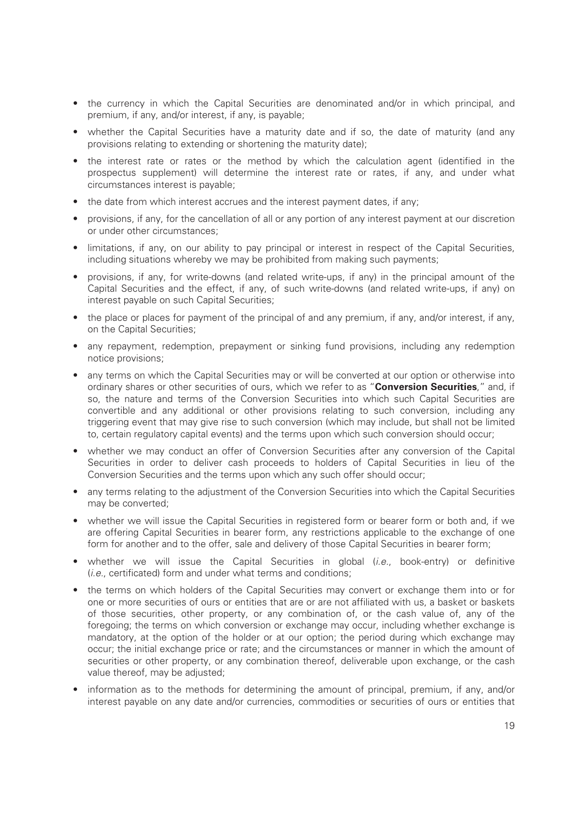- the currency in which the Capital Securities are denominated and/or in which principal, and premium, if any, and/or interest, if any, is payable;
- whether the Capital Securities have a maturity date and if so, the date of maturity (and any provisions relating to extending or shortening the maturity date);
- the interest rate or rates or the method by which the calculation agent (identified in the prospectus supplement) will determine the interest rate or rates, if any, and under what circumstances interest is payable;
- the date from which interest accrues and the interest payment dates, if any;
- provisions, if any, for the cancellation of all or any portion of any interest payment at our discretion or under other circumstances;
- limitations, if any, on our ability to pay principal or interest in respect of the Capital Securities, including situations whereby we may be prohibited from making such payments;
- provisions, if any, for write-downs (and related write-ups, if any) in the principal amount of the Capital Securities and the effect, if any, of such write-downs (and related write-ups, if any) on interest payable on such Capital Securities;
- the place or places for payment of the principal of and any premium, if any, and/or interest, if any, on the Capital Securities;
- any repayment, redemption, prepayment or sinking fund provisions, including any redemption notice provisions;
- any terms on which the Capital Securities may or will be converted at our option or otherwise into ordinary shares or other securities of ours, which we refer to as "**Conversion Securities**," and, if so, the nature and terms of the Conversion Securities into which such Capital Securities are convertible and any additional or other provisions relating to such conversion, including any triggering event that may give rise to such conversion (which may include, but shall not be limited to, certain regulatory capital events) and the terms upon which such conversion should occur;
- whether we may conduct an offer of Conversion Securities after any conversion of the Capital Securities in order to deliver cash proceeds to holders of Capital Securities in lieu of the Conversion Securities and the terms upon which any such offer should occur;
- any terms relating to the adjustment of the Conversion Securities into which the Capital Securities may be converted;
- whether we will issue the Capital Securities in registered form or bearer form or both and, if we are offering Capital Securities in bearer form, any restrictions applicable to the exchange of one form for another and to the offer, sale and delivery of those Capital Securities in bearer form;
- whether we will issue the Capital Securities in global (*i.e.*, book-entry) or definitive (*i.e.*, certificated) form and under what terms and conditions;
- the terms on which holders of the Capital Securities may convert or exchange them into or for one or more securities of ours or entities that are or are not affiliated with us, a basket or baskets of those securities, other property, or any combination of, or the cash value of, any of the foregoing; the terms on which conversion or exchange may occur, including whether exchange is mandatory, at the option of the holder or at our option; the period during which exchange may occur; the initial exchange price or rate; and the circumstances or manner in which the amount of securities or other property, or any combination thereof, deliverable upon exchange, or the cash value thereof, may be adjusted;
- information as to the methods for determining the amount of principal, premium, if any, and/or interest payable on any date and/or currencies, commodities or securities of ours or entities that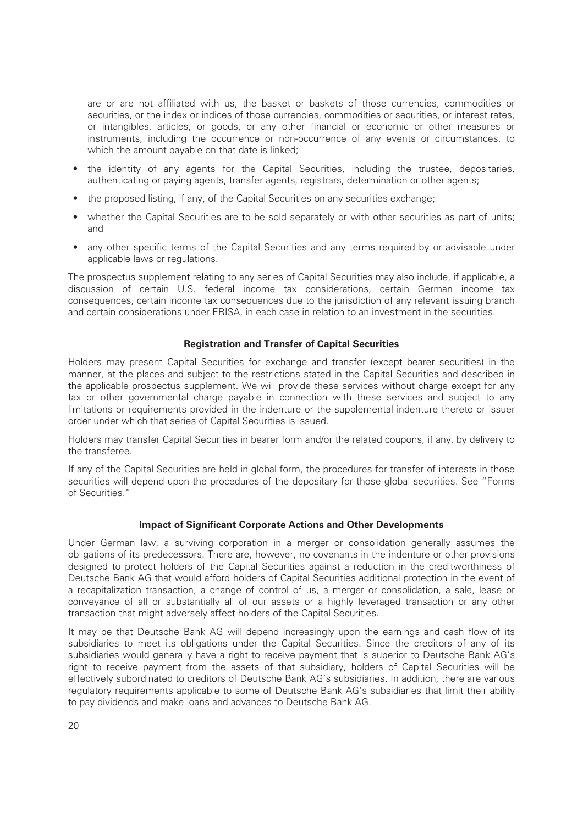are or are not affiliated with us, the basket or baskets of those currencies, commodities or securities, or the index or indices of those currencies, commodities or securities, or interest rates, or intangibles, articles, or goods, or any other financial or economic or other measures or instruments, including the occurrence or non-occurrence of any events or circumstances, to which the amount payable on that date is linked:

- the identity of any agents for the Capital Securities, including the trustee, depositaries, authenticating or paying agents, transfer agents, registrars, determination or other agents;
- the proposed listing, if any, of the Capital Securities on any securities exchange;
- whether the Capital Securities are to be sold separately or with other securities as part of units; and
- any other specific terms of the Capital Securities and any terms required by or advisable under applicable laws or regulations.

The prospectus supplement relating to any series of Capital Securities may also include, if applicable, a discussion of certain U.S. federal income tax considerations, certain German income tax consequences, certain income tax consequences due to the jurisdiction of any relevant issuing branch and certain considerations under ERISA, in each case in relation to an investment in the securities.

#### **Registration and Transfer of Capital Securities**

Holders may present Capital Securities for exchange and transfer (except bearer securities) in the manner, at the places and subject to the restrictions stated in the Capital Securities and described in the applicable prospectus supplement. We will provide these services without charge except for any tax or other governmental charge payable in connection with these services and subject to any limitations or requirements provided in the indenture or the supplemental indenture thereto or issuer order under which that series of Capital Securities is issued.

Holders may transfer Capital Securities in bearer form and/or the related coupons, if any, by delivery to the transferee.

If any of the Capital Securities are held in global form, the procedures for transfer of interests in those securities will depend upon the procedures of the depositary for those global securities. See "Forms of Securities."

#### **Impact of Significant Corporate Actions and Other Developments**

Under German law, a surviving corporation in a merger or consolidation generally assumes the obligations of its predecessors. There are, however, no covenants in the indenture or other provisions designed to protect holders of the Capital Securities against a reduction in the creditworthiness of Deutsche Bank AG that would afford holders of Capital Securities additional protection in the event of a recapitalization transaction, a change of control of us, a merger or consolidation, a sale, lease or conveyance of all or substantially all of our assets or a highly leveraged transaction or any other transaction that might adversely affect holders of the Capital Securities.

It may be that Deutsche Bank AG will depend increasingly upon the earnings and cash flow of its subsidiaries to meet its obligations under the Capital Securities. Since the creditors of any of its subsidiaries would generally have a right to receive payment that is superior to Deutsche Bank AG's right to receive payment from the assets of that subsidiary, holders of Capital Securities will be effectively subordinated to creditors of Deutsche Bank AG's subsidiaries. In addition, there are various regulatory requirements applicable to some of Deutsche Bank AG's subsidiaries that limit their ability to pay dividends and make loans and advances to Deutsche Bank AG.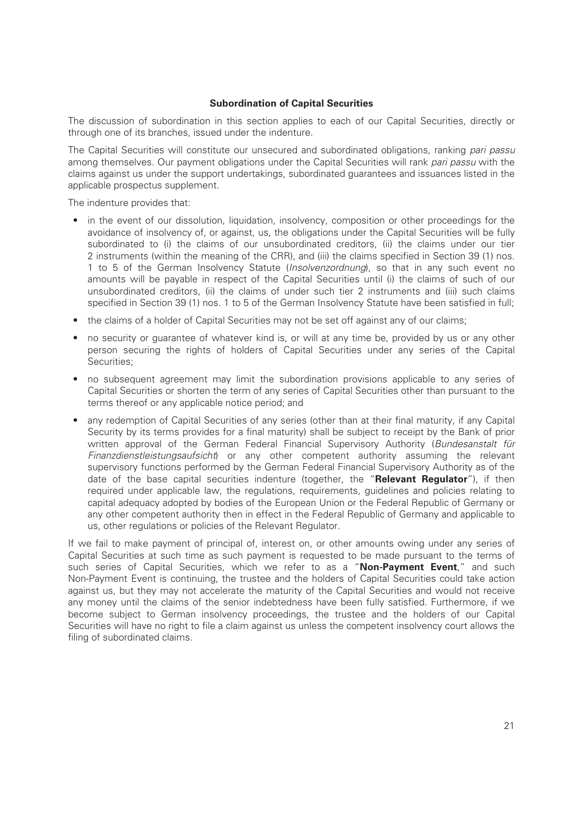#### **Subordination of Capital Securities**

The discussion of subordination in this section applies to each of our Capital Securities, directly or through one of its branches, issued under the indenture.

The Capital Securities will constitute our unsecured and subordinated obligations, ranking *pari passu* among themselves. Our payment obligations under the Capital Securities will rank *pari passu* with the claims against us under the support undertakings, subordinated guarantees and issuances listed in the applicable prospectus supplement.

The indenture provides that:

- in the event of our dissolution, liquidation, insolvency, composition or other proceedings for the avoidance of insolvency of, or against, us, the obligations under the Capital Securities will be fully subordinated to (i) the claims of our unsubordinated creditors, (ii) the claims under our tier 2 instruments (within the meaning of the CRR), and (iii) the claims specified in Section 39 (1) nos. 1 to 5 of the German Insolvency Statute (*Insolvenzordnung*), so that in any such event no amounts will be payable in respect of the Capital Securities until (i) the claims of such of our unsubordinated creditors, (ii) the claims of under such tier 2 instruments and (iii) such claims specified in Section 39 (1) nos. 1 to 5 of the German Insolvency Statute have been satisfied in full;
- the claims of a holder of Capital Securities may not be set off against any of our claims;
- no security or guarantee of whatever kind is, or will at any time be, provided by us or any other person securing the rights of holders of Capital Securities under any series of the Capital Securities;
- no subsequent agreement may limit the subordination provisions applicable to any series of Capital Securities or shorten the term of any series of Capital Securities other than pursuant to the terms thereof or any applicable notice period; and
- any redemption of Capital Securities of any series (other than at their final maturity, if any Capital Security by its terms provides for a final maturity) shall be subject to receipt by the Bank of prior written approval of the German Federal Financial Supervisory Authority (*Bundesanstalt für Finanzdienstleistungsaufsicht*) or any other competent authority assuming the relevant supervisory functions performed by the German Federal Financial Supervisory Authority as of the date of the base capital securities indenture (together, the "**Relevant Regulator**"), if then required under applicable law, the regulations, requirements, guidelines and policies relating to capital adequacy adopted by bodies of the European Union or the Federal Republic of Germany or any other competent authority then in effect in the Federal Republic of Germany and applicable to us, other regulations or policies of the Relevant Regulator.

If we fail to make payment of principal of, interest on, or other amounts owing under any series of Capital Securities at such time as such payment is requested to be made pursuant to the terms of such series of Capital Securities, which we refer to as a "**Non-Payment Event**," and such Non-Payment Event is continuing, the trustee and the holders of Capital Securities could take action against us, but they may not accelerate the maturity of the Capital Securities and would not receive any money until the claims of the senior indebtedness have been fully satisfied. Furthermore, if we become subject to German insolvency proceedings, the trustee and the holders of our Capital Securities will have no right to file a claim against us unless the competent insolvency court allows the filing of subordinated claims.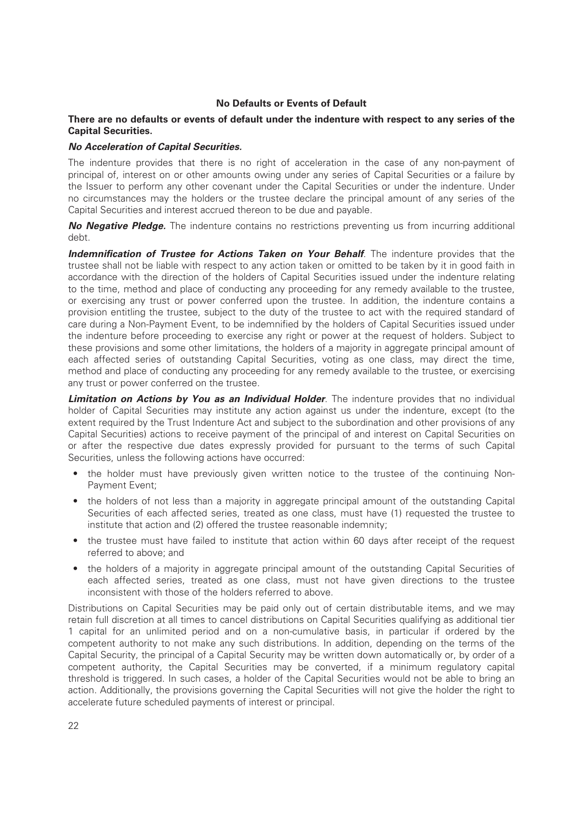#### **No Defaults or Events of Default**

#### **There are no defaults or events of default under the indenture with respect to any series of the Capital Securities.**

#### *No Acceleration of Capital Securities.*

The indenture provides that there is no right of acceleration in the case of any non-payment of principal of, interest on or other amounts owing under any series of Capital Securities or a failure by the Issuer to perform any other covenant under the Capital Securities or under the indenture. Under no circumstances may the holders or the trustee declare the principal amount of any series of the Capital Securities and interest accrued thereon to be due and payable.

*No Negative Pledge.* The indenture contains no restrictions preventing us from incurring additional debt.

**Indemnification of Trustee for Actions Taken on Your Behalf**. The indenture provides that the trustee shall not be liable with respect to any action taken or omitted to be taken by it in good faith in accordance with the direction of the holders of Capital Securities issued under the indenture relating to the time, method and place of conducting any proceeding for any remedy available to the trustee, or exercising any trust or power conferred upon the trustee. In addition, the indenture contains a provision entitling the trustee, subject to the duty of the trustee to act with the required standard of care during a Non-Payment Event, to be indemnified by the holders of Capital Securities issued under the indenture before proceeding to exercise any right or power at the request of holders. Subject to these provisions and some other limitations, the holders of a majority in aggregate principal amount of each affected series of outstanding Capital Securities, voting as one class, may direct the time, method and place of conducting any proceeding for any remedy available to the trustee, or exercising any trust or power conferred on the trustee.

**Limitation on Actions by You as an Individual Holder**. The indenture provides that no individual holder of Capital Securities may institute any action against us under the indenture, except (to the extent required by the Trust Indenture Act and subject to the subordination and other provisions of any Capital Securities) actions to receive payment of the principal of and interest on Capital Securities on or after the respective due dates expressly provided for pursuant to the terms of such Capital Securities, unless the following actions have occurred:

- the holder must have previously given written notice to the trustee of the continuing Non-Payment Event;
- the holders of not less than a majority in aggregate principal amount of the outstanding Capital Securities of each affected series, treated as one class, must have (1) requested the trustee to institute that action and (2) offered the trustee reasonable indemnity;
- the trustee must have failed to institute that action within 60 days after receipt of the request referred to above; and
- the holders of a majority in aggregate principal amount of the outstanding Capital Securities of each affected series, treated as one class, must not have given directions to the trustee inconsistent with those of the holders referred to above.

Distributions on Capital Securities may be paid only out of certain distributable items, and we may retain full discretion at all times to cancel distributions on Capital Securities qualifying as additional tier 1 capital for an unlimited period and on a non-cumulative basis, in particular if ordered by the competent authority to not make any such distributions. In addition, depending on the terms of the Capital Security, the principal of a Capital Security may be written down automatically or, by order of a competent authority, the Capital Securities may be converted, if a minimum regulatory capital threshold is triggered. In such cases, a holder of the Capital Securities would not be able to bring an action. Additionally, the provisions governing the Capital Securities will not give the holder the right to accelerate future scheduled payments of interest or principal.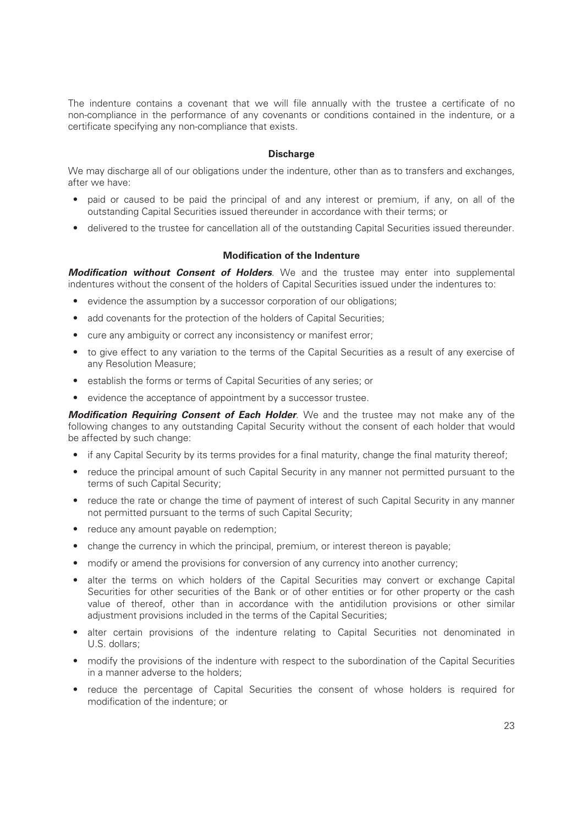The indenture contains a covenant that we will file annually with the trustee a certificate of no non-compliance in the performance of any covenants or conditions contained in the indenture, or a certificate specifying any non-compliance that exists.

#### **Discharge**

We may discharge all of our obligations under the indenture, other than as to transfers and exchanges, after we have:

- paid or caused to be paid the principal of and any interest or premium, if any, on all of the outstanding Capital Securities issued thereunder in accordance with their terms; or
- delivered to the trustee for cancellation all of the outstanding Capital Securities issued thereunder.

#### **Modification of the Indenture**

*Modification without Consent of Holders*. We and the trustee may enter into supplemental indentures without the consent of the holders of Capital Securities issued under the indentures to:

- evidence the assumption by a successor corporation of our obligations;
- add covenants for the protection of the holders of Capital Securities:
- cure any ambiguity or correct any inconsistency or manifest error;
- to give effect to any variation to the terms of the Capital Securities as a result of any exercise of any Resolution Measure;
- establish the forms or terms of Capital Securities of any series; or
- evidence the acceptance of appointment by a successor trustee.

*Modification Requiring Consent of Each Holder*. We and the trustee may not make any of the following changes to any outstanding Capital Security without the consent of each holder that would be affected by such change:

- if any Capital Security by its terms provides for a final maturity, change the final maturity thereof;
- reduce the principal amount of such Capital Security in any manner not permitted pursuant to the terms of such Capital Security;
- reduce the rate or change the time of payment of interest of such Capital Security in any manner not permitted pursuant to the terms of such Capital Security;
- reduce any amount payable on redemption;
- change the currency in which the principal, premium, or interest thereon is payable;
- modify or amend the provisions for conversion of any currency into another currency;
- alter the terms on which holders of the Capital Securities may convert or exchange Capital Securities for other securities of the Bank or of other entities or for other property or the cash value of thereof, other than in accordance with the antidilution provisions or other similar adjustment provisions included in the terms of the Capital Securities;
- alter certain provisions of the indenture relating to Capital Securities not denominated in U.S. dollars;
- modify the provisions of the indenture with respect to the subordination of the Capital Securities in a manner adverse to the holders;
- reduce the percentage of Capital Securities the consent of whose holders is required for modification of the indenture; or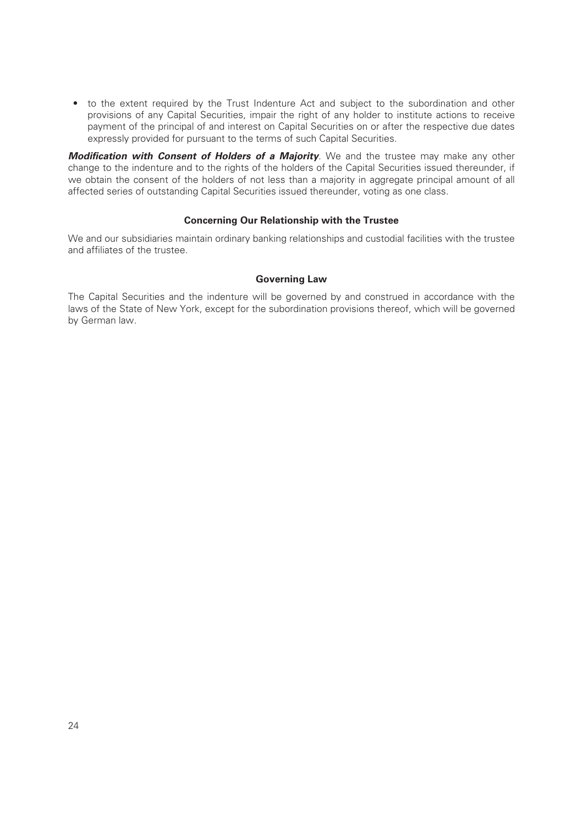• to the extent required by the Trust Indenture Act and subject to the subordination and other provisions of any Capital Securities, impair the right of any holder to institute actions to receive payment of the principal of and interest on Capital Securities on or after the respective due dates expressly provided for pursuant to the terms of such Capital Securities.

*Modification with Consent of Holders of a Majority*. We and the trustee may make any other change to the indenture and to the rights of the holders of the Capital Securities issued thereunder, if we obtain the consent of the holders of not less than a majority in aggregate principal amount of all affected series of outstanding Capital Securities issued thereunder, voting as one class.

#### **Concerning Our Relationship with the Trustee**

We and our subsidiaries maintain ordinary banking relationships and custodial facilities with the trustee and affiliates of the trustee.

#### **Governing Law**

The Capital Securities and the indenture will be governed by and construed in accordance with the laws of the State of New York, except for the subordination provisions thereof, which will be governed by German law.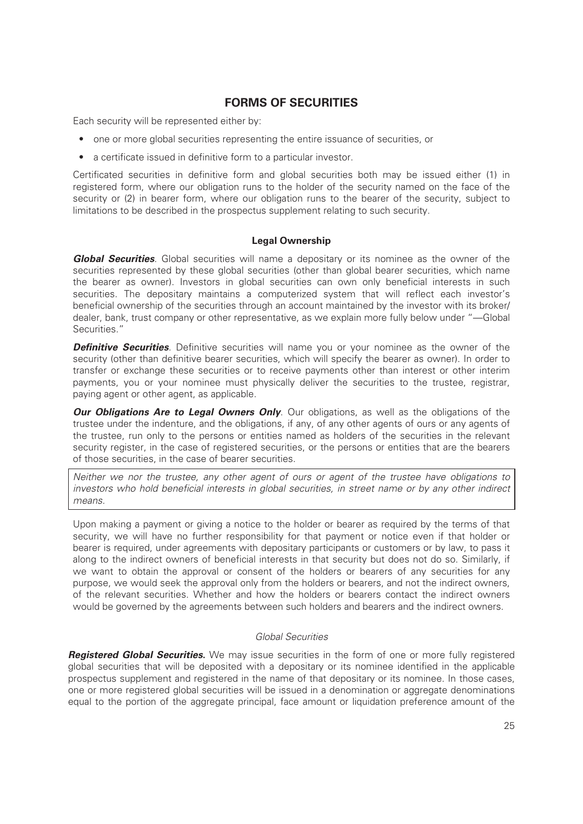# **FORMS OF SECURITIES**

Each security will be represented either by:

- one or more global securities representing the entire issuance of securities, or
- a certificate issued in definitive form to a particular investor.

Certificated securities in definitive form and global securities both may be issued either (1) in registered form, where our obligation runs to the holder of the security named on the face of the security or (2) in bearer form, where our obligation runs to the bearer of the security, subject to limitations to be described in the prospectus supplement relating to such security.

#### **Legal Ownership**

*Global Securities*. Global securities will name a depositary or its nominee as the owner of the securities represented by these global securities (other than global bearer securities, which name the bearer as owner). Investors in global securities can own only beneficial interests in such securities. The depositary maintains a computerized system that will reflect each investor's beneficial ownership of the securities through an account maintained by the investor with its broker/ dealer, bank, trust company or other representative, as we explain more fully below under "—Global Securities."

**Definitive Securities**. Definitive securities will name you or your nominee as the owner of the security (other than definitive bearer securities, which will specify the bearer as owner). In order to transfer or exchange these securities or to receive payments other than interest or other interim payments, you or your nominee must physically deliver the securities to the trustee, registrar, paying agent or other agent, as applicable.

*Our Obligations Are to Legal Owners Only.* Our obligations, as well as the obligations of the trustee under the indenture, and the obligations, if any, of any other agents of ours or any agents of the trustee, run only to the persons or entities named as holders of the securities in the relevant security register, in the case of registered securities, or the persons or entities that are the bearers of those securities, in the case of bearer securities.

*Neither we nor the trustee, any other agent of ours or agent of the trustee have obligations to investors who hold beneficial interests in global securities, in street name or by any other indirect means.*

Upon making a payment or giving a notice to the holder or bearer as required by the terms of that security, we will have no further responsibility for that payment or notice even if that holder or bearer is required, under agreements with depositary participants or customers or by law, to pass it along to the indirect owners of beneficial interests in that security but does not do so. Similarly, if we want to obtain the approval or consent of the holders or bearers of any securities for any purpose, we would seek the approval only from the holders or bearers, and not the indirect owners, of the relevant securities. Whether and how the holders or bearers contact the indirect owners would be governed by the agreements between such holders and bearers and the indirect owners.

#### *Global Securities*

*Registered Global Securities***.** We may issue securities in the form of one or more fully registered global securities that will be deposited with a depositary or its nominee identified in the applicable prospectus supplement and registered in the name of that depositary or its nominee. In those cases, one or more registered global securities will be issued in a denomination or aggregate denominations equal to the portion of the aggregate principal, face amount or liquidation preference amount of the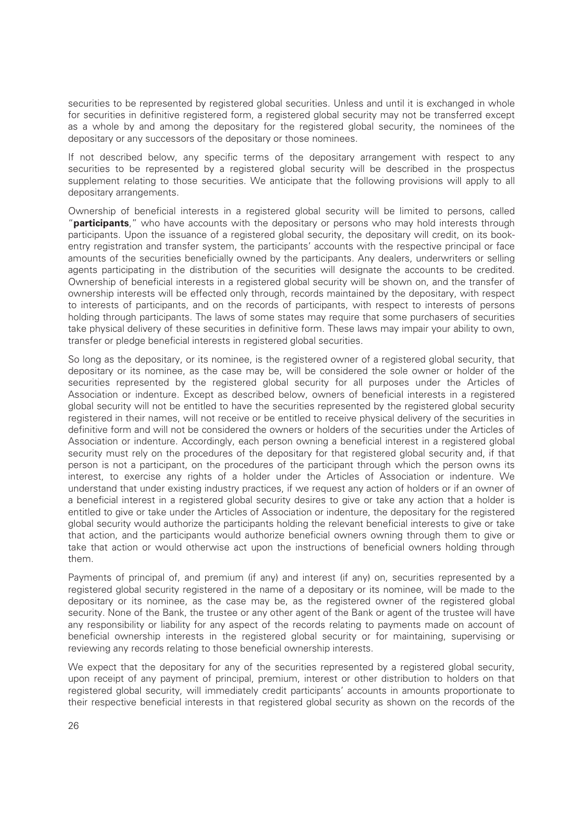securities to be represented by registered global securities. Unless and until it is exchanged in whole for securities in definitive registered form, a registered global security may not be transferred except as a whole by and among the depositary for the registered global security, the nominees of the depositary or any successors of the depositary or those nominees.

If not described below, any specific terms of the depositary arrangement with respect to any securities to be represented by a registered global security will be described in the prospectus supplement relating to those securities. We anticipate that the following provisions will apply to all depositary arrangements.

Ownership of beneficial interests in a registered global security will be limited to persons, called "**participants**," who have accounts with the depositary or persons who may hold interests through participants. Upon the issuance of a registered global security, the depositary will credit, on its bookentry registration and transfer system, the participants' accounts with the respective principal or face amounts of the securities beneficially owned by the participants. Any dealers, underwriters or selling agents participating in the distribution of the securities will designate the accounts to be credited. Ownership of beneficial interests in a registered global security will be shown on, and the transfer of ownership interests will be effected only through, records maintained by the depositary, with respect to interests of participants, and on the records of participants, with respect to interests of persons holding through participants. The laws of some states may require that some purchasers of securities take physical delivery of these securities in definitive form. These laws may impair your ability to own, transfer or pledge beneficial interests in registered global securities.

So long as the depositary, or its nominee, is the registered owner of a registered global security, that depositary or its nominee, as the case may be, will be considered the sole owner or holder of the securities represented by the registered global security for all purposes under the Articles of Association or indenture. Except as described below, owners of beneficial interests in a registered global security will not be entitled to have the securities represented by the registered global security registered in their names, will not receive or be entitled to receive physical delivery of the securities in definitive form and will not be considered the owners or holders of the securities under the Articles of Association or indenture. Accordingly, each person owning a beneficial interest in a registered global security must rely on the procedures of the depositary for that registered global security and, if that person is not a participant, on the procedures of the participant through which the person owns its interest, to exercise any rights of a holder under the Articles of Association or indenture. We understand that under existing industry practices, if we request any action of holders or if an owner of a beneficial interest in a registered global security desires to give or take any action that a holder is entitled to give or take under the Articles of Association or indenture, the depositary for the registered global security would authorize the participants holding the relevant beneficial interests to give or take that action, and the participants would authorize beneficial owners owning through them to give or take that action or would otherwise act upon the instructions of beneficial owners holding through them.

Payments of principal of, and premium (if any) and interest (if any) on, securities represented by a registered global security registered in the name of a depositary or its nominee, will be made to the depositary or its nominee, as the case may be, as the registered owner of the registered global security. None of the Bank, the trustee or any other agent of the Bank or agent of the trustee will have any responsibility or liability for any aspect of the records relating to payments made on account of beneficial ownership interests in the registered global security or for maintaining, supervising or reviewing any records relating to those beneficial ownership interests.

We expect that the depositary for any of the securities represented by a registered global security, upon receipt of any payment of principal, premium, interest or other distribution to holders on that registered global security, will immediately credit participants' accounts in amounts proportionate to their respective beneficial interests in that registered global security as shown on the records of the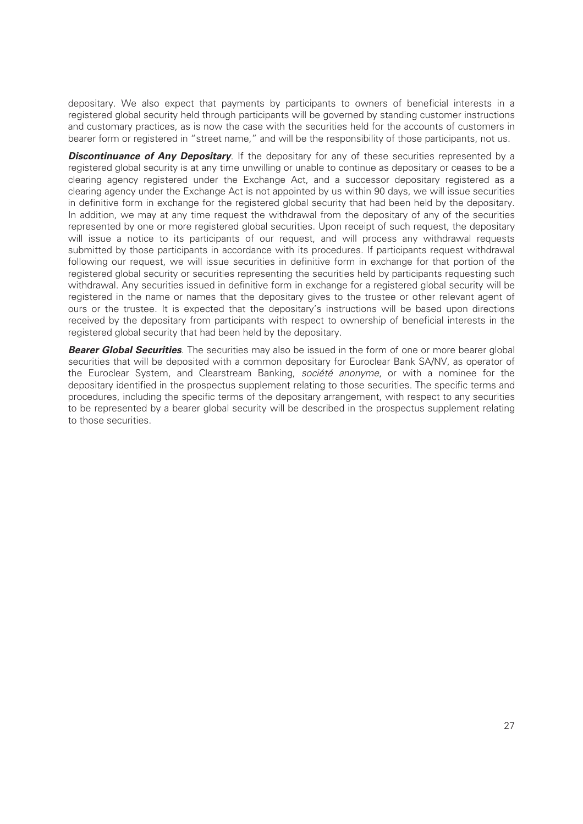depositary. We also expect that payments by participants to owners of beneficial interests in a registered global security held through participants will be governed by standing customer instructions and customary practices, as is now the case with the securities held for the accounts of customers in bearer form or registered in "street name," and will be the responsibility of those participants, not us.

**Discontinuance of Any Depositary**. If the depositary for any of these securities represented by a registered global security is at any time unwilling or unable to continue as depositary or ceases to be a clearing agency registered under the Exchange Act, and a successor depositary registered as a clearing agency under the Exchange Act is not appointed by us within 90 days, we will issue securities in definitive form in exchange for the registered global security that had been held by the depositary. In addition, we may at any time request the withdrawal from the depositary of any of the securities represented by one or more registered global securities. Upon receipt of such request, the depositary will issue a notice to its participants of our request, and will process any withdrawal requests submitted by those participants in accordance with its procedures. If participants request withdrawal following our request, we will issue securities in definitive form in exchange for that portion of the registered global security or securities representing the securities held by participants requesting such withdrawal. Any securities issued in definitive form in exchange for a registered global security will be registered in the name or names that the depositary gives to the trustee or other relevant agent of ours or the trustee. It is expected that the depositary's instructions will be based upon directions received by the depositary from participants with respect to ownership of beneficial interests in the registered global security that had been held by the depositary.

*Bearer Global Securities*. The securities may also be issued in the form of one or more bearer global securities that will be deposited with a common depositary for Euroclear Bank SA/NV, as operator of the Euroclear System, and Clearstream Banking, *société anonyme*, or with a nominee for the depositary identified in the prospectus supplement relating to those securities. The specific terms and procedures, including the specific terms of the depositary arrangement, with respect to any securities to be represented by a bearer global security will be described in the prospectus supplement relating to those securities.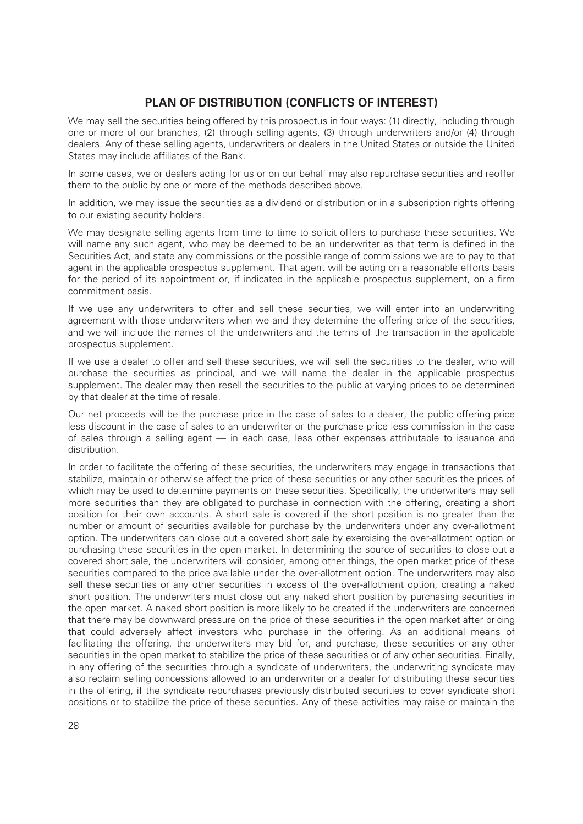# **PLAN OF DISTRIBUTION (CONFLICTS OF INTEREST)**

We may sell the securities being offered by this prospectus in four ways: (1) directly, including through one or more of our branches, (2) through selling agents, (3) through underwriters and/or (4) through dealers. Any of these selling agents, underwriters or dealers in the United States or outside the United States may include affiliates of the Bank.

In some cases, we or dealers acting for us or on our behalf may also repurchase securities and reoffer them to the public by one or more of the methods described above.

In addition, we may issue the securities as a dividend or distribution or in a subscription rights offering to our existing security holders.

We may designate selling agents from time to time to solicit offers to purchase these securities. We will name any such agent, who may be deemed to be an underwriter as that term is defined in the Securities Act, and state any commissions or the possible range of commissions we are to pay to that agent in the applicable prospectus supplement. That agent will be acting on a reasonable efforts basis for the period of its appointment or, if indicated in the applicable prospectus supplement, on a firm commitment basis.

If we use any underwriters to offer and sell these securities, we will enter into an underwriting agreement with those underwriters when we and they determine the offering price of the securities, and we will include the names of the underwriters and the terms of the transaction in the applicable prospectus supplement.

If we use a dealer to offer and sell these securities, we will sell the securities to the dealer, who will purchase the securities as principal, and we will name the dealer in the applicable prospectus supplement. The dealer may then resell the securities to the public at varying prices to be determined by that dealer at the time of resale.

Our net proceeds will be the purchase price in the case of sales to a dealer, the public offering price less discount in the case of sales to an underwriter or the purchase price less commission in the case of sales through a selling agent — in each case, less other expenses attributable to issuance and distribution.

In order to facilitate the offering of these securities, the underwriters may engage in transactions that stabilize, maintain or otherwise affect the price of these securities or any other securities the prices of which may be used to determine payments on these securities. Specifically, the underwriters may sell more securities than they are obligated to purchase in connection with the offering, creating a short position for their own accounts. A short sale is covered if the short position is no greater than the number or amount of securities available for purchase by the underwriters under any over-allotment option. The underwriters can close out a covered short sale by exercising the over-allotment option or purchasing these securities in the open market. In determining the source of securities to close out a covered short sale, the underwriters will consider, among other things, the open market price of these securities compared to the price available under the over-allotment option. The underwriters may also sell these securities or any other securities in excess of the over-allotment option, creating a naked short position. The underwriters must close out any naked short position by purchasing securities in the open market. A naked short position is more likely to be created if the underwriters are concerned that there may be downward pressure on the price of these securities in the open market after pricing that could adversely affect investors who purchase in the offering. As an additional means of facilitating the offering, the underwriters may bid for, and purchase, these securities or any other securities in the open market to stabilize the price of these securities or of any other securities. Finally, in any offering of the securities through a syndicate of underwriters, the underwriting syndicate may also reclaim selling concessions allowed to an underwriter or a dealer for distributing these securities in the offering, if the syndicate repurchases previously distributed securities to cover syndicate short positions or to stabilize the price of these securities. Any of these activities may raise or maintain the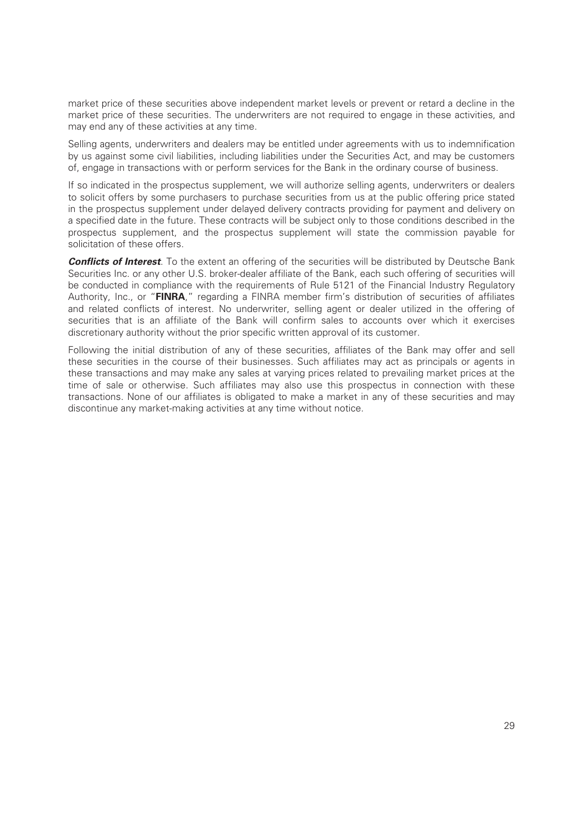market price of these securities above independent market levels or prevent or retard a decline in the market price of these securities. The underwriters are not required to engage in these activities, and may end any of these activities at any time.

Selling agents, underwriters and dealers may be entitled under agreements with us to indemnification by us against some civil liabilities, including liabilities under the Securities Act, and may be customers of, engage in transactions with or perform services for the Bank in the ordinary course of business.

If so indicated in the prospectus supplement, we will authorize selling agents, underwriters or dealers to solicit offers by some purchasers to purchase securities from us at the public offering price stated in the prospectus supplement under delayed delivery contracts providing for payment and delivery on a specified date in the future. These contracts will be subject only to those conditions described in the prospectus supplement, and the prospectus supplement will state the commission payable for solicitation of these offers.

**Conflicts of Interest**. To the extent an offering of the securities will be distributed by Deutsche Bank Securities Inc. or any other U.S. broker-dealer affiliate of the Bank, each such offering of securities will be conducted in compliance with the requirements of Rule 5121 of the Financial Industry Regulatory Authority, Inc., or "**FINRA**," regarding a FINRA member firm's distribution of securities of affiliates and related conflicts of interest. No underwriter, selling agent or dealer utilized in the offering of securities that is an affiliate of the Bank will confirm sales to accounts over which it exercises discretionary authority without the prior specific written approval of its customer.

Following the initial distribution of any of these securities, affiliates of the Bank may offer and sell these securities in the course of their businesses. Such affiliates may act as principals or agents in these transactions and may make any sales at varying prices related to prevailing market prices at the time of sale or otherwise. Such affiliates may also use this prospectus in connection with these transactions. None of our affiliates is obligated to make a market in any of these securities and may discontinue any market-making activities at any time without notice.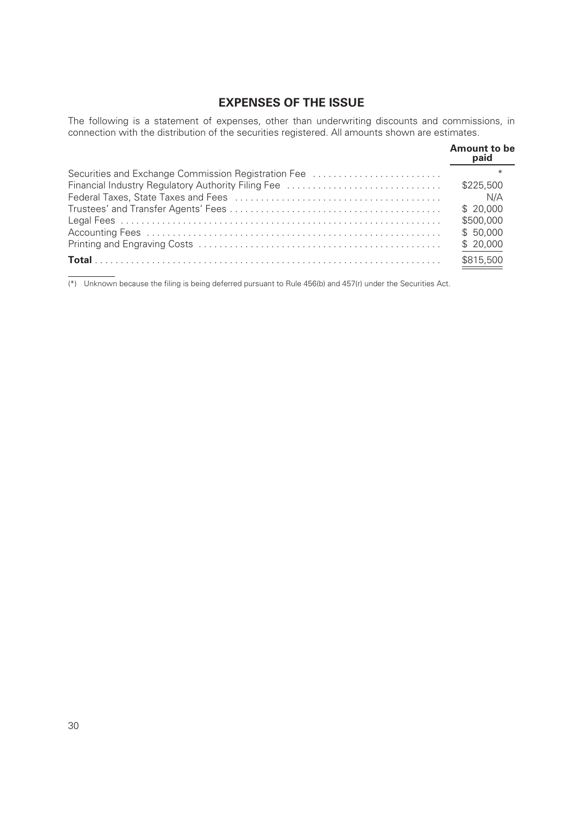# **EXPENSES OF THE ISSUE**

The following is a statement of expenses, other than underwriting discounts and commissions, in connection with the distribution of the securities registered. All amounts shown are estimates.

|                                                     | <b>Amount to be</b><br>paid |
|-----------------------------------------------------|-----------------------------|
| Securities and Exchange Commission Registration Fee |                             |
|                                                     | \$225,500                   |
|                                                     | N/A                         |
|                                                     | \$20,000                    |
|                                                     | \$500,000                   |
|                                                     | \$50,000                    |
|                                                     | \$20,000                    |
|                                                     | \$815,500                   |

(\*) Unknown because the filing is being deferred pursuant to Rule 456(b) and 457(r) under the Securities Act.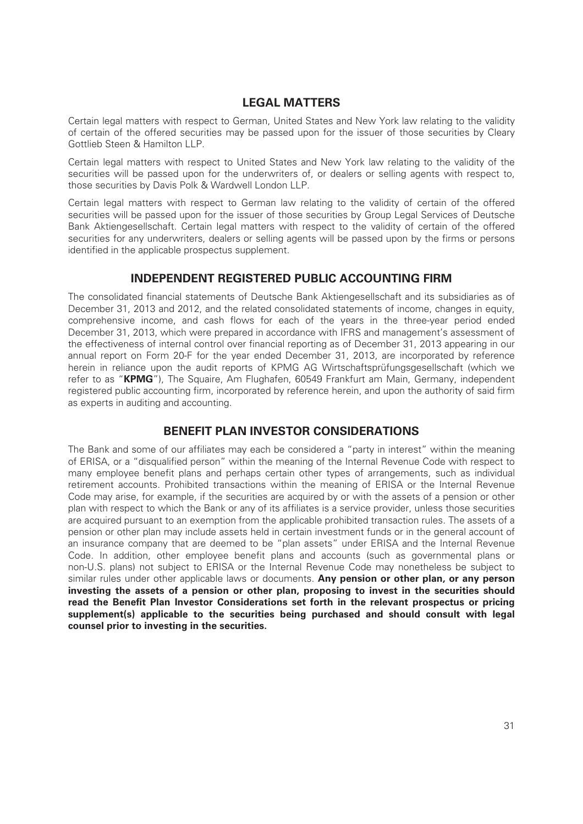# **LEGAL MATTERS**

Certain legal matters with respect to German, United States and New York law relating to the validity of certain of the offered securities may be passed upon for the issuer of those securities by Cleary Gottlieb Steen & Hamilton LLP.

Certain legal matters with respect to United States and New York law relating to the validity of the securities will be passed upon for the underwriters of, or dealers or selling agents with respect to, those securities by Davis Polk & Wardwell London LLP.

Certain legal matters with respect to German law relating to the validity of certain of the offered securities will be passed upon for the issuer of those securities by Group Legal Services of Deutsche Bank Aktiengesellschaft. Certain legal matters with respect to the validity of certain of the offered securities for any underwriters, dealers or selling agents will be passed upon by the firms or persons identified in the applicable prospectus supplement.

# **INDEPENDENT REGISTERED PUBLIC ACCOUNTING FIRM**

The consolidated financial statements of Deutsche Bank Aktiengesellschaft and its subsidiaries as of December 31, 2013 and 2012, and the related consolidated statements of income, changes in equity, comprehensive income, and cash flows for each of the years in the three-year period ended December 31, 2013, which were prepared in accordance with IFRS and management's assessment of the effectiveness of internal control over financial reporting as of December 31, 2013 appearing in our annual report on Form 20-F for the year ended December 31, 2013, are incorporated by reference herein in reliance upon the audit reports of KPMG AG Wirtschaftsprüfungsgesellschaft (which we refer to as "**KPMG**"), The Squaire, Am Flughafen, 60549 Frankfurt am Main, Germany, independent registered public accounting firm, incorporated by reference herein, and upon the authority of said firm as experts in auditing and accounting.

# **BENEFIT PLAN INVESTOR CONSIDERATIONS**

The Bank and some of our affiliates may each be considered a "party in interest" within the meaning of ERISA, or a "disqualified person" within the meaning of the Internal Revenue Code with respect to many employee benefit plans and perhaps certain other types of arrangements, such as individual retirement accounts. Prohibited transactions within the meaning of ERISA or the Internal Revenue Code may arise, for example, if the securities are acquired by or with the assets of a pension or other plan with respect to which the Bank or any of its affiliates is a service provider, unless those securities are acquired pursuant to an exemption from the applicable prohibited transaction rules. The assets of a pension or other plan may include assets held in certain investment funds or in the general account of an insurance company that are deemed to be "plan assets" under ERISA and the Internal Revenue Code. In addition, other employee benefit plans and accounts (such as governmental plans or non-U.S. plans) not subject to ERISA or the Internal Revenue Code may nonetheless be subject to similar rules under other applicable laws or documents. **Any pension or other plan, or any person investing the assets of a pension or other plan, proposing to invest in the securities should read the Benefit Plan Investor Considerations set forth in the relevant prospectus or pricing supplement(s) applicable to the securities being purchased and should consult with legal counsel prior to investing in the securities.**